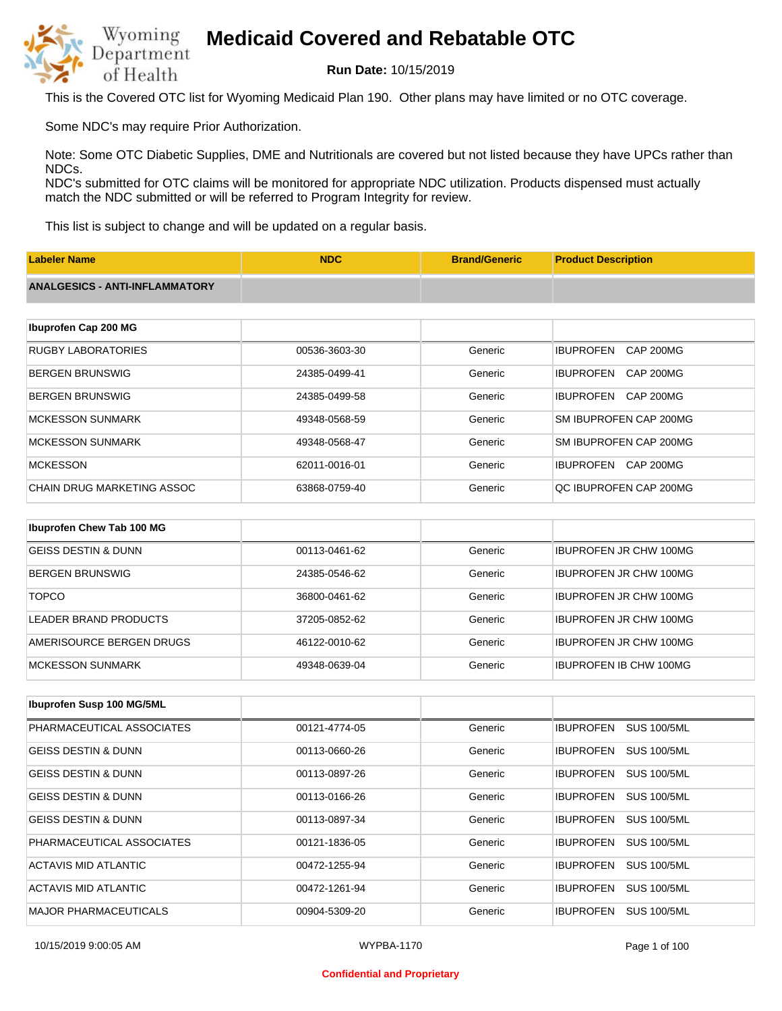

**Run Date:** 10/15/2019

This is the Covered OTC list for Wyoming Medicaid Plan 190. Other plans may have limited or no OTC coverage.

Some NDC's may require Prior Authorization.

Note: Some OTC Diabetic Supplies, DME and Nutritionals are covered but not listed because they have UPCs rather than NDCs.

NDC's submitted for OTC claims will be monitored for appropriate NDC utilization. Products dispensed must actually match the NDC submitted or will be referred to Program Integrity for review.

This list is subject to change and will be updated on a regular basis.

| <b>Labeler Name</b>                   | <b>NDC</b>          | <b>Brand/Generic</b> | <b>Product Description</b>           |
|---------------------------------------|---------------------|----------------------|--------------------------------------|
| <b>ANALGESICS - ANTI-INFLAMMATORY</b> |                     |                      |                                      |
|                                       |                     |                      |                                      |
| Ibuprofen Cap 200 MG                  |                     |                      |                                      |
| <b>RUGBY LABORATORIES</b>             | 00536-3603-30       | Generic              | <b>IBUPROFEN</b><br><b>CAP 200MG</b> |
| <b>BERGEN BRUNSWIG</b>                | 24385-0499-41       | Generic              | <b>IBUPROFEN</b><br>CAP 200MG        |
| <b>BERGEN BRUNSWIG</b>                | 24385-0499-58       | Generic              | <b>IBUPROFEN</b><br>CAP 200MG        |
| <b>MCKESSON SUNMARK</b>               | 49348-0568-59       | Generic              | SM IBUPROFEN CAP 200MG               |
| <b>MCKESSON SUNMARK</b>               | 49348-0568-47       | Generic              | SM IBUPROFEN CAP 200MG               |
| <b>MCKESSON</b>                       | 62011-0016-01       | Generic              | IBUPROFEN CAP 200MG                  |
| <b>CHAIN DRUG MARKETING ASSOC</b>     | 63868-0759-40       | Generic              | QC IBUPROFEN CAP 200MG               |
|                                       |                     |                      |                                      |
| Ibuprofen Chew Tab 100 MG             |                     |                      |                                      |
| <b>GEISS DESTIN &amp; DUNN</b>        | 00113-0461-62       | Generic              | <b>IBUPROFEN JR CHW 100MG</b>        |
| <b>DEDCEN DDI INCIAIC</b>             | $01295$ $0516$ $62$ | Conorio              | IRHODAEENHD ALIMI 100MC              |

| DENGEN DNUNOWIG          | 24000-0040-02 | Genenc  | IBULKULEN JR CHW TWIMG        |
|--------------------------|---------------|---------|-------------------------------|
| <b>TOPCO</b>             | 36800-0461-62 | Generic | <b>IBUPROFEN JR CHW 100MG</b> |
| LEADER BRAND PRODUCTS    | 37205-0852-62 | Generic | <b>IBUPROFEN JR CHW 100MG</b> |
| AMERISOURCE BERGEN DRUGS | 46122-0010-62 | Generic | <b>IBUPROFEN JR CHW 100MG</b> |
| IMCKESSON SUNMARK        | 49348-0639-04 | Generic | <b>IBUPROFEN IB CHW 100MG</b> |

| <b>Ibuprofen Susp 100 MG/5ML</b> |               |         |                                        |
|----------------------------------|---------------|---------|----------------------------------------|
| PHARMACEUTICAL ASSOCIATES        | 00121-4774-05 | Generic | <b>SUS 100/5ML</b><br><b>IBUPROFEN</b> |
| <b>GEISS DESTIN &amp; DUNN</b>   | 00113-0660-26 | Generic | <b>IBUPROFEN</b><br><b>SUS 100/5ML</b> |
| <b>GEISS DESTIN &amp; DUNN</b>   | 00113-0897-26 | Generic | <b>IBUPROFEN</b><br><b>SUS 100/5ML</b> |
| <b>GEISS DESTIN &amp; DUNN</b>   | 00113-0166-26 | Generic | <b>SUS 100/5ML</b><br><b>IBUPROFEN</b> |
| <b>GEISS DESTIN &amp; DUNN</b>   | 00113-0897-34 | Generic | <b>IBUPROFEN</b><br><b>SUS 100/5ML</b> |
| PHARMACEUTICAL ASSOCIATES        | 00121-1836-05 | Generic | <b>IBUPROFEN</b><br><b>SUS 100/5ML</b> |
| ACTAVIS MID ATLANTIC             | 00472-1255-94 | Generic | <b>SUS 100/5ML</b><br><b>IBUPROFEN</b> |
| ACTAVIS MID ATLANTIC             | 00472-1261-94 | Generic | <b>IBUPROFEN</b><br><b>SUS 100/5ML</b> |
| <b>MAJOR PHARMACEUTICALS</b>     | 00904-5309-20 | Generic | <b>IBUPROFEN</b><br><b>SUS 100/5ML</b> |

#### **Confidential and Proprietary**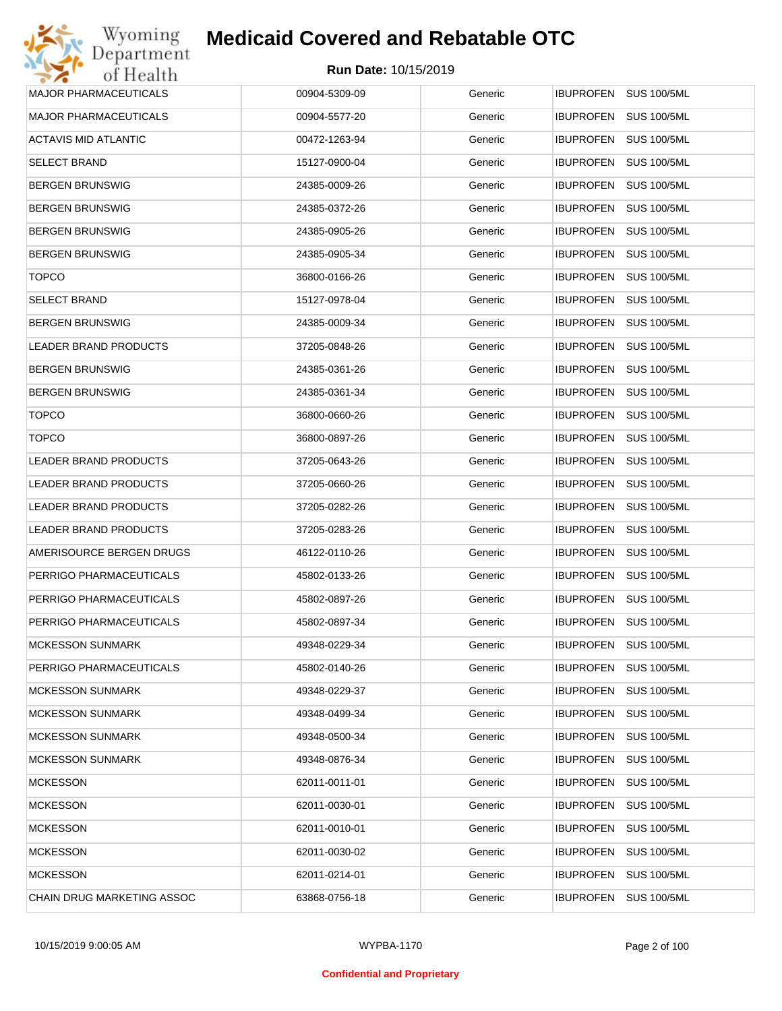

| Wyoming                      | <b>Medicaid Covered and Rebatable OTC</b> |         |                                        |
|------------------------------|-------------------------------------------|---------|----------------------------------------|
| Department<br>of Health      | <b>Run Date: 10/15/2019</b>               |         |                                        |
| <b>MAJOR PHARMACEUTICALS</b> | 00904-5309-09                             | Generic | <b>IBUPROFEN</b><br><b>SUS 100/5ML</b> |
| <b>MAJOR PHARMACEUTICALS</b> | 00904-5577-20                             | Generic | <b>IBUPROFEN</b><br><b>SUS 100/5ML</b> |
| ACTAVIS MID ATLANTIC         | 00472-1263-94                             | Generic | <b>IBUPROFEN</b><br><b>SUS 100/5ML</b> |
| <b>SELECT BRAND</b>          | 15127-0900-04                             | Generic | <b>IBUPROFEN</b><br><b>SUS 100/5ML</b> |
| <b>BERGEN BRUNSWIG</b>       | 24385-0009-26                             | Generic | <b>IBUPROFEN</b><br><b>SUS 100/5ML</b> |
| <b>BERGEN BRUNSWIG</b>       | 24385-0372-26                             | Generic | <b>IBUPROFEN</b><br><b>SUS 100/5ML</b> |
| <b>BERGEN BRUNSWIG</b>       | 24385-0905-26                             | Generic | <b>IBUPROFEN</b><br><b>SUS 100/5ML</b> |
| <b>BERGEN BRUNSWIG</b>       | 24385-0905-34                             | Generic | <b>IBUPROFEN</b><br><b>SUS 100/5ML</b> |
| <b>TOPCO</b>                 | 36800-0166-26                             | Generic | <b>IBUPROFEN</b><br><b>SUS 100/5ML</b> |
| <b>SELECT BRAND</b>          | 15127-0978-04                             | Generic | <b>IBUPROFEN</b><br><b>SUS 100/5ML</b> |
| <b>BERGEN BRUNSWIG</b>       | 24385-0009-34                             | Generic | <b>IBUPROFEN</b><br><b>SUS 100/5ML</b> |
| <b>LEADER BRAND PRODUCTS</b> | 37205-0848-26                             | Generic | <b>IBUPROFEN</b><br><b>SUS 100/5ML</b> |
| <b>BERGEN BRUNSWIG</b>       | 24385-0361-26                             | Generic | <b>IBUPROFEN</b><br><b>SUS 100/5ML</b> |
| <b>BERGEN BRUNSWIG</b>       | 24385-0361-34                             | Generic | <b>IBUPROFEN</b><br><b>SUS 100/5ML</b> |
| <b>TOPCO</b>                 | 36800-0660-26                             | Generic | <b>IBUPROFEN</b><br><b>SUS 100/5ML</b> |
| <b>TOPCO</b>                 | 36800-0897-26                             | Generic | <b>IBUPROFEN</b><br><b>SUS 100/5ML</b> |
| <b>LEADER BRAND PRODUCTS</b> | 37205-0643-26                             | Generic | <b>IBUPROFEN</b><br><b>SUS 100/5ML</b> |
| LEADER BRAND PRODUCTS        | 37205-0660-26                             | Generic | <b>IBUPROFEN</b><br><b>SUS 100/5ML</b> |
| LEADER BRAND PRODUCTS        | 37205-0282-26                             | Generic | <b>IBUPROFEN</b><br><b>SUS 100/5ML</b> |
| LEADER BRAND PRODUCTS        | 37205-0283-26                             | Generic | IBUPROFEN<br><b>SUS 100/5ML</b>        |
| AMERISOURCE BERGEN DRUGS     | 46122-0110-26                             | Generic | <b>IBUPROFEN</b><br><b>SUS 100/5ML</b> |
| PERRIGO PHARMACEUTICALS      | 45802-0133-26                             | Generic | <b>IBUPROFEN SUS 100/5ML</b>           |
| PERRIGO PHARMACEUTICALS      | 45802-0897-26                             | Generic | <b>IBUPROFEN SUS 100/5ML</b>           |
| PERRIGO PHARMACEUTICALS      | 45802-0897-34                             | Generic | <b>SUS 100/5ML</b><br>IBUPROFEN        |
| <b>MCKESSON SUNMARK</b>      | 49348-0229-34                             | Generic | <b>SUS 100/5ML</b><br><b>IBUPROFEN</b> |
| PERRIGO PHARMACEUTICALS      | 45802-0140-26                             | Generic | <b>IBUPROFEN</b><br><b>SUS 100/5ML</b> |
| <b>MCKESSON SUNMARK</b>      | 49348-0229-37                             | Generic | <b>IBUPROFEN</b><br><b>SUS 100/5ML</b> |
| <b>MCKESSON SUNMARK</b>      | 49348-0499-34                             | Generic | <b>IBUPROFEN</b><br><b>SUS 100/5ML</b> |
| <b>MCKESSON SUNMARK</b>      | 49348-0500-34                             | Generic | <b>IBUPROFEN</b><br><b>SUS 100/5ML</b> |
| <b>MCKESSON SUNMARK</b>      | 49348-0876-34                             | Generic | <b>IBUPROFEN</b><br><b>SUS 100/5ML</b> |
| <b>MCKESSON</b>              | 62011-0011-01                             | Generic | <b>IBUPROFEN</b><br><b>SUS 100/5ML</b> |
| <b>MCKESSON</b>              | 62011-0030-01                             | Generic | <b>IBUPROFEN</b><br><b>SUS 100/5ML</b> |
| <b>MCKESSON</b>              | 62011-0010-01                             | Generic | <b>SUS 100/5ML</b><br><b>IBUPROFEN</b> |
| <b>MCKESSON</b>              | 62011-0030-02                             | Generic | <b>IBUPROFEN</b><br><b>SUS 100/5ML</b> |
| <b>MCKESSON</b>              | 62011-0214-01                             | Generic | <b>IBUPROFEN</b><br><b>SUS 100/5ML</b> |
| CHAIN DRUG MARKETING ASSOC   | 63868-0756-18                             | Generic | <b>SUS 100/5ML</b><br>IBUPROFEN        |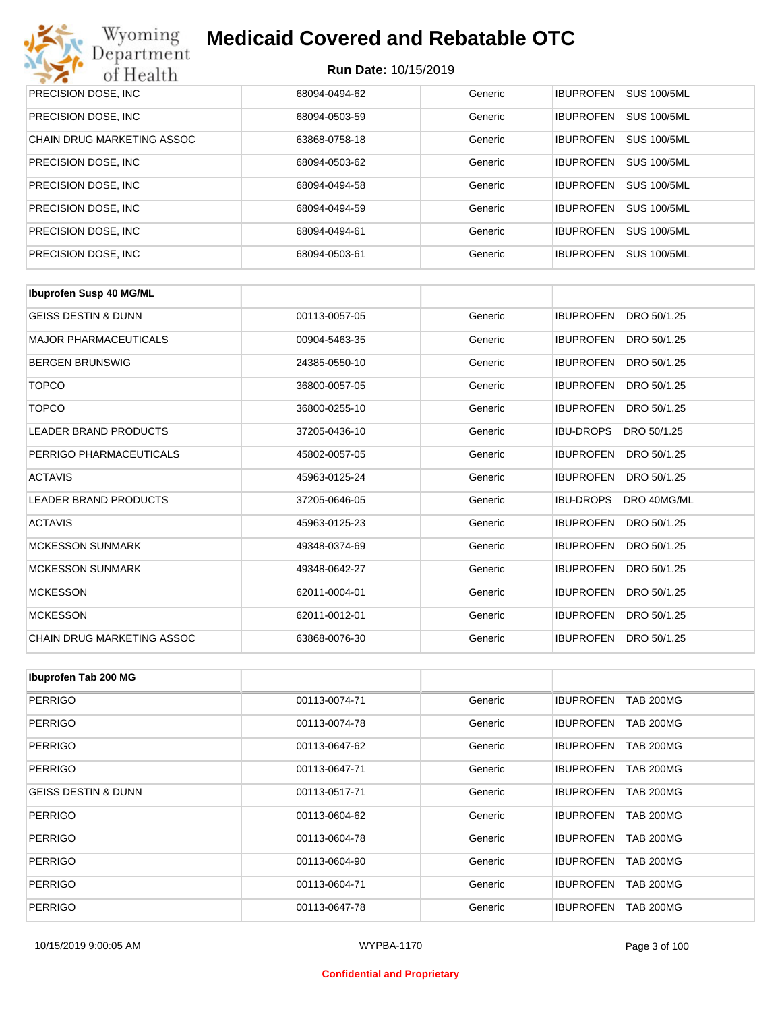| Wyoming<br><b>Medicaid Covered and Rebatable OTC</b><br>Department |                             |         |                  |                    |  |
|--------------------------------------------------------------------|-----------------------------|---------|------------------|--------------------|--|
| of Health                                                          | <b>Run Date: 10/15/2019</b> |         |                  |                    |  |
| PRECISION DOSE, INC                                                | 68094-0494-62               | Generic | <b>IBUPROFEN</b> | <b>SUS 100/5ML</b> |  |
| PRECISION DOSE, INC.                                               | 68094-0503-59               | Generic | <b>IBUPROFEN</b> | <b>SUS 100/5ML</b> |  |
| <b>CHAIN DRUG MARKETING ASSOC</b>                                  | 63868-0758-18               | Generic | <b>IBUPROFEN</b> | <b>SUS 100/5ML</b> |  |
| PRECISION DOSE, INC.                                               | 68094-0503-62               | Generic | <b>IBUPROFEN</b> | <b>SUS 100/5ML</b> |  |
| PRECISION DOSE, INC.                                               | 68094-0494-58               | Generic | <b>IBUPROFEN</b> | <b>SUS 100/5ML</b> |  |
| PRECISION DOSE, INC.                                               | 68094-0494-59               | Generic | <b>IBUPROFEN</b> | <b>SUS 100/5ML</b> |  |
| PRECISION DOSE, INC.                                               | 68094-0494-61               | Generic | <b>IBUPROFEN</b> | <b>SUS 100/5ML</b> |  |
| PRECISION DOSE, INC.                                               | 68094-0503-61               | Generic | <b>IBUPROFEN</b> | <b>SUS 100/5ML</b> |  |

| <b>Ibuprofen Susp 40 MG/ML</b> |               |         |                                 |
|--------------------------------|---------------|---------|---------------------------------|
| <b>GEISS DESTIN &amp; DUNN</b> | 00113-0057-05 | Generic | <b>IBUPROFEN</b><br>DRO 50/1.25 |
| <b>MAJOR PHARMACEUTICALS</b>   | 00904-5463-35 | Generic | <b>IBUPROFEN</b><br>DRO 50/1.25 |
| <b>BERGEN BRUNSWIG</b>         | 24385-0550-10 | Generic | <b>IBUPROFEN</b><br>DRO 50/1.25 |
| <b>TOPCO</b>                   | 36800-0057-05 | Generic | <b>IBUPROFEN</b><br>DRO 50/1.25 |
| <b>TOPCO</b>                   | 36800-0255-10 | Generic | <b>IBUPROFEN</b><br>DRO 50/1.25 |
| <b>LEADER BRAND PRODUCTS</b>   | 37205-0436-10 | Generic | <b>IBU-DROPS</b><br>DRO 50/1.25 |
| PERRIGO PHARMACEUTICALS        | 45802-0057-05 | Generic | <b>IBUPROFEN</b><br>DRO 50/1.25 |
| <b>ACTAVIS</b>                 | 45963-0125-24 | Generic | <b>IBUPROFEN</b><br>DRO 50/1.25 |
| <b>LEADER BRAND PRODUCTS</b>   | 37205-0646-05 | Generic | <b>IBU-DROPS</b><br>DRO 40MG/ML |
| <b>ACTAVIS</b>                 | 45963-0125-23 | Generic | <b>IBUPROFEN</b><br>DRO 50/1.25 |
| <b>MCKESSON SUNMARK</b>        | 49348-0374-69 | Generic | <b>IBUPROFEN</b><br>DRO 50/1.25 |
| <b>MCKESSON SUNMARK</b>        | 49348-0642-27 | Generic | <b>IBUPROFEN</b><br>DRO 50/1.25 |
| <b>MCKESSON</b>                | 62011-0004-01 | Generic | <b>IBUPROFEN</b><br>DRO 50/1.25 |
| <b>MCKESSON</b>                | 62011-0012-01 | Generic | <b>IBUPROFEN</b><br>DRO 50/1.25 |
| CHAIN DRUG MARKETING ASSOC     | 63868-0076-30 | Generic | DRO 50/1.25<br><b>IBUPROFEN</b> |

| Ibuprofen Tab 200 MG           |               |         |                                      |
|--------------------------------|---------------|---------|--------------------------------------|
| PERRIGO                        | 00113-0074-71 | Generic | <b>IBUPROFEN</b><br><b>TAB 200MG</b> |
| PERRIGO                        | 00113-0074-78 | Generic | <b>TAB 200MG</b><br><b>IBUPROFEN</b> |
| PERRIGO                        | 00113-0647-62 | Generic | <b>TAB 200MG</b><br><b>IBUPROFEN</b> |
| <b>PERRIGO</b>                 | 00113-0647-71 | Generic | <b>IBUPROFEN</b><br><b>TAB 200MG</b> |
| <b>GEISS DESTIN &amp; DUNN</b> | 00113-0517-71 | Generic | <b>TAB 200MG</b><br><b>IBUPROFEN</b> |
| <b>PERRIGO</b>                 | 00113-0604-62 | Generic | <b>IBUPROFEN</b><br><b>TAB 200MG</b> |
| PERRIGO                        | 00113-0604-78 | Generic | <b>IBUPROFEN</b><br><b>TAB 200MG</b> |
| <b>PERRIGO</b>                 | 00113-0604-90 | Generic | <b>TAB 200MG</b><br><b>IBUPROFEN</b> |
| PERRIGO                        | 00113-0604-71 | Generic | <b>TAB 200MG</b><br><b>IBUPROFEN</b> |
| <b>PERRIGO</b>                 | 00113-0647-78 | Generic | <b>TAB 200MG</b><br><b>IBUPROFEN</b> |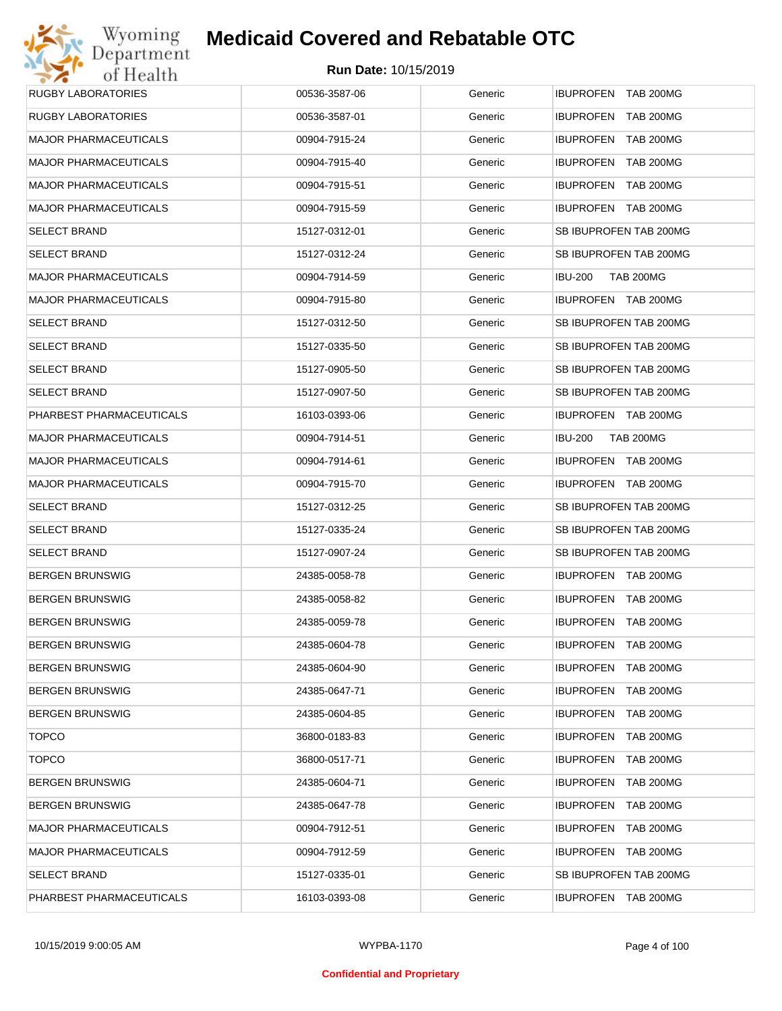| Wyoming                      | <b>Medicaid Covered and Rebatable OTC</b> |         |                                      |
|------------------------------|-------------------------------------------|---------|--------------------------------------|
| Department<br>of Health      | <b>Run Date: 10/15/2019</b>               |         |                                      |
| <b>RUGBY LABORATORIES</b>    | 00536-3587-06                             | Generic | IBUPROFEN TAB 200MG                  |
| <b>RUGBY LABORATORIES</b>    | 00536-3587-01                             | Generic | <b>IBUPROFEN</b><br><b>TAB 200MG</b> |
| <b>MAJOR PHARMACEUTICALS</b> | 00904-7915-24                             | Generic | <b>IBUPROFEN</b><br><b>TAB 200MG</b> |
| <b>MAJOR PHARMACEUTICALS</b> | 00904-7915-40                             | Generic | <b>IBUPROFEN</b><br><b>TAB 200MG</b> |
| <b>MAJOR PHARMACEUTICALS</b> | 00904-7915-51                             | Generic | <b>IBUPROFEN</b><br><b>TAB 200MG</b> |
| <b>MAJOR PHARMACEUTICALS</b> | 00904-7915-59                             | Generic | IBUPROFEN TAB 200MG                  |
| <b>SELECT BRAND</b>          | 15127-0312-01                             | Generic | SB IBUPROFEN TAB 200MG               |
| <b>SELECT BRAND</b>          | 15127-0312-24                             | Generic | SB IBUPROFEN TAB 200MG               |
| <b>MAJOR PHARMACEUTICALS</b> | 00904-7914-59                             | Generic | <b>IBU-200</b><br><b>TAB 200MG</b>   |
| <b>MAJOR PHARMACEUTICALS</b> | 00904-7915-80                             | Generic | IBUPROFEN TAB 200MG                  |
| <b>SELECT BRAND</b>          | 15127-0312-50                             | Generic | SB IBUPROFEN TAB 200MG               |
| <b>SELECT BRAND</b>          | 15127-0335-50                             | Generic | SB IBUPROFEN TAB 200MG               |
| <b>SELECT BRAND</b>          | 15127-0905-50                             | Generic | SB IBUPROFEN TAB 200MG               |
| <b>SELECT BRAND</b>          | 15127-0907-50                             | Generic | SB IBUPROFEN TAB 200MG               |
| PHARBEST PHARMACEUTICALS     | 16103-0393-06                             | Generic | IBUPROFEN TAB 200MG                  |
| <b>MAJOR PHARMACEUTICALS</b> | 00904-7914-51                             | Generic | <b>IBU-200</b><br><b>TAB 200MG</b>   |
| <b>MAJOR PHARMACEUTICALS</b> | 00904-7914-61                             | Generic | IBUPROFEN TAB 200MG                  |
| <b>MAJOR PHARMACEUTICALS</b> | 00904-7915-70                             | Generic | IBUPROFEN TAB 200MG                  |
| <b>SELECT BRAND</b>          | 15127-0312-25                             | Generic | SB IBUPROFEN TAB 200MG               |
| <b>SELECT BRAND</b>          | 15127-0335-24                             | Generic | SB IBUPROFEN TAB 200MG               |
| <b>SELECT BRAND</b>          | 15127-0907-24                             | Generic | SB IBUPROFEN TAB 200MG               |
| <b>BERGEN BRUNSWIG</b>       | 24385-0058-78                             | Generic | IBUPROFEN TAB 200MG                  |
| <b>BERGEN BRUNSWIG</b>       | 24385-0058-82                             | Generic | IBUPROFEN TAB 200MG                  |
| <b>BERGEN BRUNSWIG</b>       | 24385-0059-78                             | Generic | IBUPROFEN TAB 200MG                  |
| <b>BERGEN BRUNSWIG</b>       | 24385-0604-78                             | Generic | <b>IBUPROFEN</b><br><b>TAB 200MG</b> |
| <b>BERGEN BRUNSWIG</b>       | 24385-0604-90                             | Generic | <b>IBUPROFEN</b><br><b>TAB 200MG</b> |
| <b>BERGEN BRUNSWIG</b>       | 24385-0647-71                             | Generic | <b>IBUPROFEN</b><br>TAB 200MG        |
| <b>BERGEN BRUNSWIG</b>       | 24385-0604-85                             | Generic | <b>IBUPROFEN</b><br><b>TAB 200MG</b> |
| <b>TOPCO</b>                 | 36800-0183-83                             | Generic | <b>IBUPROFEN</b><br>TAB 200MG        |
| <b>TOPCO</b>                 | 36800-0517-71                             | Generic | <b>IBUPROFEN</b><br>TAB 200MG        |
| <b>BERGEN BRUNSWIG</b>       | 24385-0604-71                             | Generic | <b>IBUPROFEN</b><br>TAB 200MG        |
| <b>BERGEN BRUNSWIG</b>       | 24385-0647-78                             | Generic | <b>IBUPROFEN</b><br>TAB 200MG        |
| <b>MAJOR PHARMACEUTICALS</b> | 00904-7912-51                             | Generic | <b>IBUPROFEN</b><br>TAB 200MG        |
| <b>MAJOR PHARMACEUTICALS</b> | 00904-7912-59                             | Generic | IBUPROFEN TAB 200MG                  |
| <b>SELECT BRAND</b>          | 15127-0335-01                             | Generic | SB IBUPROFEN TAB 200MG               |
| PHARBEST PHARMACEUTICALS     | 16103-0393-08                             | Generic | IBUPROFEN TAB 200MG                  |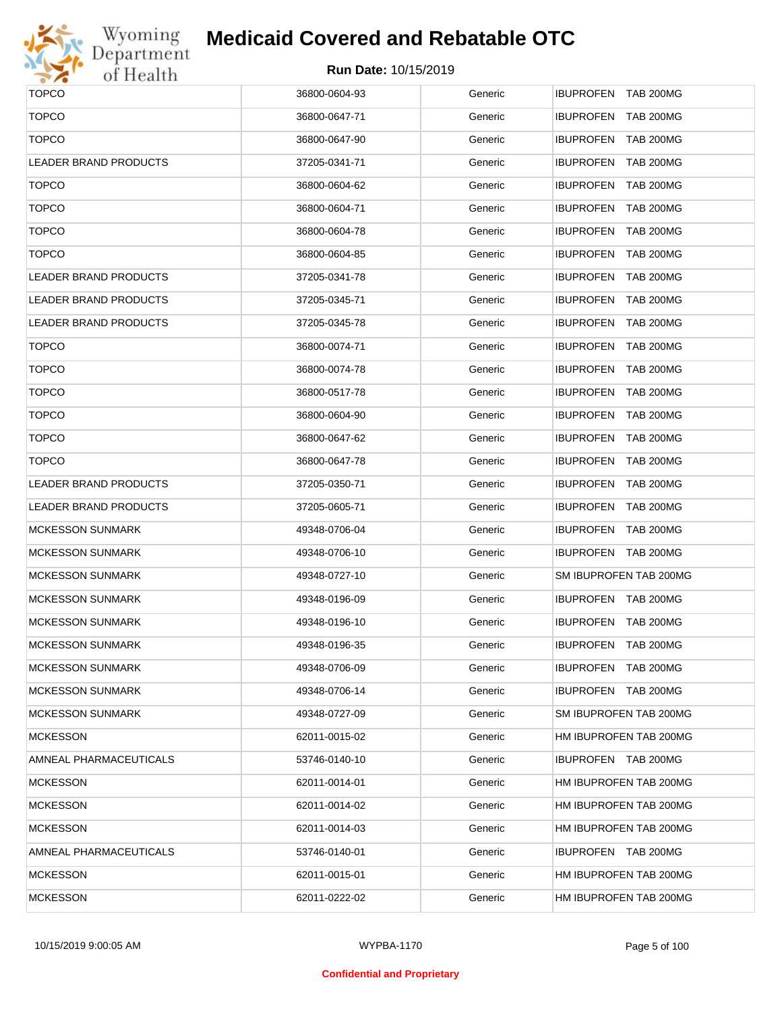

## **Medicaid Covered and Rebatable OTC**

| <b>TOPCO</b>                 | 36800-0604-93 | Generic | IBUPROFEN TAB 200MG                  |
|------------------------------|---------------|---------|--------------------------------------|
| <b>TOPCO</b>                 | 36800-0647-71 | Generic | IBUPROFEN TAB 200MG                  |
| <b>TOPCO</b>                 | 36800-0647-90 | Generic | IBUPROFEN TAB 200MG                  |
| <b>LEADER BRAND PRODUCTS</b> | 37205-0341-71 | Generic | IBUPROFEN TAB 200MG                  |
| <b>TOPCO</b>                 | 36800-0604-62 | Generic | IBUPROFEN TAB 200MG                  |
| <b>TOPCO</b>                 | 36800-0604-71 | Generic | IBUPROFEN TAB 200MG                  |
| <b>TOPCO</b>                 | 36800-0604-78 | Generic | IBUPROFEN TAB 200MG                  |
| <b>TOPCO</b>                 | 36800-0604-85 | Generic | IBUPROFEN TAB 200MG                  |
| LEADER BRAND PRODUCTS        | 37205-0341-78 | Generic | IBUPROFEN TAB 200MG                  |
| LEADER BRAND PRODUCTS        | 37205-0345-71 | Generic | IBUPROFEN TAB 200MG                  |
| LEADER BRAND PRODUCTS        | 37205-0345-78 | Generic | IBUPROFEN TAB 200MG                  |
| <b>TOPCO</b>                 | 36800-0074-71 | Generic | IBUPROFEN TAB 200MG                  |
| <b>TOPCO</b>                 | 36800-0074-78 | Generic | IBUPROFEN TAB 200MG                  |
| <b>TOPCO</b>                 | 36800-0517-78 | Generic | <b>IBUPROFEN</b><br><b>TAB 200MG</b> |
| <b>TOPCO</b>                 | 36800-0604-90 | Generic | IBUPROFEN TAB 200MG                  |
| <b>TOPCO</b>                 | 36800-0647-62 | Generic | IBUPROFEN TAB 200MG                  |
| <b>TOPCO</b>                 | 36800-0647-78 | Generic | IBUPROFEN TAB 200MG                  |
| <b>LEADER BRAND PRODUCTS</b> | 37205-0350-71 | Generic | IBUPROFEN TAB 200MG                  |
| LEADER BRAND PRODUCTS        | 37205-0605-71 | Generic | IBUPROFEN TAB 200MG                  |
| <b>MCKESSON SUNMARK</b>      | 49348-0706-04 | Generic | IBUPROFEN TAB 200MG                  |
| MCKESSON SUNMARK             | 49348-0706-10 | Generic | IBUPROFEN TAB 200MG                  |
| <b>MCKESSON SUNMARK</b>      | 49348-0727-10 | Generic | SM IBUPROFEN TAB 200MG               |
| MCKESSON SUNMARK             | 49348-0196-09 | Generic | IBUPROFEN TAB 200MG                  |
| <b>MCKESSON SUNMARK</b>      | 49348-0196-10 | Generic | IBUPROFEN TAB 200MG                  |
| <b>MCKESSON SUNMARK</b>      | 49348-0196-35 | Generic | IBUPROFEN TAB 200MG                  |
| <b>MCKESSON SUNMARK</b>      | 49348-0706-09 | Generic | <b>IBUPROFEN TAB 200MG</b>           |
| <b>MCKESSON SUNMARK</b>      | 49348-0706-14 | Generic | IBUPROFEN TAB 200MG                  |
| MCKESSON SUNMARK             | 49348-0727-09 | Generic | SM IBUPROFEN TAB 200MG               |
| <b>MCKESSON</b>              | 62011-0015-02 | Generic | HM IBUPROFEN TAB 200MG               |
| AMNEAL PHARMACEUTICALS       | 53746-0140-10 | Generic | IBUPROFEN TAB 200MG                  |
| <b>MCKESSON</b>              | 62011-0014-01 | Generic | HM IBUPROFEN TAB 200MG               |
| <b>MCKESSON</b>              | 62011-0014-02 | Generic | HM IBUPROFEN TAB 200MG               |
| <b>MCKESSON</b>              | 62011-0014-03 | Generic | HM IBUPROFEN TAB 200MG               |
| AMNEAL PHARMACEUTICALS       | 53746-0140-01 | Generic | IBUPROFEN TAB 200MG                  |
| <b>MCKESSON</b>              | 62011-0015-01 | Generic | HM IBUPROFEN TAB 200MG               |
| <b>MCKESSON</b>              | 62011-0222-02 | Generic | HM IBUPROFEN TAB 200MG               |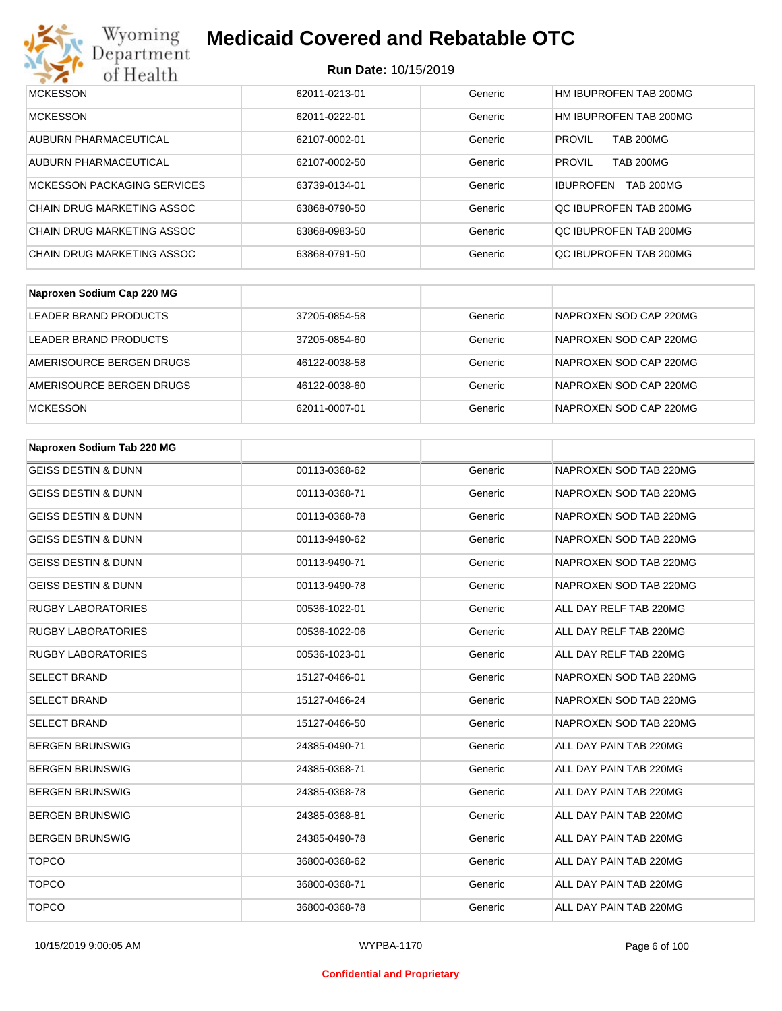

## **Medicaid Covered and Rebatable OTC**

| <b>MCKESSON</b>             | 62011-0213-01 | Generic | HM IBUPROFEN TAB 200MG               |
|-----------------------------|---------------|---------|--------------------------------------|
| <b>MCKESSON</b>             | 62011-0222-01 | Generic | HM IBUPROFEN TAB 200MG               |
| AUBURN PHARMACEUTICAL       | 62107-0002-01 | Generic | <b>PROVIL</b><br><b>TAB 200MG</b>    |
| AUBURN PHARMACEUTICAL       | 62107-0002-50 | Generic | <b>PROVIL</b><br><b>TAB 200MG</b>    |
| MCKESSON PACKAGING SERVICES | 63739-0134-01 | Generic | <b>TAB 200MG</b><br><b>IBUPROFEN</b> |
| CHAIN DRUG MARKETING ASSOC  | 63868-0790-50 | Generic | OC IBUPROFEN TAB 200MG               |
| CHAIN DRUG MARKETING ASSOC  | 63868-0983-50 | Generic | QC IBUPROFEN TAB 200MG               |
| CHAIN DRUG MARKETING ASSOC  | 63868-0791-50 | Generic | OC IBUPROFEN TAB 200MG               |

| Naproxen Sodium Cap 220 MG |               |         |                        |
|----------------------------|---------------|---------|------------------------|
| LEADER BRAND PRODUCTS      | 37205-0854-58 | Generic | NAPROXEN SOD CAP 220MG |
| LEADER BRAND PRODUCTS      | 37205-0854-60 | Generic | NAPROXEN SOD CAP 220MG |
| AMERISOURCE BERGEN DRUGS   | 46122-0038-58 | Generic | NAPROXEN SOD CAP 220MG |
| AMERISOURCE BERGEN DRUGS   | 46122-0038-60 | Generic | NAPROXEN SOD CAP 220MG |
| <b>MCKESSON</b>            | 62011-0007-01 | Generic | NAPROXEN SOD CAP 220MG |

| Naproxen Sodium Tab 220 MG     |               |         |                        |
|--------------------------------|---------------|---------|------------------------|
| <b>GEISS DESTIN &amp; DUNN</b> | 00113-0368-62 | Generic | NAPROXEN SOD TAB 220MG |
| <b>GEISS DESTIN &amp; DUNN</b> | 00113-0368-71 | Generic | NAPROXEN SOD TAB 220MG |
| <b>GEISS DESTIN &amp; DUNN</b> | 00113-0368-78 | Generic | NAPROXEN SOD TAB 220MG |
| <b>GEISS DESTIN &amp; DUNN</b> | 00113-9490-62 | Generic | NAPROXEN SOD TAB 220MG |
| <b>GEISS DESTIN &amp; DUNN</b> | 00113-9490-71 | Generic | NAPROXEN SOD TAB 220MG |
| <b>GEISS DESTIN &amp; DUNN</b> | 00113-9490-78 | Generic | NAPROXEN SOD TAB 220MG |
| <b>RUGBY LABORATORIES</b>      | 00536-1022-01 | Generic | ALL DAY RELF TAB 220MG |
| <b>RUGBY LABORATORIES</b>      | 00536-1022-06 | Generic | ALL DAY RELF TAB 220MG |
| <b>RUGBY LABORATORIES</b>      | 00536-1023-01 | Generic | ALL DAY RELF TAB 220MG |
| <b>SELECT BRAND</b>            | 15127-0466-01 | Generic | NAPROXEN SOD TAB 220MG |
| <b>SELECT BRAND</b>            | 15127-0466-24 | Generic | NAPROXEN SOD TAB 220MG |
| <b>SELECT BRAND</b>            | 15127-0466-50 | Generic | NAPROXEN SOD TAB 220MG |
| <b>BERGEN BRUNSWIG</b>         | 24385-0490-71 | Generic | ALL DAY PAIN TAB 220MG |
| <b>BERGEN BRUNSWIG</b>         | 24385-0368-71 | Generic | ALL DAY PAIN TAB 220MG |
| <b>BERGEN BRUNSWIG</b>         | 24385-0368-78 | Generic | ALL DAY PAIN TAB 220MG |
| <b>BERGEN BRUNSWIG</b>         | 24385-0368-81 | Generic | ALL DAY PAIN TAB 220MG |
| <b>BERGEN BRUNSWIG</b>         | 24385-0490-78 | Generic | ALL DAY PAIN TAB 220MG |
| <b>TOPCO</b>                   | 36800-0368-62 | Generic | ALL DAY PAIN TAB 220MG |
| <b>TOPCO</b>                   | 36800-0368-71 | Generic | ALL DAY PAIN TAB 220MG |
| <b>TOPCO</b>                   | 36800-0368-78 | Generic | ALL DAY PAIN TAB 220MG |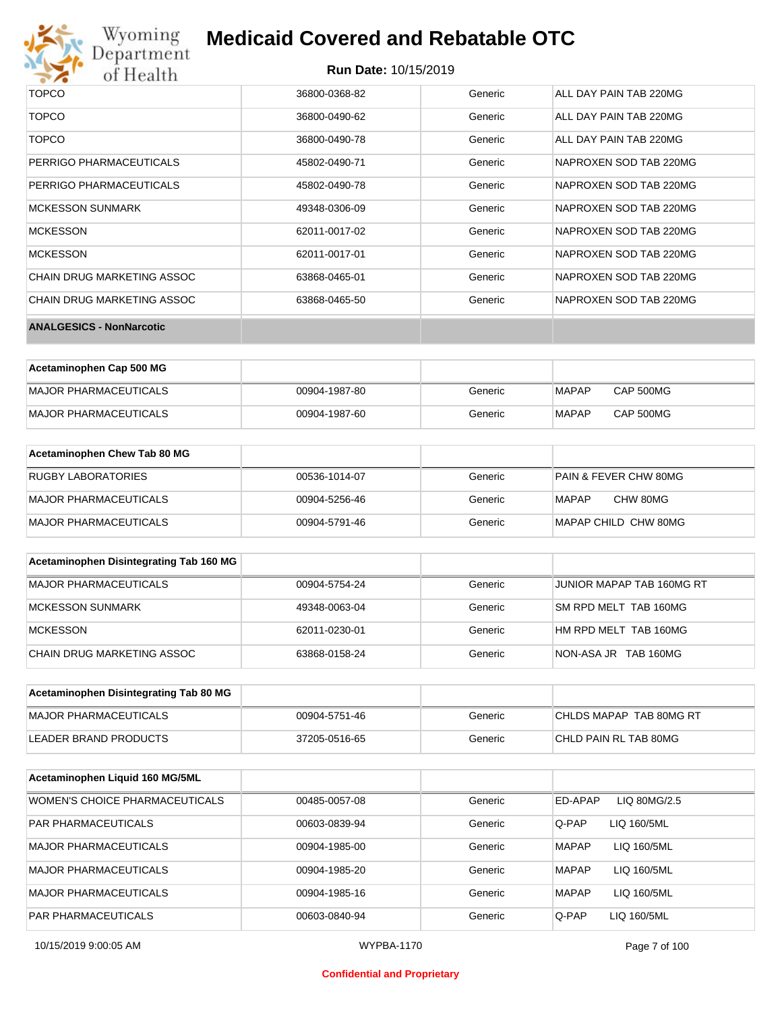

## **Medicaid Covered and Rebatable OTC**

#### **Run Date:** 10/15/2019

| TOPCO                           | 36800-0368-82 | Generic | ALL DAY PAIN TAB 220MG |
|---------------------------------|---------------|---------|------------------------|
| <b>TOPCO</b>                    | 36800-0490-62 | Generic | ALL DAY PAIN TAB 220MG |
| <b>TOPCO</b>                    | 36800-0490-78 | Generic | ALL DAY PAIN TAB 220MG |
| PERRIGO PHARMACEUTICALS         | 45802-0490-71 | Generic | NAPROXEN SOD TAB 220MG |
| PERRIGO PHARMACEUTICALS         | 45802-0490-78 | Generic | NAPROXEN SOD TAB 220MG |
| <b>MCKESSON SUNMARK</b>         | 49348-0306-09 | Generic | NAPROXEN SOD TAB 220MG |
| MCKESSON                        | 62011-0017-02 | Generic | NAPROXEN SOD TAB 220MG |
| <b>MCKESSON</b>                 | 62011-0017-01 | Generic | NAPROXEN SOD TAB 220MG |
| CHAIN DRUG MARKETING ASSOC      | 63868-0465-01 | Generic | NAPROXEN SOD TAB 220MG |
| CHAIN DRUG MARKETING ASSOC      | 63868-0465-50 | Generic | NAPROXEN SOD TAB 220MG |
| <b>ANALGESICS - NonNarcotic</b> |               |         |                        |

| Acetaminophen Cap 500 MG |               |         |              |           |
|--------------------------|---------------|---------|--------------|-----------|
| MAJOR PHARMACEUTICALS    | 00904-1987-80 | Generic | <b>MAPAP</b> | CAP 500MG |
| MAJOR PHARMACEUTICALS    | 00904-1987-60 | Generic | <b>MAPAP</b> | CAP 500MG |

| Acetaminophen Chew Tab 80 MG |               |         |                                  |
|------------------------------|---------------|---------|----------------------------------|
| <b>RUGBY LABORATORIES</b>    | 00536-1014-07 | Generic | <b>PAIN &amp; FEVER CHW 80MG</b> |
| MAJOR PHARMACEUTICALS        | 00904-5256-46 | Generic | CHW 80MG<br>MAPAP                |
| MAJOR PHARMACEUTICALS        | 00904-5791-46 | Generic | MAPAP CHILD CHW 80MG             |

| Acetaminophen Disintegrating Tab 160 MG |               |         |                           |
|-----------------------------------------|---------------|---------|---------------------------|
| MAJOR PHARMACEUTICALS                   | 00904-5754-24 | Generic | JUNIOR MAPAP TAB 160MG RT |
| MCKESSON SUNMARK                        | 49348-0063-04 | Generic | SM RPD MELT TAB 160MG     |
| MCKESSON                                | 62011-0230-01 | Generic | HM RPD MELT TAB 160MG     |
| CHAIN DRUG MARKETING ASSOC              | 63868-0158-24 | Generic | NON-ASA JR TAB 160MG      |

| Acetaminophen Disintegrating Tab 80 MG |               |         |                         |
|----------------------------------------|---------------|---------|-------------------------|
| MAJOR PHARMACEUTICALS                  | 00904-5751-46 | Generic | CHLDS MAPAP TAB 80MG RT |
| LEADER BRAND PRODUCTS                  | 37205-0516-65 | Generic | CHLD PAIN RL TAB 80MG   |

| Acetaminophen Liquid 160 MG/5ML |               |         |                             |
|---------------------------------|---------------|---------|-----------------------------|
| WOMEN'S CHOICE PHARMACEUTICALS  | 00485-0057-08 | Generic | ED-APAP<br>LIQ 80MG/2.5     |
| <b>PAR PHARMACEUTICALS</b>      | 00603-0839-94 | Generic | Q-PAP<br>LIQ 160/5ML        |
| <b>MAJOR PHARMACEUTICALS</b>    | 00904-1985-00 | Generic | <b>MAPAP</b><br>LIQ 160/5ML |
| MAJOR PHARMACEUTICALS           | 00904-1985-20 | Generic | <b>MAPAP</b><br>LIQ 160/5ML |
| <b>MAJOR PHARMACEUTICALS</b>    | 00904-1985-16 | Generic | <b>MAPAP</b><br>LIQ 160/5ML |
| <b>PAR PHARMACEUTICALS</b>      | 00603-0840-94 | Generic | Q-PAP<br>LIQ 160/5ML        |

#### **Confidential and Proprietary**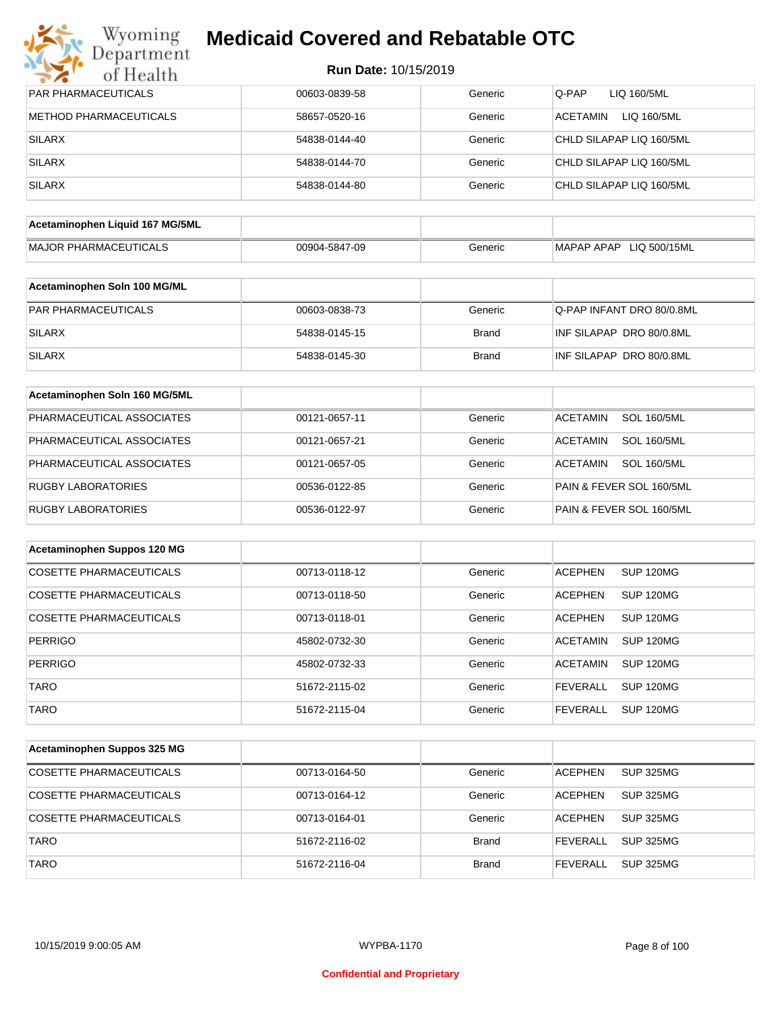| PAR PHARMACEUTICALS             | 00603-0839-58 | Generic      | Q-PAP<br>LIQ 160/5ML                  |
|---------------------------------|---------------|--------------|---------------------------------------|
| <b>METHOD PHARMACEUTICALS</b>   | 58657-0520-16 | Generic      | <b>ACETAMIN</b><br>LIQ 160/5ML        |
| <b>SILARX</b>                   | 54838-0144-40 | Generic      | CHLD SILAPAP LIQ 160/5ML              |
| <b>SILARX</b>                   | 54838-0144-70 | Generic      | CHLD SILAPAP LIQ 160/5ML              |
| <b>SILARX</b>                   | 54838-0144-80 | Generic      | CHLD SILAPAP LIQ 160/5ML              |
|                                 |               |              |                                       |
| Acetaminophen Liquid 167 MG/5ML |               |              |                                       |
| <b>MAJOR PHARMACEUTICALS</b>    | 00904-5847-09 | Generic      | MAPAP APAP LIQ 500/15ML               |
| Acetaminophen Soln 100 MG/ML    |               |              |                                       |
| PAR PHARMACEUTICALS             | 00603-0838-73 | Generic      | Q-PAP INFANT DRO 80/0.8ML             |
| <b>SILARX</b>                   | 54838-0145-15 | <b>Brand</b> | INF SILAPAP DRO 80/0.8ML              |
| <b>SILARX</b>                   | 54838-0145-30 | <b>Brand</b> | INF SILAPAP DRO 80/0.8ML              |
|                                 |               |              |                                       |
| Acetaminophen Soln 160 MG/5ML   |               |              |                                       |
| PHARMACEUTICAL ASSOCIATES       | 00121-0657-11 | Generic      | <b>SOL 160/5ML</b><br><b>ACETAMIN</b> |
| PHARMACEUTICAL ASSOCIATES       | 00121-0657-21 | Generic      | <b>ACETAMIN</b><br><b>SOL 160/5ML</b> |
| PHARMACEUTICAL ASSOCIATES       | 00121-0657-05 | Generic      | <b>ACETAMIN</b><br><b>SOL 160/5ML</b> |
| <b>RUGBY LABORATORIES</b>       | 00536-0122-85 | Generic      | PAIN & FEVER SOL 160/5ML              |
| <b>RUGBY LABORATORIES</b>       | 00536-0122-97 | Generic      | PAIN & FEVER SOL 160/5ML              |
| Acetaminophen Suppos 120 MG     |               |              |                                       |
| <b>COSETTE PHARMACEUTICALS</b>  | 00713-0118-12 | Generic      | <b>SUP 120MG</b><br><b>ACEPHEN</b>    |
| <b>COSETTE PHARMACEUTICALS</b>  | 00713-0118-50 | Generic      | <b>ACEPHEN</b><br><b>SUP 120MG</b>    |
| COSETTE PHARMACEUTICALS         | 00713-0118-01 | Generic      | <b>ACEPHEN</b><br>SUP 120MG           |
|                                 |               |              |                                       |
| <b>PERRIGO</b>                  | 45802-0732-30 | Generic      | <b>ACETAMIN</b><br><b>SUP 120MG</b>   |
| PERRIGO                         | 45802-0732-33 | Generic      | ACETAMIN SUP 120MG                    |
| <b>TARO</b>                     | 51672-2115-02 | Generic      | <b>FEVERALL</b><br><b>SUP 120MG</b>   |
| <b>TARO</b>                     | 51672-2115-04 | Generic      | <b>FEVERALL</b><br><b>SUP 120MG</b>   |
| Acetaminophen Suppos 325 MG     |               |              |                                       |
| <b>COSETTE PHARMACEUTICALS</b>  | 00713-0164-50 | Generic      | <b>ACEPHEN</b><br><b>SUP 325MG</b>    |
| <b>COSETTE PHARMACEUTICALS</b>  |               |              |                                       |
|                                 | 00713-0164-12 | Generic      | <b>ACEPHEN</b><br><b>SUP 325MG</b>    |
| COSETTE PHARMACEUTICALS         | 00713-0164-01 | Generic      | <b>ACEPHEN</b><br><b>SUP 325MG</b>    |
| <b>TARO</b>                     | 51672-2116-02 | <b>Brand</b> | <b>FEVERALL</b><br><b>SUP 325MG</b>   |
| <b>TARO</b>                     | 51672-2116-04 | <b>Brand</b> | <b>FEVERALL</b><br><b>SUP 325MG</b>   |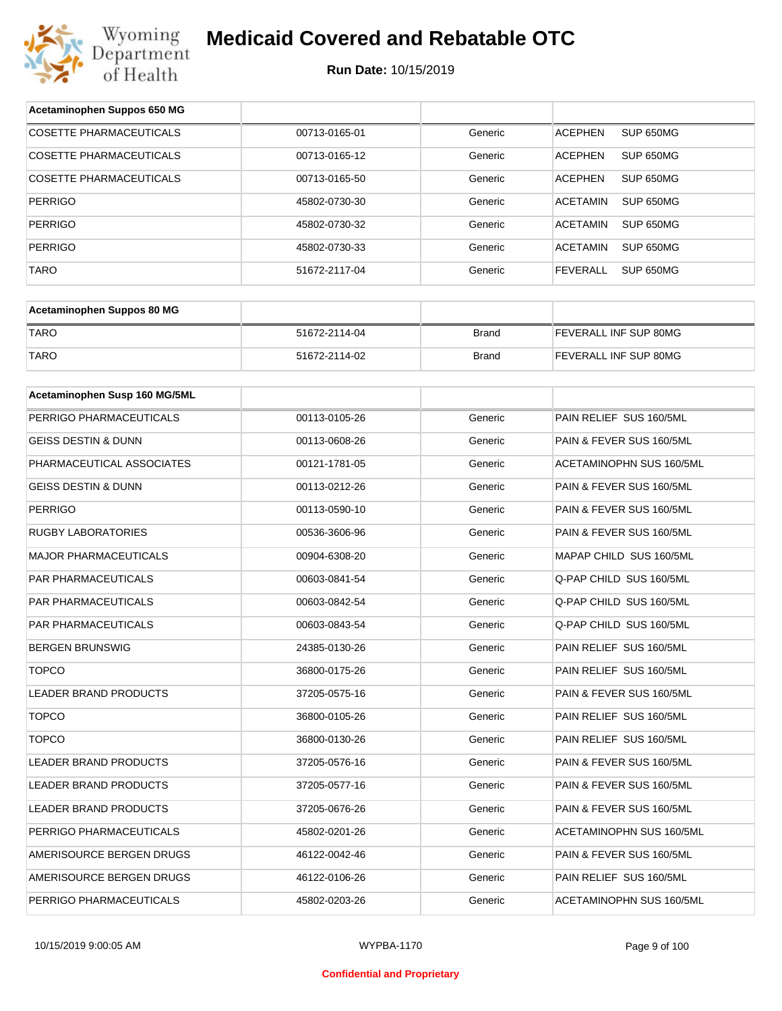

| Acetaminophen Suppos 650 MG    |               |              |                                 |
|--------------------------------|---------------|--------------|---------------------------------|
| <b>COSETTE PHARMACEUTICALS</b> | 00713-0165-01 | Generic      | SUP 650MG<br><b>ACEPHEN</b>     |
| COSETTE PHARMACEUTICALS        | 00713-0165-12 | Generic      | <b>ACEPHEN</b><br>SUP 650MG     |
| <b>COSETTE PHARMACEUTICALS</b> | 00713-0165-50 | Generic      | <b>ACEPHEN</b><br>SUP 650MG     |
| <b>PERRIGO</b>                 | 45802-0730-30 | Generic      | <b>ACETAMIN</b><br>SUP 650MG    |
| <b>PERRIGO</b>                 | 45802-0730-32 | Generic      | <b>ACETAMIN</b><br>SUP 650MG    |
| <b>PERRIGO</b>                 | 45802-0730-33 | Generic      | <b>ACETAMIN</b><br>SUP 650MG    |
| TARO                           | 51672-2117-04 | Generic      | <b>FEVERALL</b><br>SUP 650MG    |
|                                |               |              |                                 |
| Acetaminophen Suppos 80 MG     |               |              |                                 |
| <b>TARO</b>                    | 51672-2114-04 | <b>Brand</b> | FEVERALL INF SUP 80MG           |
| <b>TARO</b>                    | 51672-2114-02 | <b>Brand</b> | FEVERALL INF SUP 80MG           |
|                                |               |              |                                 |
| Acetaminophen Susp 160 MG/5ML  |               |              |                                 |
| PERRIGO PHARMACEUTICALS        | 00113-0105-26 | Generic      | PAIN RELIEF SUS 160/5ML         |
| GEISS DESTIN & DUNN            | 00113-0608-26 | Generic      | PAIN & FEVER SUS 160/5ML        |
| PHARMACEUTICAL ASSOCIATES      | 00121-1781-05 | Generic      | <b>ACETAMINOPHN SUS 160/5ML</b> |
| GEISS DESTIN & DUNN            | 00113-0212-26 | Generic      | PAIN & FEVER SUS 160/5ML        |
| <b>PERRIGO</b>                 | 00113-0590-10 | Generic      | PAIN & FEVER SUS 160/5ML        |
| <b>RUGBY LABORATORIES</b>      | 00536-3606-96 | Generic      | PAIN & FEVER SUS 160/5ML        |
| <b>MAJOR PHARMACEUTICALS</b>   | 00904-6308-20 | Generic      | MAPAP CHILD SUS 160/5ML         |
| PAR PHARMACEUTICALS            | 00603-0841-54 | Generic      | Q-PAP CHILD SUS 160/5ML         |
| <b>PAR PHARMACEUTICALS</b>     | 00603-0842-54 | Generic      | Q-PAP CHILD SUS 160/5ML         |
| PAR PHARMACEUTICALS            | 00603-0843-54 | Generic      | Q-PAP CHILD SUS 160/5ML         |
| <b>BERGEN BRUNSWIG</b>         | 24385-0130-26 | Generic      | PAIN RELIEF SUS 160/5ML         |
| <b>TOPCO</b>                   | 36800-0175-26 | Generic      | PAIN RELIEF SUS 160/5ML         |
| LEADER BRAND PRODUCTS          | 37205-0575-16 | Generic      | PAIN & FEVER SUS 160/5ML        |
| <b>TOPCO</b>                   | 36800-0105-26 | Generic      | PAIN RELIEF SUS 160/5ML         |
| <b>TOPCO</b>                   | 36800-0130-26 | Generic      | PAIN RELIEF SUS 160/5ML         |
| LEADER BRAND PRODUCTS          | 37205-0576-16 | Generic      | PAIN & FEVER SUS 160/5ML        |
| LEADER BRAND PRODUCTS          | 37205-0577-16 | Generic      | PAIN & FEVER SUS 160/5ML        |
| <b>LEADER BRAND PRODUCTS</b>   | 37205-0676-26 | Generic      | PAIN & FEVER SUS 160/5ML        |
| PERRIGO PHARMACEUTICALS        | 45802-0201-26 | Generic      | ACETAMINOPHN SUS 160/5ML        |
| AMERISOURCE BERGEN DRUGS       | 46122-0042-46 | Generic      | PAIN & FEVER SUS 160/5ML        |
| AMERISOURCE BERGEN DRUGS       | 46122-0106-26 | Generic      | PAIN RELIEF SUS 160/5ML         |
| PERRIGO PHARMACEUTICALS        | 45802-0203-26 | Generic      | ACETAMINOPHN SUS 160/5ML        |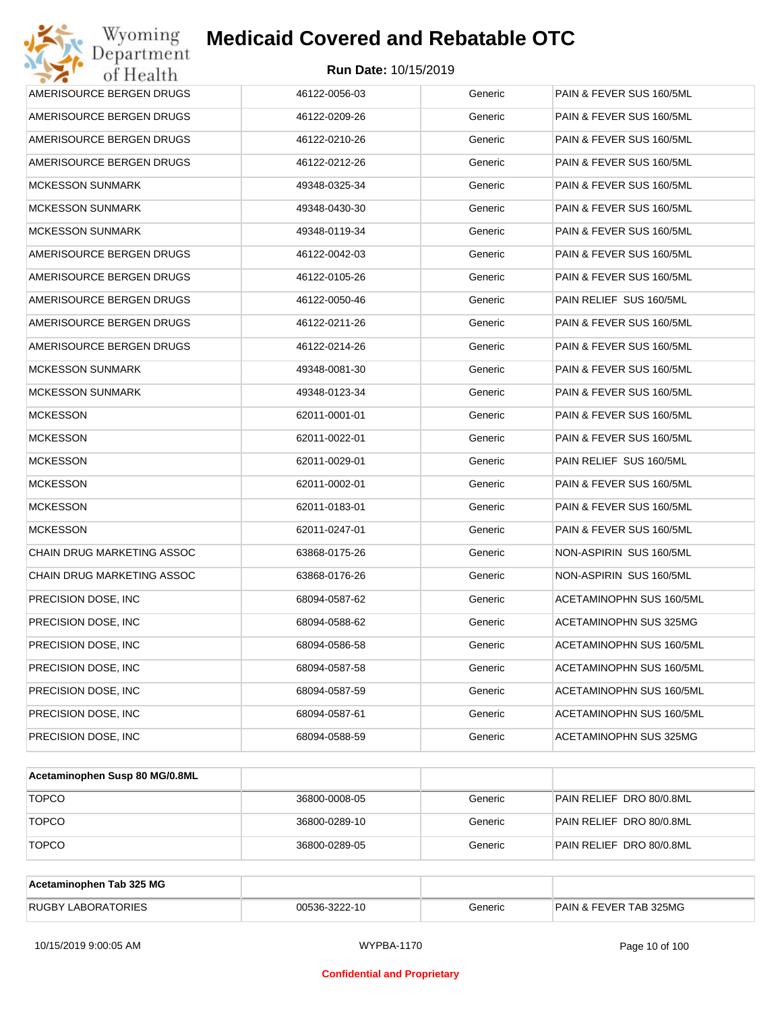| Wyoming<br>Department      | <b>Medicaid Covered and Rebatable OTC</b> |         |                          |
|----------------------------|-------------------------------------------|---------|--------------------------|
| of Health                  | <b>Run Date: 10/15/2019</b>               |         |                          |
| AMERISOURCE BERGEN DRUGS   | 46122-0056-03                             | Generic | PAIN & FEVER SUS 160/5ML |
| AMERISOURCE BERGEN DRUGS   | 46122-0209-26                             | Generic | PAIN & FEVER SUS 160/5ML |
| AMERISOURCE BERGEN DRUGS   | 46122-0210-26                             | Generic | PAIN & FEVER SUS 160/5ML |
| AMERISOURCE BERGEN DRUGS   | 46122-0212-26                             | Generic | PAIN & FEVER SUS 160/5ML |
| <b>MCKESSON SUNMARK</b>    | 49348-0325-34                             | Generic | PAIN & FEVER SUS 160/5ML |
| <b>MCKESSON SUNMARK</b>    | 49348-0430-30                             | Generic | PAIN & FEVER SUS 160/5ML |
| <b>MCKESSON SUNMARK</b>    | 49348-0119-34                             | Generic | PAIN & FEVER SUS 160/5ML |
| AMERISOURCE BERGEN DRUGS   | 46122-0042-03                             | Generic | PAIN & FEVER SUS 160/5ML |
| AMERISOURCE BERGEN DRUGS   | 46122-0105-26                             | Generic | PAIN & FEVER SUS 160/5ML |
| AMERISOURCE BERGEN DRUGS   | 46122-0050-46                             | Generic | PAIN RELIEF SUS 160/5ML  |
| AMERISOURCE BERGEN DRUGS   | 46122-0211-26                             | Generic | PAIN & FEVER SUS 160/5ML |
| AMERISOURCE BERGEN DRUGS   | 46122-0214-26                             | Generic | PAIN & FEVER SUS 160/5ML |
| <b>MCKESSON SUNMARK</b>    | 49348-0081-30                             | Generic | PAIN & FEVER SUS 160/5ML |
| <b>MCKESSON SUNMARK</b>    | 49348-0123-34                             | Generic | PAIN & FEVER SUS 160/5ML |
| <b>MCKESSON</b>            | 62011-0001-01                             | Generic | PAIN & FEVER SUS 160/5ML |
| <b>MCKESSON</b>            | 62011-0022-01                             | Generic | PAIN & FEVER SUS 160/5ML |
| <b>MCKESSON</b>            | 62011-0029-01                             | Generic | PAIN RELIEF SUS 160/5ML  |
| <b>MCKESSON</b>            | 62011-0002-01                             | Generic | PAIN & FEVER SUS 160/5ML |
| <b>MCKESSON</b>            | 62011-0183-01                             | Generic | PAIN & FEVER SUS 160/5ML |
| <b>MCKESSON</b>            | 62011-0247-01                             | Generic | PAIN & FEVER SUS 160/5ML |
| CHAIN DRUG MARKETING ASSOC | 63868-0175-26                             | Generic | NON-ASPIRIN SUS 160/5ML  |
| CHAIN DRUG MARKETING ASSOC | 63868-0176-26                             | Generic | NON-ASPIRIN SUS 160/5ML  |
| PRECISION DOSE, INC        | 68094-0587-62                             | Generic | ACETAMINOPHN SUS 160/5ML |
| PRECISION DOSE, INC        | 68094-0588-62                             | Generic | ACETAMINOPHN SUS 325MG   |
| PRECISION DOSE, INC        | 68094-0586-58                             | Generic | ACETAMINOPHN SUS 160/5ML |
| PRECISION DOSE, INC        | 68094-0587-58                             | Generic | ACETAMINOPHN SUS 160/5ML |
| PRECISION DOSE, INC        | 68094-0587-59                             | Generic | ACETAMINOPHN SUS 160/5ML |
| PRECISION DOSE, INC        | 68094-0587-61                             | Generic | ACETAMINOPHN SUS 160/5ML |
| PRECISION DOSE, INC        | 68094-0588-59                             | Generic | ACETAMINOPHN SUS 325MG   |

| Acetaminophen Susp 80 MG/0.8ML |               |         |                          |
|--------------------------------|---------------|---------|--------------------------|
| <b>TOPCO</b>                   | 36800-0008-05 | Generic | PAIN RELIEF DRO 80/0.8ML |
| <b>TOPCO</b>                   | 36800-0289-10 | Generic | PAIN RELIEF DRO 80/0.8ML |
| <b>TOPCO</b>                   | 36800-0289-05 | Generic | PAIN RELIEF DRO 80/0.8ML |

| Acetaminophen Tab 325 MG  |               |         |                                   |
|---------------------------|---------------|---------|-----------------------------------|
| <b>RUGBY LABORATORIES</b> | 00536-3222-10 | Generic | <b>PAIN &amp; FEVER TAB 325MG</b> |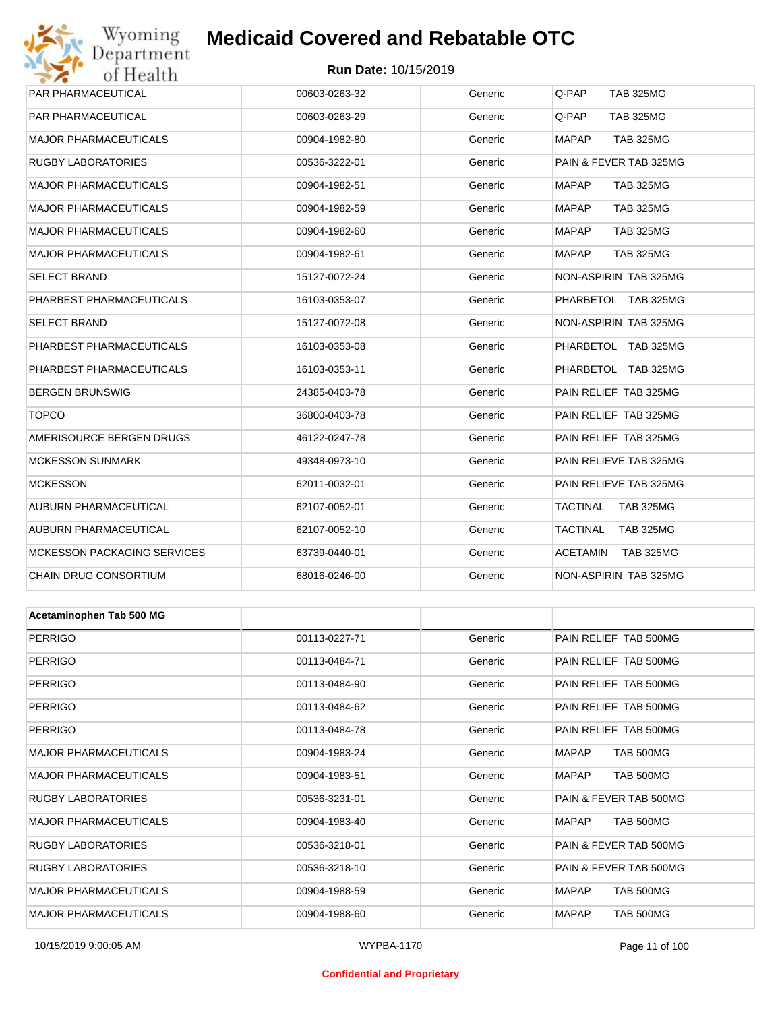## Wyoming<br>Department<br>of Health **Medicaid Covered and Rebatable OTC**

#### **Run Date:** 10/15/2019

| <b>PAR PHARMACEUTICAL</b>          | 00603-0263-32 | Generic | Q-PAP<br><b>TAB 325MG</b>        |
|------------------------------------|---------------|---------|----------------------------------|
| <b>PAR PHARMACEUTICAL</b>          | 00603-0263-29 | Generic | Q-PAP<br><b>TAB 325MG</b>        |
| <b>MAJOR PHARMACEUTICALS</b>       | 00904-1982-80 | Generic | <b>MAPAP</b><br><b>TAB 325MG</b> |
| <b>RUGBY LABORATORIES</b>          | 00536-3222-01 | Generic | PAIN & FEVER TAB 325MG           |
| <b>MAJOR PHARMACEUTICALS</b>       | 00904-1982-51 | Generic | <b>MAPAP</b><br><b>TAB 325MG</b> |
| <b>MAJOR PHARMACEUTICALS</b>       | 00904-1982-59 | Generic | <b>MAPAP</b><br><b>TAB 325MG</b> |
| <b>MAJOR PHARMACEUTICALS</b>       | 00904-1982-60 | Generic | <b>MAPAP</b><br><b>TAB 325MG</b> |
| <b>MAJOR PHARMACEUTICALS</b>       | 00904-1982-61 | Generic | <b>MAPAP</b><br><b>TAB 325MG</b> |
| <b>SELECT BRAND</b>                | 15127-0072-24 | Generic | NON-ASPIRIN TAB 325MG            |
| PHARBEST PHARMACEUTICALS           | 16103-0353-07 | Generic | PHARBETOL TAB 325MG              |
| <b>SELECT BRAND</b>                | 15127-0072-08 | Generic | NON-ASPIRIN TAB 325MG            |
| PHARBEST PHARMACEUTICALS           | 16103-0353-08 | Generic | PHARBETOL TAB 325MG              |
| PHARBEST PHARMACEUTICALS           | 16103-0353-11 | Generic | PHARBETOL TAB 325MG              |
| <b>BERGEN BRUNSWIG</b>             | 24385-0403-78 | Generic | PAIN RELIEF TAB 325MG            |
| <b>TOPCO</b>                       | 36800-0403-78 | Generic | PAIN RELIEF TAB 325MG            |
| AMERISOURCE BERGEN DRUGS           | 46122-0247-78 | Generic | PAIN RELIEF TAB 325MG            |
| <b>MCKESSON SUNMARK</b>            | 49348-0973-10 | Generic | PAIN RELIEVE TAB 325MG           |
| <b>MCKESSON</b>                    | 62011-0032-01 | Generic | PAIN RELIEVE TAB 325MG           |
| AUBURN PHARMACEUTICAL              | 62107-0052-01 | Generic | TACTINAL<br><b>TAB 325MG</b>     |
| AUBURN PHARMACEUTICAL              | 62107-0052-10 | Generic | TACTINAL<br><b>TAB 325MG</b>     |
| <b>MCKESSON PACKAGING SERVICES</b> | 63739-0440-01 | Generic | <b>ACETAMIN</b><br>TAB 325MG     |
| CHAIN DRUG CONSORTIUM              | 68016-0246-00 | Generic | NON-ASPIRIN TAB 325MG            |
|                                    |               |         |                                  |
| Acetaminophen Tab 500 MG           |               |         |                                  |
| <b>PERRIGO</b>                     | 00113-0227-71 | Generic | PAIN RELIEF TAB 500MG            |
| PERRIGO                            | 00113-0484-71 | Generic | PAIN RELIEF TAB 500MG            |
| <b>PERRIGO</b>                     | 00113-0484-90 | Generic | PAIN RELIEF TAB 500MG            |
| <b>PERRIGO</b>                     | 00113-0484-62 | Generic | PAIN RELIEF TAB 500MG            |
| <b>PERRIGO</b>                     | 00113-0484-78 | Generic | PAIN RELIEF TAB 500MG            |
| <b>MAJOR PHARMACEUTICALS</b>       | 00904-1983-24 | Generic | MAPAP<br>TAB 500MG               |
| <b>MAJOR PHARMACEUTICALS</b>       | 00904-1983-51 | Generic | MAPAP<br><b>TAB 500MG</b>        |
| <b>RUGBY LABORATORIES</b>          | 00536-3231-01 | Generic | PAIN & FEVER TAB 500MG           |
| <b>MAJOR PHARMACEUTICALS</b>       | 00904-1983-40 | Generic | MAPAP<br>TAB 500MG               |
| <b>RUGBY LABORATORIES</b>          | 00536-3218-01 | Generic | PAIN & FEVER TAB 500MG           |
| <b>RUGBY LABORATORIES</b>          | 00536-3218-10 | Generic | PAIN & FEVER TAB 500MG           |
| <b>MAJOR PHARMACEUTICALS</b>       | 00904-1988-59 | Generic | MAPAP<br>TAB 500MG               |
| <b>MAJOR PHARMACEUTICALS</b>       | 00904-1988-60 | Generic | <b>MAPAP</b><br>TAB 500MG        |

#### **Confidential and Proprietary**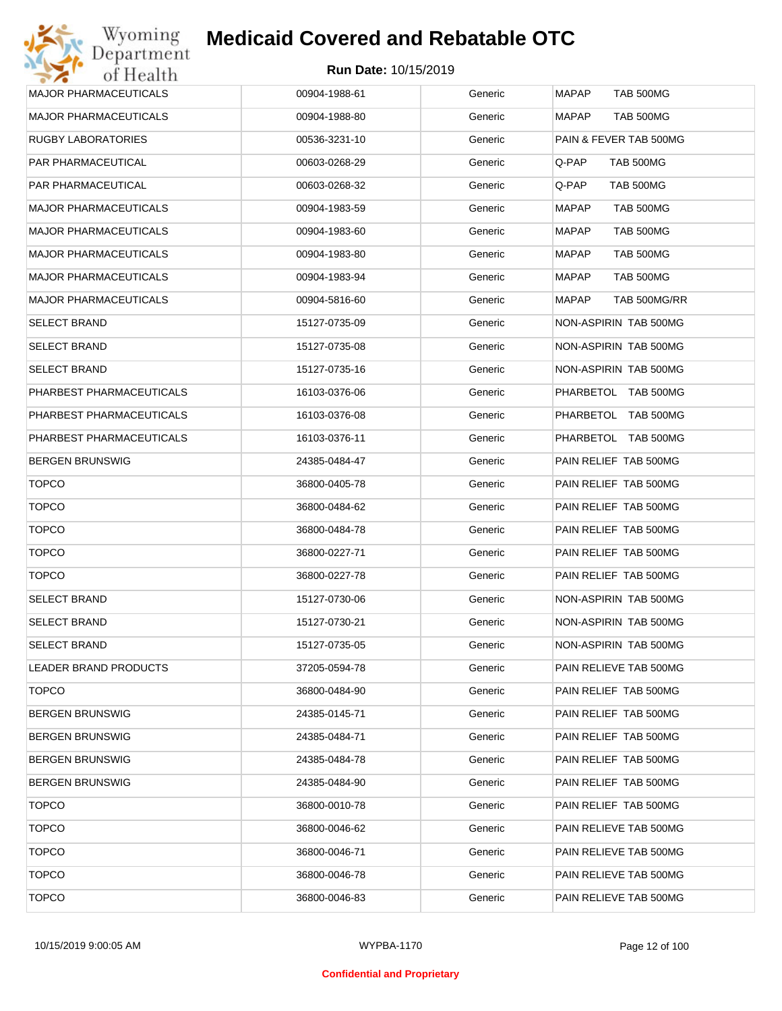| <b>MAJOR PHARMACEUTICALS</b> | 00904-1988-61 | Generic | <b>MAPAP</b><br><b>TAB 500MG</b> |
|------------------------------|---------------|---------|----------------------------------|
| <b>MAJOR PHARMACEUTICALS</b> | 00904-1988-80 | Generic | MAPAP<br>TAB 500MG               |
| RUGBY LABORATORIES           | 00536-3231-10 | Generic | PAIN & FEVER TAB 500MG           |
| PAR PHARMACEUTICAL           | 00603-0268-29 | Generic | Q-PAP<br>TAB 500MG               |
| PAR PHARMACEUTICAL           | 00603-0268-32 | Generic | Q-PAP<br>TAB 500MG               |
| <b>MAJOR PHARMACEUTICALS</b> | 00904-1983-59 | Generic | <b>MAPAP</b><br>TAB 500MG        |
| <b>MAJOR PHARMACEUTICALS</b> | 00904-1983-60 | Generic | MAPAP<br><b>TAB 500MG</b>        |
| <b>MAJOR PHARMACEUTICALS</b> | 00904-1983-80 | Generic | MAPAP<br>TAB 500MG               |
| <b>MAJOR PHARMACEUTICALS</b> | 00904-1983-94 | Generic | MAPAP<br>TAB 500MG               |
| <b>MAJOR PHARMACEUTICALS</b> | 00904-5816-60 | Generic | MAPAP<br>TAB 500MG/RR            |
| <b>SELECT BRAND</b>          | 15127-0735-09 | Generic | NON-ASPIRIN TAB 500MG            |
| <b>SELECT BRAND</b>          | 15127-0735-08 | Generic | NON-ASPIRIN TAB 500MG            |
| <b>SELECT BRAND</b>          | 15127-0735-16 | Generic | NON-ASPIRIN TAB 500MG            |
| PHARBEST PHARMACEUTICALS     | 16103-0376-06 | Generic | PHARBETOL TAB 500MG              |
| PHARBEST PHARMACEUTICALS     | 16103-0376-08 | Generic | PHARBETOL TAB 500MG              |
| PHARBEST PHARMACEUTICALS     | 16103-0376-11 | Generic | PHARBETOL TAB 500MG              |
| <b>BERGEN BRUNSWIG</b>       | 24385-0484-47 | Generic | PAIN RELIEF TAB 500MG            |
| <b>TOPCO</b>                 | 36800-0405-78 | Generic | PAIN RELIEF TAB 500MG            |
| <b>TOPCO</b>                 | 36800-0484-62 | Generic | PAIN RELIEF TAB 500MG            |
| <b>TOPCO</b>                 | 36800-0484-78 | Generic | PAIN RELIEF TAB 500MG            |
| <b>TOPCO</b>                 | 36800-0227-71 | Generic | PAIN RELIEF TAB 500MG            |
| <b>TOPCO</b>                 | 36800-0227-78 | Generic | PAIN RELIEF TAB 500MG            |
| <b>SELECT BRAND</b>          | 15127-0730-06 | Generic | NON-ASPIRIN TAB 500MG            |
| <b>SELECT BRAND</b>          | 15127-0730-21 | Generic | NON-ASPIRIN TAB 500MG            |
| <b>SELECT BRAND</b>          | 15127-0735-05 | Generic | NON-ASPIRIN TAB 500MG            |
| <b>LEADER BRAND PRODUCTS</b> | 37205-0594-78 | Generic | PAIN RELIEVE TAB 500MG           |
| <b>TOPCO</b>                 | 36800-0484-90 | Generic | PAIN RELIEF TAB 500MG            |
| <b>BERGEN BRUNSWIG</b>       | 24385-0145-71 | Generic | PAIN RELIEF TAB 500MG            |
| <b>BERGEN BRUNSWIG</b>       | 24385-0484-71 | Generic | PAIN RELIEF TAB 500MG            |
| <b>BERGEN BRUNSWIG</b>       | 24385-0484-78 | Generic | PAIN RELIEF TAB 500MG            |
| <b>BERGEN BRUNSWIG</b>       | 24385-0484-90 | Generic | PAIN RELIEF TAB 500MG            |
| <b>TOPCO</b>                 | 36800-0010-78 | Generic | PAIN RELIEF TAB 500MG            |
| <b>TOPCO</b>                 | 36800-0046-62 | Generic | PAIN RELIEVE TAB 500MG           |
| <b>TOPCO</b>                 | 36800-0046-71 | Generic | PAIN RELIEVE TAB 500MG           |
| <b>TOPCO</b>                 | 36800-0046-78 | Generic | PAIN RELIEVE TAB 500MG           |
| <b>TOPCO</b>                 | 36800-0046-83 | Generic | PAIN RELIEVE TAB 500MG           |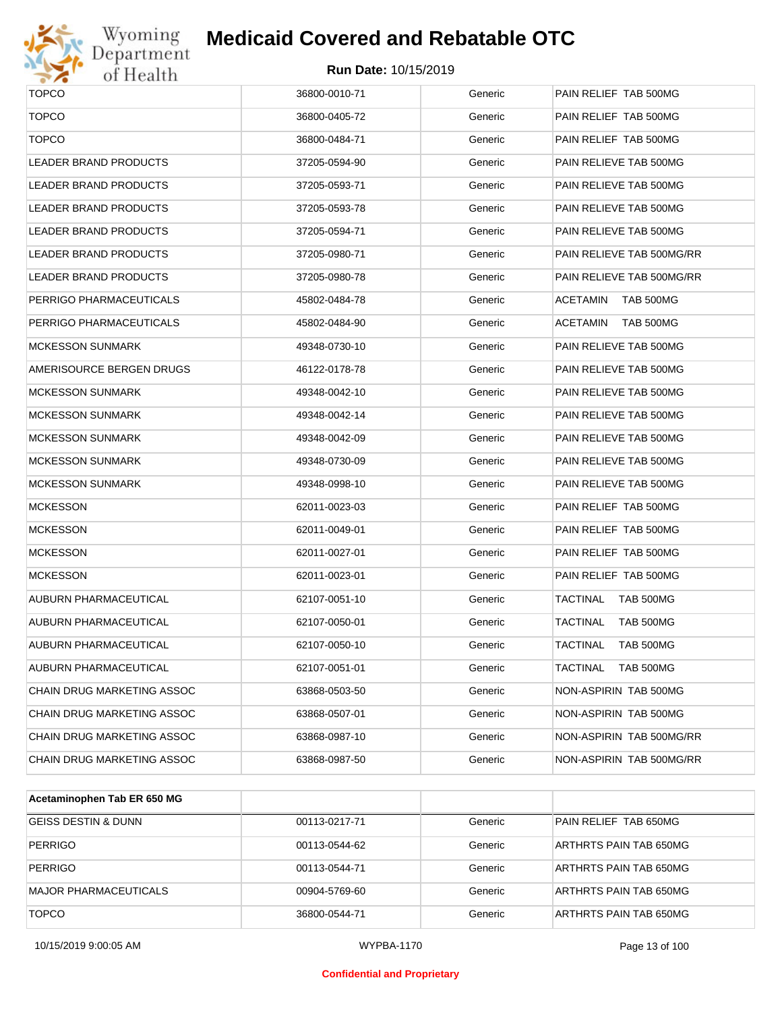

#### **Medicaid Covered and Rebatable OTC**

| <b>TOPCO</b>                 | 36800-0010-71 | Generic | PAIN RELIEF TAB 500MG               |
|------------------------------|---------------|---------|-------------------------------------|
| <b>TOPCO</b>                 | 36800-0405-72 | Generic | PAIN RELIEF TAB 500MG               |
| <b>TOPCO</b>                 | 36800-0484-71 | Generic | PAIN RELIEF TAB 500MG               |
| <b>LEADER BRAND PRODUCTS</b> | 37205-0594-90 | Generic | PAIN RELIEVE TAB 500MG              |
| <b>LEADER BRAND PRODUCTS</b> | 37205-0593-71 | Generic | PAIN RELIEVE TAB 500MG              |
| <b>LEADER BRAND PRODUCTS</b> | 37205-0593-78 | Generic | PAIN RELIEVE TAB 500MG              |
| <b>LEADER BRAND PRODUCTS</b> | 37205-0594-71 | Generic | PAIN RELIEVE TAB 500MG              |
| <b>LEADER BRAND PRODUCTS</b> | 37205-0980-71 | Generic | PAIN RELIEVE TAB 500MG/RR           |
| LEADER BRAND PRODUCTS        | 37205-0980-78 | Generic | PAIN RELIEVE TAB 500MG/RR           |
| PERRIGO PHARMACEUTICALS      | 45802-0484-78 | Generic | ACETAMIN<br>TAB 500MG               |
| PERRIGO PHARMACEUTICALS      | 45802-0484-90 | Generic | TAB 500MG<br>ACETAMIN               |
| MCKESSON SUNMARK             | 49348-0730-10 | Generic | PAIN RELIEVE TAB 500MG              |
| AMERISOURCE BERGEN DRUGS     | 46122-0178-78 | Generic | PAIN RELIEVE TAB 500MG              |
| MCKESSON SUNMARK             | 49348-0042-10 | Generic | PAIN RELIEVE TAB 500MG              |
| MCKESSON SUNMARK             | 49348-0042-14 | Generic | PAIN RELIEVE TAB 500MG              |
| MCKESSON SUNMARK             | 49348-0042-09 | Generic | PAIN RELIEVE TAB 500MG              |
| MCKESSON SUNMARK             | 49348-0730-09 | Generic | PAIN RELIEVE TAB 500MG              |
| MCKESSON SUNMARK             | 49348-0998-10 | Generic | PAIN RELIEVE TAB 500MG              |
| <b>MCKESSON</b>              | 62011-0023-03 | Generic | PAIN RELIEF TAB 500MG               |
| <b>MCKESSON</b>              | 62011-0049-01 | Generic | PAIN RELIEF TAB 500MG               |
| <b>MCKESSON</b>              | 62011-0027-01 | Generic | PAIN RELIEF TAB 500MG               |
| <b>MCKESSON</b>              | 62011-0023-01 | Generic | PAIN RELIEF TAB 500MG               |
| AUBURN PHARMACEUTICAL        | 62107-0051-10 | Generic | <b>TACTINAL</b><br><b>TAB 500MG</b> |
| AUBURN PHARMACEUTICAL        | 62107-0050-01 | Generic | <b>TACTINAL</b><br><b>TAB 500MG</b> |
| AUBURN PHARMACEUTICAL        | 62107-0050-10 | Generic | <b>TACTINAL</b><br><b>TAB 500MG</b> |
| AUBURN PHARMACEUTICAL        | 62107-0051-01 | Generic | TACTINAL<br><b>TAB 500MG</b>        |
| CHAIN DRUG MARKETING ASSOC   | 63868-0503-50 | Generic | NON-ASPIRIN TAB 500MG               |
| CHAIN DRUG MARKETING ASSOC   | 63868-0507-01 | Generic | NON-ASPIRIN TAB 500MG               |
| CHAIN DRUG MARKETING ASSOC   | 63868-0987-10 | Generic | NON-ASPIRIN TAB 500MG/RR            |
| CHAIN DRUG MARKETING ASSOC   | 63868-0987-50 | Generic | NON-ASPIRIN TAB 500MG/RR            |
|                              |               |         |                                     |

| Acetaminophen Tab ER 650 MG    |               |         |                        |
|--------------------------------|---------------|---------|------------------------|
| <b>GEISS DESTIN &amp; DUNN</b> | 00113-0217-71 | Generic | PAIN RELIEF TAB 650MG  |
| <b>PERRIGO</b>                 | 00113-0544-62 | Generic | ARTHRTS PAIN TAB 650MG |
| <b>PERRIGO</b>                 | 00113-0544-71 | Generic | ARTHRTS PAIN TAB 650MG |
| <b>MAJOR PHARMACEUTICALS</b>   | 00904-5769-60 | Generic | ARTHRTS PAIN TAB 650MG |
| <b>TOPCO</b>                   | 36800-0544-71 | Generic | ARTHRTS PAIN TAB 650MG |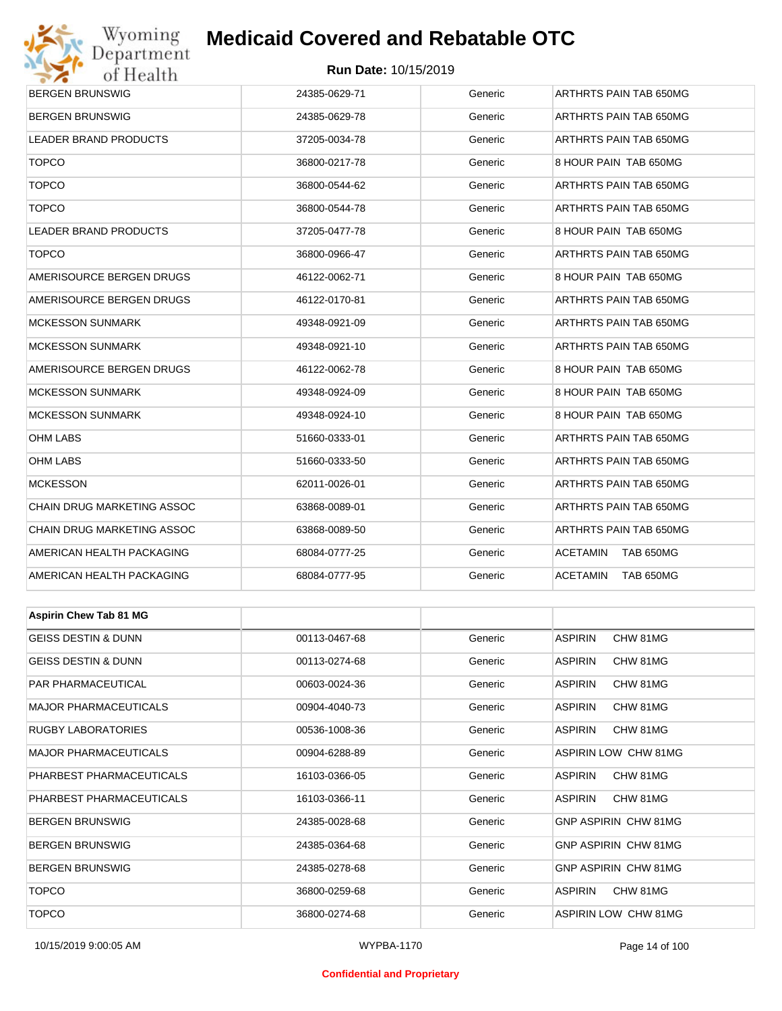## Wyoming<br>Department<br>of Health **Medicaid Covered and Rebatable OTC**



| <b>BERGEN BRUNSWIG</b>         | 24385-0629-71 | Generic | ARTHRTS PAIN TAB 650MG              |  |  |
|--------------------------------|---------------|---------|-------------------------------------|--|--|
| <b>BERGEN BRUNSWIG</b>         | 24385-0629-78 | Generic | ARTHRTS PAIN TAB 650MG              |  |  |
| <b>LEADER BRAND PRODUCTS</b>   | 37205-0034-78 | Generic | ARTHRTS PAIN TAB 650MG              |  |  |
| <b>TOPCO</b>                   | 36800-0217-78 | Generic | 8 HOUR PAIN TAB 650MG               |  |  |
| <b>TOPCO</b>                   | 36800-0544-62 | Generic | ARTHRTS PAIN TAB 650MG              |  |  |
| <b>TOPCO</b>                   | 36800-0544-78 | Generic | ARTHRTS PAIN TAB 650MG              |  |  |
| <b>LEADER BRAND PRODUCTS</b>   | 37205-0477-78 | Generic | 8 HOUR PAIN TAB 650MG               |  |  |
| <b>TOPCO</b>                   | 36800-0966-47 | Generic | ARTHRTS PAIN TAB 650MG              |  |  |
| AMERISOURCE BERGEN DRUGS       | 46122-0062-71 | Generic | 8 HOUR PAIN TAB 650MG               |  |  |
| AMERISOURCE BERGEN DRUGS       | 46122-0170-81 | Generic | ARTHRTS PAIN TAB 650MG              |  |  |
| <b>MCKESSON SUNMARK</b>        | 49348-0921-09 | Generic | ARTHRTS PAIN TAB 650MG              |  |  |
| <b>MCKESSON SUNMARK</b>        | 49348-0921-10 | Generic | ARTHRTS PAIN TAB 650MG              |  |  |
| AMERISOURCE BERGEN DRUGS       | 46122-0062-78 | Generic | 8 HOUR PAIN TAB 650MG               |  |  |
| <b>MCKESSON SUNMARK</b>        | 49348-0924-09 | Generic | 8 HOUR PAIN TAB 650MG               |  |  |
| <b>MCKESSON SUNMARK</b>        | 49348-0924-10 | Generic | 8 HOUR PAIN TAB 650MG               |  |  |
| OHM LABS                       | 51660-0333-01 | Generic | ARTHRTS PAIN TAB 650MG              |  |  |
| OHM LABS                       | 51660-0333-50 | Generic | ARTHRTS PAIN TAB 650MG              |  |  |
| <b>MCKESSON</b>                | 62011-0026-01 | Generic | ARTHRTS PAIN TAB 650MG              |  |  |
| CHAIN DRUG MARKETING ASSOC     | 63868-0089-01 | Generic | ARTHRTS PAIN TAB 650MG              |  |  |
| CHAIN DRUG MARKETING ASSOC     | 63868-0089-50 | Generic | ARTHRTS PAIN TAB 650MG              |  |  |
| AMERICAN HEALTH PACKAGING      | 68084-0777-25 | Generic | <b>ACETAMIN</b><br><b>TAB 650MG</b> |  |  |
| AMERICAN HEALTH PACKAGING      | 68084-0777-95 | Generic | <b>ACETAMIN</b><br><b>TAB 650MG</b> |  |  |
|                                |               |         |                                     |  |  |
| <b>Aspirin Chew Tab 81 MG</b>  |               |         |                                     |  |  |
| <b>GEISS DESTIN &amp; DUNN</b> | 00113-0467-68 | Generic | CHW 81MG<br><b>ASPIRIN</b>          |  |  |
| GEISS DESTIN & DUNN            | 00113-0274-68 | Generic | <b>ASPIRIN</b><br>CHW 81MG          |  |  |
| PAR PHARMACEUTICAL             | 00603-0024-36 | Generic | <b>ASPIRIN</b><br>CHW 81MG          |  |  |
| <b>MAJOR PHARMACEUTICALS</b>   | 00904-4040-73 | Generic | <b>ASPIRIN</b><br>CHW 81MG          |  |  |
| RUGBY LABORATORIES             | 00536-1008-36 | Generic | <b>ASPIRIN</b><br>CHW 81MG          |  |  |
| <b>MAJOR PHARMACEUTICALS</b>   | 00904-6288-89 | Generic | <b>ASPIRIN LOW CHW 81MG</b>         |  |  |
| PHARBEST PHARMACEUTICALS       | 16103-0366-05 | Generic | CHW 81MG<br>ASPIRIN                 |  |  |
| PHARBEST PHARMACEUTICALS       | 16103-0366-11 | Generic | <b>ASPIRIN</b><br>CHW 81MG          |  |  |
| <b>BERGEN BRUNSWIG</b>         | 24385-0028-68 | Generic | GNP ASPIRIN CHW 81MG                |  |  |
| <b>BERGEN BRUNSWIG</b>         | 24385-0364-68 | Generic | GNP ASPIRIN CHW 81MG                |  |  |
| <b>BERGEN BRUNSWIG</b>         | 24385-0278-68 | Generic | GNP ASPIRIN CHW 81MG                |  |  |
| <b>TOPCO</b>                   | 36800-0259-68 | Generic | <b>ASPIRIN</b><br>CHW 81MG          |  |  |
| <b>TOPCO</b>                   | 36800-0274-68 | Generic | ASPIRIN LOW CHW 81MG                |  |  |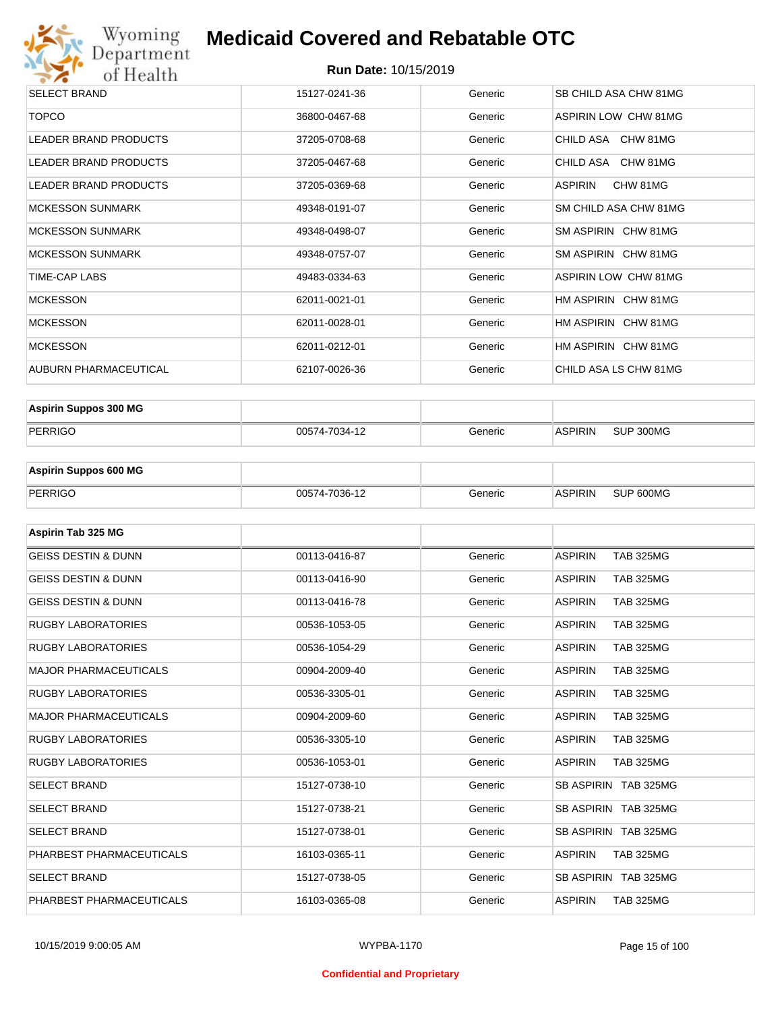

#### **Run Date:** 10/15/2019

| <b>SELECT BRAND</b>          | 15127-0241-36 | Generic | SB CHILD ASA CHW 81MG       |
|------------------------------|---------------|---------|-----------------------------|
| <b>TOPCO</b>                 | 36800-0467-68 | Generic | ASPIRIN LOW CHW 81MG        |
| LEADER BRAND PRODUCTS        | 37205-0708-68 | Generic | CHILD ASA CHW 81MG          |
| LEADER BRAND PRODUCTS        | 37205-0467-68 | Generic | CHILD ASA CHW 81MG          |
| <b>LEADER BRAND PRODUCTS</b> | 37205-0369-68 | Generic | ASPIRIN<br>CHW 81MG         |
| <b>MCKESSON SUNMARK</b>      | 49348-0191-07 | Generic | SM CHILD ASA CHW 81MG       |
| <b>MCKESSON SUNMARK</b>      | 49348-0498-07 | Generic | SM ASPIRIN CHW 81MG         |
| <b>MCKESSON SUNMARK</b>      | 49348-0757-07 | Generic | SM ASPIRIN CHW 81MG         |
| TIME-CAP LABS                | 49483-0334-63 | Generic | <b>ASPIRIN LOW CHW 81MG</b> |
| <b>MCKESSON</b>              | 62011-0021-01 | Generic | HM ASPIRIN CHW 81MG         |
| <b>MCKESSON</b>              | 62011-0028-01 | Generic | HM ASPIRIN CHW 81MG         |
| <b>MCKESSON</b>              | 62011-0212-01 | Generic | HM ASPIRIN CHW 81MG         |
| <b>AUBURN PHARMACEUTICAL</b> | 62107-0026-36 | Generic | CHILD ASA LS CHW 81MG       |
|                              |               |         |                             |

| <b>Aspirin Suppos 300 MG</b> |               |         |                |           |
|------------------------------|---------------|---------|----------------|-----------|
| PERRIGO                      | 00574-7034-12 | Generic | <b>ASPIRIN</b> | SUP 300MG |

| <b>Aspirin Suppos 600 MG</b> |               |         |                |           |
|------------------------------|---------------|---------|----------------|-----------|
| PERRIGO                      | 00574-7036-12 | Generic | <b>ASPIRIN</b> | SUP 600MG |

| Aspirin Tab 325 MG             |               |         |                                    |
|--------------------------------|---------------|---------|------------------------------------|
| <b>GEISS DESTIN &amp; DUNN</b> | 00113-0416-87 | Generic | <b>ASPIRIN</b><br><b>TAB 325MG</b> |
| <b>GEISS DESTIN &amp; DUNN</b> | 00113-0416-90 | Generic | <b>ASPIRIN</b><br><b>TAB 325MG</b> |
| <b>GEISS DESTIN &amp; DUNN</b> | 00113-0416-78 | Generic | <b>ASPIRIN</b><br><b>TAB 325MG</b> |
| <b>RUGBY LABORATORIES</b>      | 00536-1053-05 | Generic | <b>TAB 325MG</b><br><b>ASPIRIN</b> |
| <b>RUGBY LABORATORIES</b>      | 00536-1054-29 | Generic | <b>ASPIRIN</b><br><b>TAB 325MG</b> |
| <b>MAJOR PHARMACEUTICALS</b>   | 00904-2009-40 | Generic | <b>ASPIRIN</b><br><b>TAB 325MG</b> |
| <b>RUGBY LABORATORIES</b>      | 00536-3305-01 | Generic | <b>ASPIRIN</b><br><b>TAB 325MG</b> |
| <b>MAJOR PHARMACEUTICALS</b>   | 00904-2009-60 | Generic | <b>ASPIRIN</b><br><b>TAB 325MG</b> |
| <b>RUGBY LABORATORIES</b>      | 00536-3305-10 | Generic | <b>ASPIRIN</b><br><b>TAB 325MG</b> |
| <b>RUGBY LABORATORIES</b>      | 00536-1053-01 | Generic | <b>ASPIRIN</b><br><b>TAB 325MG</b> |
| <b>SELECT BRAND</b>            | 15127-0738-10 | Generic | SB ASPIRIN TAB 325MG               |
| <b>SELECT BRAND</b>            | 15127-0738-21 | Generic | SB ASPIRIN TAB 325MG               |
| <b>SELECT BRAND</b>            | 15127-0738-01 | Generic | SB ASPIRIN TAB 325MG               |
| PHARBEST PHARMACEUTICALS       | 16103-0365-11 | Generic | <b>ASPIRIN</b><br><b>TAB 325MG</b> |
| <b>SELECT BRAND</b>            | 15127-0738-05 | Generic | SB ASPIRIN TAB 325MG               |
| PHARBEST PHARMACEUTICALS       | 16103-0365-08 | Generic | <b>ASPIRIN</b><br><b>TAB 325MG</b> |

#### **Confidential and Proprietary**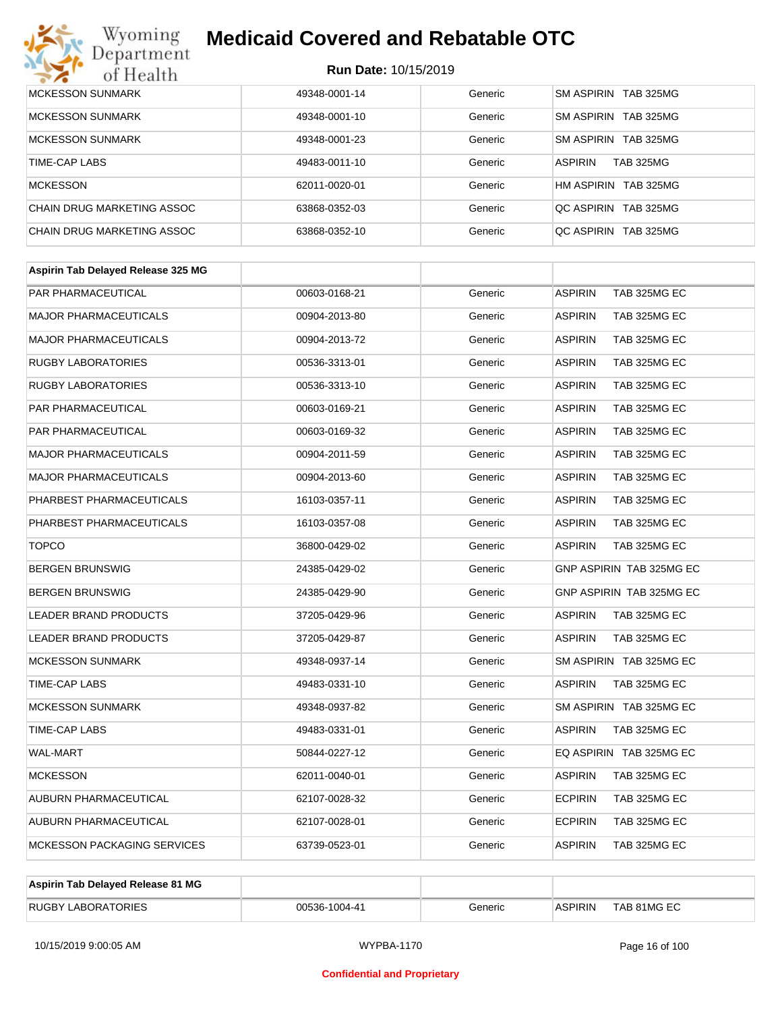## **Medicaid Covered and Rebatable OTC**

| MCKESSON SUNMARK           | 49348-0001-14 | Generic | SM ASPIRIN TAB 325MG               |
|----------------------------|---------------|---------|------------------------------------|
| <b>MCKESSON SUNMARK</b>    | 49348-0001-10 | Generic | SM ASPIRIN TAB 325MG               |
| MCKESSON SUNMARK           | 49348-0001-23 | Generic | SM ASPIRIN TAB 325MG               |
| TIME-CAP LABS              | 49483-0011-10 | Generic | <b>ASPIRIN</b><br><b>TAB 325MG</b> |
| MCKESSON                   | 62011-0020-01 | Generic | HM ASPIRIN TAB 325MG               |
| CHAIN DRUG MARKETING ASSOC | 63868-0352-03 | Generic | OC ASPIRIN TAB 325MG               |
| CHAIN DRUG MARKETING ASSOC | 63868-0352-10 | Generic | OC ASPIRIN TAB 325MG               |

| 00603-0168-21 | Generic | <b>ASPIRIN</b><br>TAB 325MG EC |
|---------------|---------|--------------------------------|
| 00904-2013-80 | Generic | <b>ASPIRIN</b><br>TAB 325MG EC |
| 00904-2013-72 | Generic | <b>ASPIRIN</b><br>TAB 325MG EC |
| 00536-3313-01 | Generic | <b>ASPIRIN</b><br>TAB 325MG EC |
| 00536-3313-10 | Generic | TAB 325MG EC<br><b>ASPIRIN</b> |
| 00603-0169-21 | Generic | TAB 325MG EC<br><b>ASPIRIN</b> |
| 00603-0169-32 | Generic | <b>ASPIRIN</b><br>TAB 325MG EC |
| 00904-2011-59 | Generic | <b>ASPIRIN</b><br>TAB 325MG EC |
| 00904-2013-60 | Generic | <b>ASPIRIN</b><br>TAB 325MG EC |
| 16103-0357-11 | Generic | TAB 325MG EC<br><b>ASPIRIN</b> |
| 16103-0357-08 | Generic | TAB 325MG EC<br><b>ASPIRIN</b> |
| 36800-0429-02 | Generic | <b>ASPIRIN</b><br>TAB 325MG EC |
| 24385-0429-02 | Generic | GNP ASPIRIN TAB 325MG EC       |
| 24385-0429-90 | Generic | GNP ASPIRIN TAB 325MG EC       |
| 37205-0429-96 | Generic | <b>ASPIRIN</b><br>TAB 325MG EC |
| 37205-0429-87 | Generic | <b>ASPIRIN</b><br>TAB 325MG EC |
| 49348-0937-14 | Generic | SM ASPIRIN TAB 325MG EC        |
| 49483-0331-10 | Generic | <b>ASPIRIN</b><br>TAB 325MG EC |
| 49348-0937-82 | Generic | SM ASPIRIN TAB 325MG EC        |
| 49483-0331-01 | Generic | <b>ASPIRIN</b><br>TAB 325MG EC |
| 50844-0227-12 | Generic | EQ ASPIRIN TAB 325MG EC        |
| 62011-0040-01 | Generic | <b>ASPIRIN</b><br>TAB 325MG EC |
| 62107-0028-32 | Generic | <b>ECPIRIN</b><br>TAB 325MG EC |
| 62107-0028-01 | Generic | <b>ECPIRIN</b><br>TAB 325MG EC |
| 63739-0523-01 | Generic | <b>ASPIRIN</b><br>TAB 325MG EC |
|               |         |                                |

| Aspirin Tab Delayed Release 81 MG |               |         |                |             |
|-----------------------------------|---------------|---------|----------------|-------------|
| <b>RUGBY LABORATORIES</b>         | 00536-1004-41 | Generic | <b>ASPIRIN</b> | TAB 81MG EC |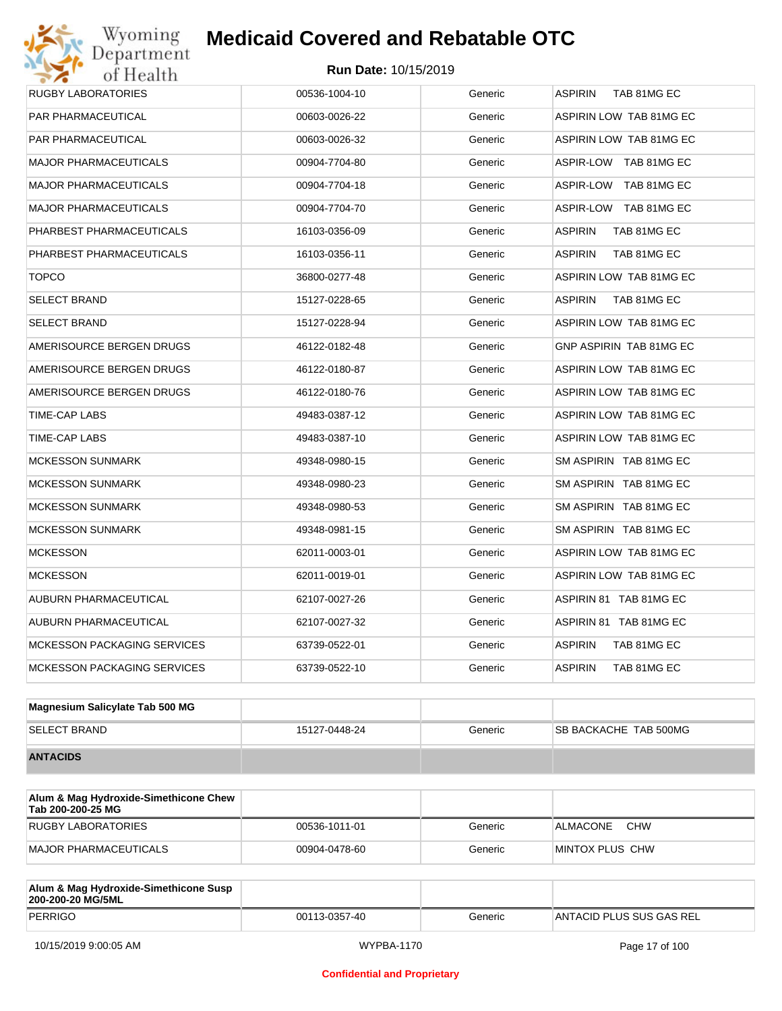### **Medicaid Covered and Rebatable OTC**

| <b>PAR PHARMACEUTICAL</b>          | 00603-0026-22 | Generic | <b>ASPIRIN LOW TAB 81MG EC</b> |  |
|------------------------------------|---------------|---------|--------------------------------|--|
| PAR PHARMACEUTICAL                 | 00603-0026-32 | Generic | ASPIRIN LOW TAB 81MG EC        |  |
| <b>MAJOR PHARMACEUTICALS</b>       | 00904-7704-80 | Generic | ASPIR-LOW TAB 81MG EC          |  |
| <b>MAJOR PHARMACEUTICALS</b>       | 00904-7704-18 | Generic | ASPIR-LOW TAB 81MG EC          |  |
| <b>MAJOR PHARMACEUTICALS</b>       | 00904-7704-70 | Generic | ASPIR-LOW TAB 81MG EC          |  |
| PHARBEST PHARMACEUTICALS           | 16103-0356-09 | Generic | <b>ASPIRIN</b><br>TAB 81MG EC  |  |
| PHARBEST PHARMACEUTICALS           | 16103-0356-11 | Generic | <b>ASPIRIN</b><br>TAB 81MG EC  |  |
| <b>TOPCO</b>                       | 36800-0277-48 | Generic | ASPIRIN LOW TAB 81MG EC        |  |
| <b>SELECT BRAND</b>                | 15127-0228-65 | Generic | <b>ASPIRIN</b><br>TAB 81MG EC  |  |
| <b>SELECT BRAND</b>                | 15127-0228-94 | Generic | ASPIRIN LOW TAB 81MG EC        |  |
| AMERISOURCE BERGEN DRUGS           | 46122-0182-48 | Generic | GNP ASPIRIN TAB 81MG EC        |  |
| AMERISOURCE BERGEN DRUGS           | 46122-0180-87 | Generic | ASPIRIN LOW TAB 81MG EC        |  |
| AMERISOURCE BERGEN DRUGS           | 46122-0180-76 | Generic | ASPIRIN LOW TAB 81MG EC        |  |
| TIME-CAP LABS                      | 49483-0387-12 | Generic | <b>ASPIRIN LOW TAB 81MG EC</b> |  |
| TIME-CAP LABS                      | 49483-0387-10 | Generic | ASPIRIN LOW TAB 81MG EC        |  |
| <b>MCKESSON SUNMARK</b>            | 49348-0980-15 | Generic | SM ASPIRIN TAB 81MG EC         |  |
| <b>MCKESSON SUNMARK</b>            | 49348-0980-23 | Generic | SM ASPIRIN TAB 81MG EC         |  |
| <b>MCKESSON SUNMARK</b>            | 49348-0980-53 | Generic | SM ASPIRIN TAB 81MG EC         |  |
| <b>MCKESSON SUNMARK</b>            | 49348-0981-15 | Generic | SM ASPIRIN TAB 81MG EC         |  |
| <b>MCKESSON</b>                    | 62011-0003-01 | Generic | ASPIRIN LOW TAB 81MG EC        |  |
| <b>MCKESSON</b>                    | 62011-0019-01 | Generic | ASPIRIN LOW TAB 81MG EC        |  |
| AUBURN PHARMACEUTICAL              | 62107-0027-26 | Generic | ASPIRIN 81 TAB 81MG EC         |  |
| AUBURN PHARMACEUTICAL              | 62107-0027-32 | Generic | ASPIRIN 81 TAB 81MG EC         |  |
| <b>MCKESSON PACKAGING SERVICES</b> | 63739-0522-01 | Generic | <b>ASPIRIN</b><br>TAB 81MG EC  |  |
| <b>MCKESSON PACKAGING SERVICES</b> | 63739-0522-10 | Generic | <b>ASPIRIN</b><br>TAB 81MG EC  |  |

| Magnesium Salicylate Tab 500 MG |               |         |                              |
|---------------------------------|---------------|---------|------------------------------|
| <b>SELECT BRAND</b>             | 15127-0448-24 | Generic | <b>SB BACKACHE TAB 500MG</b> |
| <b>ANTACIDS</b>                 |               |         |                              |

| Alum & Mag Hydroxide-Simethicone Chew<br>Tab 200-200-25 MG |               |         |                        |
|------------------------------------------------------------|---------------|---------|------------------------|
| RUGBY LABORATORIES                                         | 00536-1011-01 | Generic | <b>CHW</b><br>ALMACONE |
| MAJOR PHARMACEUTICALS                                      | 00904-0478-60 | Generic | MINTOX PLUS CHW        |

| Alum & Mag Hydroxide-Simethicone Susp<br>200-200-20 MG/5ML |               |         |                          |
|------------------------------------------------------------|---------------|---------|--------------------------|
| PERRIGO                                                    | 00113-0357-40 | Generic | ANTACID PLUS SUS GAS REL |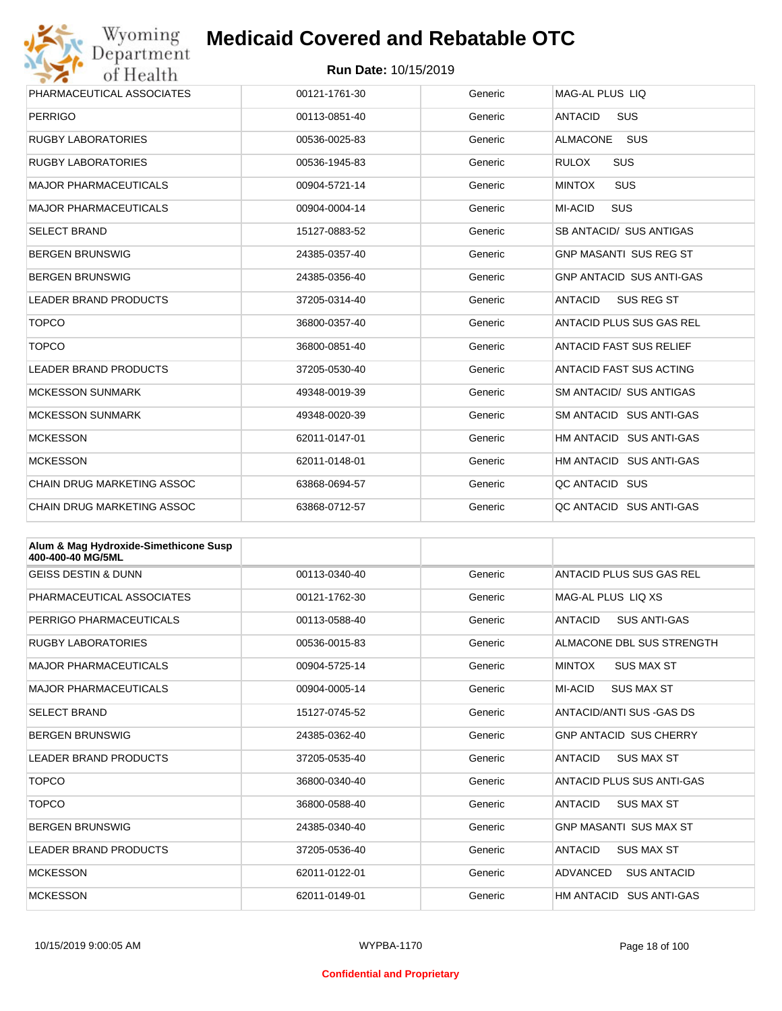

| Wyoming                           | <b>Medicaid Covered and Rebatable OTC</b> |         |                                     |  |  |
|-----------------------------------|-------------------------------------------|---------|-------------------------------------|--|--|
| Department<br>of Health           | <b>Run Date: 10/15/2019</b>               |         |                                     |  |  |
| PHARMACEUTICAL ASSOCIATES         | 00121-1761-30                             | Generic | MAG-AL PLUS LIQ                     |  |  |
| <b>PERRIGO</b>                    | 00113-0851-40                             | Generic | <b>ANTACID</b><br><b>SUS</b>        |  |  |
| <b>RUGBY LABORATORIES</b>         | 00536-0025-83                             | Generic | <b>ALMACONE</b><br>SUS              |  |  |
| <b>RUGBY LABORATORIES</b>         | 00536-1945-83                             | Generic | <b>RULOX</b><br><b>SUS</b>          |  |  |
| <b>MAJOR PHARMACEUTICALS</b>      | 00904-5721-14                             | Generic | SUS<br><b>MINTOX</b>                |  |  |
| <b>MAJOR PHARMACEUTICALS</b>      | 00904-0004-14                             | Generic | <b>SUS</b><br><b>MI-ACID</b>        |  |  |
| <b>SELECT BRAND</b>               | 15127-0883-52                             | Generic | SB ANTACID/ SUS ANTIGAS             |  |  |
| <b>BERGEN BRUNSWIG</b>            | 24385-0357-40                             | Generic | <b>GNP MASANTI SUS REG ST</b>       |  |  |
| <b>BERGEN BRUNSWIG</b>            | 24385-0356-40                             | Generic | <b>GNP ANTACID SUS ANTI-GAS</b>     |  |  |
| <b>LEADER BRAND PRODUCTS</b>      | 37205-0314-40                             | Generic | <b>SUS REG ST</b><br><b>ANTACID</b> |  |  |
| <b>TOPCO</b>                      | 36800-0357-40                             | Generic | ANTACID PLUS SUS GAS REL            |  |  |
| <b>TOPCO</b>                      | 36800-0851-40                             | Generic | <b>ANTACID FAST SUS RELIEF</b>      |  |  |
| <b>LEADER BRAND PRODUCTS</b>      | 37205-0530-40                             | Generic | ANTACID FAST SUS ACTING             |  |  |
| <b>MCKESSON SUNMARK</b>           | 49348-0019-39                             | Generic | <b>SM ANTACID/ SUS ANTIGAS</b>      |  |  |
| <b>MCKESSON SUNMARK</b>           | 49348-0020-39                             | Generic | SM ANTACID SUS ANTI-GAS             |  |  |
| <b>MCKESSON</b>                   | 62011-0147-01                             | Generic | HM ANTACID SUS ANTI-GAS             |  |  |
| <b>MCKESSON</b>                   | 62011-0148-01                             | Generic | HM ANTACID SUS ANTI-GAS             |  |  |
| <b>CHAIN DRUG MARKETING ASSOC</b> | 63868-0694-57                             | Generic | QC ANTACID SUS                      |  |  |
| <b>CHAIN DRUG MARKETING ASSOC</b> | 63868-0712-57                             | Generic | OC ANTACID SUS ANTI-GAS             |  |  |

| Alum & Mag Hydroxide-Simethicone Susp<br>400-400-40 MG/5ML |               |         |                                       |
|------------------------------------------------------------|---------------|---------|---------------------------------------|
| <b>GEISS DESTIN &amp; DUNN</b>                             | 00113-0340-40 | Generic | ANTACID PLUS SUS GAS REL              |
| PHARMACEUTICAL ASSOCIATES                                  | 00121-1762-30 | Generic | MAG-AL PLUS LIQ XS                    |
| PERRIGO PHARMACEUTICALS                                    | 00113-0588-40 | Generic | <b>ANTACID</b><br><b>SUS ANTI-GAS</b> |
| <b>RUGBY LABORATORIES</b>                                  | 00536-0015-83 | Generic | ALMACONE DBL SUS STRENGTH             |
| <b>MAJOR PHARMACEUTICALS</b>                               | 00904-5725-14 | Generic | <b>MINTOX</b><br><b>SUS MAX ST</b>    |
| <b>MAJOR PHARMACEUTICALS</b>                               | 00904-0005-14 | Generic | <b>MI-ACID</b><br><b>SUS MAX ST</b>   |
| <b>SELECT BRAND</b>                                        | 15127-0745-52 | Generic | ANTACID/ANTI SUS -GAS DS              |
| <b>BERGEN BRUNSWIG</b>                                     | 24385-0362-40 | Generic | <b>GNP ANTACID SUS CHERRY</b>         |
| <b>LEADER BRAND PRODUCTS</b>                               | 37205-0535-40 | Generic | <b>ANTACID</b><br><b>SUS MAX ST</b>   |
| <b>TOPCO</b>                                               | 36800-0340-40 | Generic | ANTACID PLUS SUS ANTI-GAS             |
| <b>TOPCO</b>                                               | 36800-0588-40 | Generic | <b>SUS MAX ST</b><br><b>ANTACID</b>   |
| <b>BERGEN BRUNSWIG</b>                                     | 24385-0340-40 | Generic | <b>GNP MASANTI SUS MAX ST</b>         |
| <b>LEADER BRAND PRODUCTS</b>                               | 37205-0536-40 | Generic | <b>ANTACID</b><br><b>SUS MAX ST</b>   |
| <b>MCKESSON</b>                                            | 62011-0122-01 | Generic | ADVANCED<br><b>SUS ANTACID</b>        |
| <b>MCKESSON</b>                                            | 62011-0149-01 | Generic | HM ANTACID SUS ANTI-GAS               |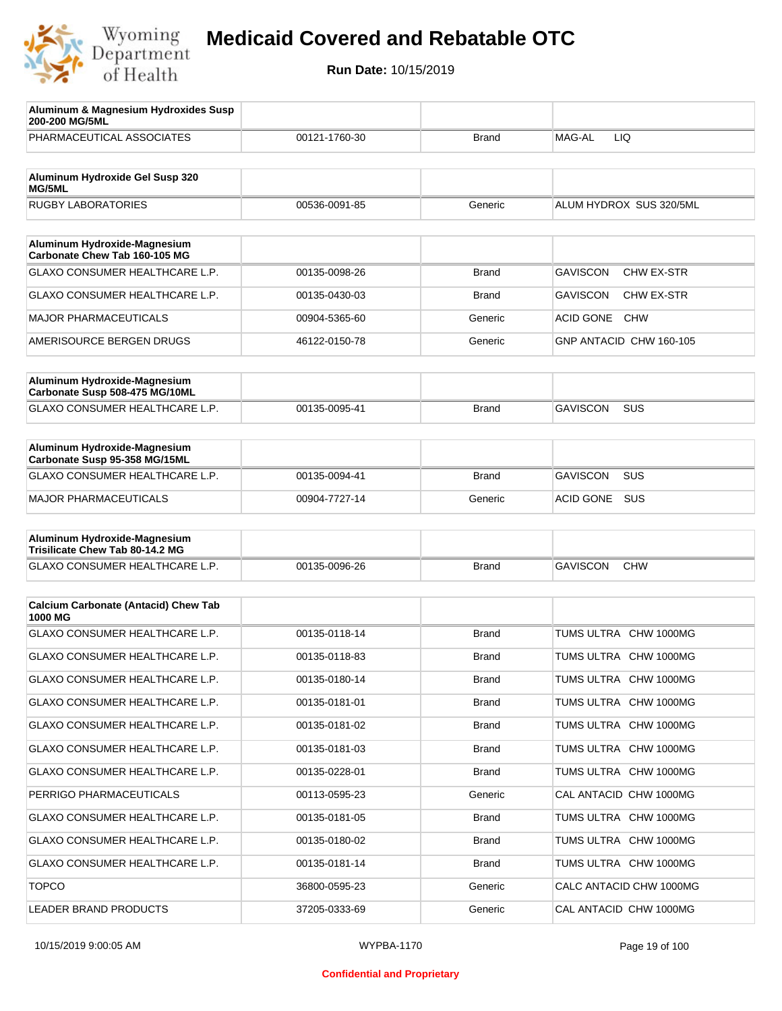

| Aluminum & Magnesium Hydroxides Susp<br>200-200 MG/5ML          |               |              |                                      |
|-----------------------------------------------------------------|---------------|--------------|--------------------------------------|
| PHARMACEUTICAL ASSOCIATES                                       | 00121-1760-30 | <b>Brand</b> | MAG-AL<br><b>LIQ</b>                 |
| Aluminum Hydroxide Gel Susp 320                                 |               |              |                                      |
| MG/5ML                                                          |               |              |                                      |
| <b>RUGBY LABORATORIES</b>                                       | 00536-0091-85 | Generic      | ALUM HYDROX SUS 320/5ML              |
| Aluminum Hydroxide-Magnesium<br>Carbonate Chew Tab 160-105 MG   |               |              |                                      |
| GLAXO CONSUMER HEALTHCARE L.P.                                  | 00135-0098-26 | <b>Brand</b> | <b>GAVISCON</b><br><b>CHW EX-STR</b> |
| GLAXO CONSUMER HEALTHCARE L.P.                                  | 00135-0430-03 | Brand        | <b>GAVISCON</b><br>CHW EX-STR        |
| <b>MAJOR PHARMACEUTICALS</b>                                    | 00904-5365-60 | Generic      | <b>ACID GONE</b><br><b>CHW</b>       |
| AMERISOURCE BERGEN DRUGS                                        | 46122-0150-78 | Generic      | GNP ANTACID CHW 160-105              |
| Aluminum Hydroxide-Magnesium                                    |               |              |                                      |
| Carbonate Susp 508-475 MG/10ML                                  |               |              |                                      |
| GLAXO CONSUMER HEALTHCARE L.P.                                  | 00135-0095-41 | Brand        | <b>GAVISCON</b><br>SUS               |
|                                                                 |               |              |                                      |
| Aluminum Hydroxide-Magnesium<br>Carbonate Susp 95-358 MG/15ML   |               |              |                                      |
| GLAXO CONSUMER HEALTHCARE L.P.                                  | 00135-0094-41 | <b>Brand</b> | <b>GAVISCON</b><br>SUS               |
| <b>MAJOR PHARMACEUTICALS</b>                                    | 00904-7727-14 | Generic      | <b>ACID GONE</b><br><b>SUS</b>       |
|                                                                 |               |              |                                      |
| Aluminum Hydroxide-Magnesium<br>Trisilicate Chew Tab 80-14.2 MG |               |              |                                      |
| GLAXO CONSUMER HEALTHCARE L.P.                                  | 00135-0096-26 | <b>Brand</b> | <b>GAVISCON</b><br><b>CHW</b>        |
|                                                                 |               |              |                                      |
| <b>Calcium Carbonate (Antacid) Chew Tab</b><br>1000 MG          |               |              |                                      |
| <b>GLAXO CONSUMER HEALTHCARE L.P.</b>                           | 00135-0118-14 | <b>Brand</b> | TUMS ULTRA CHW 1000MG                |
| <b>GLAXO CONSUMER HEALTHCARE L.P.</b>                           | 00135-0118-83 | <b>Brand</b> | TUMS ULTRA CHW 1000MG                |
| GLAXO CONSUMER HEALTHCARE L.P.                                  | 00135-0180-14 | <b>Brand</b> | TUMS ULTRA CHW 1000MG                |
| GLAXO CONSUMER HEALTHCARE L.P.                                  | 00135-0181-01 | Brand        | TUMS ULTRA CHW 1000MG                |
| GLAXO CONSUMER HEALTHCARE L.P.                                  | 00135-0181-02 | <b>Brand</b> | TUMS ULTRA CHW 1000MG                |
| GLAXO CONSUMER HEALTHCARE L.P.                                  | 00135-0181-03 | <b>Brand</b> | TUMS ULTRA CHW 1000MG                |
| GLAXO CONSUMER HEALTHCARE L.P.                                  | 00135-0228-01 | <b>Brand</b> | TUMS ULTRA CHW 1000MG                |
| PERRIGO PHARMACEUTICALS                                         | 00113-0595-23 | Generic      | CAL ANTACID CHW 1000MG               |
| GLAXO CONSUMER HEALTHCARE L.P.                                  | 00135-0181-05 | <b>Brand</b> | TUMS ULTRA CHW 1000MG                |
| GLAXO CONSUMER HEALTHCARE L.P.                                  | 00135-0180-02 | <b>Brand</b> | TUMS ULTRA CHW 1000MG                |
| GLAXO CONSUMER HEALTHCARE L.P.                                  | 00135-0181-14 | <b>Brand</b> | TUMS ULTRA CHW 1000MG                |
| <b>TOPCO</b>                                                    | 36800-0595-23 | Generic      | CALC ANTACID CHW 1000MG              |
| LEADER BRAND PRODUCTS                                           | 37205-0333-69 | Generic      | CAL ANTACID CHW 1000MG               |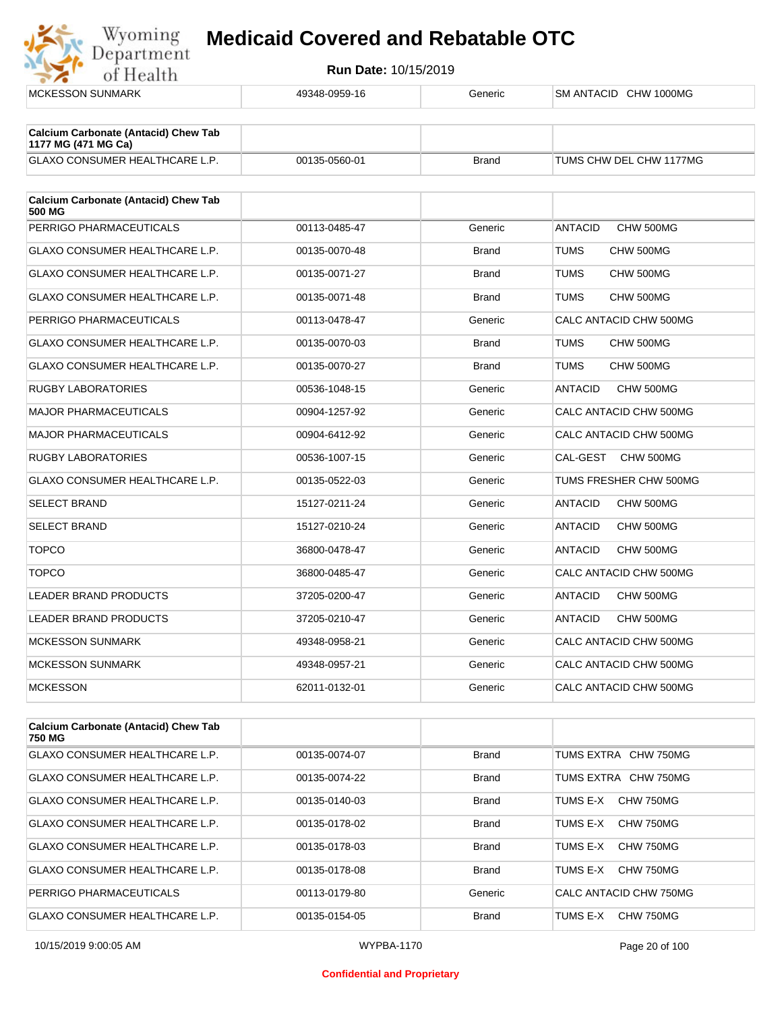

| <b>MCKESSON SUNMARK</b>                                            | 49348-0959-16 | Generic      | SM ANTACID CHW 1000MG       |
|--------------------------------------------------------------------|---------------|--------------|-----------------------------|
| <b>Calcium Carbonate (Antacid) Chew Tab</b><br>1177 MG (471 MG Ca) |               |              |                             |
| <b>GLAXO CONSUMER HEALTHCARE L.P.</b>                              | 00135-0560-01 | <b>Brand</b> | TUMS CHW DEL CHW 1177MG     |
| <b>Calcium Carbonate (Antacid) Chew Tab</b><br>500 MG              |               |              |                             |
| PERRIGO PHARMACEUTICALS                                            | 00113-0485-47 | Generic      | CHW 500MG<br><b>ANTACID</b> |
| <b>GLAXO CONSUMER HEALTHCARE L.P.</b>                              | 00135-0070-48 | <b>Brand</b> | <b>TUMS</b><br>CHW 500MG    |
| <b>GLAXO CONSUMER HEALTHCARE L.P.</b>                              | 00135-0071-27 | <b>Brand</b> | <b>TUMS</b><br>CHW 500MG    |
| <b>GLAXO CONSUMER HEALTHCARE L.P.</b>                              | 00135-0071-48 | <b>Brand</b> | <b>TUMS</b><br>CHW 500MG    |
| PERRIGO PHARMACEUTICALS                                            | 00113-0478-47 | Generic      | CALC ANTACID CHW 500MG      |
| GLAXO CONSUMER HEALTHCARE L.P.                                     | 00135-0070-03 | <b>Brand</b> | <b>TUMS</b><br>CHW 500MG    |
| <b>GLAXO CONSUMER HEALTHCARE L.P.</b>                              | 00135-0070-27 | <b>Brand</b> | TUMS<br>CHW 500MG           |
| <b>RUGBY LABORATORIES</b>                                          | 00536-1048-15 | Generic      | <b>ANTACID</b><br>CHW 500MG |
| <b>MAJOR PHARMACEUTICALS</b>                                       | 00904-1257-92 | Generic      | CALC ANTACID CHW 500MG      |
| <b>MAJOR PHARMACEUTICALS</b>                                       | 00904-6412-92 | Generic      | CALC ANTACID CHW 500MG      |
| <b>RUGBY LABORATORIES</b>                                          | 00536-1007-15 | Generic      | CAL-GEST<br>CHW 500MG       |
| GLAXO CONSUMER HEALTHCARE L.P.                                     | 00135-0522-03 | Generic      | TUMS FRESHER CHW 500MG      |
| <b>SELECT BRAND</b>                                                | 15127-0211-24 | Generic      | <b>ANTACID</b><br>CHW 500MG |
| <b>SELECT BRAND</b>                                                | 15127-0210-24 | Generic      | <b>ANTACID</b><br>CHW 500MG |
| <b>TOPCO</b>                                                       | 36800-0478-47 | Generic      | <b>ANTACID</b><br>CHW 500MG |
| <b>TOPCO</b>                                                       | 36800-0485-47 | Generic      | CALC ANTACID CHW 500MG      |
| <b>LEADER BRAND PRODUCTS</b>                                       | 37205-0200-47 | Generic      | <b>ANTACID</b><br>CHW 500MG |
| LEADER BRAND PRODUCTS                                              | 37205-0210-47 | Generic      | <b>ANTACID</b><br>CHW 500MG |
| <b>MCKESSON SUNMARK</b>                                            | 49348-0958-21 | Generic      | CALC ANTACID CHW 500MG      |
| <b>MCKESSON SUNMARK</b>                                            | 49348-0957-21 | Generic      | CALC ANTACID CHW 500MG      |
| <b>MCKESSON</b>                                                    | 62011-0132-01 | Generic      | CALC ANTACID CHW 500MG      |
| Coloium Carbonato (Antooid) Chow Tab                               |               |              |                             |

| <b>Calcium Carbonate (Antacid) Chew Tab</b><br>750 MG |               |              |                        |
|-------------------------------------------------------|---------------|--------------|------------------------|
| <b>GLAXO CONSUMER HEALTHCARE L.P.</b>                 | 00135-0074-07 | <b>Brand</b> | TUMS EXTRA CHW 750MG   |
| GLAXO CONSUMER HEALTHCARE L.P.                        | 00135-0074-22 | <b>Brand</b> | TUMS EXTRA CHW 750MG   |
| GLAXO CONSUMER HEALTHCARE L.P.                        | 00135-0140-03 | <b>Brand</b> | CHW 750MG<br>TUMS E-X  |
| GLAXO CONSUMER HEALTHCARE L.P.                        | 00135-0178-02 | <b>Brand</b> | TUMS F-X<br>CHW 750MG  |
| GLAXO CONSUMER HEALTHCARE L.P.                        | 00135-0178-03 | <b>Brand</b> | CHW 750MG<br>TUMS F-X  |
| GLAXO CONSUMER HEALTHCARE L.P.                        | 00135-0178-08 | <b>Brand</b> | CHW 750MG<br>TUMS E-X  |
| PERRIGO PHARMACEUTICALS                               | 00113-0179-80 | Generic      | CALC ANTACID CHW 750MG |
| GLAXO CONSUMER HEALTHCARE L.P.                        | 00135-0154-05 | Brand        | TUMS E-X<br>CHW 750MG  |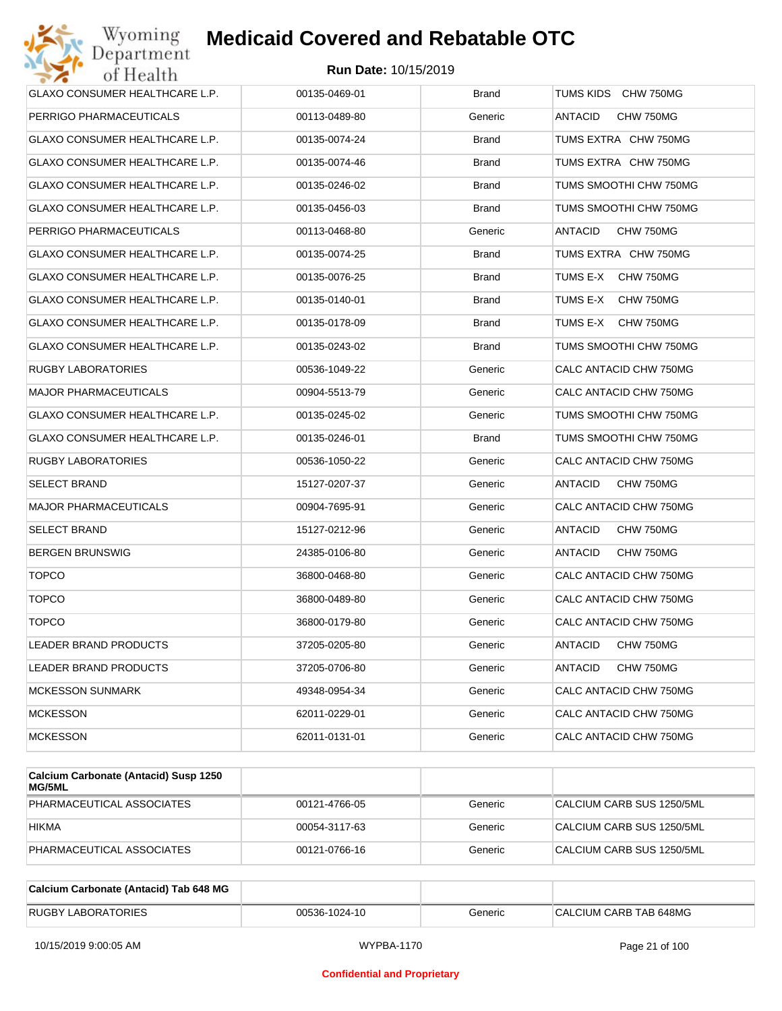

| <b>GLAXO CONSUMER HEALTHCARE L.P.</b> | 00135-0469-01 | <b>Brand</b> | TUMS KIDS CHW 750MG         |
|---------------------------------------|---------------|--------------|-----------------------------|
| PERRIGO PHARMACEUTICALS               | 00113-0489-80 | Generic      | CHW 750MG<br>ANTACID        |
| GLAXO CONSUMER HEALTHCARE L.P.        | 00135-0074-24 | Brand        | TUMS EXTRA CHW 750MG        |
| <b>GLAXO CONSUMER HEALTHCARE L.P.</b> | 00135-0074-46 | Brand        | TUMS EXTRA CHW 750MG        |
| GLAXO CONSUMER HEALTHCARE L.P.        | 00135-0246-02 | <b>Brand</b> | TUMS SMOOTHI CHW 750MG      |
| <b>GLAXO CONSUMER HEALTHCARE L.P.</b> | 00135-0456-03 | Brand        | TUMS SMOOTHI CHW 750MG      |
| PERRIGO PHARMACEUTICALS               | 00113-0468-80 | Generic      | ANTACID<br>CHW 750MG        |
| <b>GLAXO CONSUMER HEALTHCARE L.P.</b> | 00135-0074-25 | Brand        | TUMS EXTRA CHW 750MG        |
| GLAXO CONSUMER HEALTHCARE L.P.        | 00135-0076-25 | <b>Brand</b> | TUMS E-X<br>CHW 750MG       |
| GLAXO CONSUMER HEALTHCARE L.P.        | 00135-0140-01 | Brand        | TUMS E-X<br>CHW 750MG       |
| GLAXO CONSUMER HEALTHCARE L.P.        | 00135-0178-09 | <b>Brand</b> | TUMS E-X<br>CHW 750MG       |
| GLAXO CONSUMER HEALTHCARE L.P.        | 00135-0243-02 | Brand        | TUMS SMOOTHI CHW 750MG      |
| <b>RUGBY LABORATORIES</b>             | 00536-1049-22 | Generic      | CALC ANTACID CHW 750MG      |
| <b>MAJOR PHARMACEUTICALS</b>          | 00904-5513-79 | Generic      | CALC ANTACID CHW 750MG      |
| <b>GLAXO CONSUMER HEALTHCARE L.P.</b> | 00135-0245-02 | Generic      | TUMS SMOOTHI CHW 750MG      |
| GLAXO CONSUMER HEALTHCARE L.P.        | 00135-0246-01 | Brand        | TUMS SMOOTHI CHW 750MG      |
| <b>RUGBY LABORATORIES</b>             | 00536-1050-22 | Generic      | CALC ANTACID CHW 750MG      |
| <b>SELECT BRAND</b>                   | 15127-0207-37 | Generic      | ANTACID<br>CHW 750MG        |
| <b>MAJOR PHARMACEUTICALS</b>          | 00904-7695-91 | Generic      | CALC ANTACID CHW 750MG      |
| <b>SELECT BRAND</b>                   | 15127-0212-96 | Generic      | ANTACID<br>CHW 750MG        |
| <b>BERGEN BRUNSWIG</b>                | 24385-0106-80 | Generic      | ANTACID<br>CHW 750MG        |
| <b>TOPCO</b>                          | 36800-0468-80 | Generic      | CALC ANTACID CHW 750MG      |
| <b>TOPCO</b>                          | 36800-0489-80 | Generic      | CALC ANTACID CHW 750MG      |
| <b>TOPCO</b>                          | 36800-0179-80 | Generic      | CALC ANTACID CHW 750MG      |
| LEADER BRAND PRODUCTS                 | 37205-0205-80 | Generic      | <b>ANTACID</b><br>CHW 750MG |
| LEADER BRAND PRODUCTS                 | 37205-0706-80 | Generic      | <b>ANTACID</b><br>CHW 750MG |
| <b>MCKESSON SUNMARK</b>               | 49348-0954-34 | Generic      | CALC ANTACID CHW 750MG      |
| <b>MCKESSON</b>                       | 62011-0229-01 | Generic      | CALC ANTACID CHW 750MG      |
| <b>MCKESSON</b>                       | 62011-0131-01 | Generic      | CALC ANTACID CHW 750MG      |

| Calcium Carbonate (Antacid) Susp 1250<br>MG/5ML |               |         |                           |
|-------------------------------------------------|---------------|---------|---------------------------|
| PHARMACEUTICAL ASSOCIATES                       | 00121-4766-05 | Generic | CALCIUM CARB SUS 1250/5ML |
| <b>HIKMA</b>                                    | 00054-3117-63 | Generic | CALCIUM CARB SUS 1250/5ML |
| PHARMACEUTICAL ASSOCIATES                       | 00121-0766-16 | Generic | CALCIUM CARB SUS 1250/5ML |

| Calcium Carbonate (Antacid) Tab 648 MG |               |         |                        |
|----------------------------------------|---------------|---------|------------------------|
| <b>RUGBY LABORATORIES</b>              | 00536-1024-10 | Generic | CALCIUM CARB TAB 648MG |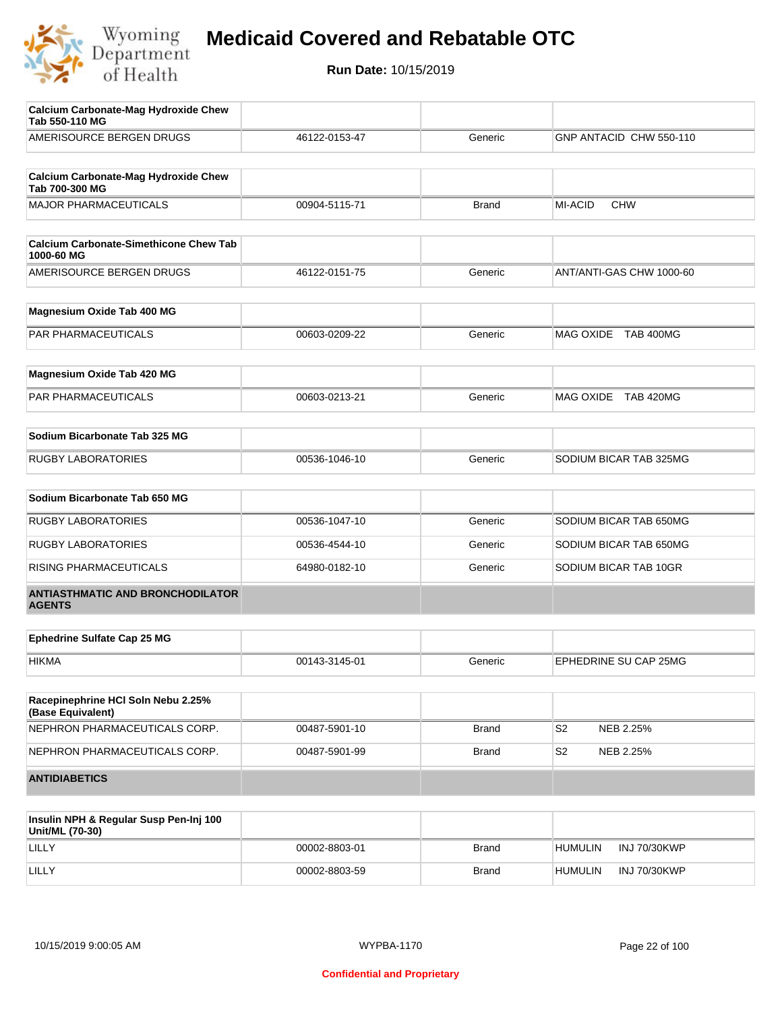

| Calcium Carbonate-Mag Hydroxide Chew<br>Tab 550-110 MG        |               |              |                              |
|---------------------------------------------------------------|---------------|--------------|------------------------------|
| AMERISOURCE BERGEN DRUGS                                      | 46122-0153-47 | Generic      | GNP ANTACID CHW 550-110      |
| <b>Calcium Carbonate-Mag Hydroxide Chew</b><br>Tab 700-300 MG |               |              |                              |
| <b>MAJOR PHARMACEUTICALS</b>                                  | 00904-5115-71 | <b>Brand</b> | <b>MI-ACID</b><br><b>CHW</b> |
| <b>Calcium Carbonate-Simethicone Chew Tab</b><br>1000-60 MG   |               |              |                              |
| AMERISOURCE BERGEN DRUGS                                      | 46122-0151-75 | Generic      | ANT/ANTI-GAS CHW 1000-60     |
| Magnesium Oxide Tab 400 MG                                    |               |              |                              |
| PAR PHARMACEUTICALS                                           | 00603-0209-22 | Generic      | MAG OXIDE TAB 400MG          |
| Magnesium Oxide Tab 420 MG                                    |               |              |                              |
| PAR PHARMACEUTICALS                                           | 00603-0213-21 | Generic      | MAG OXIDE TAB 420MG          |
| Sodium Bicarbonate Tab 325 MG                                 |               |              |                              |
| <b>RUGBY LABORATORIES</b>                                     | 00536-1046-10 | Generic      | SODIUM BICAR TAB 325MG       |
| Sodium Bicarbonate Tab 650 MG                                 |               |              |                              |
| <b>RUGBY LABORATORIES</b>                                     | 00536-1047-10 | Generic      | SODIUM BICAR TAB 650MG       |
| <b>RUGBY LABORATORIES</b>                                     | 00536-4544-10 | Generic      | SODIUM BICAR TAB 650MG       |
| RISING PHARMACEUTICALS                                        | 64980-0182-10 | Generic      | SODIUM BICAR TAB 10GR        |
| <b>ANTIASTHMATIC AND BRONCHODILATOR</b><br><b>AGENTS</b>      |               |              |                              |
| <b>Ephedrine Sulfate Cap 25 MG</b>                            |               |              |                              |
| <b>HIKMA</b>                                                  | 00143-3145-01 | Generic      | EPHEDRINE SU CAP 25MG        |
| Racepinephrine HCI Soln Nebu 2.25%<br>(Base Equivalent)       |               |              |                              |
| NEPHRON PHARMACEUTICALS CORP.                                 | 00487-5901-10 | <b>Brand</b> | S <sub>2</sub><br>NEB 2.25%  |
| NEPHRON PHARMACEUTICALS CORP.                                 | 00487-5901-99 | <b>Brand</b> | S2<br>NEB 2.25%              |
| <b>ANTIDIABETICS</b>                                          |               |              |                              |
|                                                               |               |              |                              |

| Insulin NPH & Regular Susp Pen-Inj 100<br>Unit/ML (70-30) |               |              |                                |
|-----------------------------------------------------------|---------------|--------------|--------------------------------|
| LILLY                                                     | 00002-8803-01 | <b>Brand</b> | INJ 70/30KWP<br><b>HUMULIN</b> |
| LILLY                                                     | 00002-8803-59 | <b>Brand</b> | INJ 70/30KWP<br><b>HUMULIN</b> |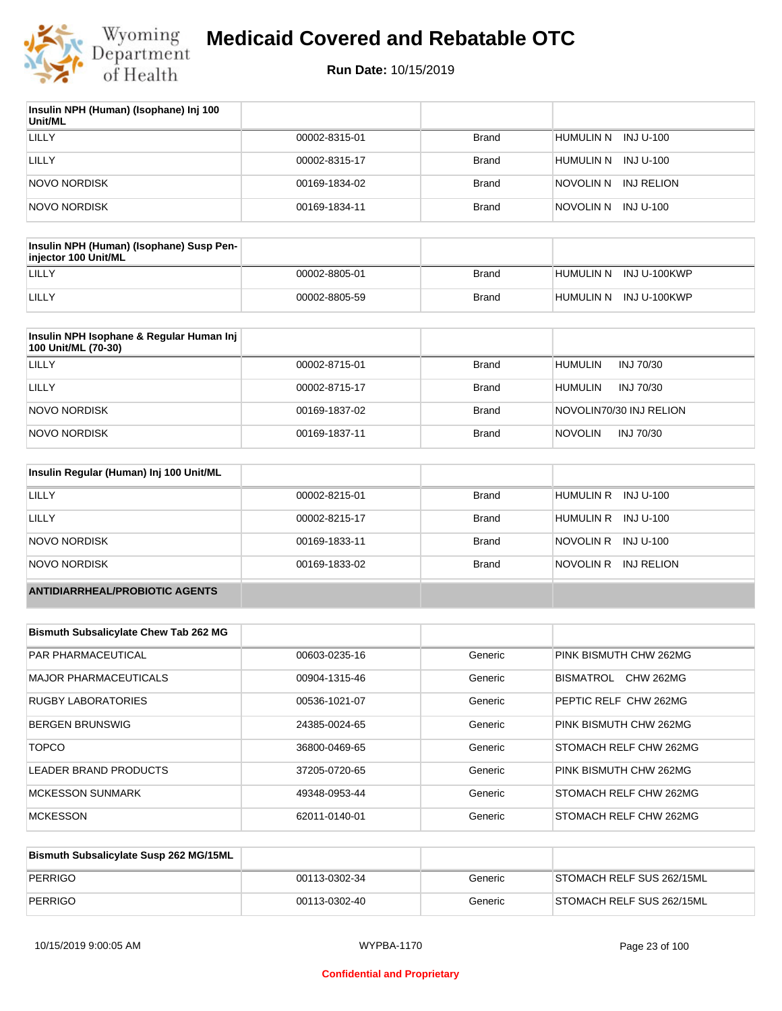

| Insulin NPH (Human) (Isophane) Inj 100<br>Unit/ML |               |              |                         |
|---------------------------------------------------|---------------|--------------|-------------------------|
| LILLY                                             | 00002-8315-01 | <b>Brand</b> | humulin n<br>INJ U-100  |
| LILLY                                             | 00002-8315-17 | Brand        | INJ U-100<br>HUMULIN N  |
| NOVO NORDISK                                      | 00169-1834-02 | <b>Brand</b> | INJ RELION<br>NOVOLIN N |
| NOVO NORDISK                                      | 00169-1834-11 | <b>Brand</b> | inovolin n<br>INJ U-100 |

| Insulin NPH (Human) (Isophane) Susp Pen-<br>injector 100 Unit/ML |               |              |                        |
|------------------------------------------------------------------|---------------|--------------|------------------------|
| LILLY                                                            | 00002-8805-01 | Brand        | HUMULIN N INJ U-100KWP |
| LILLY                                                            | 00002-8805-59 | <b>Brand</b> | HUMULIN N INJ U-100KWP |

| Insulin NPH Isophane & Regular Human Inj<br>100 Unit/ML (70-30) |               |              |                             |
|-----------------------------------------------------------------|---------------|--------------|-----------------------------|
| LILLY                                                           | 00002-8715-01 | <b>Brand</b> | <b>HUMULIN</b><br>INJ 70/30 |
| LILLY                                                           | 00002-8715-17 | <b>Brand</b> | <b>HUMULIN</b><br>INJ 70/30 |
| NOVO NORDISK                                                    | 00169-1837-02 | <b>Brand</b> | NOVOLIN70/30 INJ RELION     |
| NOVO NORDISK                                                    | 00169-1837-11 | <b>Brand</b> | <b>NOVOLIN</b><br>INJ 70/30 |

| Insulin Regular (Human) Inj 100 Unit/ML |               |              |                         |
|-----------------------------------------|---------------|--------------|-------------------------|
| <b>LILLY</b>                            | 00002-8215-01 | <b>Brand</b> | HUMULIN R INJ U-100     |
| LILLY                                   | 00002-8215-17 | <b>Brand</b> | HUMULIN R INJ U-100     |
| NOVO NORDISK                            | 00169-1833-11 | <b>Brand</b> | NOVOLIN R INJ U-100     |
| NOVO NORDISK                            | 00169-1833-02 | <b>Brand</b> | NOVOLIN R<br>INJ RELION |
| <b>ANTIDIARRHEAL/PROBIOTIC AGENTS</b>   |               |              |                         |

| <b>Bismuth Subsalicylate Chew Tab 262 MG</b> |               |         |                               |
|----------------------------------------------|---------------|---------|-------------------------------|
| <b>PAR PHARMACEUTICAL</b>                    | 00603-0235-16 | Generic | PINK BISMUTH CHW 262MG        |
| <b>MAJOR PHARMACEUTICALS</b>                 | 00904-1315-46 | Generic | BISMATROL<br>CHW 262MG        |
| <b>RUGBY LABORATORIES</b>                    | 00536-1021-07 | Generic | PEPTIC RELF CHW 262MG         |
| <b>BERGEN BRUNSWIG</b>                       | 24385-0024-65 | Generic | PINK BISMUTH CHW 262MG        |
| <b>TOPCO</b>                                 | 36800-0469-65 | Generic | <b>STOMACH RELF CHW 262MG</b> |
| LEADER BRAND PRODUCTS                        | 37205-0720-65 | Generic | PINK BISMUTH CHW 262MG        |
| <b>MCKESSON SUNMARK</b>                      | 49348-0953-44 | Generic | <b>STOMACH RELF CHW 262MG</b> |
| <b>MCKESSON</b>                              | 62011-0140-01 | Generic | <b>STOMACH RELF CHW 262MG</b> |

| Bismuth Subsalicylate Susp 262 MG/15ML |               |         |                           |
|----------------------------------------|---------------|---------|---------------------------|
| PERRIGO                                | 00113-0302-34 | Generic | STOMACH RELF SUS 262/15ML |
| PERRIGO                                | 00113-0302-40 | Generic | STOMACH RELF SUS 262/15ML |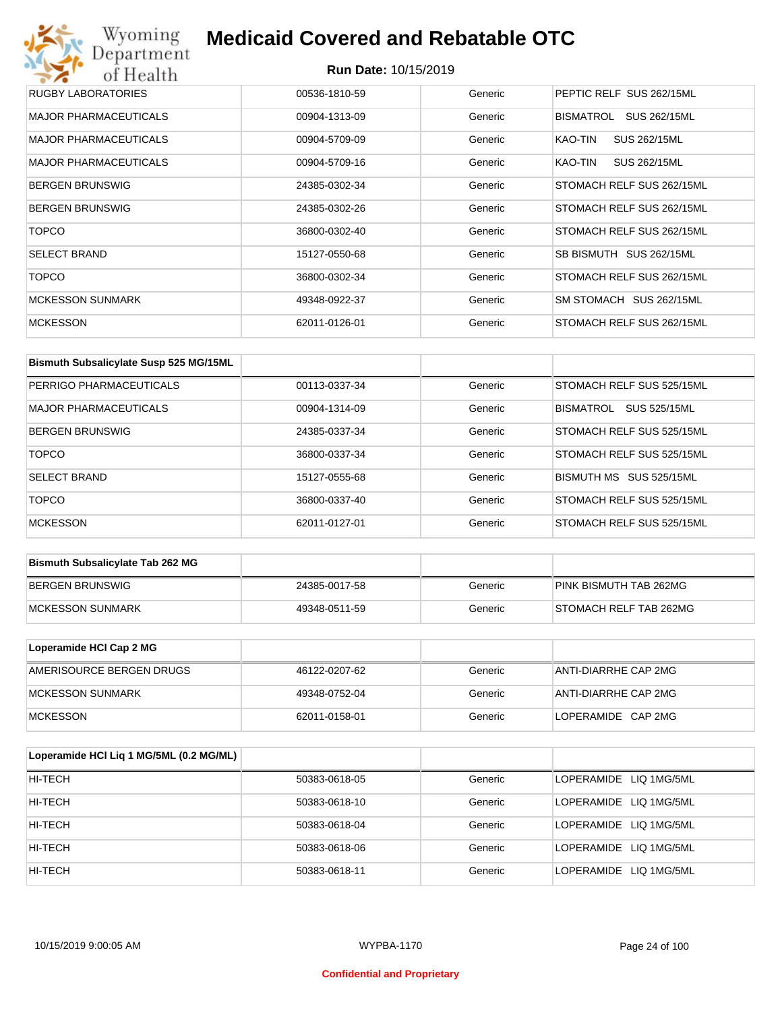## Wyoming<br>Department<br>of Health **Medicaid Covered and Rebatable OTC**

| RUGBY LABORATORIES           | 00536-1810-59 | Generic | PEPTIC RELF SUS 262/15ML  |
|------------------------------|---------------|---------|---------------------------|
| <b>MAJOR PHARMACEUTICALS</b> | 00904-1313-09 | Generic | BISMATROL<br>SUS 262/15ML |
| <b>MAJOR PHARMACEUTICALS</b> | 00904-5709-09 | Generic | KAO-TIN<br>SUS 262/15ML   |
| <b>MAJOR PHARMACEUTICALS</b> | 00904-5709-16 | Generic | KAO-TIN<br>SUS 262/15ML   |
| <b>BERGEN BRUNSWIG</b>       | 24385-0302-34 | Generic | STOMACH RELF SUS 262/15ML |
| <b>BERGEN BRUNSWIG</b>       | 24385-0302-26 | Generic | STOMACH RELF SUS 262/15ML |
| <b>TOPCO</b>                 | 36800-0302-40 | Generic | STOMACH RELF SUS 262/15ML |
| <b>SELECT BRAND</b>          | 15127-0550-68 | Generic | SB BISMUTH SUS 262/15ML   |
| <b>TOPCO</b>                 | 36800-0302-34 | Generic | STOMACH RELF SUS 262/15ML |
| <b>MCKESSON SUNMARK</b>      | 49348-0922-37 | Generic | SM STOMACH SUS 262/15ML   |
| <b>MCKESSON</b>              | 62011-0126-01 | Generic | STOMACH RELF SUS 262/15ML |

| Bismuth Subsalicylate Susp 525 MG/15ML |               |         |                                  |
|----------------------------------------|---------------|---------|----------------------------------|
| PERRIGO PHARMACEUTICALS                | 00113-0337-34 | Generic | STOMACH RELF SUS 525/15ML        |
| MAJOR PHARMACEUTICALS                  | 00904-1314-09 | Generic | SUS 525/15ML<br><b>BISMATROL</b> |
| <b>BERGEN BRUNSWIG</b>                 | 24385-0337-34 | Generic | STOMACH RELF SUS 525/15ML        |
| <b>TOPCO</b>                           | 36800-0337-34 | Generic | STOMACH RELF SUS 525/15ML        |
| <b>SELECT BRAND</b>                    | 15127-0555-68 | Generic | BISMUTH MS SUS 525/15ML          |
| <b>TOPCO</b>                           | 36800-0337-40 | Generic | STOMACH RELF SUS 525/15ML        |
| <b>MCKESSON</b>                        | 62011-0127-01 | Generic | STOMACH RELF SUS 525/15ML        |

| <b>Bismuth Subsalicylate Tab 262 MG</b> |               |         |                        |
|-----------------------------------------|---------------|---------|------------------------|
| BERGEN BRUNSWIG                         | 24385-0017-58 | Generic | PINK BISMUTH TAB 262MG |
| <b>IMCKESSON SUNMARK</b>                | 49348-0511-59 | Generic | STOMACH RELF TAB 262MG |

| Loperamide HCI Cap 2 MG  |               |         |                      |
|--------------------------|---------------|---------|----------------------|
| AMERISOURCE BERGEN DRUGS | 46122-0207-62 | Generic | ANTI-DIARRHE CAP 2MG |
| <b>IMCKESSON SUNMARK</b> | 49348-0752-04 | Generic | ANTI-DIARRHE CAP 2MG |
| <b>IMCKESSON</b>         | 62011-0158-01 | Generic | LOPERAMIDE CAP 2MG   |

| Loperamide HCI Liq 1 MG/5ML (0.2 MG/ML) |               |         |                        |
|-----------------------------------------|---------------|---------|------------------------|
| HI-TECH                                 | 50383-0618-05 | Generic | LOPERAMIDE LIQ 1MG/5ML |
| HI-TECH                                 | 50383-0618-10 | Generic | LOPERAMIDE LIQ 1MG/5ML |
| HI-TECH                                 | 50383-0618-04 | Generic | LOPERAMIDE LIQ 1MG/5ML |
| HI-TECH                                 | 50383-0618-06 | Generic | LOPERAMIDE LIQ 1MG/5ML |
| HI-TECH                                 | 50383-0618-11 | Generic | LOPERAMIDE LIQ 1MG/5ML |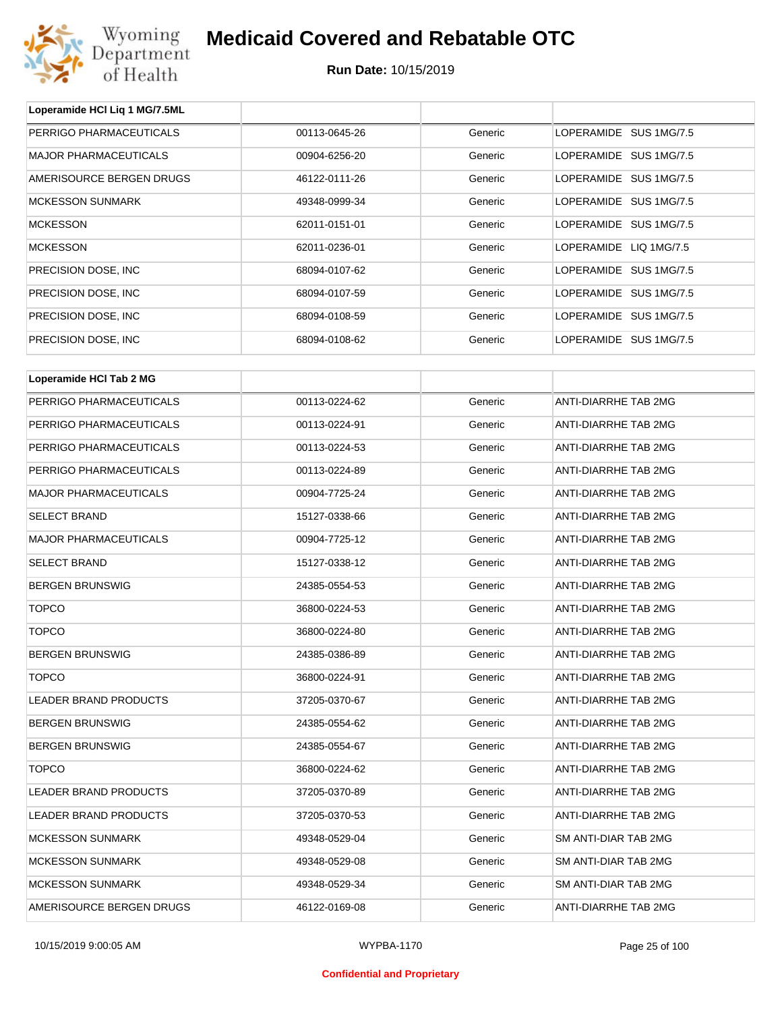

| Loperamide HCI Liq 1 MG/7.5ML |               |         |                             |
|-------------------------------|---------------|---------|-----------------------------|
| PERRIGO PHARMACEUTICALS       | 00113-0645-26 | Generic | LOPERAMIDE SUS 1MG/7.5      |
| <b>MAJOR PHARMACEUTICALS</b>  | 00904-6256-20 | Generic | LOPERAMIDE SUS 1MG/7.5      |
| AMERISOURCE BERGEN DRUGS      | 46122-0111-26 | Generic | LOPERAMIDE SUS 1MG/7.5      |
| <b>MCKESSON SUNMARK</b>       | 49348-0999-34 | Generic | LOPERAMIDE SUS 1MG/7.5      |
| <b>MCKESSON</b>               | 62011-0151-01 | Generic | LOPERAMIDE SUS 1MG/7.5      |
| <b>MCKESSON</b>               | 62011-0236-01 | Generic | LOPERAMIDE LIQ 1MG/7.5      |
| PRECISION DOSE, INC           | 68094-0107-62 | Generic | LOPERAMIDE SUS 1MG/7.5      |
| PRECISION DOSE, INC           | 68094-0107-59 | Generic | LOPERAMIDE SUS 1MG/7.5      |
| PRECISION DOSE, INC           | 68094-0108-59 | Generic | LOPERAMIDE SUS 1MG/7.5      |
| PRECISION DOSE, INC           | 68094-0108-62 | Generic | LOPERAMIDE SUS 1MG/7.5      |
|                               |               |         |                             |
| Loperamide HCI Tab 2 MG       |               |         |                             |
| PERRIGO PHARMACEUTICALS       | 00113-0224-62 | Generic | ANTI-DIARRHE TAB 2MG        |
| PERRIGO PHARMACEUTICALS       | 00113-0224-91 | Generic | ANTI-DIARRHE TAB 2MG        |
| PERRIGO PHARMACEUTICALS       | 00113-0224-53 | Generic | <b>ANTI-DIARRHE TAB 2MG</b> |
| PERRIGO PHARMACEUTICALS       | 00113-0224-89 | Generic | <b>ANTI-DIARRHE TAB 2MG</b> |
| <b>MAJOR PHARMACEUTICALS</b>  | 00904-7725-24 | Generic | ANTI-DIARRHE TAB 2MG        |
| <b>SELECT BRAND</b>           | 15127-0338-66 | Generic | ANTI-DIARRHE TAB 2MG        |
| <b>MAJOR PHARMACEUTICALS</b>  | 00904-7725-12 | Generic | ANTI-DIARRHE TAB 2MG        |
| <b>SELECT BRAND</b>           | 15127-0338-12 | Generic | ANTI-DIARRHE TAB 2MG        |
| <b>BERGEN BRUNSWIG</b>        | 24385-0554-53 | Generic | ANTI-DIARRHE TAB 2MG        |
| <b>TOPCO</b>                  | 36800-0224-53 | Generic | <b>ANTI-DIARRHE TAB 2MG</b> |
| <b>TOPCO</b>                  | 36800-0224-80 | Generic | <b>ANTI-DIARRHE TAB 2MG</b> |
| <b>BERGEN BRUNSWIG</b>        | 24385-0386-89 | Generic | ANTI-DIARRHE TAB 2MG        |
| TOPCO                         | 36800-0224-91 | Generic | ANTI-DIARRHE TAB 2MG        |
| LEADER BRAND PRODUCTS         | 37205-0370-67 | Generic | <b>ANTI-DIARRHE TAB 2MG</b> |
| <b>BERGEN BRUNSWIG</b>        | 24385-0554-62 | Generic | ANTI-DIARRHE TAB 2MG        |
| <b>BERGEN BRUNSWIG</b>        | 24385-0554-67 | Generic | ANTI-DIARRHE TAB 2MG        |
| <b>TOPCO</b>                  | 36800-0224-62 | Generic | ANTI-DIARRHE TAB 2MG        |
| <b>LEADER BRAND PRODUCTS</b>  | 37205-0370-89 | Generic | ANTI-DIARRHE TAB 2MG        |
| LEADER BRAND PRODUCTS         | 37205-0370-53 | Generic | ANTI-DIARRHE TAB 2MG        |
| <b>MCKESSON SUNMARK</b>       | 49348-0529-04 | Generic | SM ANTI-DIAR TAB 2MG        |
| <b>MCKESSON SUNMARK</b>       | 49348-0529-08 | Generic | SM ANTI-DIAR TAB 2MG        |
| <b>MCKESSON SUNMARK</b>       | 49348-0529-34 | Generic | SM ANTI-DIAR TAB 2MG        |
| AMERISOURCE BERGEN DRUGS      | 46122-0169-08 | Generic | ANTI-DIARRHE TAB 2MG        |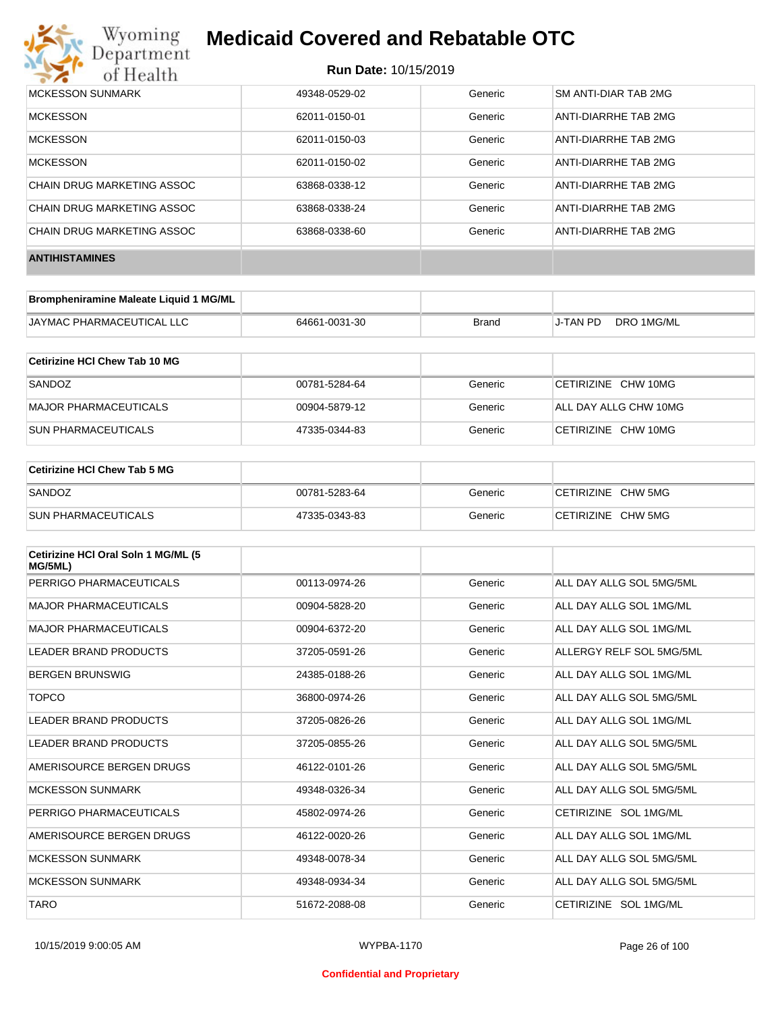

| MCKESSON SUNMARK           | 49348-0529-02 | Generic | SM ANTI-DIAR TAB 2MG |
|----------------------------|---------------|---------|----------------------|
| <b>MCKESSON</b>            | 62011-0150-01 | Generic | ANTI-DIARRHE TAB 2MG |
| <b>MCKESSON</b>            | 62011-0150-03 | Generic | ANTI-DIARRHE TAB 2MG |
| <b>MCKESSON</b>            | 62011-0150-02 | Generic | ANTI-DIARRHE TAB 2MG |
| CHAIN DRUG MARKETING ASSOC | 63868-0338-12 | Generic | ANTI-DIARRHE TAB 2MG |
| CHAIN DRUG MARKETING ASSOC | 63868-0338-24 | Generic | ANTI-DIARRHE TAB 2MG |
| CHAIN DRUG MARKETING ASSOC | 63868-0338-60 | Generic | ANTI-DIARRHE TAB 2MG |
| <b>ANTIHISTAMINES</b>      |               |         |                      |

| Brompheniramine Maleate Liquid 1 MG/ML |               |              |          |            |
|----------------------------------------|---------------|--------------|----------|------------|
| <b>JAYMAC PHARMACEUTICAL LLC</b>       | 64661-0031-30 | <b>Brand</b> | J-TAN PD | DRO 1MG/ML |

| Cetirizine HCI Chew Tab 10 MG |               |         |                       |
|-------------------------------|---------------|---------|-----------------------|
| SANDOZ                        | 00781-5284-64 | Generic | CETIRIZINE CHW 10MG   |
| MAJOR PHARMACEUTICALS         | 00904-5879-12 | Generic | ALL DAY ALLG CHW 10MG |
| ISUN PHARMACEUTICALS          | 47335-0344-83 | Generic | CETIRIZINE CHW 10MG   |

| Cetirizine HCI Chew Tab 5 MG |               |         |                    |
|------------------------------|---------------|---------|--------------------|
| SANDOZ                       | 00781-5283-64 | Generic | CETIRIZINE CHW 5MG |
| <b>SUN PHARMACEUTICALS</b>   | 47335-0343-83 | Generic | CETIRIZINE CHW 5MG |

| Cetirizine HCI Oral Soln 1 MG/ML (5<br>MG/5ML) |               |         |                          |
|------------------------------------------------|---------------|---------|--------------------------|
| PERRIGO PHARMACEUTICALS                        | 00113-0974-26 | Generic | ALL DAY ALLG SOL 5MG/5ML |
| <b>MAJOR PHARMACEUTICALS</b>                   | 00904-5828-20 | Generic | ALL DAY ALLG SOL 1MG/ML  |
| <b>MAJOR PHARMACEUTICALS</b>                   | 00904-6372-20 | Generic | ALL DAY ALLG SOL 1MG/ML  |
| <b>LEADER BRAND PRODUCTS</b>                   | 37205-0591-26 | Generic | ALLERGY RELF SOL 5MG/5ML |
| <b>BERGEN BRUNSWIG</b>                         | 24385-0188-26 | Generic | ALL DAY ALLG SOL 1MG/ML  |
| <b>TOPCO</b>                                   | 36800-0974-26 | Generic | ALL DAY ALLG SOL 5MG/5ML |
| LEADER BRAND PRODUCTS                          | 37205-0826-26 | Generic | ALL DAY ALLG SOL 1MG/ML  |
| LEADER BRAND PRODUCTS                          | 37205-0855-26 | Generic | ALL DAY ALLG SOL 5MG/5ML |
| AMERISOURCE BERGEN DRUGS                       | 46122-0101-26 | Generic | ALL DAY ALLG SOL 5MG/5ML |
| <b>MCKESSON SUNMARK</b>                        | 49348-0326-34 | Generic | ALL DAY ALLG SOL 5MG/5ML |
| PERRIGO PHARMACEUTICALS                        | 45802-0974-26 | Generic | CETIRIZINE SOL 1MG/ML    |
| AMERISOURCE BERGEN DRUGS                       | 46122-0020-26 | Generic | ALL DAY ALLG SOL 1MG/ML  |
| <b>MCKESSON SUNMARK</b>                        | 49348-0078-34 | Generic | ALL DAY ALLG SOL 5MG/5ML |
| <b>MCKESSON SUNMARK</b>                        | 49348-0934-34 | Generic | ALL DAY ALLG SOL 5MG/5ML |
| <b>TARO</b>                                    | 51672-2088-08 | Generic | CETIRIZINE SOL 1MG/ML    |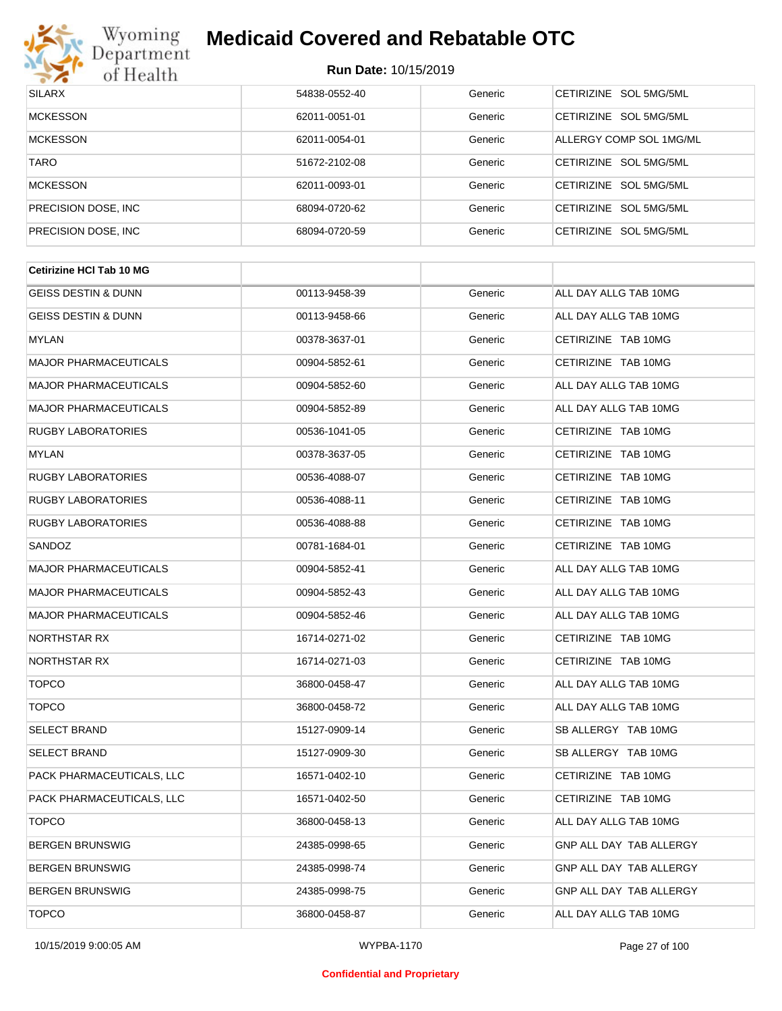

#### **Run Date:** 10/15/2019

| <b>SILARX</b>        | 54838-0552-40 | Generic | CETIRIZINE SOL 5MG/5ML           |
|----------------------|---------------|---------|----------------------------------|
| <b>MCKESSON</b>      | 62011-0051-01 | Generic | CETIRIZINE SOL 5MG/5ML           |
| <b>MCKESSON</b>      | 62011-0054-01 | Generic | ALLERGY COMP SOL 1MG/ML          |
| <b>TARO</b>          | 51672-2102-08 | Generic | CETIRIZINE SOL 5MG/5ML           |
| <b>MCKESSON</b>      | 62011-0093-01 | Generic | CETIRIZINE SOL 5MG/5ML           |
| PRECISION DOSE, INC. | 68094-0720-62 | Generic | CETIRIZINE SOL 5MG/5ML           |
| PRECISION DOSE, INC. | 68094-0720-59 | Generic | <b>CETIRIZINE</b><br>SOL 5MG/5ML |

| 00113-9458-39 | Generic | ALL DAY ALLG TAB 10MG          |
|---------------|---------|--------------------------------|
| 00113-9458-66 | Generic | ALL DAY ALLG TAB 10MG          |
| 00378-3637-01 | Generic | CETIRIZINE TAB 10MG            |
| 00904-5852-61 | Generic | CETIRIZINE TAB 10MG            |
| 00904-5852-60 | Generic | ALL DAY ALLG TAB 10MG          |
| 00904-5852-89 | Generic | ALL DAY ALLG TAB 10MG          |
| 00536-1041-05 | Generic | CETIRIZINE TAB 10MG            |
| 00378-3637-05 | Generic | CETIRIZINE TAB 10MG            |
| 00536-4088-07 | Generic | CETIRIZINE TAB 10MG            |
| 00536-4088-11 | Generic | CETIRIZINE TAB 10MG            |
| 00536-4088-88 | Generic | CETIRIZINE TAB 10MG            |
| 00781-1684-01 | Generic | CETIRIZINE TAB 10MG            |
| 00904-5852-41 | Generic | ALL DAY ALLG TAB 10MG          |
| 00904-5852-43 | Generic | ALL DAY ALLG TAB 10MG          |
| 00904-5852-46 | Generic | ALL DAY ALLG TAB 10MG          |
| 16714-0271-02 | Generic | CETIRIZINE TAB 10MG            |
| 16714-0271-03 | Generic | CETIRIZINE TAB 10MG            |
| 36800-0458-47 | Generic | ALL DAY ALLG TAB 10MG          |
| 36800-0458-72 | Generic | ALL DAY ALLG TAB 10MG          |
| 15127-0909-14 | Generic | SB ALLERGY TAB 10MG            |
| 15127-0909-30 | Generic | SB ALLERGY TAB 10MG            |
| 16571-0402-10 | Generic | CETIRIZINE TAB 10MG            |
| 16571-0402-50 | Generic | CETIRIZINE TAB 10MG            |
| 36800-0458-13 | Generic | ALL DAY ALLG TAB 10MG          |
| 24385-0998-65 | Generic | GNP ALL DAY TAB ALLERGY        |
| 24385-0998-74 | Generic | GNP ALL DAY TAB ALLERGY        |
| 24385-0998-75 | Generic | <b>GNP ALL DAY TAB ALLERGY</b> |
| 36800-0458-87 | Generic | ALL DAY ALLG TAB 10MG          |
|               |         |                                |

#### **Confidential and Proprietary**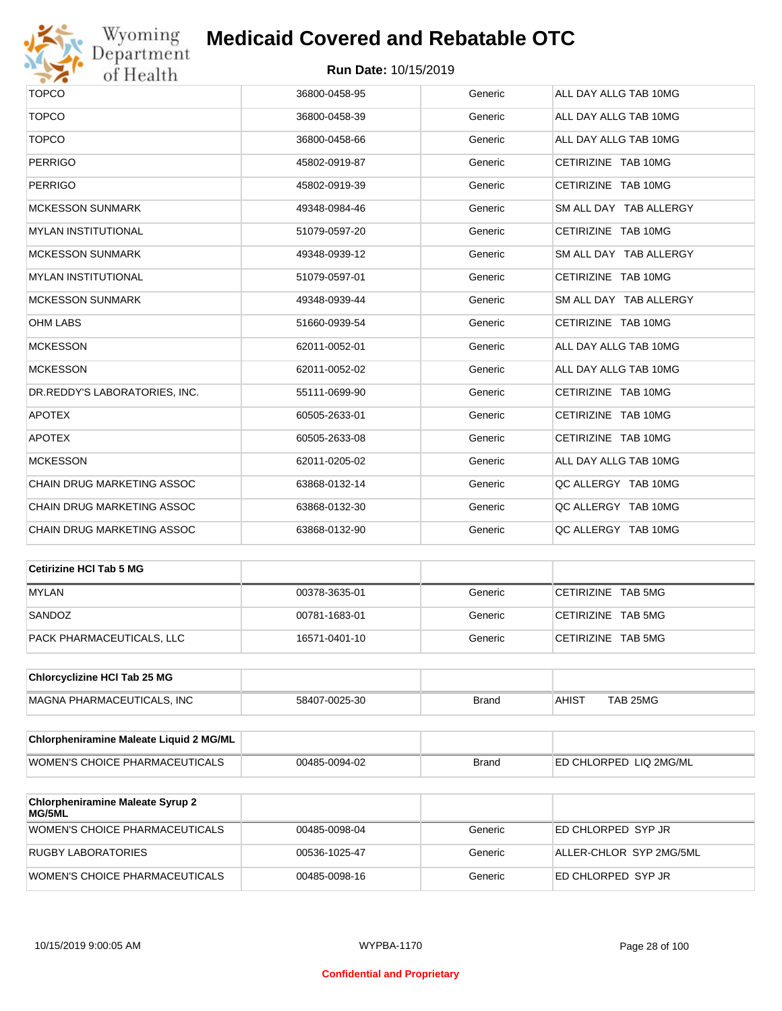

| <b>TOPCO</b>                      | 36800-0458-95 | Generic | ALL DAY ALLG TAB 10MG  |
|-----------------------------------|---------------|---------|------------------------|
| <b>TOPCO</b>                      | 36800-0458-39 | Generic | ALL DAY ALLG TAB 10MG  |
| <b>TOPCO</b>                      | 36800-0458-66 | Generic | ALL DAY ALLG TAB 10MG  |
| <b>PERRIGO</b>                    | 45802-0919-87 | Generic | CETIRIZINE TAB 10MG    |
| <b>PERRIGO</b>                    | 45802-0919-39 | Generic | CETIRIZINE TAB 10MG    |
| <b>MCKESSON SUNMARK</b>           | 49348-0984-46 | Generic | SM ALL DAY TAB ALLERGY |
| <b>MYLAN INSTITUTIONAL</b>        | 51079-0597-20 | Generic | CETIRIZINE TAB 10MG    |
| <b>MCKESSON SUNMARK</b>           | 49348-0939-12 | Generic | SM ALL DAY TAB ALLERGY |
| <b>MYLAN INSTITUTIONAL</b>        | 51079-0597-01 | Generic | CETIRIZINE TAB 10MG    |
| <b>MCKESSON SUNMARK</b>           | 49348-0939-44 | Generic | SM ALL DAY TAB ALLERGY |
| <b>OHM LABS</b>                   | 51660-0939-54 | Generic | CETIRIZINE TAB 10MG    |
| <b>MCKESSON</b>                   | 62011-0052-01 | Generic | ALL DAY ALLG TAB 10MG  |
| <b>MCKESSON</b>                   | 62011-0052-02 | Generic | ALL DAY ALLG TAB 10MG  |
| DR.REDDY'S LABORATORIES, INC.     | 55111-0699-90 | Generic | CETIRIZINE TAB 10MG    |
| <b>APOTEX</b>                     | 60505-2633-01 | Generic | CETIRIZINE TAB 10MG    |
| <b>APOTEX</b>                     | 60505-2633-08 | Generic | CETIRIZINE TAB 10MG    |
| <b>MCKESSON</b>                   | 62011-0205-02 | Generic | ALL DAY ALLG TAB 10MG  |
| <b>CHAIN DRUG MARKETING ASSOC</b> | 63868-0132-14 | Generic | QC ALLERGY TAB 10MG    |
| <b>CHAIN DRUG MARKETING ASSOC</b> | 63868-0132-30 | Generic | QC ALLERGY TAB 10MG    |
| CHAIN DRUG MARKETING ASSOC        | 63868-0132-90 | Generic | QC ALLERGY TAB 10MG    |

| Cetirizine HCI Tab 5 MG   |               |         |                    |
|---------------------------|---------------|---------|--------------------|
| <b>MYLAN</b>              | 00378-3635-01 | Generic | CETIRIZINE TAB 5MG |
| SANDOZ                    | 00781-1683-01 | Generic | CETIRIZINE TAB 5MG |
| PACK PHARMACEUTICALS, LLC | 16571-0401-10 | Generic | CETIRIZINE TAB 5MG |

| <b>Chlorcyclizine HCI Tab 25 MG</b> |               |       |              |          |
|-------------------------------------|---------------|-------|--------------|----------|
| <b>MAGNA PHARMACEUTICALS. INC</b>   | 58407-0025-30 | Brand | <b>AHIST</b> | TAB 25MG |

| <b>Chlorpheniramine Maleate Liquid 2 MG/ML</b> |               |              |                                |
|------------------------------------------------|---------------|--------------|--------------------------------|
| WOMEN'S CHOICE PHARMACEUTICALS                 | 00485-0094-02 | <b>Brand</b> | <b>IED CHLORPED LIQ 2MG/ML</b> |

| <b>Chlorpheniramine Maleate Syrup 2</b><br><b>MG/5ML</b> |               |         |                         |
|----------------------------------------------------------|---------------|---------|-------------------------|
| <b>WOMEN'S CHOICE PHARMACEUTICALS</b>                    | 00485-0098-04 | Generic | ED CHLORPED SYP JR      |
| RUGBY LABORATORIES                                       | 00536-1025-47 | Generic | ALLER-CHLOR SYP 2MG/5ML |
| <b>WOMEN'S CHOICE PHARMACEUTICALS</b>                    | 00485-0098-16 | Generic | ED CHLORPED SYP JR      |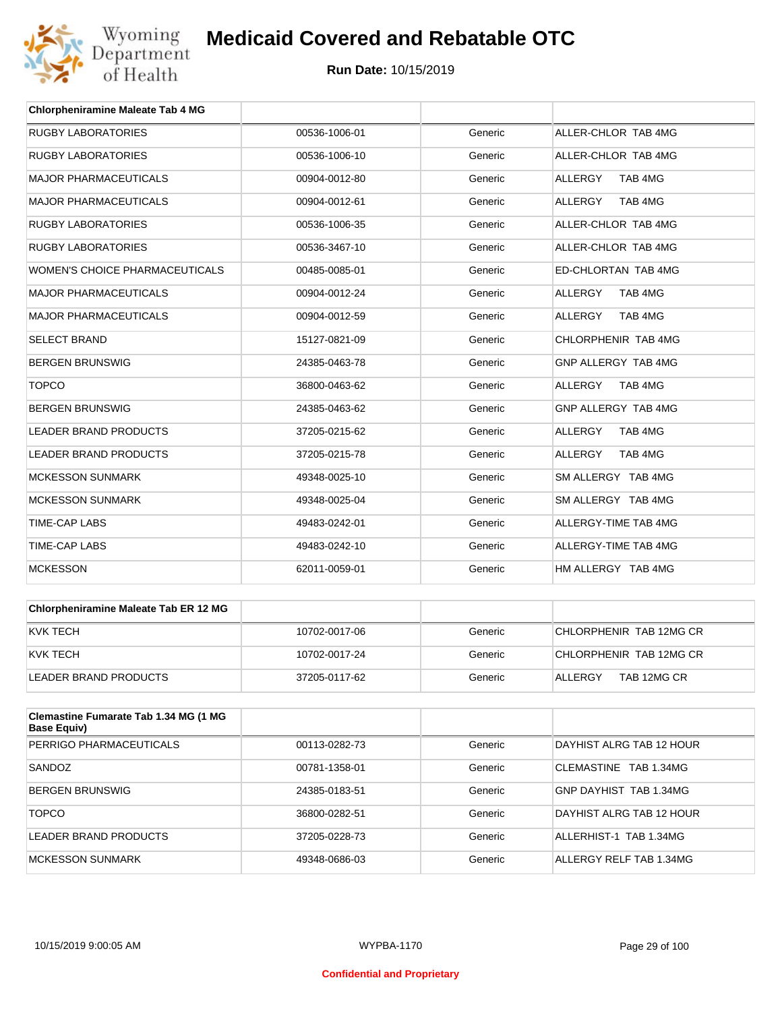

| <b>Chlorpheniramine Maleate Tab 4 MG</b> |               |         |                           |
|------------------------------------------|---------------|---------|---------------------------|
| <b>RUGBY LABORATORIES</b>                | 00536-1006-01 | Generic | ALLER-CHLOR TAB 4MG       |
| <b>RUGBY LABORATORIES</b>                | 00536-1006-10 | Generic | ALLER-CHLOR TAB 4MG       |
| <b>MAJOR PHARMACEUTICALS</b>             | 00904-0012-80 | Generic | TAB 4MG<br><b>ALLERGY</b> |
| <b>MAJOR PHARMACEUTICALS</b>             | 00904-0012-61 | Generic | <b>ALLERGY</b><br>TAB 4MG |
| <b>RUGBY LABORATORIES</b>                | 00536-1006-35 | Generic | ALLER-CHLOR TAB 4MG       |
| <b>RUGBY LABORATORIES</b>                | 00536-3467-10 | Generic | ALLER-CHLOR TAB 4MG       |
| <b>WOMEN'S CHOICE PHARMACEUTICALS</b>    | 00485-0085-01 | Generic | ED-CHLORTAN TAB 4MG       |
| <b>MAJOR PHARMACEUTICALS</b>             | 00904-0012-24 | Generic | <b>ALLERGY</b><br>TAB 4MG |
| <b>MAJOR PHARMACEUTICALS</b>             | 00904-0012-59 | Generic | <b>ALLERGY</b><br>TAB 4MG |
| <b>SELECT BRAND</b>                      | 15127-0821-09 | Generic | CHLORPHENIR TAB 4MG       |
| <b>BERGEN BRUNSWIG</b>                   | 24385-0463-78 | Generic | GNP ALLERGY TAB 4MG       |
| <b>TOPCO</b>                             | 36800-0463-62 | Generic | <b>ALLERGY</b><br>TAB 4MG |
| <b>BERGEN BRUNSWIG</b>                   | 24385-0463-62 | Generic | GNP ALLERGY TAB 4MG       |
| <b>LEADER BRAND PRODUCTS</b>             | 37205-0215-62 | Generic | ALLERGY<br>TAB 4MG        |
| <b>LEADER BRAND PRODUCTS</b>             | 37205-0215-78 | Generic | ALLERGY<br>TAB 4MG        |
| <b>MCKESSON SUNMARK</b>                  | 49348-0025-10 | Generic | SM ALLERGY TAB 4MG        |
| <b>MCKESSON SUNMARK</b>                  | 49348-0025-04 | Generic | SM ALLERGY TAB 4MG        |
| <b>TIME-CAP LABS</b>                     | 49483-0242-01 | Generic | ALLERGY-TIME TAB 4MG      |
| <b>TIME-CAP LABS</b>                     | 49483-0242-10 | Generic | ALLERGY-TIME TAB 4MG      |
| <b>MCKESSON</b>                          | 62011-0059-01 | Generic | HM ALLERGY TAB 4MG        |

| Chlorpheniramine Maleate Tab ER 12 MG |               |         |                         |
|---------------------------------------|---------------|---------|-------------------------|
| IKVK TECH                             | 10702-0017-06 | Generic | CHLORPHENIR TAB 12MG CR |
| IKVK TECH                             | 10702-0017-24 | Generic | CHLORPHENIR TAB 12MG CR |
| LEADER BRAND PRODUCTS                 | 37205-0117-62 | Generic | TAB 12MG CR<br>ALLERGY  |

| <b>Clemastine Fumarate Tab 1.34 MG (1 MG</b><br>Base Equiv) |               |         |                          |
|-------------------------------------------------------------|---------------|---------|--------------------------|
| PERRIGO PHARMACEUTICALS                                     | 00113-0282-73 | Generic | DAYHIST ALRG TAB 12 HOUR |
| SANDOZ                                                      | 00781-1358-01 | Generic | CLEMASTINE TAB 1.34MG    |
| <b>BERGEN BRUNSWIG</b>                                      | 24385-0183-51 | Generic | GNP DAYHIST TAB 1.34MG   |
| <b>TOPCO</b>                                                | 36800-0282-51 | Generic | DAYHIST ALRG TAB 12 HOUR |
| LEADER BRAND PRODUCTS                                       | 37205-0228-73 | Generic | ALLERHIST-1 TAB 1.34MG   |
| MCKESSON SUNMARK                                            | 49348-0686-03 | Generic | ALLERGY RELF TAB 1.34MG  |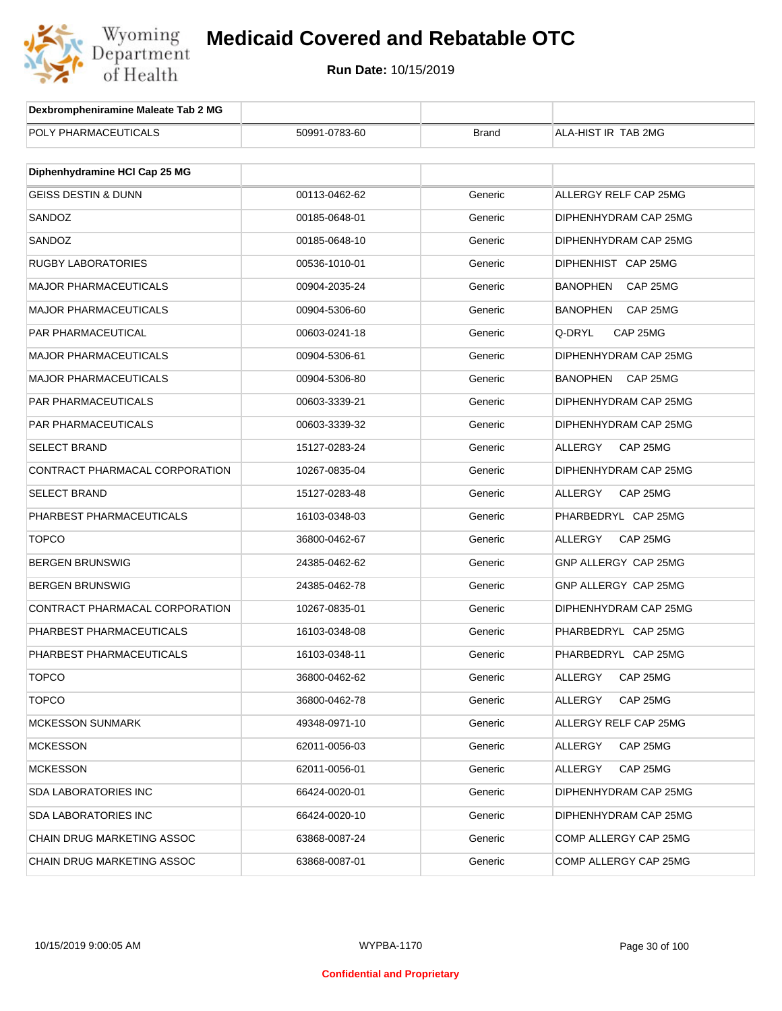

| Dexbrompheniramine Maleate Tab 2 MG |               |              |                            |
|-------------------------------------|---------------|--------------|----------------------------|
| POLY PHARMACEUTICALS                | 50991-0783-60 | <b>Brand</b> | ALA-HIST IR TAB 2MG        |
|                                     |               |              |                            |
| Diphenhydramine HCI Cap 25 MG       |               |              |                            |
| <b>GEISS DESTIN &amp; DUNN</b>      | 00113-0462-62 | Generic      | ALLERGY RELF CAP 25MG      |
| SANDOZ                              | 00185-0648-01 | Generic      | DIPHENHYDRAM CAP 25MG      |
| SANDOZ                              | 00185-0648-10 | Generic      | DIPHENHYDRAM CAP 25MG      |
| RUGBY LABORATORIES                  | 00536-1010-01 | Generic      | DIPHENHIST CAP 25MG        |
| <b>MAJOR PHARMACEUTICALS</b>        | 00904-2035-24 | Generic      | BANOPHEN<br>CAP 25MG       |
| <b>MAJOR PHARMACEUTICALS</b>        | 00904-5306-60 | Generic      | BANOPHEN<br>CAP 25MG       |
| PAR PHARMACEUTICAL                  | 00603-0241-18 | Generic      | Q-DRYL<br>CAP 25MG         |
| <b>MAJOR PHARMACEUTICALS</b>        | 00904-5306-61 | Generic      | DIPHENHYDRAM CAP 25MG      |
| <b>MAJOR PHARMACEUTICALS</b>        | 00904-5306-80 | Generic      | BANOPHEN<br>CAP 25MG       |
| PAR PHARMACEUTICALS                 | 00603-3339-21 | Generic      | DIPHENHYDRAM CAP 25MG      |
| <b>PAR PHARMACEUTICALS</b>          | 00603-3339-32 | Generic      | DIPHENHYDRAM CAP 25MG      |
| <b>SELECT BRAND</b>                 | 15127-0283-24 | Generic      | ALLERGY<br>CAP 25MG        |
| CONTRACT PHARMACAL CORPORATION      | 10267-0835-04 | Generic      | DIPHENHYDRAM CAP 25MG      |
| <b>SELECT BRAND</b>                 | 15127-0283-48 | Generic      | ALLERGY<br>CAP 25MG        |
| PHARBEST PHARMACEUTICALS            | 16103-0348-03 | Generic      | PHARBEDRYL CAP 25MG        |
| <b>TOPCO</b>                        | 36800-0462-67 | Generic      | ALLERGY<br>CAP 25MG        |
| <b>BERGEN BRUNSWIG</b>              | 24385-0462-62 | Generic      | GNP ALLERGY CAP 25MG       |
| <b>BERGEN BRUNSWIG</b>              | 24385-0462-78 | Generic      | GNP ALLERGY CAP 25MG       |
| CONTRACT PHARMACAL CORPORATION      | 10267-0835-01 | Generic      | DIPHENHYDRAM CAP 25MG      |
| PHARBEST PHARMACEUTICALS            | 16103-0348-08 | Generic      | PHARBEDRYL CAP 25MG        |
| PHARBEST PHARMACEUTICALS            | 16103-0348-11 | Generic      | PHARBEDRYL CAP 25MG        |
| TOPCO                               | 36800-0462-62 | Generic      | ALLERGY<br>CAP 25MG        |
| <b>TOPCO</b>                        | 36800-0462-78 | Generic      | ALLERGY<br>CAP 25MG        |
| <b>MCKESSON SUNMARK</b>             | 49348-0971-10 | Generic      | ALLERGY RELF CAP 25MG      |
| <b>MCKESSON</b>                     | 62011-0056-03 | Generic      | <b>ALLERGY</b><br>CAP 25MG |
| <b>MCKESSON</b>                     | 62011-0056-01 | Generic      | ALLERGY<br>CAP 25MG        |
| <b>SDA LABORATORIES INC</b>         | 66424-0020-01 | Generic      | DIPHENHYDRAM CAP 25MG      |
| <b>SDA LABORATORIES INC</b>         | 66424-0020-10 | Generic      | DIPHENHYDRAM CAP 25MG      |
| CHAIN DRUG MARKETING ASSOC          | 63868-0087-24 | Generic      | COMP ALLERGY CAP 25MG      |
| CHAIN DRUG MARKETING ASSOC          | 63868-0087-01 | Generic      | COMP ALLERGY CAP 25MG      |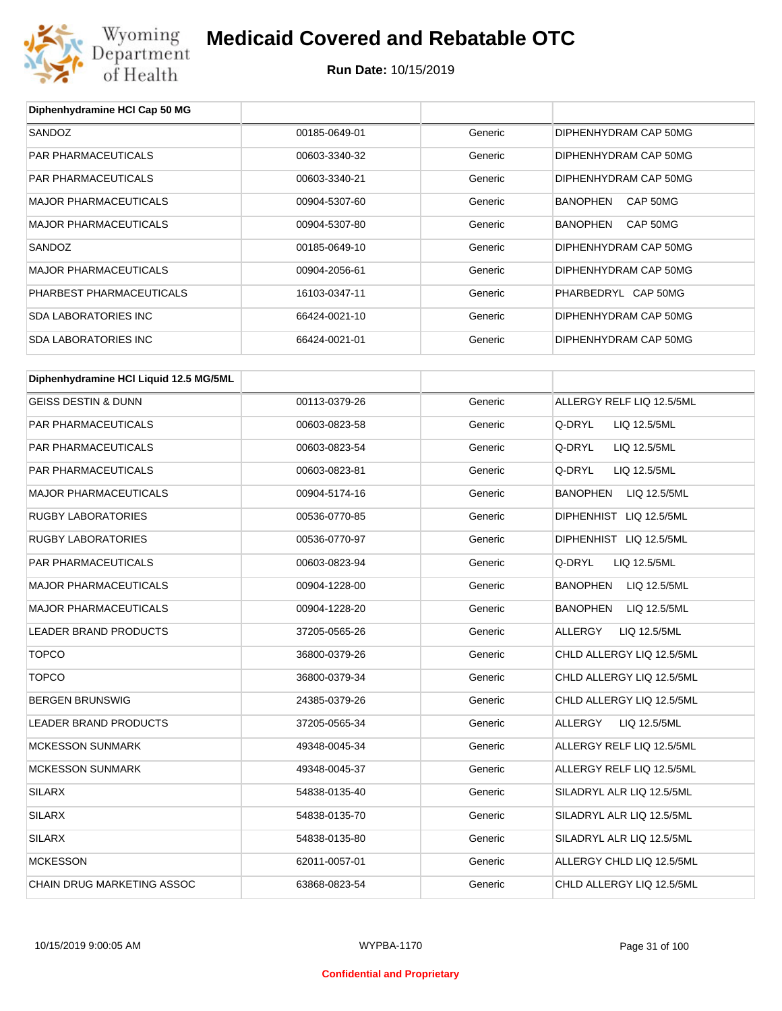

| Diphenhydramine HCI Cap 50 MG          |               |         |                             |
|----------------------------------------|---------------|---------|-----------------------------|
| SANDOZ                                 | 00185-0649-01 | Generic | DIPHENHYDRAM CAP 50MG       |
| PAR PHARMACEUTICALS                    | 00603-3340-32 | Generic | DIPHENHYDRAM CAP 50MG       |
| <b>PAR PHARMACEUTICALS</b>             | 00603-3340-21 | Generic | DIPHENHYDRAM CAP 50MG       |
| <b>MAJOR PHARMACEUTICALS</b>           | 00904-5307-60 | Generic | <b>BANOPHEN</b><br>CAP 50MG |
| <b>MAJOR PHARMACEUTICALS</b>           | 00904-5307-80 | Generic | <b>BANOPHEN</b><br>CAP 50MG |
| SANDOZ                                 | 00185-0649-10 | Generic | DIPHENHYDRAM CAP 50MG       |
| <b>MAJOR PHARMACEUTICALS</b>           | 00904-2056-61 | Generic | DIPHENHYDRAM CAP 50MG       |
| PHARBEST PHARMACEUTICALS               | 16103-0347-11 | Generic | PHARBEDRYL CAP 50MG         |
| <b>SDA LABORATORIES INC</b>            | 66424-0021-10 | Generic | DIPHENHYDRAM CAP 50MG       |
| <b>SDA LABORATORIES INC</b>            | 66424-0021-01 | Generic | DIPHENHYDRAM CAP 50MG       |
| Diphenhydramine HCI Liquid 12.5 MG/5ML |               |         |                             |
| <b>GEISS DESTIN &amp; DUNN</b>         | 00113-0379-26 | Generic | ALLERGY RELF LIQ 12.5/5ML   |
| <b>PAR PHARMACEUTICALS</b>             | 00603-0823-58 | Generic | Q-DRYL<br>LIQ 12.5/5ML      |
| PAR PHARMACEUTICALS                    | 00603-0823-54 | Generic | Q-DRYL<br>LIQ 12.5/5ML      |
| PAR PHARMACEUTICALS                    | 00603-0823-81 | Generic | Q-DRYL<br>LIQ 12.5/5ML      |
| <b>MAJOR PHARMACEUTICALS</b>           | 00904-5174-16 | Generic | BANOPHEN<br>LIQ 12.5/5ML    |
| <b>RUGBY LABORATORIES</b>              | 00536-0770-85 | Generic | DIPHENHIST LIQ 12.5/5ML     |
| <b>RUGBY LABORATORIES</b>              | 00536-0770-97 | Generic | DIPHENHIST LIQ 12.5/5ML     |
| PAR PHARMACEUTICALS                    | 00603-0823-94 | Generic | Q-DRYL<br>LIQ 12.5/5ML      |
| <b>MAJOR PHARMACEUTICALS</b>           | 00904-1228-00 | Generic | BANOPHEN<br>LIQ 12.5/5ML    |
| <b>MAJOR PHARMACEUTICALS</b>           | 00904-1228-20 | Generic | BANOPHEN<br>LIQ 12.5/5ML    |
| <b>LEADER BRAND PRODUCTS</b>           | 37205-0565-26 | Generic | ALLERGY<br>LIQ 12.5/5ML     |
| <b>TOPCO</b>                           | 36800-0379-26 | Generic | CHLD ALLERGY LIQ 12.5/5ML   |
| TOPCO                                  | 36800-0379-34 | Generic | CHLD ALLERGY LIQ 12.5/5ML   |
| <b>BERGEN BRUNSWIG</b>                 | 24385-0379-26 | Generic | CHLD ALLERGY LIQ 12.5/5ML   |
| LEADER BRAND PRODUCTS                  | 37205-0565-34 | Generic | ALLERGY<br>LIQ 12.5/5ML     |
| <b>MCKESSON SUNMARK</b>                | 49348-0045-34 | Generic | ALLERGY RELF LIQ 12.5/5ML   |
| <b>MCKESSON SUNMARK</b>                | 49348-0045-37 | Generic | ALLERGY RELF LIQ 12.5/5ML   |
| SILARX                                 | 54838-0135-40 | Generic | SILADRYL ALR LIQ 12.5/5ML   |
| SILARX                                 | 54838-0135-70 | Generic | SILADRYL ALR LIQ 12.5/5ML   |
| SILARX                                 | 54838-0135-80 | Generic | SILADRYL ALR LIQ 12.5/5ML   |
| <b>MCKESSON</b>                        | 62011-0057-01 | Generic | ALLERGY CHLD LIQ 12.5/5ML   |
| CHAIN DRUG MARKETING ASSOC             | 63868-0823-54 | Generic | CHLD ALLERGY LIQ 12.5/5ML   |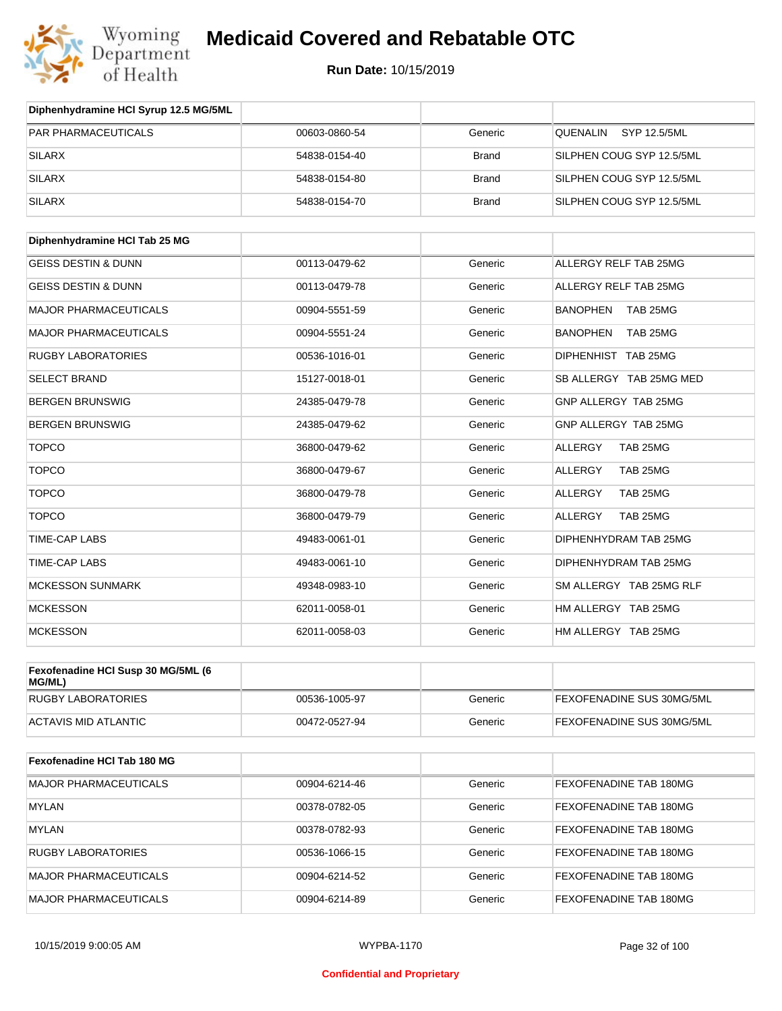

**Run Date:** 10/15/2019

| Diphenhydramine HCI Syrup 12.5 MG/5ML        |               |              |                              |
|----------------------------------------------|---------------|--------------|------------------------------|
| PAR PHARMACEUTICALS                          | 00603-0860-54 | Generic      | QUENALIN<br>SYP 12.5/5ML     |
| <b>SILARX</b>                                | 54838-0154-40 | <b>Brand</b> | SILPHEN COUG SYP 12.5/5ML    |
| <b>SILARX</b>                                | 54838-0154-80 | <b>Brand</b> | SILPHEN COUG SYP 12.5/5ML    |
| <b>SILARX</b>                                | 54838-0154-70 | <b>Brand</b> | SILPHEN COUG SYP 12.5/5ML    |
|                                              |               |              |                              |
| Diphenhydramine HCI Tab 25 MG                |               |              |                              |
| <b>GEISS DESTIN &amp; DUNN</b>               | 00113-0479-62 | Generic      | ALLERGY RELF TAB 25MG        |
| <b>GEISS DESTIN &amp; DUNN</b>               | 00113-0479-78 | Generic      | <b>ALLERGY RELF TAB 25MG</b> |
| <b>MAJOR PHARMACEUTICALS</b>                 | 00904-5551-59 | Generic      | <b>BANOPHEN</b><br>TAB 25MG  |
| <b>MAJOR PHARMACEUTICALS</b>                 | 00904-5551-24 | Generic      | <b>BANOPHEN</b><br>TAB 25MG  |
| <b>RUGBY LABORATORIES</b>                    | 00536-1016-01 | Generic      | DIPHENHIST TAB 25MG          |
| <b>SELECT BRAND</b>                          | 15127-0018-01 | Generic      | SB ALLERGY TAB 25MG MED      |
| <b>BERGEN BRUNSWIG</b>                       | 24385-0479-78 | Generic      | GNP ALLERGY TAB 25MG         |
| <b>BERGEN BRUNSWIG</b>                       | 24385-0479-62 | Generic      | GNP ALLERGY TAB 25MG         |
| <b>TOPCO</b>                                 | 36800-0479-62 | Generic      | TAB 25MG<br>ALLERGY          |
| <b>TOPCO</b>                                 | 36800-0479-67 | Generic      | <b>ALLERGY</b><br>TAB 25MG   |
| <b>TOPCO</b>                                 | 36800-0479-78 | Generic      | TAB 25MG<br>ALLERGY          |
| <b>TOPCO</b>                                 | 36800-0479-79 | Generic      | <b>ALLERGY</b><br>TAB 25MG   |
| <b>TIME-CAP LABS</b>                         | 49483-0061-01 | Generic      | DIPHENHYDRAM TAB 25MG        |
| TIME-CAP LABS                                | 49483-0061-10 | Generic      | DIPHENHYDRAM TAB 25MG        |
| <b>MCKESSON SUNMARK</b>                      | 49348-0983-10 | Generic      | SM ALLERGY TAB 25MG RLF      |
| <b>MCKESSON</b>                              | 62011-0058-01 | Generic      | HM ALLERGY TAB 25MG          |
| <b>MCKESSON</b>                              | 62011-0058-03 | Generic      | HM ALLERGY TAB 25MG          |
| Fexofenadine HCI Susp 30 MG/5ML (6<br>MG/ML) |               |              |                              |
| RUGBY LABORATORIES                           | 00536-1005-97 | Generic      | FEXOFENADINE SUS 30MG/5ML    |
| <b>ACTAVIS MID ATLANTIC</b>                  | 00472-0527-94 | Generic      | FEXOFENADINE SUS 30MG/5ML    |
| Fexofenadine HCI Tab 180 MG                  |               |              |                              |
| <b>MAJOR PHARMACEUTICALS</b>                 | 00904-6214-46 | Generic      | FEXOFENADINE TAB 180MG       |
| <b>MYLAN</b>                                 | 00378-0782-05 | Generic      | FEXOFENADINE TAB 180MG       |
| <b>MYLAN</b>                                 | 00378-0782-93 | Generic      | FEXOFENADINE TAB 180MG       |
| <b>RUGBY LABORATORIES</b>                    | 00536-1066-15 | Generic      | FEXOFENADINE TAB 180MG       |
| MAJOR PHARMACEUTICALS                        | 00904-6214-52 | Generic      | FEXOFENADINE TAB 180MG       |
| MAJOR PHARMACEUTICALS                        | 00904-6214-89 | Generic      | FEXOFENADINE TAB 180MG       |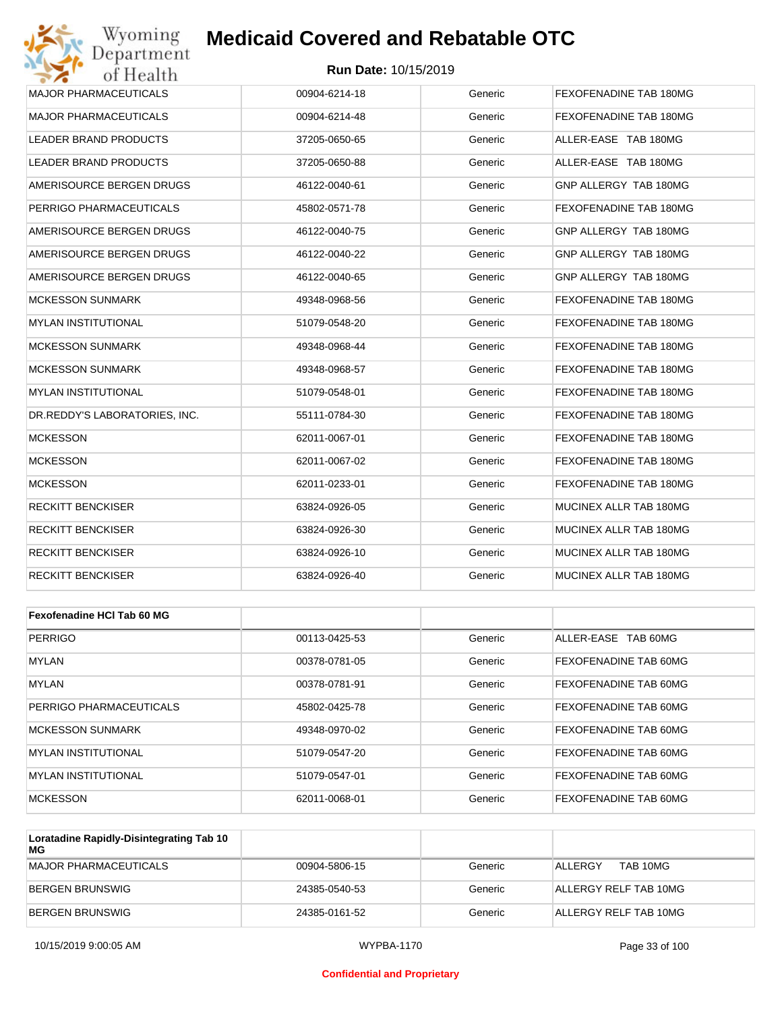

| <b>MAJOR PHARMACEUTICALS</b>  | 00904-6214-18 | Generic | FEXOFENADINE TAB 180MG |
|-------------------------------|---------------|---------|------------------------|
| <b>MAJOR PHARMACEUTICALS</b>  | 00904-6214-48 | Generic | FEXOFENADINE TAB 180MG |
| <b>LEADER BRAND PRODUCTS</b>  | 37205-0650-65 | Generic | ALLER-EASE TAB 180MG   |
| <b>LEADER BRAND PRODUCTS</b>  | 37205-0650-88 | Generic | ALLER-EASE TAB 180MG   |
| AMERISOURCE BERGEN DRUGS      | 46122-0040-61 | Generic | GNP ALLERGY TAB 180MG  |
| PERRIGO PHARMACEUTICALS       | 45802-0571-78 | Generic | FEXOFENADINE TAB 180MG |
| AMERISOURCE BERGEN DRUGS      | 46122-0040-75 | Generic | GNP ALLERGY TAB 180MG  |
| AMERISOURCE BERGEN DRUGS      | 46122-0040-22 | Generic | GNP ALLERGY TAB 180MG  |
| AMERISOURCE BERGEN DRUGS      | 46122-0040-65 | Generic | GNP ALLERGY TAB 180MG  |
| <b>MCKESSON SUNMARK</b>       | 49348-0968-56 | Generic | FEXOFENADINE TAB 180MG |
| <b>MYLAN INSTITUTIONAL</b>    | 51079-0548-20 | Generic | FEXOFENADINE TAB 180MG |
| <b>MCKESSON SUNMARK</b>       | 49348-0968-44 | Generic | FEXOFENADINE TAB 180MG |
| <b>MCKESSON SUNMARK</b>       | 49348-0968-57 | Generic | FEXOFENADINE TAB 180MG |
| <b>MYLAN INSTITUTIONAL</b>    | 51079-0548-01 | Generic | FEXOFENADINE TAB 180MG |
| DR.REDDY'S LABORATORIES, INC. | 55111-0784-30 | Generic | FEXOFENADINE TAB 180MG |
| <b>MCKESSON</b>               | 62011-0067-01 | Generic | FEXOFENADINE TAB 180MG |
| <b>MCKESSON</b>               | 62011-0067-02 | Generic | FEXOFENADINE TAB 180MG |
| <b>MCKESSON</b>               | 62011-0233-01 | Generic | FEXOFENADINE TAB 180MG |
| <b>RECKITT BENCKISER</b>      | 63824-0926-05 | Generic | MUCINEX ALLR TAB 180MG |
| <b>RECKITT BENCKISER</b>      | 63824-0926-30 | Generic | MUCINEX ALLR TAB 180MG |
| <b>RECKITT BENCKISER</b>      | 63824-0926-10 | Generic | MUCINEX ALLR TAB 180MG |
| <b>RECKITT BENCKISER</b>      | 63824-0926-40 | Generic | MUCINEX ALLR TAB 180MG |
|                               |               |         |                        |

| Fexofenadine HCI Tab 60 MG |               |         |                       |
|----------------------------|---------------|---------|-----------------------|
| <b>PERRIGO</b>             | 00113-0425-53 | Generic | ALLER-EASE TAB 60MG   |
| <b>MYLAN</b>               | 00378-0781-05 | Generic | FEXOFENADINE TAB 60MG |
| <b>MYLAN</b>               | 00378-0781-91 | Generic | FEXOFENADINE TAB 60MG |
| PERRIGO PHARMACEUTICALS    | 45802-0425-78 | Generic | FEXOFENADINE TAB 60MG |
| <b>MCKESSON SUNMARK</b>    | 49348-0970-02 | Generic | FEXOFENADINE TAB 60MG |
| <b>MYLAN INSTITUTIONAL</b> | 51079-0547-20 | Generic | FEXOFENADINE TAB 60MG |
| <b>MYLAN INSTITUTIONAL</b> | 51079-0547-01 | Generic | FEXOFENADINE TAB 60MG |
| <b>MCKESSON</b>            | 62011-0068-01 | Generic | FEXOFENADINE TAB 60MG |

| Loratadine Rapidly-Disintegrating Tab 10<br>MG |               |         |                            |
|------------------------------------------------|---------------|---------|----------------------------|
| MAJOR PHARMACEUTICALS                          | 00904-5806-15 | Generic | <b>ALLERGY</b><br>TAB 10MG |
| BERGEN BRUNSWIG                                | 24385-0540-53 | Generic | ALLERGY RELF TAB 10MG      |
| BERGEN BRUNSWIG                                | 24385-0161-52 | Generic | ALLERGY RELF TAB 10MG      |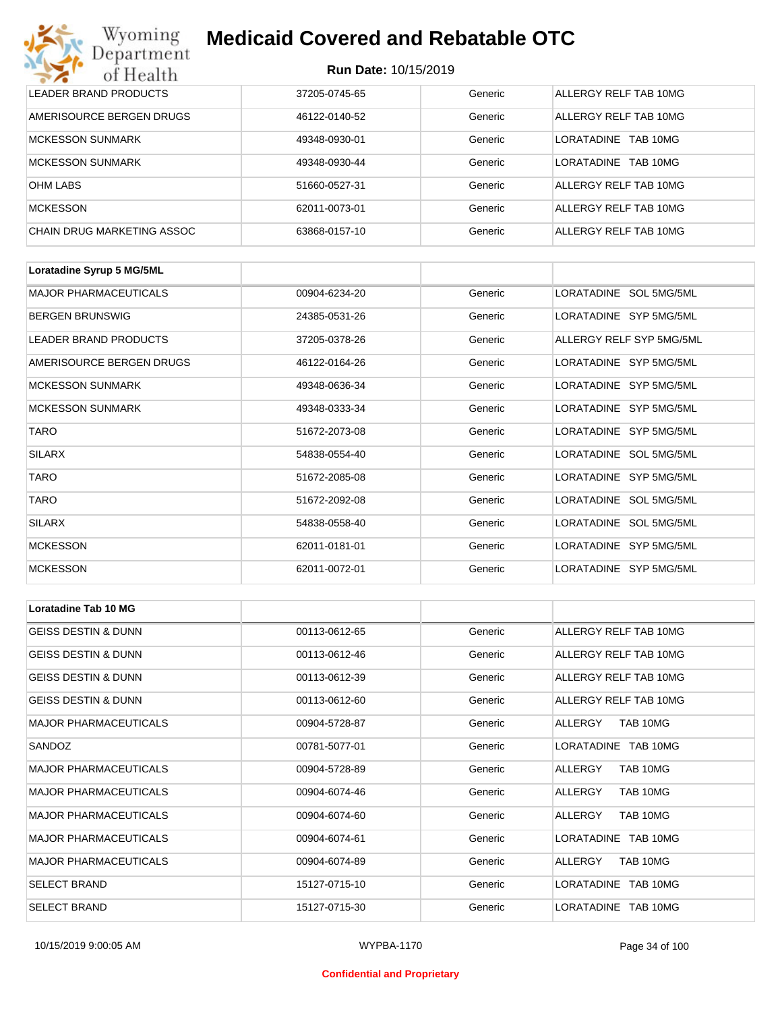| Wyoming<br><b>Medicaid Covered and Rebatable OTC</b><br>Department |                             |         |                               |  |
|--------------------------------------------------------------------|-----------------------------|---------|-------------------------------|--|
| of Health                                                          | <b>Run Date: 10/15/2019</b> |         |                               |  |
| LEADER BRAND PRODUCTS                                              | 37205-0745-65               | Generic | ALLERGY RELF TAB 10MG         |  |
| AMERISOURCE BERGEN DRUGS                                           | 46122-0140-52               | Generic | ALLERGY RELF TAB 10MG         |  |
| <b>MCKESSON SUNMARK</b>                                            | 49348-0930-01               | Generic | <b>LORATADINE</b><br>TAB 10MG |  |
| <b>MCKESSON SUNMARK</b>                                            | 49348-0930-44               | Generic | <b>LORATADINE</b><br>TAB 10MG |  |
| <b>OHM LABS</b>                                                    | 51660-0527-31               | Generic | ALLERGY RELF TAB 10MG         |  |
| <b>MCKESSON</b>                                                    | 62011-0073-01               | Generic | ALLERGY RELF TAB 10MG         |  |
| CHAIN DRUG MARKETING ASSOC                                         | 63868-0157-10               | Generic | ALLERGY RELF TAB 10MG         |  |

| Loratadine Syrup 5 MG/5ML    |               |         |                          |
|------------------------------|---------------|---------|--------------------------|
| <b>MAJOR PHARMACEUTICALS</b> | 00904-6234-20 | Generic | LORATADINE SOL 5MG/5ML   |
| <b>BERGEN BRUNSWIG</b>       | 24385-0531-26 | Generic | LORATADINE SYP 5MG/5ML   |
| LEADER BRAND PRODUCTS        | 37205-0378-26 | Generic | ALLERGY RELF SYP 5MG/5ML |
| AMERISOURCE BERGEN DRUGS     | 46122-0164-26 | Generic | LORATADINE SYP 5MG/5ML   |
| <b>MCKESSON SUNMARK</b>      | 49348-0636-34 | Generic | LORATADINE SYP 5MG/5ML   |
| <b>MCKESSON SUNMARK</b>      | 49348-0333-34 | Generic | LORATADINE SYP 5MG/5ML   |
| <b>TARO</b>                  | 51672-2073-08 | Generic | LORATADINE SYP 5MG/5ML   |
| <b>SILARX</b>                | 54838-0554-40 | Generic | LORATADINE SOL 5MG/5ML   |
| <b>TARO</b>                  | 51672-2085-08 | Generic | LORATADINE SYP 5MG/5ML   |
| <b>TARO</b>                  | 51672-2092-08 | Generic | LORATADINE SOL 5MG/5ML   |
| <b>SILARX</b>                | 54838-0558-40 | Generic | LORATADINE SOL 5MG/5ML   |
| <b>MCKESSON</b>              | 62011-0181-01 | Generic | LORATADINE SYP 5MG/5ML   |
| <b>MCKESSON</b>              | 62011-0072-01 | Generic | LORATADINE SYP 5MG/5ML   |

| Loratadine Tab 10 MG           |               |         |                       |
|--------------------------------|---------------|---------|-----------------------|
| <b>GEISS DESTIN &amp; DUNN</b> | 00113-0612-65 | Generic | ALLERGY RELF TAB 10MG |
| <b>GEISS DESTIN &amp; DUNN</b> | 00113-0612-46 | Generic | ALLERGY RELF TAB 10MG |
| <b>GEISS DESTIN &amp; DUNN</b> | 00113-0612-39 | Generic | ALLERGY RELF TAB 10MG |
| <b>GEISS DESTIN &amp; DUNN</b> | 00113-0612-60 | Generic | ALLERGY RELF TAB 10MG |
| <b>MAJOR PHARMACEUTICALS</b>   | 00904-5728-87 | Generic | TAB 10MG<br>ALLERGY   |
| SANDOZ                         | 00781-5077-01 | Generic | LORATADINE TAB 10MG   |
| <b>MAJOR PHARMACEUTICALS</b>   | 00904-5728-89 | Generic | TAB 10MG<br>ALLERGY   |
| <b>MAJOR PHARMACEUTICALS</b>   | 00904-6074-46 | Generic | TAB 10MG<br>ALLERGY   |
| <b>MAJOR PHARMACEUTICALS</b>   | 00904-6074-60 | Generic | ALLERGY<br>TAB 10MG   |
| <b>MAJOR PHARMACEUTICALS</b>   | 00904-6074-61 | Generic | LORATADINE TAB 10MG   |
| <b>MAJOR PHARMACEUTICALS</b>   | 00904-6074-89 | Generic | ALLERGY<br>TAB 10MG   |
| <b>SELECT BRAND</b>            | 15127-0715-10 | Generic | LORATADINE TAB 10MG   |
| <b>SELECT BRAND</b>            | 15127-0715-30 | Generic | LORATADINE TAB 10MG   |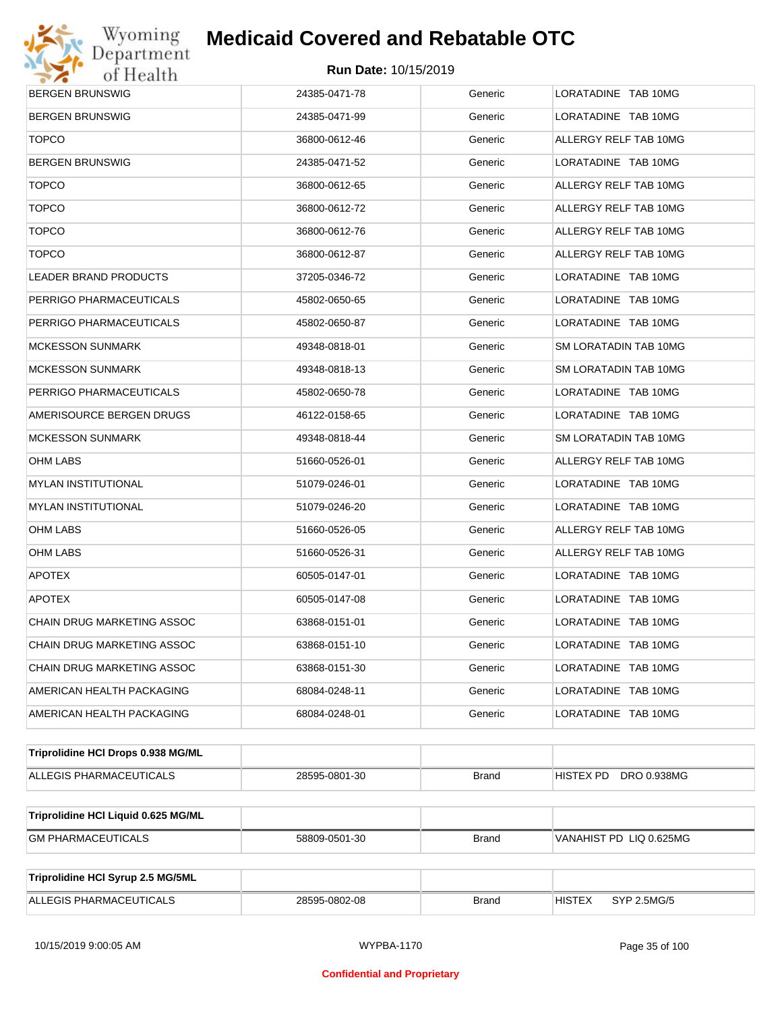

| <b>BERGEN BRUNSWIG</b>              | 24385-0471-78 | Generic      | LORATADINE TAB 10MG          |  |  |
|-------------------------------------|---------------|--------------|------------------------------|--|--|
| <b>BERGEN BRUNSWIG</b>              | 24385-0471-99 | Generic      | LORATADINE TAB 10MG          |  |  |
| <b>TOPCO</b>                        | 36800-0612-46 | Generic      | ALLERGY RELF TAB 10MG        |  |  |
| BERGEN BRUNSWIG                     | 24385-0471-52 | Generic      | LORATADINE TAB 10MG          |  |  |
| <b>TOPCO</b>                        | 36800-0612-65 | Generic      | ALLERGY RELF TAB 10MG        |  |  |
| <b>TOPCO</b>                        | 36800-0612-72 | Generic      | ALLERGY RELF TAB 10MG        |  |  |
| <b>TOPCO</b>                        | 36800-0612-76 | Generic      | ALLERGY RELF TAB 10MG        |  |  |
| <b>TOPCO</b>                        | 36800-0612-87 | Generic      | ALLERGY RELF TAB 10MG        |  |  |
| LEADER BRAND PRODUCTS               | 37205-0346-72 | Generic      | LORATADINE TAB 10MG          |  |  |
| PERRIGO PHARMACEUTICALS             | 45802-0650-65 | Generic      | LORATADINE TAB 10MG          |  |  |
| PERRIGO PHARMACEUTICALS             | 45802-0650-87 | Generic      | LORATADINE TAB 10MG          |  |  |
| MCKESSON SUNMARK                    | 49348-0818-01 | Generic      | SM LORATADIN TAB 10MG        |  |  |
| MCKESSON SUNMARK                    | 49348-0818-13 | Generic      | SM LORATADIN TAB 10MG        |  |  |
| PERRIGO PHARMACEUTICALS             | 45802-0650-78 | Generic      | LORATADINE TAB 10MG          |  |  |
| AMERISOURCE BERGEN DRUGS            | 46122-0158-65 | Generic      | LORATADINE TAB 10MG          |  |  |
| MCKESSON SUNMARK                    | 49348-0818-44 | Generic      | SM LORATADIN TAB 10MG        |  |  |
| OHM LABS                            | 51660-0526-01 | Generic      | ALLERGY RELF TAB 10MG        |  |  |
| MYLAN INSTITUTIONAL                 | 51079-0246-01 | Generic      | LORATADINE TAB 10MG          |  |  |
| MYLAN INSTITUTIONAL                 | 51079-0246-20 | Generic      | LORATADINE TAB 10MG          |  |  |
| OHM LABS                            | 51660-0526-05 | Generic      | ALLERGY RELF TAB 10MG        |  |  |
| OHM LABS                            | 51660-0526-31 | Generic      | ALLERGY RELF TAB 10MG        |  |  |
| <b>APOTEX</b>                       | 60505-0147-01 | Generic      | LORATADINE TAB 10MG          |  |  |
| <b>APOTEX</b>                       | 60505-0147-08 | Generic      | LORATADINE TAB 10MG          |  |  |
| CHAIN DRUG MARKETING ASSOC          | 63868-0151-01 | Generic      | LORATADINE TAB 10MG          |  |  |
| CHAIN DRUG MARKETING ASSOC          | 63868-0151-10 | Generic      | LORATADINE TAB 10MG          |  |  |
| CHAIN DRUG MARKETING ASSOC          | 63868-0151-30 | Generic      | LORATADINE TAB 10MG          |  |  |
| AMERICAN HEALTH PACKAGING           | 68084-0248-11 | Generic      | LORATADINE TAB 10MG          |  |  |
| AMERICAN HEALTH PACKAGING           | 68084-0248-01 | Generic      | LORATADINE TAB 10MG          |  |  |
| Triprolidine HCI Drops 0.938 MG/ML  |               |              |                              |  |  |
| ALLEGIS PHARMACEUTICALS             | 28595-0801-30 | <b>Brand</b> | HISTEX PD<br>DRO 0.938MG     |  |  |
|                                     |               |              |                              |  |  |
| Triprolidine HCI Liquid 0.625 MG/ML |               |              |                              |  |  |
| <b>GM PHARMACEUTICALS</b>           | 58809-0501-30 | <b>Brand</b> | VANAHIST PD LIQ 0.625MG      |  |  |
|                                     |               |              |                              |  |  |
| Triprolidine HCI Syrup 2.5 MG/5ML   |               |              |                              |  |  |
| ALLEGIS PHARMACEUTICALS             | 28595-0802-08 | <b>Brand</b> | <b>HISTEX</b><br>SYP 2.5MG/5 |  |  |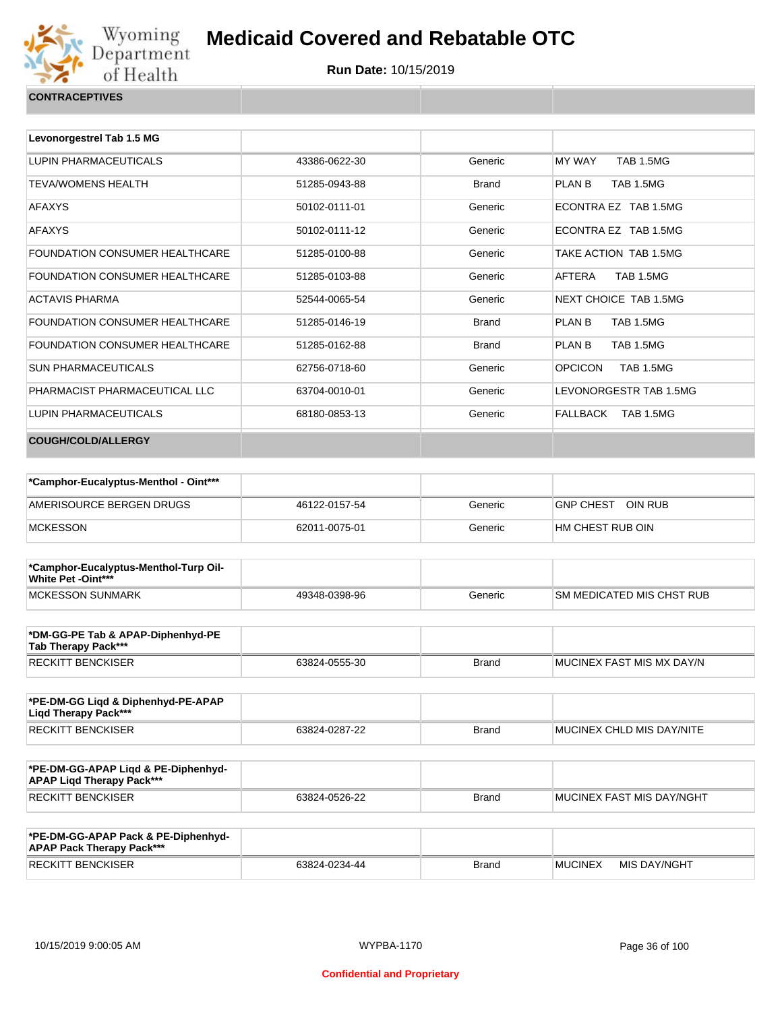

| <b>CONTRACEPTIVES</b> |  |
|-----------------------|--|
|                       |  |

| Levonorgestrel Tab 1.5 MG             |               |              |                                    |
|---------------------------------------|---------------|--------------|------------------------------------|
| LUPIN PHARMACEUTICALS                 | 43386-0622-30 | Generic      | <b>MY WAY</b><br><b>TAB 1.5MG</b>  |
| <b>TEVA/WOMENS HEALTH</b>             | 51285-0943-88 | <b>Brand</b> | PLAN B<br><b>TAB 1.5MG</b>         |
| <b>AFAXYS</b>                         | 50102-0111-01 | Generic      | ECONTRA EZ TAB 1.5MG               |
| <b>AFAXYS</b>                         | 50102-0111-12 | Generic      | ECONTRA EZ TAB 1.5MG               |
| <b>FOUNDATION CONSUMER HEALTHCARE</b> | 51285-0100-88 | Generic      | TAKE ACTION TAB 1.5MG              |
| <b>FOUNDATION CONSUMER HEALTHCARE</b> | 51285-0103-88 | Generic      | AFTERA<br><b>TAB 1.5MG</b>         |
| <b>ACTAVIS PHARMA</b>                 | 52544-0065-54 | Generic      | NEXT CHOICE TAB 1.5MG              |
| FOUNDATION CONSUMER HEALTHCARE        | 51285-0146-19 | <b>Brand</b> | <b>TAB 1.5MG</b><br>PLAN B         |
| <b>FOUNDATION CONSUMER HEALTHCARE</b> | 51285-0162-88 | <b>Brand</b> | PLAN B<br><b>TAB 1.5MG</b>         |
| <b>SUN PHARMACEUTICALS</b>            | 62756-0718-60 | Generic      | <b>OPCICON</b><br><b>TAB 1.5MG</b> |
| PHARMACIST PHARMACEUTICAL LLC         | 63704-0010-01 | Generic      | LEVONORGESTR TAB 1.5MG             |
| LUPIN PHARMACEUTICALS                 | 68180-0853-13 | Generic      | FALLBACK<br>TAB 1.5MG              |
| COUGH/COLD/ALLERGY                    |               |              |                                    |

| *Camphor-Eucalyptus-Menthol - Oint*** |               |         |                             |
|---------------------------------------|---------------|---------|-----------------------------|
| AMERISOURCE BERGEN DRUGS              | 46122-0157-54 | Generic | OIN RUB<br><b>GNP CHEST</b> |
| <b>MCKESSON</b>                       | 62011-0075-01 | Generic | HM CHEST RUB OIN            |

| *Camphor-Eucalyptus-Menthol-Turp Oil-<br>White Pet -Oint*** |               |         |                            |
|-------------------------------------------------------------|---------------|---------|----------------------------|
| MCKESSON SUNMARK                                            | 49348-0398-96 | Generic | ISM MEDICATED MIS CHST RUB |

| *DM-GG-PE Tab & APAP-Diphenhyd-PE<br>Tab Therapy Pack*** |               |       |                           |
|----------------------------------------------------------|---------------|-------|---------------------------|
| RECKITT BENCKISER                                        | 63824-0555-30 | Brand | MUCINEX FAST MIS MX DAY/N |

| *PE-DM-GG Ligd & Diphenhyd-PE-APAP<br>Ligd Therapy Pack*** |               |              |                           |
|------------------------------------------------------------|---------------|--------------|---------------------------|
| <b>RECKITT BENCKISER</b>                                   | 63824-0287-22 | <b>Brand</b> | MUCINEX CHLD MIS DAY/NITE |

| *PE-DM-GG-APAP Ligd & PE-Diphenhyd-<br><b>APAP Ligd Therapy Pack***</b> |               |       |                             |
|-------------------------------------------------------------------------|---------------|-------|-----------------------------|
| <b>RECKITT BENCKISER</b>                                                | 63824-0526-22 | Brand | I MUCINEX FAST MIS DAY/NGHT |

| *PE-DM-GG-APAP Pack & PE-Diphenhyd-<br><b>APAP Pack Therapy Pack***</b> |               |              |                |              |
|-------------------------------------------------------------------------|---------------|--------------|----------------|--------------|
| <b>RECKITT BENCKISER</b>                                                | 63824-0234-44 | <b>Brand</b> | <b>MUCINEX</b> | MIS DAY/NGHT |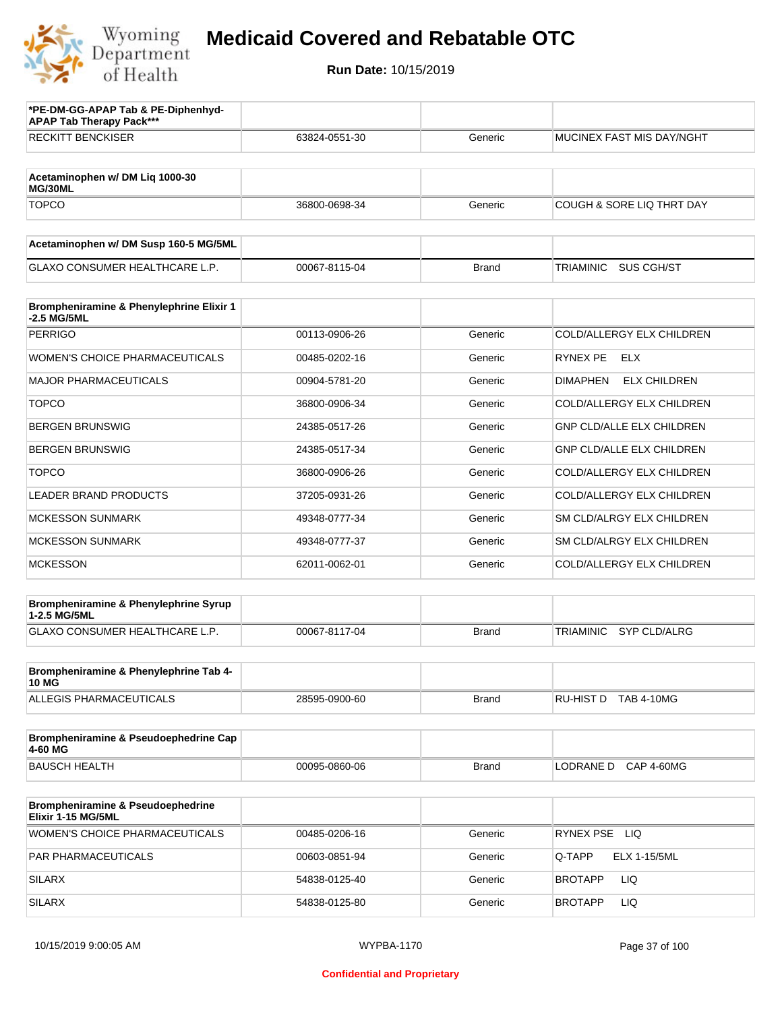

| *PE-DM-GG-APAP Tab & PE-Diphenhyd-<br><b>APAP Tab Therapy Pack***</b> |               |              |                                        |
|-----------------------------------------------------------------------|---------------|--------------|----------------------------------------|
| <b>RECKITT BENCKISER</b>                                              | 63824-0551-30 | Generic      | MUCINEX FAST MIS DAY/NGHT              |
| Acetaminophen w/ DM Liq 1000-30<br>MG/30ML                            |               |              |                                        |
| <b>TOPCO</b>                                                          | 36800-0698-34 | Generic      | <b>COUGH &amp; SORE LIQ THRT DAY</b>   |
| Acetaminophen w/ DM Susp 160-5 MG/5ML                                 |               |              |                                        |
| <b>GLAXO CONSUMER HEALTHCARE L.P.</b>                                 | 00067-8115-04 | <b>Brand</b> | <b>TRIAMINIC</b><br>SUS CGH/ST         |
| Brompheniramine & Phenylephrine Elixir 1<br>-2.5 MG/5ML               |               |              |                                        |
| PERRIGO                                                               | 00113-0906-26 | Generic      | COLD/ALLERGY ELX CHILDREN              |
| <b>WOMEN'S CHOICE PHARMACEUTICALS</b>                                 | 00485-0202-16 | Generic      | <b>RYNEX PE</b><br><b>ELX</b>          |
| <b>MAJOR PHARMACEUTICALS</b>                                          | 00904-5781-20 | Generic      | <b>DIMAPHEN</b><br><b>ELX CHILDREN</b> |
| <b>TOPCO</b>                                                          | 36800-0906-34 | Generic      | COLD/ALLERGY ELX CHILDREN              |
| <b>BERGEN BRUNSWIG</b>                                                | 24385-0517-26 | Generic      | <b>GNP CLD/ALLE ELX CHILDREN</b>       |
| <b>BERGEN BRUNSWIG</b>                                                | 24385-0517-34 | Generic      | <b>GNP CLD/ALLE ELX CHILDREN</b>       |
| <b>TOPCO</b>                                                          | 36800-0906-26 | Generic      | COLD/ALLERGY ELX CHILDREN              |
| <b>LEADER BRAND PRODUCTS</b>                                          | 37205-0931-26 | Generic      | COLD/ALLERGY ELX CHILDREN              |
| <b>MCKESSON SUNMARK</b>                                               | 49348-0777-34 | Generic      | SM CLD/ALRGY ELX CHILDREN              |
| <b>MCKESSON SUNMARK</b>                                               | 49348-0777-37 | Generic      | SM CLD/ALRGY ELX CHILDREN              |
| <b>MCKESSON</b>                                                       | 62011-0062-01 | Generic      | COLD/ALLERGY ELX CHILDREN              |
| Brompheniramine & Phenylephrine Syrup<br>1-2.5 MG/5ML                 |               |              |                                        |
| <b>GLAXO CONSUMER HEALTHCARE L.P.</b>                                 | 00067-8117-04 | <b>Brand</b> | <b>TRIAMINIC</b><br>SYP CLD/ALRG       |
| Brompheniramine & Phenylephrine Tab 4-                                |               |              |                                        |
| <b>10 MG</b><br>ALLEGIS PHARMACEUTICALS                               | 28595-0900-60 | Brand        | RU-HIST D TAB 4-10MG                   |
|                                                                       |               |              |                                        |
| Brompheniramine & Pseudoephedrine Cap<br>4-60 MG                      |               |              |                                        |
| <b>BAUSCH HEALTH</b>                                                  | 00095-0860-06 | <b>Brand</b> | LODRANE D CAP 4-60MG                   |
| Brompheniramine & Pseudoephedrine<br>Elixir 1-15 MG/5ML               |               |              |                                        |
| WOMEN'S CHOICE PHARMACEUTICALS                                        | 00485-0206-16 | Generic      | RYNEX PSE LIQ                          |
| PAR PHARMACEUTICALS                                                   | 00603-0851-94 | Generic      | Q-TAPP<br>ELX 1-15/5ML                 |
| <b>SILARX</b>                                                         | 54838-0125-40 | Generic      | <b>BROTAPP</b><br>LIQ                  |
| <b>SILARX</b>                                                         | 54838-0125-80 | Generic      | <b>BROTAPP</b><br>LIQ.                 |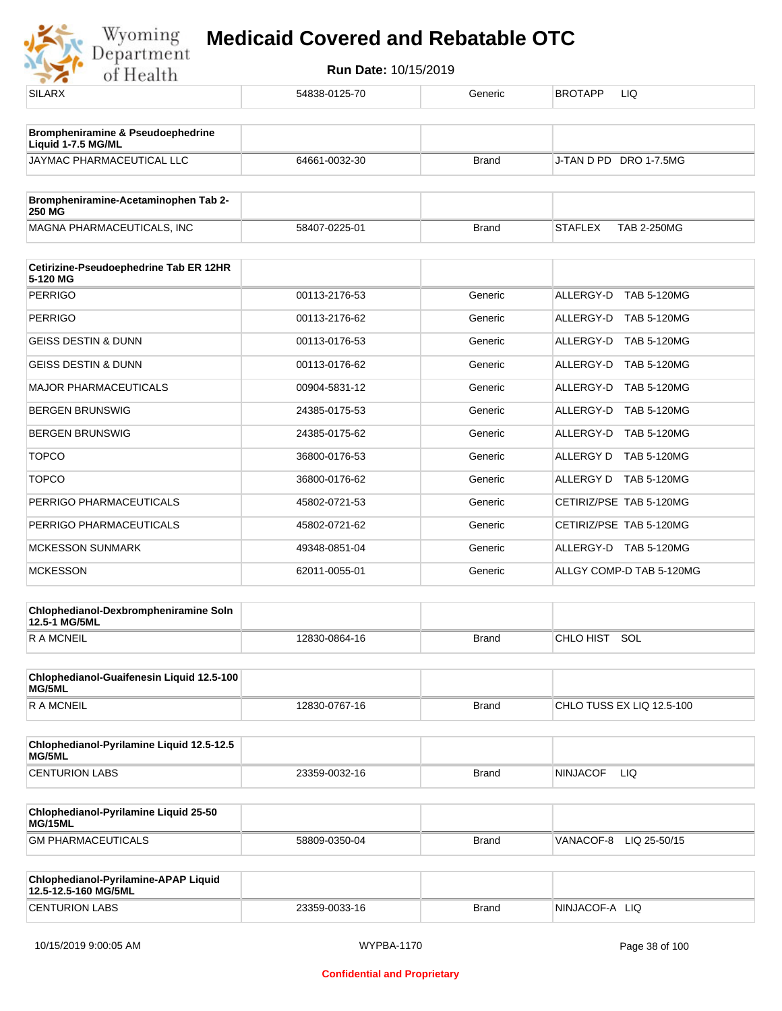

| <b>SILARX</b>                                                | 54838-0125-70 | Generic      | <b>BROTAPP</b><br>LIQ                |
|--------------------------------------------------------------|---------------|--------------|--------------------------------------|
| Brompheniramine & Pseudoephedrine                            |               |              |                                      |
| Liquid 1-7.5 MG/ML                                           |               |              |                                      |
| JAYMAC PHARMACEUTICAL LLC                                    | 64661-0032-30 | <b>Brand</b> | J-TAN D PD DRO 1-7.5MG               |
| Brompheniramine-Acetaminophen Tab 2-                         |               |              |                                      |
| 250 MG<br>MAGNA PHARMACEUTICALS, INC                         | 58407-0225-01 | <b>Brand</b> | <b>STAFLEX</b><br><b>TAB 2-250MG</b> |
|                                                              |               |              |                                      |
| Cetirizine-Pseudoephedrine Tab ER 12HR<br>5-120 MG           |               |              |                                      |
| <b>PERRIGO</b>                                               | 00113-2176-53 | Generic      | ALLERGY-D<br><b>TAB 5-120MG</b>      |
| <b>PERRIGO</b>                                               | 00113-2176-62 | Generic      | ALLERGY-D TAB 5-120MG                |
| <b>GEISS DESTIN &amp; DUNN</b>                               | 00113-0176-53 | Generic      | ALLERGY-D<br><b>TAB 5-120MG</b>      |
| GEISS DESTIN & DUNN                                          | 00113-0176-62 | Generic      | ALLERGY-D<br>TAB 5-120MG             |
| <b>MAJOR PHARMACEUTICALS</b>                                 | 00904-5831-12 | Generic      | ALLERGY-D<br><b>TAB 5-120MG</b>      |
| <b>BERGEN BRUNSWIG</b>                                       | 24385-0175-53 | Generic      | ALLERGY-D TAB 5-120MG                |
| <b>BERGEN BRUNSWIG</b>                                       | 24385-0175-62 | Generic      | ALLERGY-D<br><b>TAB 5-120MG</b>      |
| <b>TOPCO</b>                                                 | 36800-0176-53 | Generic      | ALLERGY D TAB 5-120MG                |
| <b>TOPCO</b>                                                 | 36800-0176-62 | Generic      | ALLERGY D<br><b>TAB 5-120MG</b>      |
| PERRIGO PHARMACEUTICALS                                      | 45802-0721-53 | Generic      | CETIRIZ/PSE TAB 5-120MG              |
| PERRIGO PHARMACEUTICALS                                      | 45802-0721-62 | Generic      | CETIRIZ/PSE TAB 5-120MG              |
| <b>MCKESSON SUNMARK</b>                                      | 49348-0851-04 | Generic      | ALLERGY-D TAB 5-120MG                |
| <b>MCKESSON</b>                                              | 62011-0055-01 | Generic      | ALLGY COMP-D TAB 5-120MG             |
| Chlophedianol-Dexbrompheniramine Soln                        |               |              |                                      |
| 12.5-1 MG/5ML                                                |               |              | SOL<br>CHLO HIST                     |
| R A MCNEIL                                                   | 12830-0864-16 | <b>Brand</b> |                                      |
| Chlophedianol-Guaifenesin Liquid 12.5-100<br>MG/5ML          |               |              |                                      |
| <b>RAMCNEIL</b>                                              | 12830-0767-16 | <b>Brand</b> | CHLO TUSS EX LIQ 12.5-100            |
| Chlophedianol-Pyrilamine Liquid 12.5-12.5<br>MG/5ML          |               |              |                                      |
| <b>CENTURION LABS</b>                                        | 23359-0032-16 | <b>Brand</b> | <b>NINJACOF</b><br>LIQ.              |
| Chlophedianol-Pyrilamine Liquid 25-50<br>MG/15ML             |               |              |                                      |
| <b>GM PHARMACEUTICALS</b>                                    | 58809-0350-04 | <b>Brand</b> | VANACOF-8 LIQ 25-50/15               |
|                                                              |               |              |                                      |
| Chlophedianol-Pyrilamine-APAP Liquid<br>12.5-12.5-160 MG/5ML |               |              |                                      |
| <b>CENTURION LABS</b>                                        | 23359-0033-16 | Brand        | NINJACOF-A LIQ                       |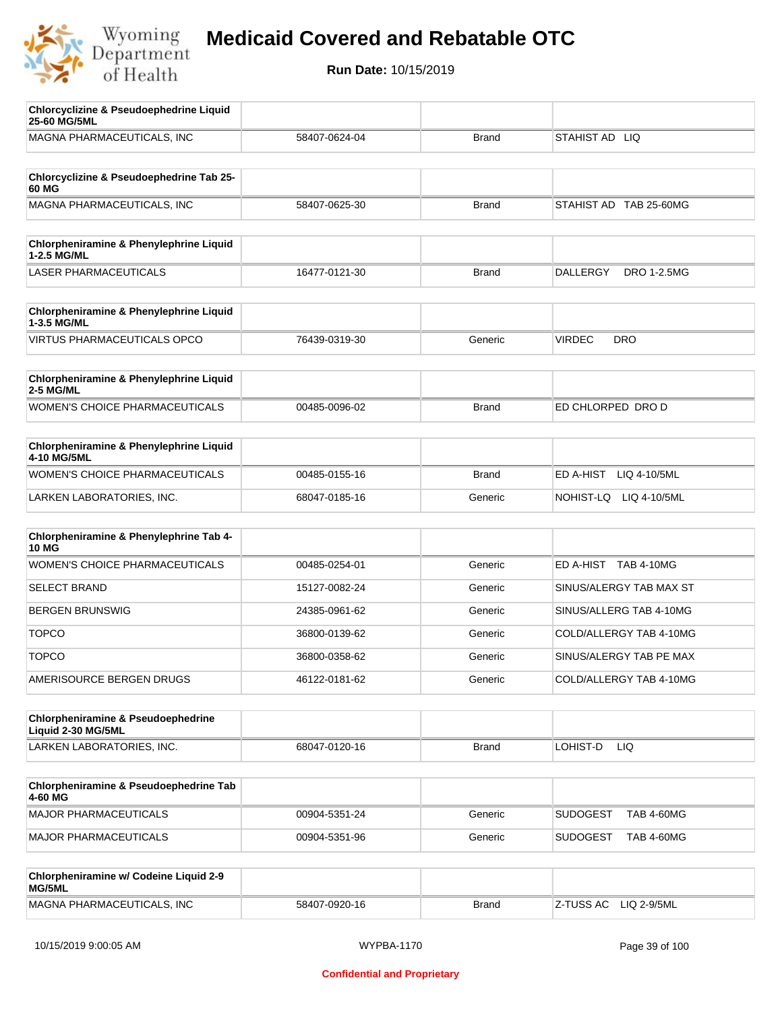

| <b>Chlorcyclizine &amp; Pseudoephedrine Liquid</b><br>25-60 MG/5ML |               |              |                                       |
|--------------------------------------------------------------------|---------------|--------------|---------------------------------------|
| MAGNA PHARMACEUTICALS, INC                                         | 58407-0624-04 | <b>Brand</b> | STAHIST AD LIQ                        |
| Chlorcyclizine & Pseudoephedrine Tab 25-<br>60 MG                  |               |              |                                       |
| MAGNA PHARMACEUTICALS, INC                                         | 58407-0625-30 | <b>Brand</b> | STAHIST AD TAB 25-60MG                |
| Chlorpheniramine & Phenylephrine Liquid<br>1-2.5 MG/ML             |               |              |                                       |
| LASER PHARMACEUTICALS                                              | 16477-0121-30 | <b>Brand</b> | <b>DALLERGY</b><br><b>DRO 1-2.5MG</b> |
| Chlorpheniramine & Phenylephrine Liquid<br>1-3.5 MG/ML             |               |              |                                       |
| <b>VIRTUS PHARMACEUTICALS OPCO</b>                                 | 76439-0319-30 | Generic      | <b>VIRDEC</b><br><b>DRO</b>           |
| Chlorpheniramine & Phenylephrine Liquid<br><b>2-5 MG/ML</b>        |               |              |                                       |
| <b>WOMEN'S CHOICE PHARMACEUTICALS</b>                              | 00485-0096-02 | <b>Brand</b> | ED CHLORPED DRO D                     |
| Chlorpheniramine & Phenylephrine Liquid<br>4-10 MG/5ML             |               |              |                                       |
| WOMEN'S CHOICE PHARMACEUTICALS                                     | 00485-0155-16 | <b>Brand</b> | ED A-HIST<br>LIQ 4-10/5ML             |
| LARKEN LABORATORIES, INC.                                          | 68047-0185-16 | Generic      | NOHIST-LQ LIQ 4-10/5ML                |
| Chlorpheniramine & Phenylephrine Tab 4-<br><b>10 MG</b>            |               |              |                                       |
| WOMEN'S CHOICE PHARMACEUTICALS                                     | 00485-0254-01 | Generic      | ED A-HIST TAB 4-10MG                  |
| <b>SELECT BRAND</b>                                                | 15127-0082-24 | Generic      | SINUS/ALERGY TAB MAX ST               |
| <b>BERGEN BRUNSWIG</b>                                             | 24385-0961-62 | Generic      | SINUS/ALLERG TAB 4-10MG               |
| <b>TOPCO</b>                                                       | 36800-0139-62 | Generic      | COLD/ALLERGY TAB 4-10MG               |
| <b>TOPCO</b>                                                       | 36800-0358-62 | Generic      | SINUS/ALERGY TAB PE MAX               |
| AMERISOURCE BERGEN DRUGS                                           | 46122-0181-62 | Generic      | COLD/ALLERGY TAB 4-10MG               |
| Chlorpheniramine & Pseudoephedrine<br>Liquid 2-30 MG/5ML           |               |              |                                       |
| LARKEN LABORATORIES, INC.                                          | 68047-0120-16 | <b>Brand</b> | LOHIST-D<br>LIQ.                      |
| Chlorpheniramine & Pseudoephedrine Tab<br>4-60 MG                  |               |              |                                       |
| <b>MAJOR PHARMACEUTICALS</b>                                       | 00904-5351-24 | Generic      | <b>SUDOGEST</b><br>TAB 4-60MG         |
| MAJOR PHARMACEUTICALS                                              | 00904-5351-96 | Generic      | SUDOGEST<br><b>TAB 4-60MG</b>         |
| Chlorpheniramine w/ Codeine Liquid 2-9<br>MG/5ML                   |               |              |                                       |
| MAGNA PHARMACEUTICALS, INC                                         | 58407-0920-16 | <b>Brand</b> | LIQ 2-9/5ML<br>Z-TUSS AC              |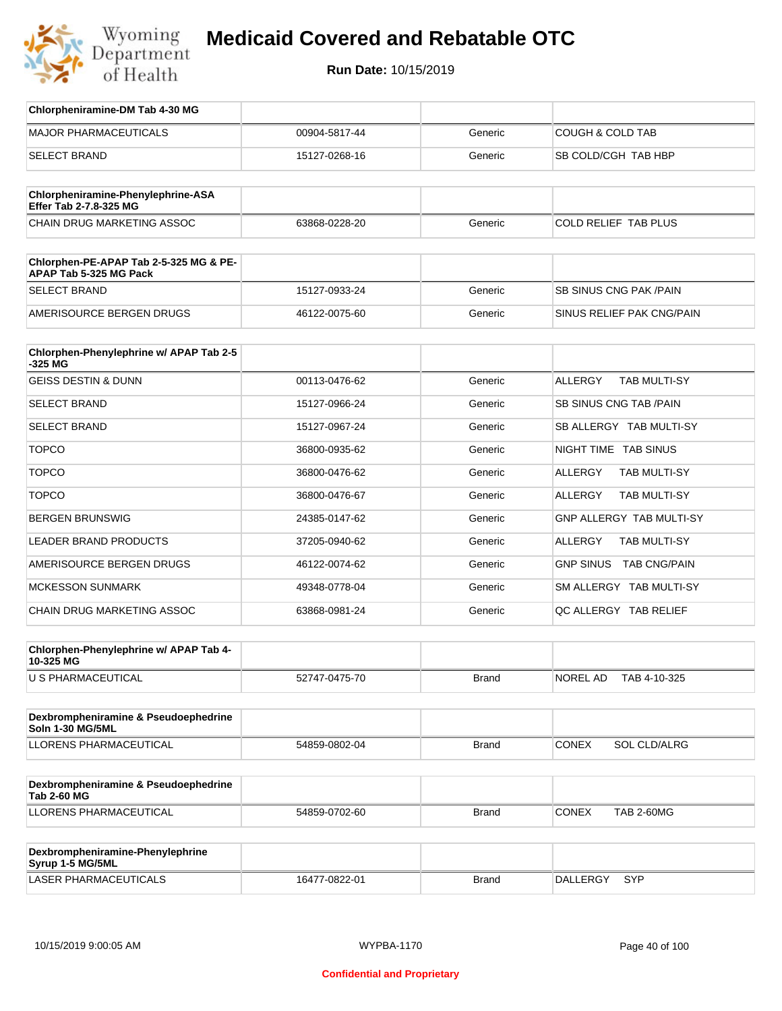

| Chlorpheniramine-DM Tab 4-30 MG                                  |               |              |                                         |
|------------------------------------------------------------------|---------------|--------------|-----------------------------------------|
| <b>MAJOR PHARMACEUTICALS</b>                                     | 00904-5817-44 | Generic      | <b>COUGH &amp; COLD TAB</b>             |
| <b>SELECT BRAND</b>                                              | 15127-0268-16 | Generic      | SB COLD/CGH TAB HBP                     |
|                                                                  |               |              |                                         |
| Chlorpheniramine-Phenylephrine-ASA<br>Effer Tab 2-7.8-325 MG     |               |              |                                         |
| <b>CHAIN DRUG MARKETING ASSOC</b>                                | 63868-0228-20 | Generic      | COLD RELIEF TAB PLUS                    |
| Chlorphen-PE-APAP Tab 2-5-325 MG & PE-<br>APAP Tab 5-325 MG Pack |               |              |                                         |
| <b>SELECT BRAND</b>                                              | 15127-0933-24 | Generic      | <b>SB SINUS CNG PAK / PAIN</b>          |
| AMERISOURCE BERGEN DRUGS                                         | 46122-0075-60 | Generic      | SINUS RELIEF PAK CNG/PAIN               |
| Chlorphen-Phenylephrine w/ APAP Tab 2-5<br>-325 MG               |               |              |                                         |
| <b>GEISS DESTIN &amp; DUNN</b>                                   | 00113-0476-62 | Generic      | <b>ALLERGY</b><br><b>TAB MULTI-SY</b>   |
| <b>SELECT BRAND</b>                                              | 15127-0966-24 | Generic      | SB SINUS CNG TAB / PAIN                 |
| <b>SELECT BRAND</b>                                              | 15127-0967-24 | Generic      | SB ALLERGY TAB MULTI-SY                 |
| <b>TOPCO</b>                                                     | 36800-0935-62 | Generic      | NIGHT TIME TAB SINUS                    |
| <b>TOPCO</b>                                                     | 36800-0476-62 | Generic      | TAB MULTI-SY<br>ALLERGY                 |
| <b>TOPCO</b>                                                     | 36800-0476-67 | Generic      | TAB MULTI-SY<br>ALLERGY                 |
| <b>BERGEN BRUNSWIG</b>                                           | 24385-0147-62 | Generic      | GNP ALLERGY TAB MULTI-SY                |
| <b>LEADER BRAND PRODUCTS</b>                                     | 37205-0940-62 | Generic      | <b>ALLERGY</b><br><b>TAB MULTI-SY</b>   |
| AMERISOURCE BERGEN DRUGS                                         | 46122-0074-62 | Generic      | <b>TAB CNG/PAIN</b><br><b>GNP SINUS</b> |
| <b>MCKESSON SUNMARK</b>                                          | 49348-0778-04 | Generic      | SM ALLERGY TAB MULTI-SY                 |
| <b>CHAIN DRUG MARKETING ASSOC</b>                                | 63868-0981-24 | Generic      | QC ALLERGY TAB RELIEF                   |
| Chlorphen-Phenylephrine w/ APAP Tab 4-<br>10-325 MG              |               |              |                                         |
| U S PHARMACEUTICAL                                               | 52747-0475-70 | <b>Brand</b> | NOREL AD TAB 4-10-325                   |
| Dexbrompheniramine & Pseudoephedrine<br><b>Soln 1-30 MG/5ML</b>  |               |              |                                         |
| LLORENS PHARMACEUTICAL                                           | 54859-0802-04 | <b>Brand</b> | <b>CONEX</b><br><b>SOL CLD/ALRG</b>     |
| Dexbrompheniramine & Pseudoephedrine<br><b>Tab 2-60 MG</b>       |               |              |                                         |
| LLORENS PHARMACEUTICAL                                           | 54859-0702-60 | <b>Brand</b> | <b>CONEX</b><br><b>TAB 2-60MG</b>       |
|                                                                  |               |              |                                         |
| Dexbrompheniramine-Phenylephrine<br>Syrup 1-5 MG/5ML             |               |              |                                         |
| LASER PHARMACEUTICALS                                            | 16477-0822-01 | <b>Brand</b> | DALLERGY SYP                            |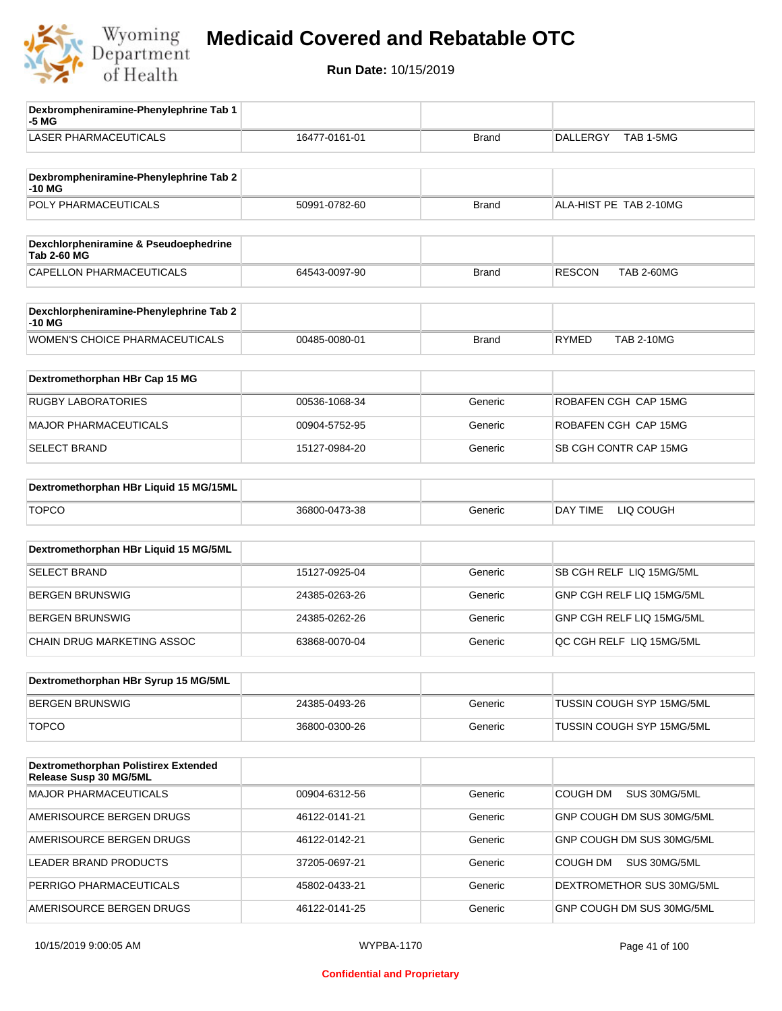

| Dexbrompheniramine-Phenylephrine Tab 1<br>-5 MG             |               |              |                                    |
|-------------------------------------------------------------|---------------|--------------|------------------------------------|
| <b>LASER PHARMACEUTICALS</b>                                | 16477-0161-01 | <b>Brand</b> | <b>DALLERGY</b><br>TAB 1-5MG       |
| Dexbrompheniramine-Phenylephrine Tab 2                      |               |              |                                    |
| -10 MG<br>POLY PHARMACEUTICALS                              | 50991-0782-60 | <b>Brand</b> | ALA-HIST PE TAB 2-10MG             |
|                                                             |               |              |                                    |
| Dexchlorpheniramine & Pseudoephedrine<br><b>Tab 2-60 MG</b> |               |              |                                    |
| CAPELLON PHARMACEUTICALS                                    | 64543-0097-90 | <b>Brand</b> | <b>TAB 2-60MG</b><br><b>RESCON</b> |
|                                                             |               |              |                                    |
| Dexchlorpheniramine-Phenylephrine Tab 2<br>-10 MG           |               |              |                                    |
| WOMEN'S CHOICE PHARMACEUTICALS                              | 00485-0080-01 | <b>Brand</b> | <b>RYMED</b><br><b>TAB 2-10MG</b>  |
| Dextromethorphan HBr Cap 15 MG                              |               |              |                                    |
|                                                             |               |              |                                    |
| <b>RUGBY LABORATORIES</b>                                   | 00536-1068-34 | Generic      | ROBAFEN CGH CAP 15MG               |
| <b>MAJOR PHARMACEUTICALS</b>                                | 00904-5752-95 | Generic      | ROBAFEN CGH CAP 15MG               |
| <b>SELECT BRAND</b>                                         | 15127-0984-20 | Generic      | SB CGH CONTR CAP 15MG              |
| Dextromethorphan HBr Liquid 15 MG/15ML                      |               |              |                                    |
|                                                             |               |              |                                    |
| <b>TOPCO</b>                                                | 36800-0473-38 | Generic      | DAY TIME<br>LIQ COUGH              |
| Dextromethorphan HBr Liquid 15 MG/5ML                       |               |              |                                    |
| <b>SELECT BRAND</b>                                         | 15127-0925-04 | Generic      | SB CGH RELF LIQ 15MG/5ML           |
| <b>BERGEN BRUNSWIG</b>                                      | 24385-0263-26 | Generic      | GNP CGH RELF LIQ 15MG/5ML          |
| <b>BERGEN BRUNSWIG</b>                                      | 24385-0262-26 | Generic      | GNP CGH RELF LIQ 15MG/5ML          |
| CHAIN DRUG MARKETING ASSOC                                  | 63868-0070-04 | Generic      | QC CGH RELF LIQ 15MG/5ML           |
|                                                             |               |              |                                    |
| Dextromethorphan HBr Syrup 15 MG/5ML                        |               |              |                                    |
| <b>BERGEN BRUNSWIG</b>                                      | 24385-0493-26 | Generic      | TUSSIN COUGH SYP 15MG/5ML          |
| <b>TOPCO</b>                                                | 36800-0300-26 | Generic      | TUSSIN COUGH SYP 15MG/5ML          |
| Dextromethorphan Polistirex Extended                        |               |              |                                    |
| Release Susp 30 MG/5ML                                      |               |              |                                    |
| <b>MAJOR PHARMACEUTICALS</b>                                | 00904-6312-56 | Generic      | COUGH DM<br>SUS 30MG/5ML           |
| AMERISOURCE BERGEN DRUGS                                    | 46122-0141-21 | Generic      | GNP COUGH DM SUS 30MG/5ML          |
| AMERISOURCE BERGEN DRUGS                                    | 46122-0142-21 | Generic      | GNP COUGH DM SUS 30MG/5ML          |
| LEADER BRAND PRODUCTS                                       | 37205-0697-21 | Generic      | SUS 30MG/5ML<br>COUGH DM           |
| PERRIGO PHARMACEUTICALS                                     | 45802-0433-21 | Generic      | DEXTROMETHOR SUS 30MG/5ML          |
| AMERISOURCE BERGEN DRUGS                                    | 46122-0141-25 | Generic      | GNP COUGH DM SUS 30MG/5ML          |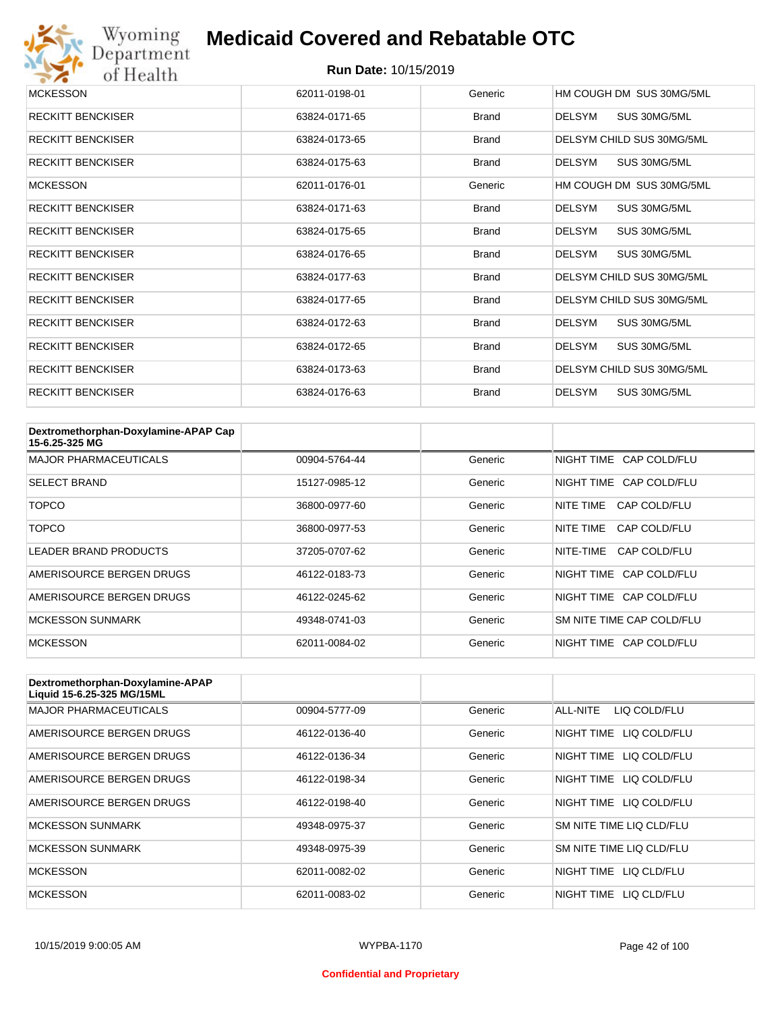

| <b>MCKESSON</b>          | 62011-0198-01 | Generic      | HM COUGH DM SUS 30MG/5ML      |
|--------------------------|---------------|--------------|-------------------------------|
| <b>RECKITT BENCKISER</b> | 63824-0171-65 | Brand        | DELSYM<br>SUS 30MG/5ML        |
| <b>RECKITT BENCKISER</b> | 63824-0173-65 | Brand        | DELSYM CHILD SUS 30MG/5ML     |
| <b>RECKITT BENCKISER</b> | 63824-0175-63 | Brand        | DELSYM<br>SUS 30MG/5ML        |
| <b>MCKESSON</b>          | 62011-0176-01 | Generic      | HM COUGH DM SUS 30MG/5ML      |
| <b>RECKITT BENCKISER</b> | 63824-0171-63 | Brand        | SUS 30MG/5ML<br><b>DELSYM</b> |
| <b>RECKITT BENCKISER</b> | 63824-0175-65 | <b>Brand</b> | <b>DELSYM</b><br>SUS 30MG/5ML |
| <b>RECKITT BENCKISER</b> | 63824-0176-65 | Brand        | SUS 30MG/5ML<br><b>DELSYM</b> |
| <b>RECKITT BENCKISER</b> | 63824-0177-63 | <b>Brand</b> | DELSYM CHILD SUS 30MG/5ML     |
| <b>RECKITT BENCKISER</b> | 63824-0177-65 | Brand        | DELSYM CHILD SUS 30MG/5ML     |
| <b>RECKITT BENCKISER</b> | 63824-0172-63 | Brand        | SUS 30MG/5ML<br><b>DELSYM</b> |
| <b>RECKITT BENCKISER</b> | 63824-0172-65 | <b>Brand</b> | SUS 30MG/5ML<br>DELSYM        |
| <b>RECKITT BENCKISER</b> | 63824-0173-63 | Brand        | DELSYM CHILD SUS 30MG/5ML     |
| <b>RECKITT BENCKISER</b> | 63824-0176-63 | <b>Brand</b> | <b>DELSYM</b><br>SUS 30MG/5ML |

| Dextromethorphan-Doxylamine-APAP Cap<br>15-6.25-325 MG |               |         |                           |
|--------------------------------------------------------|---------------|---------|---------------------------|
| <b>MAJOR PHARMACEUTICALS</b>                           | 00904-5764-44 | Generic | NIGHT TIME CAP COLD/FLU   |
| <b>SELECT BRAND</b>                                    | 15127-0985-12 | Generic | NIGHT TIME CAP COLD/FLU   |
| TOPCO                                                  | 36800-0977-60 | Generic | NITE TIME<br>CAP COLD/FLU |
| <b>TOPCO</b>                                           | 36800-0977-53 | Generic | NITE TIME<br>CAP COLD/FLU |
| LEADER BRAND PRODUCTS                                  | 37205-0707-62 | Generic | NITE-TIME<br>CAP COLD/FLU |
| AMERISOURCE BERGEN DRUGS                               | 46122-0183-73 | Generic | NIGHT TIME CAP COLD/FLU   |
| AMERISOURCE BERGEN DRUGS                               | 46122-0245-62 | Generic | NIGHT TIME CAP COLD/FLU   |
| <b>MCKESSON SUNMARK</b>                                | 49348-0741-03 | Generic | SM NITE TIME CAP COLD/FLU |
| <b>MCKESSON</b>                                        | 62011-0084-02 | Generic | NIGHT TIME CAP COLD/FLU   |

| Dextromethorphan-Doxylamine-APAP<br>Liquid 15-6.25-325 MG/15ML |               |         |                            |
|----------------------------------------------------------------|---------------|---------|----------------------------|
| <b>MAJOR PHARMACEUTICALS</b>                                   | 00904-5777-09 | Generic | ALL-NITE<br>LIQ COLD/FLU   |
| AMERISOURCE BERGEN DRUGS                                       | 46122-0136-40 | Generic | LIQ COLD/FLU<br>NIGHT TIME |
| AMERISOURCE BERGEN DRUGS                                       | 46122-0136-34 | Generic | NIGHT TIME<br>LIQ COLD/FLU |
| AMERISOURCE BERGEN DRUGS                                       | 46122-0198-34 | Generic | NIGHT TIME<br>LIQ COLD/FLU |
| AMERISOURCE BERGEN DRUGS                                       | 46122-0198-40 | Generic | NIGHT TIME LIQ COLD/FLU    |
| <b>MCKESSON SUNMARK</b>                                        | 49348-0975-37 | Generic | SM NITE TIME LIQ CLD/FLU   |
| <b>MCKESSON SUNMARK</b>                                        | 49348-0975-39 | Generic | SM NITE TIME LIQ CLD/FLU   |
| <b>MCKESSON</b>                                                | 62011-0082-02 | Generic | NIGHT TIME LIQ CLD/FLU     |
| <b>MCKESSON</b>                                                | 62011-0083-02 | Generic | NIGHT TIME<br>LIQ CLD/FLU  |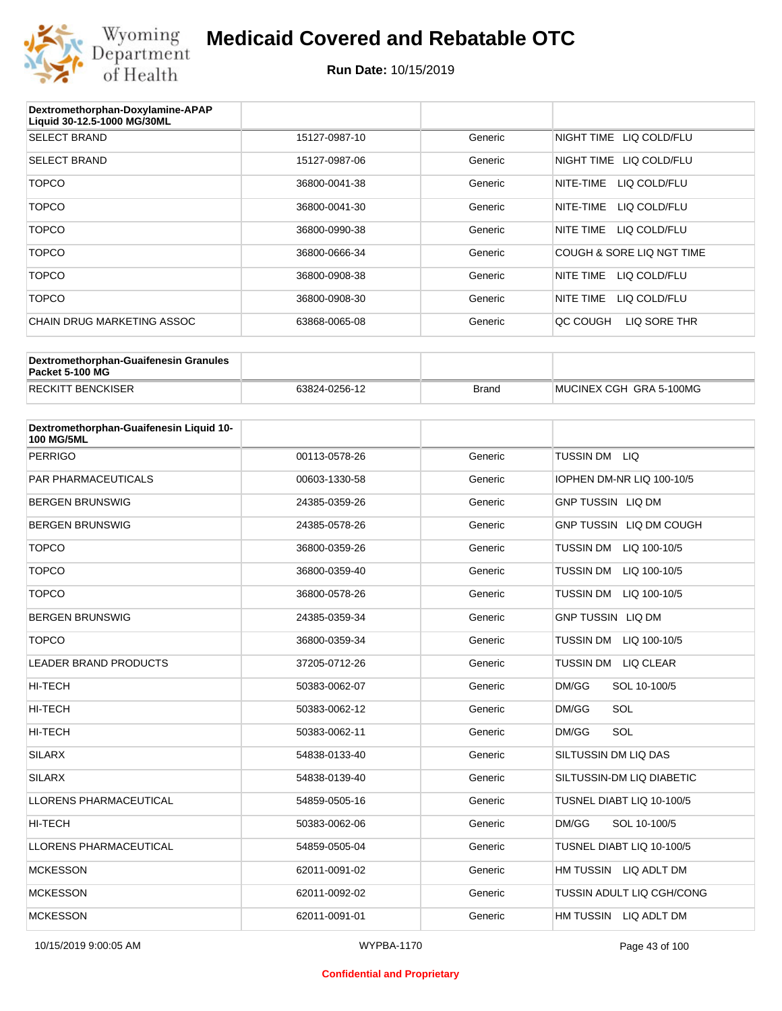

| Dextromethorphan-Doxylamine-APAP<br>Liquid 30-12.5-1000 MG/30ML |               |         |                            |
|-----------------------------------------------------------------|---------------|---------|----------------------------|
| <b>SELECT BRAND</b>                                             | 15127-0987-10 | Generic | NIGHT TIME LIQ COLD/FLU    |
| <b>SELECT BRAND</b>                                             | 15127-0987-06 | Generic | LIQ COLD/FLU<br>NIGHT TIME |
| <b>TOPCO</b>                                                    | 36800-0041-38 | Generic | LIQ COLD/FLU<br>NITE-TIME  |
| <b>TOPCO</b>                                                    | 36800-0041-30 | Generic | NITE-TIME<br>LIQ COLD/FLU  |
| <b>TOPCO</b>                                                    | 36800-0990-38 | Generic | NITE TIME<br>LIQ COLD/FLU  |
| <b>TOPCO</b>                                                    | 36800-0666-34 | Generic | COUGH & SORE LIQ NGT TIME  |
| <b>TOPCO</b>                                                    | 36800-0908-38 | Generic | NITE TIME<br>LIQ COLD/FLU  |
| <b>TOPCO</b>                                                    | 36800-0908-30 | Generic | NITE TIME<br>LIQ COLD/FLU  |
| CHAIN DRUG MARKETING ASSOC                                      | 63868-0065-08 | Generic | LIQ SORE THR<br>QC COUGH   |
|                                                                 |               |         |                            |

| Dextromethorphan-Guaifenesin Granules<br>Packet 5-100 MG |               |       |                         |
|----------------------------------------------------------|---------------|-------|-------------------------|
| <b>RECKITT BENCKISER</b>                                 | 63824-0256-12 | Brand | MUCINEX CGH GRA 5-100MG |

| Dextromethorphan-Guaifenesin Liquid 10-<br><b>100 MG/5ML</b> |               |         |                                  |
|--------------------------------------------------------------|---------------|---------|----------------------------------|
| <b>PERRIGO</b>                                               | 00113-0578-26 | Generic | TUSSIN DM LIQ                    |
| <b>PAR PHARMACEUTICALS</b>                                   | 00603-1330-58 | Generic | IOPHEN DM-NR LIQ 100-10/5        |
| <b>BERGEN BRUNSWIG</b>                                       | 24385-0359-26 | Generic | <b>GNP TUSSIN LIQ DM</b>         |
| <b>BERGEN BRUNSWIG</b>                                       | 24385-0578-26 | Generic | GNP TUSSIN LIQ DM COUGH          |
| <b>TOPCO</b>                                                 | 36800-0359-26 | Generic | TUSSIN DM<br>LIQ 100-10/5        |
| <b>TOPCO</b>                                                 | 36800-0359-40 | Generic | <b>TUSSIN DM</b><br>LIQ 100-10/5 |
| <b>TOPCO</b>                                                 | 36800-0578-26 | Generic | <b>TUSSIN DM</b><br>LIQ 100-10/5 |
| <b>BERGEN BRUNSWIG</b>                                       | 24385-0359-34 | Generic | <b>GNP TUSSIN LIQ DM</b>         |
| <b>TOPCO</b>                                                 | 36800-0359-34 | Generic | <b>TUSSIN DM</b><br>LIQ 100-10/5 |
| <b>LEADER BRAND PRODUCTS</b>                                 | 37205-0712-26 | Generic | TUSSIN DM LIQ CLEAR              |
| <b>HI-TECH</b>                                               | 50383-0062-07 | Generic | DM/GG<br>SOL 10-100/5            |
| HI-TECH                                                      | 50383-0062-12 | Generic | SOL<br>DM/GG                     |
| <b>HI-TECH</b>                                               | 50383-0062-11 | Generic | SOL<br>DM/GG                     |
| <b>SILARX</b>                                                | 54838-0133-40 | Generic | SILTUSSIN DM LIQ DAS             |
| <b>SILARX</b>                                                | 54838-0139-40 | Generic | SILTUSSIN-DM LIQ DIABETIC        |
| <b>LLORENS PHARMACEUTICAL</b>                                | 54859-0505-16 | Generic | TUSNEL DIABT LIQ 10-100/5        |
| <b>HI-TECH</b>                                               | 50383-0062-06 | Generic | DM/GG<br>SOL 10-100/5            |
| <b>LLORENS PHARMACEUTICAL</b>                                | 54859-0505-04 | Generic | TUSNEL DIABT LIQ 10-100/5        |
| <b>MCKESSON</b>                                              | 62011-0091-02 | Generic | HM TUSSIN LIQ ADLT DM            |
| <b>MCKESSON</b>                                              | 62011-0092-02 | Generic | TUSSIN ADULT LIQ CGH/CONG        |
| <b>MCKESSON</b>                                              | 62011-0091-01 | Generic | HM TUSSIN LIQ ADLT DM            |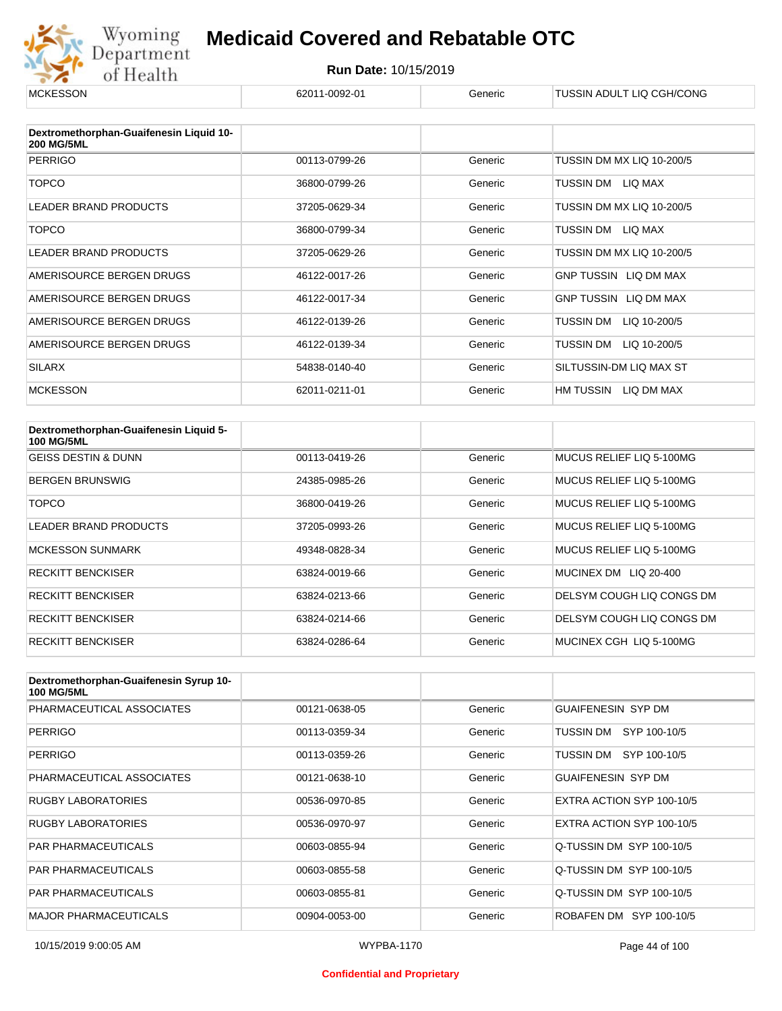

| <b>MCKESSON</b>                                              | 62011-0092-01 | Generic | TUSSIN ADULT LIQ CGH/CONG |
|--------------------------------------------------------------|---------------|---------|---------------------------|
|                                                              |               |         |                           |
| Dextromethorphan-Guaifenesin Liquid 10-<br><b>200 MG/5ML</b> |               |         |                           |
| <b>PERRIGO</b>                                               | 00113-0799-26 | Generic | TUSSIN DM MX LIQ 10-200/5 |
| <b>TOPCO</b>                                                 | 36800-0799-26 | Generic | TUSSIN DM LIQ MAX         |
| <b>LEADER BRAND PRODUCTS</b>                                 | 37205-0629-34 | Generic | TUSSIN DM MX LIQ 10-200/5 |
| <b>TOPCO</b>                                                 | 36800-0799-34 | Generic | TUSSIN DM LIQ MAX         |
| <b>LEADER BRAND PRODUCTS</b>                                 | 37205-0629-26 | Generic | TUSSIN DM MX LIQ 10-200/5 |
| AMERISOURCE BERGEN DRUGS                                     | 46122-0017-26 | Generic | GNP TUSSIN LIQ DM MAX     |
| AMERISOURCE BERGEN DRUGS                                     | 46122-0017-34 | Generic | GNP TUSSIN LIQ DM MAX     |
| AMERISOURCE BERGEN DRUGS                                     | 46122-0139-26 | Generic | TUSSIN DM<br>LIQ 10-200/5 |
| AMERISOURCE BERGEN DRUGS                                     | 46122-0139-34 | Generic | TUSSIN DM<br>LIQ 10-200/5 |
| <b>SILARX</b>                                                | 54838-0140-40 | Generic | SILTUSSIN-DM LIQ MAX ST   |
| <b>MCKESSON</b>                                              | 62011-0211-01 | Generic | HM TUSSIN LIQ DM MAX      |

| Dextromethorphan-Guaifenesin Liquid 5-<br><b>100 MG/5ML</b> |               |         |                           |
|-------------------------------------------------------------|---------------|---------|---------------------------|
| <b>GEISS DESTIN &amp; DUNN</b>                              | 00113-0419-26 | Generic | MUCUS RELIEF LIQ 5-100MG  |
| <b>BERGEN BRUNSWIG</b>                                      | 24385-0985-26 | Generic | MUCUS RELIEF LIQ 5-100MG  |
| <b>TOPCO</b>                                                | 36800-0419-26 | Generic | MUCUS RELIEF LIQ 5-100MG  |
| <b>LEADER BRAND PRODUCTS</b>                                | 37205-0993-26 | Generic | MUCUS RELIEF LIQ 5-100MG  |
| <b>MCKESSON SUNMARK</b>                                     | 49348-0828-34 | Generic | MUCUS RELIEF LIQ 5-100MG  |
| <b>RECKITT BENCKISER</b>                                    | 63824-0019-66 | Generic | MUCINEX DM LIQ 20-400     |
| <b>RECKITT BENCKISER</b>                                    | 63824-0213-66 | Generic | DELSYM COUGH LIQ CONGS DM |
| <b>RECKITT BENCKISER</b>                                    | 63824-0214-66 | Generic | DELSYM COUGH LIQ CONGS DM |
| <b>RECKITT BENCKISER</b>                                    | 63824-0286-64 | Generic | MUCINEX CGH LIQ 5-100MG   |

| Dextromethorphan-Guaifenesin Syrup 10-<br><b>100 MG/5ML</b> |               |         |                           |
|-------------------------------------------------------------|---------------|---------|---------------------------|
| PHARMACEUTICAL ASSOCIATES                                   | 00121-0638-05 | Generic | <b>GUAIFENESIN SYP DM</b> |
| <b>PERRIGO</b>                                              | 00113-0359-34 | Generic | SYP 100-10/5<br>TUSSIN DM |
| <b>PERRIGO</b>                                              | 00113-0359-26 | Generic | TUSSIN DM SYP 100-10/5    |
| PHARMACEUTICAL ASSOCIATES                                   | 00121-0638-10 | Generic | <b>GUAIFENESIN SYP DM</b> |
| <b>RUGBY LABORATORIES</b>                                   | 00536-0970-85 | Generic | EXTRA ACTION SYP 100-10/5 |
| <b>RUGBY LABORATORIES</b>                                   | 00536-0970-97 | Generic | EXTRA ACTION SYP 100-10/5 |
| <b>PAR PHARMACEUTICALS</b>                                  | 00603-0855-94 | Generic | Q-TUSSIN DM SYP 100-10/5  |
| <b>PAR PHARMACEUTICALS</b>                                  | 00603-0855-58 | Generic | Q-TUSSIN DM SYP 100-10/5  |
| <b>PAR PHARMACEUTICALS</b>                                  | 00603-0855-81 | Generic | Q-TUSSIN DM SYP 100-10/5  |
| <b>MAJOR PHARMACEUTICALS</b>                                | 00904-0053-00 | Generic | ROBAFEN DM SYP 100-10/5   |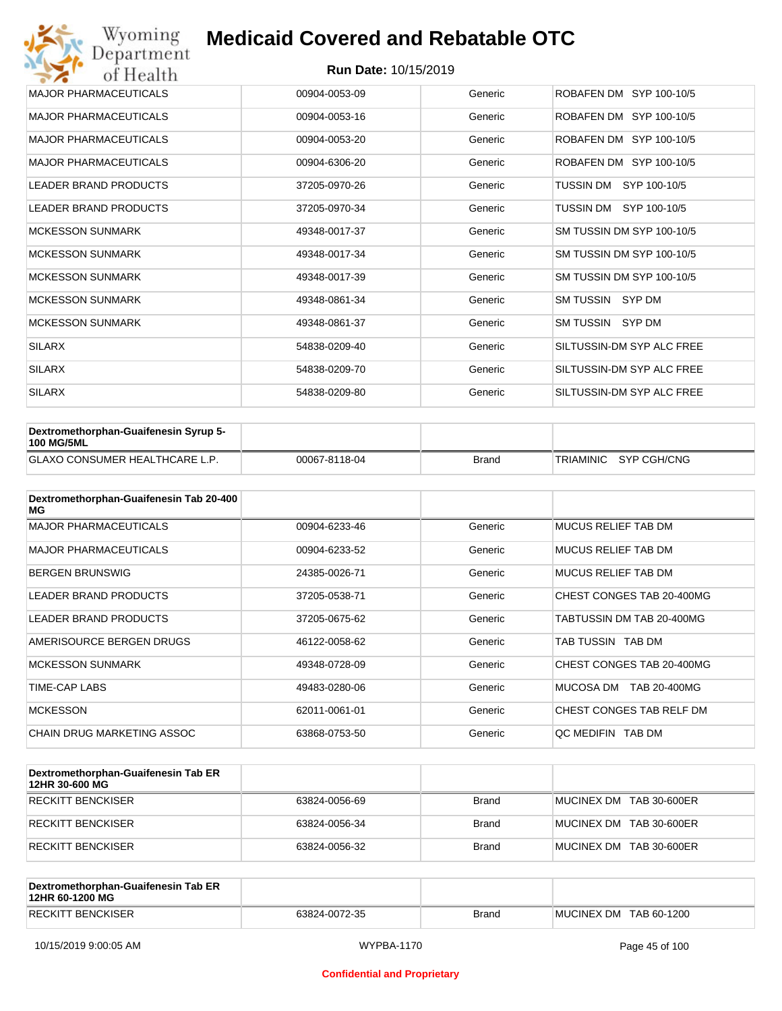| Wyoming<br>Department        | <b>Medicaid Covered and Rebatable OTC</b> |         |                           |  |  |
|------------------------------|-------------------------------------------|---------|---------------------------|--|--|
| of Health                    | <b>Run Date: 10/15/2019</b>               |         |                           |  |  |
| <b>MAJOR PHARMACEUTICALS</b> | 00904-0053-09                             | Generic | ROBAFEN DM SYP 100-10/5   |  |  |
| <b>MAJOR PHARMACEUTICALS</b> | 00904-0053-16                             | Generic | ROBAFEN DM SYP 100-10/5   |  |  |
| <b>MAJOR PHARMACEUTICALS</b> | 00904-0053-20                             | Generic | ROBAFEN DM SYP 100-10/5   |  |  |
| <b>MAJOR PHARMACEUTICALS</b> | 00904-6306-20                             | Generic | ROBAFEN DM SYP 100-10/5   |  |  |
| <b>LEADER BRAND PRODUCTS</b> | 37205-0970-26                             | Generic | SYP 100-10/5<br>TUSSIN DM |  |  |
| <b>LEADER BRAND PRODUCTS</b> | 37205-0970-34                             | Generic | TUSSIN DM<br>SYP 100-10/5 |  |  |
| <b>MCKESSON SUNMARK</b>      | 49348-0017-37                             | Generic | SM TUSSIN DM SYP 100-10/5 |  |  |
| <b>MCKESSON SUNMARK</b>      | 49348-0017-34                             | Generic | SM TUSSIN DM SYP 100-10/5 |  |  |
| <b>MCKESSON SUNMARK</b>      | 49348-0017-39                             | Generic | SM TUSSIN DM SYP 100-10/5 |  |  |
| <b>MCKESSON SUNMARK</b>      | 49348-0861-34                             | Generic | SM TUSSIN SYP DM          |  |  |
| <b>MCKESSON SUNMARK</b>      | 49348-0861-37                             | Generic | SM TUSSIN SYP DM          |  |  |
| <b>SILARX</b>                | 54838-0209-40                             | Generic | SILTUSSIN-DM SYP ALC FREE |  |  |
| <b>SILARX</b>                | 54838-0209-70                             | Generic | SILTUSSIN-DM SYP ALC FREE |  |  |
| <b>SILARX</b>                | 54838-0209-80                             | Generic | SILTUSSIN-DM SYP ALC FREE |  |  |

| Dextromethorphan-Guaifenesin Syrup 5-<br><b>100 MG/5ML</b> |               |       |                       |
|------------------------------------------------------------|---------------|-------|-----------------------|
| <b>GLAXO CONSUMER HEALTHCARE L.P.</b>                      | 00067-8118-04 | Brand | TRIAMINIC SYP CGH/CNG |

| Dextromethorphan-Guaifenesin Tab 20-400<br>MG |               |         |                            |
|-----------------------------------------------|---------------|---------|----------------------------|
| <b>MAJOR PHARMACEUTICALS</b>                  | 00904-6233-46 | Generic | <b>MUCUS RELIEF TAB DM</b> |
| <b>MAJOR PHARMACEUTICALS</b>                  | 00904-6233-52 | Generic | <b>MUCUS RELIEF TAB DM</b> |
| <b>BERGEN BRUNSWIG</b>                        | 24385-0026-71 | Generic | <b>MUCUS RELIEF TAB DM</b> |
| <b>LEADER BRAND PRODUCTS</b>                  | 37205-0538-71 | Generic | CHEST CONGES TAB 20-400MG  |
| <b>LEADER BRAND PRODUCTS</b>                  | 37205-0675-62 | Generic | TABTUSSIN DM TAB 20-400MG  |
| AMERISOURCE BERGEN DRUGS                      | 46122-0058-62 | Generic | TAB TUSSIN TAB DM          |
| <b>MCKESSON SUNMARK</b>                       | 49348-0728-09 | Generic | CHEST CONGES TAB 20-400MG  |
| TIME-CAP LABS                                 | 49483-0280-06 | Generic | MUCOSA DM<br>TAB 20-400MG  |
| <b>MCKESSON</b>                               | 62011-0061-01 | Generic | CHEST CONGES TAB RELF DM   |
| CHAIN DRUG MARKETING ASSOC                    | 63868-0753-50 | Generic | QC MEDIFIN TAB DM          |

| Dextromethorphan-Guaifenesin Tab ER<br>12HR 30-600 MG |               |       |                         |
|-------------------------------------------------------|---------------|-------|-------------------------|
| RECKITT BENCKISER                                     | 63824-0056-69 | Brand | MUCINEX DM TAB 30-600ER |
| RECKITT BENCKISER                                     | 63824-0056-34 | Brand | MUCINEX DM TAB 30-600ER |
| RECKITT BENCKISER                                     | 63824-0056-32 | Brand | MUCINEX DM TAB 30-600ER |

| Dextromethorphan-Guaifenesin Tab ER<br>12HR 60-1200 MG |               |              |                        |
|--------------------------------------------------------|---------------|--------------|------------------------|
| <b>RECKITT BENCKISER</b>                               | 63824-0072-35 | <b>Brand</b> | MUCINEX DM TAB 60-1200 |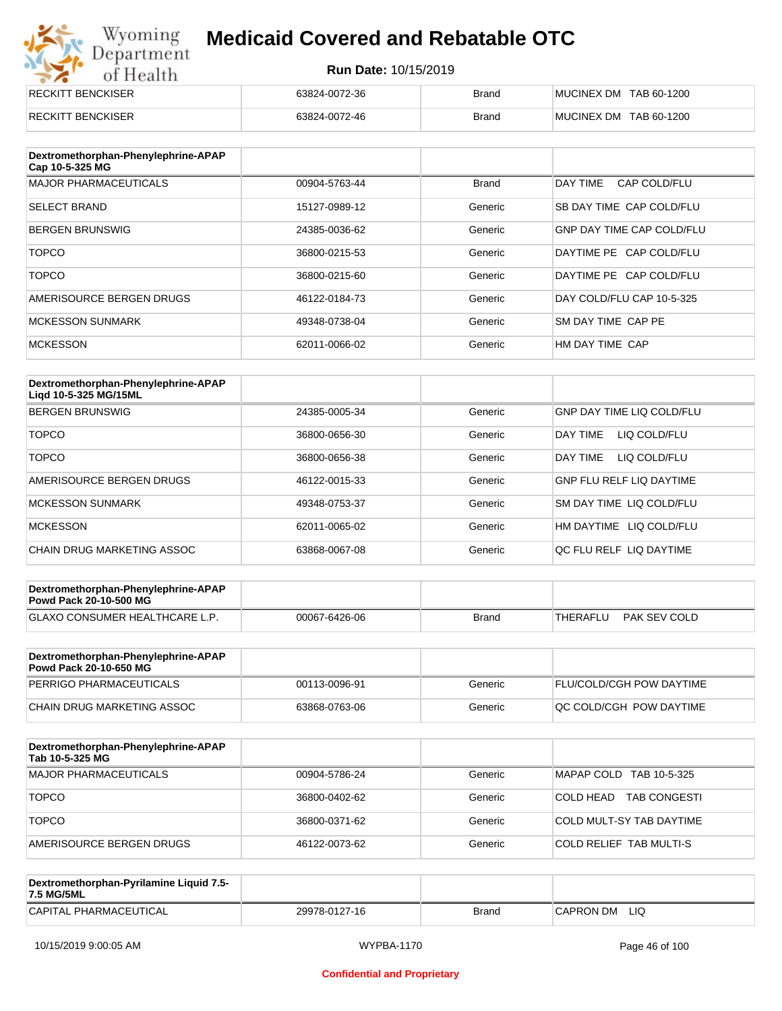## Wyoming<br>Department<br>of Health **Medicaid Covered and Rebatable OTC**

| <b>RECKITT BENCKISER</b> | 63824-0072-36 | <b>Brand</b> | MUCINEX DM TAB 60-1200 |
|--------------------------|---------------|--------------|------------------------|
| <b>RECKITT BENCKISER</b> | 63824-0072-46 | <b>Brand</b> | MUCINEX DM TAB 60-1200 |

| Dextromethorphan-Phenylephrine-APAP<br>Cap 10-5-325 MG |               |              |                                  |
|--------------------------------------------------------|---------------|--------------|----------------------------------|
| <b>MAJOR PHARMACEUTICALS</b>                           | 00904-5763-44 | <b>Brand</b> | DAY TIME<br>CAP COLD/FLU         |
| <b>SELECT BRAND</b>                                    | 15127-0989-12 | Generic      | SB DAY TIME CAP COLD/FLU         |
| <b>BERGEN BRUNSWIG</b>                                 | 24385-0036-62 | Generic      | <b>GNP DAY TIME CAP COLD/FLU</b> |
| <b>TOPCO</b>                                           | 36800-0215-53 | Generic      | DAYTIME PE CAP COLD/FLU          |
| <b>TOPCO</b>                                           | 36800-0215-60 | Generic      | DAYTIME PE CAP COLD/FLU          |
| AMERISOURCE BERGEN DRUGS                               | 46122-0184-73 | Generic      | DAY COLD/FLU CAP 10-5-325        |
| <b>MCKESSON SUNMARK</b>                                | 49348-0738-04 | Generic      | SM DAY TIME CAP PE               |
| <b>MCKESSON</b>                                        | 62011-0066-02 | Generic      | HM DAY TIME CAP                  |

| Dextromethorphan-Phenylephrine-APAP<br>Ligd 10-5-325 MG/15ML |               |         |                                  |
|--------------------------------------------------------------|---------------|---------|----------------------------------|
| <b>BERGEN BRUNSWIG</b>                                       | 24385-0005-34 | Generic | <b>GNP DAY TIME LIQ COLD/FLU</b> |
| <b>TOPCO</b>                                                 | 36800-0656-30 | Generic | LIQ COLD/FLU<br>DAY TIME         |
| <b>TOPCO</b>                                                 | 36800-0656-38 | Generic | LIQ COLD/FLU<br>DAY TIME         |
| AMERISOURCE BERGEN DRUGS                                     | 46122-0015-33 | Generic | <b>GNP FLU RELF LIQ DAYTIME</b>  |
| <b>MCKESSON SUNMARK</b>                                      | 49348-0753-37 | Generic | <b>SM DAY TIME LIQ COLD/FLU</b>  |
| <b>MCKESSON</b>                                              | 62011-0065-02 | Generic | HM DAYTIME LIQ COLD/FLU          |
| CHAIN DRUG MARKETING ASSOC                                   | 63868-0067-08 | Generic | OC FLU RELF LIO DAYTIME          |

| Dextromethorphan-Phenylephrine-APAP<br><b>Powd Pack 20-10-500 MG</b> |               |       |          |              |
|----------------------------------------------------------------------|---------------|-------|----------|--------------|
| <b>GLAXO CONSUMER HEALTHCARE L.P.</b>                                | 00067-6426-06 | Brand | THERAFLU | PAK SEV COLD |
|                                                                      |               |       |          |              |

| Dextromethorphan-Phenylephrine-APAP<br><b>Powd Pack 20-10-650 MG</b> |               |         |                                 |
|----------------------------------------------------------------------|---------------|---------|---------------------------------|
| PERRIGO PHARMACEUTICALS                                              | 00113-0096-91 | Generic | <b>FLU/COLD/CGH POW DAYTIME</b> |
| CHAIN DRUG MARKETING ASSOC                                           | 63868-0763-06 | Generic | OC COLD/CGH POW DAYTIME         |

| Dextromethorphan-Phenylephrine-APAP<br>Tab 10-5-325 MG |               |         |                                  |
|--------------------------------------------------------|---------------|---------|----------------------------------|
| <b>MAJOR PHARMACEUTICALS</b>                           | 00904-5786-24 | Generic | MAPAP COLD TAB 10-5-325          |
| <b>TOPCO</b>                                           | 36800-0402-62 | Generic | COLD HEAD<br><b>TAB CONGESTI</b> |
| <b>TOPCO</b>                                           | 36800-0371-62 | Generic | COLD MULT-SY TAB DAYTIME         |
| AMERISOURCE BERGEN DRUGS                               | 46122-0073-62 | Generic | COLD RELIEF TAB MULTI-S          |

| Dextromethorphan-Pyrilamine Liquid 7.5-<br>7.5 MG/5ML |               |       |                   |
|-------------------------------------------------------|---------------|-------|-------------------|
| CAPITAL PHARMACEUTICAL                                | 29978-0127-16 | Brand | LIQ<br>'CAPRON DM |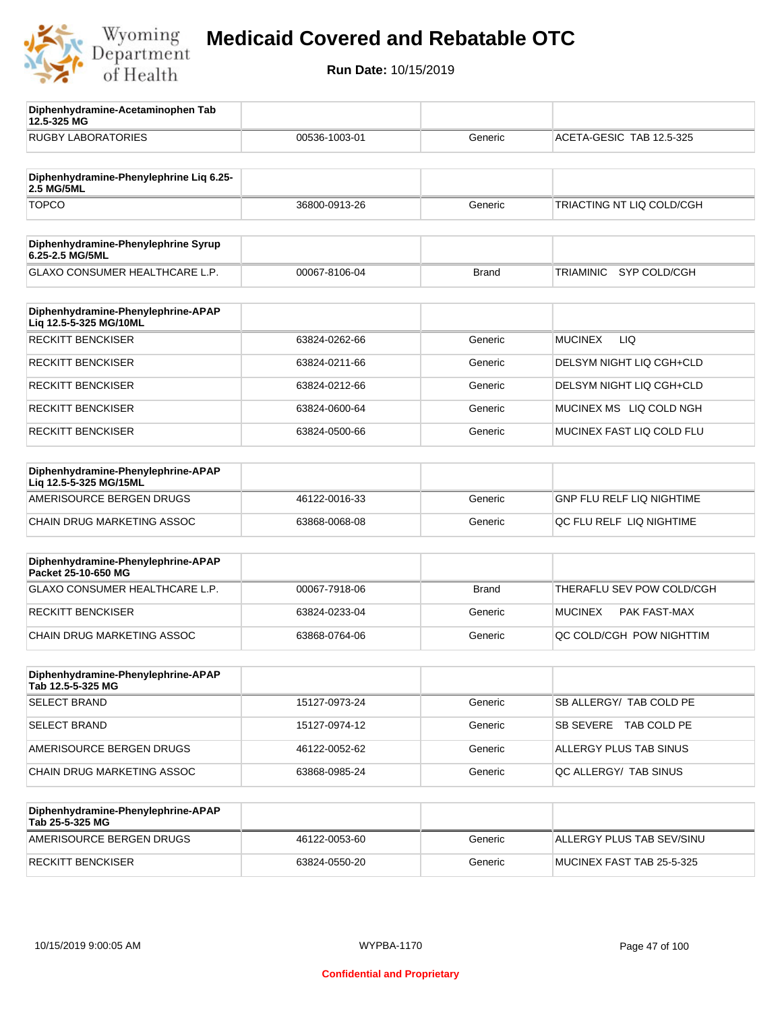

**12.5-325 MG**

**Diphenhydramine-Acetaminophen Tab** 

## **Medicaid Covered and Rebatable OTC**

| <b>RUGBY LABORATORIES</b>                                    | 00536-1003-01 | Generic      | ACETA-GESIC TAB 12.5-325         |
|--------------------------------------------------------------|---------------|--------------|----------------------------------|
| Diphenhydramine-Phenylephrine Lig 6.25-<br>2.5 MG/5ML        |               |              |                                  |
| <b>TOPCO</b>                                                 | 36800-0913-26 | Generic      | TRIACTING NT LIQ COLD/CGH        |
| Diphenhydramine-Phenylephrine Syrup<br>6.25-2.5 MG/5ML       |               |              |                                  |
| GLAXO CONSUMER HEALTHCARE L.P.                               | 00067-8106-04 | <b>Brand</b> | <b>TRIAMINIC</b><br>SYP COLD/CGH |
| Diphenhydramine-Phenylephrine-APAP<br>Liq 12.5-5-325 MG/10ML |               |              |                                  |
| <b>RECKITT BENCKISER</b>                                     | 63824-0262-66 | Generic      | <b>MUCINEX</b><br>LIQ.           |
| <b>RECKITT BENCKISER</b>                                     | 63824-0211-66 | Generic      | DELSYM NIGHT LIQ CGH+CLD         |
| <b>RECKITT BENCKISER</b>                                     | 63824-0212-66 | Generic      | DELSYM NIGHT LIQ CGH+CLD         |
| <b>RECKITT BENCKISER</b>                                     | 63824-0600-64 | Generic      | MUCINEX MS LIQ COLD NGH          |
| <b>RECKITT BENCKISER</b>                                     | 63824-0500-66 | Generic      | MUCINEX FAST LIQ COLD FLU        |
| Diphenhydramine-Phenylephrine-APAP<br>Liq 12.5-5-325 MG/15ML |               |              |                                  |
| AMERISOURCE BERGEN DRUGS                                     | 46122-0016-33 | Generic      | <b>GNP FLU RELF LIQ NIGHTIME</b> |
| CHAIN DRUG MARKETING ASSOC                                   | 63868-0068-08 | Generic      | QC FLU RELF LIQ NIGHTIME         |
| Diphenhydramine-Phenylephrine-APAP<br>Packet 25-10-650 MG    |               |              |                                  |
| GLAXO CONSUMER HEALTHCARE L.P.                               | 00067-7918-06 | <b>Brand</b> | THERAFLU SEV POW COLD/CGH        |
| <b>RECKITT BENCKISER</b>                                     | 63824-0233-04 | Generic      | <b>MUCINEX</b><br>PAK FAST-MAX   |
| CHAIN DRUG MARKETING ASSOC                                   | 63868-0764-06 | Generic      | QC COLD/CGH POW NIGHTTIM         |
| Diphenhydramine-Phenylephrine-APAP<br>Tab 12.5-5-325 MG      |               |              |                                  |
| <b>SELECT BRAND</b>                                          | 15127-0973-24 | Generic      | SB ALLERGY/ TAB COLD PE          |
| <b>SELECT BRAND</b>                                          | 15127-0974-12 | Generic      | SB SEVERE TAB COLD PE            |
| AMERISOURCE BERGEN DRUGS                                     | 46122-0052-62 | Generic      | ALLERGY PLUS TAB SINUS           |
| CHAIN DRUG MARKETING ASSOC                                   | 63868-0985-24 | Generic      | QC ALLERGY/ TAB SINUS            |
| Diphenhydramine-Phenylephrine-APAP<br>Tab 25-5-325 MG        |               |              |                                  |
| AMERISOURCE BERGEN DRUGS                                     | 46122-0053-60 | Generic      | ALLERGY PLUS TAB SEV/SINU        |
| <b>RECKITT BENCKISER</b>                                     | 63824-0550-20 | Generic      | MUCINEX FAST TAB 25-5-325        |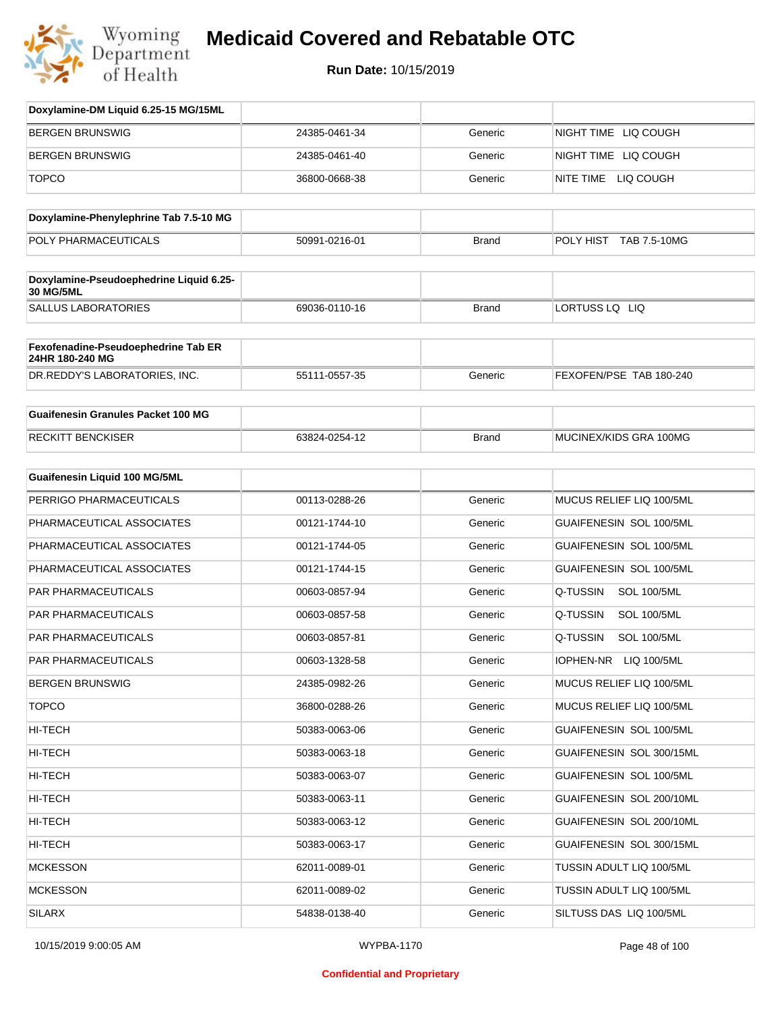

| Doxylamine-DM Liquid 6.25-15 MG/15ML                   |               |              |                                 |
|--------------------------------------------------------|---------------|--------------|---------------------------------|
| <b>BERGEN BRUNSWIG</b>                                 | 24385-0461-34 | Generic      | NIGHT TIME LIQ COUGH            |
| BERGEN BRUNSWIG                                        | 24385-0461-40 | Generic      | NIGHT TIME LIQ COUGH            |
| <b>TOPCO</b>                                           | 36800-0668-38 | Generic      | NITE TIME LIQ COUGH             |
| Doxylamine-Phenylephrine Tab 7.5-10 MG                 |               |              |                                 |
| POLY PHARMACEUTICALS                                   | 50991-0216-01 | <b>Brand</b> | POLY HIST<br>TAB 7.5-10MG       |
| Doxylamine-Pseudoephedrine Liquid 6.25-<br>30 MG/5ML   |               |              |                                 |
| <b>SALLUS LABORATORIES</b>                             | 69036-0110-16 | <b>Brand</b> | LORTUSS LQ LIQ                  |
| Fexofenadine-Pseudoephedrine Tab ER<br>24HR 180-240 MG |               |              |                                 |
| DR.REDDY'S LABORATORIES, INC.                          | 55111-0557-35 | Generic      | FEXOFEN/PSE TAB 180-240         |
| <b>Guaifenesin Granules Packet 100 MG</b>              |               |              |                                 |
| <b>RECKITT BENCKISER</b>                               | 63824-0254-12 | <b>Brand</b> | MUCINEX/KIDS GRA 100MG          |
| <b>Guaifenesin Liquid 100 MG/5ML</b>                   |               |              |                                 |
| PERRIGO PHARMACEUTICALS                                | 00113-0288-26 | Generic      | MUCUS RELIEF LIQ 100/5ML        |
| PHARMACEUTICAL ASSOCIATES                              | 00121-1744-10 | Generic      | <b>GUAIFENESIN SOL 100/5ML</b>  |
| PHARMACEUTICAL ASSOCIATES                              | 00121-1744-05 | Generic      | GUAIFENESIN SOL 100/5ML         |
| PHARMACEUTICAL ASSOCIATES                              | 00121-1744-15 | Generic      | GUAIFENESIN SOL 100/5ML         |
| PAR PHARMACEUTICALS                                    | 00603-0857-94 | Generic      | Q-TUSSIN<br><b>SOL 100/5ML</b>  |
| <b>PAR PHARMACEUTICALS</b>                             | 00603-0857-58 | Generic      | Q-TUSSIN<br><b>SOL 100/5ML</b>  |
| PAR PHARMACEUTICALS                                    | 00603-0857-81 | Generic      | Q-TUSSIN<br><b>SOL 100/5ML</b>  |
| PAR PHARMACEUTICALS                                    | 00603-1328-58 | Generic      | <b>IOPHEN-NR</b><br>LIQ 100/5ML |
| BERGEN BRUNSWIG                                        | 24385-0982-26 | Generic      | MUCUS RELIEF LIQ 100/5ML        |
| <b>TOPCO</b>                                           | 36800-0288-26 | Generic      | MUCUS RELIEF LIQ 100/5ML        |
| HI-TECH                                                | 50383-0063-06 | Generic      | GUAIFENESIN SOL 100/5ML         |
| HI-TECH                                                | 50383-0063-18 | Generic      | GUAIFENESIN SOL 300/15ML        |
| HI-TECH                                                | 50383-0063-07 | Generic      | GUAIFENESIN SOL 100/5ML         |
| HI-TECH                                                | 50383-0063-11 | Generic      | GUAIFENESIN SOL 200/10ML        |
| HI-TECH                                                | 50383-0063-12 | Generic      | GUAIFENESIN SOL 200/10ML        |
| HI-TECH                                                | 50383-0063-17 | Generic      | GUAIFENESIN SOL 300/15ML        |
| <b>MCKESSON</b>                                        | 62011-0089-01 | Generic      | TUSSIN ADULT LIQ 100/5ML        |
| <b>MCKESSON</b>                                        | 62011-0089-02 | Generic      | TUSSIN ADULT LIQ 100/5ML        |
| <b>SILARX</b>                                          | 54838-0138-40 | Generic      | SILTUSS DAS LIQ 100/5ML         |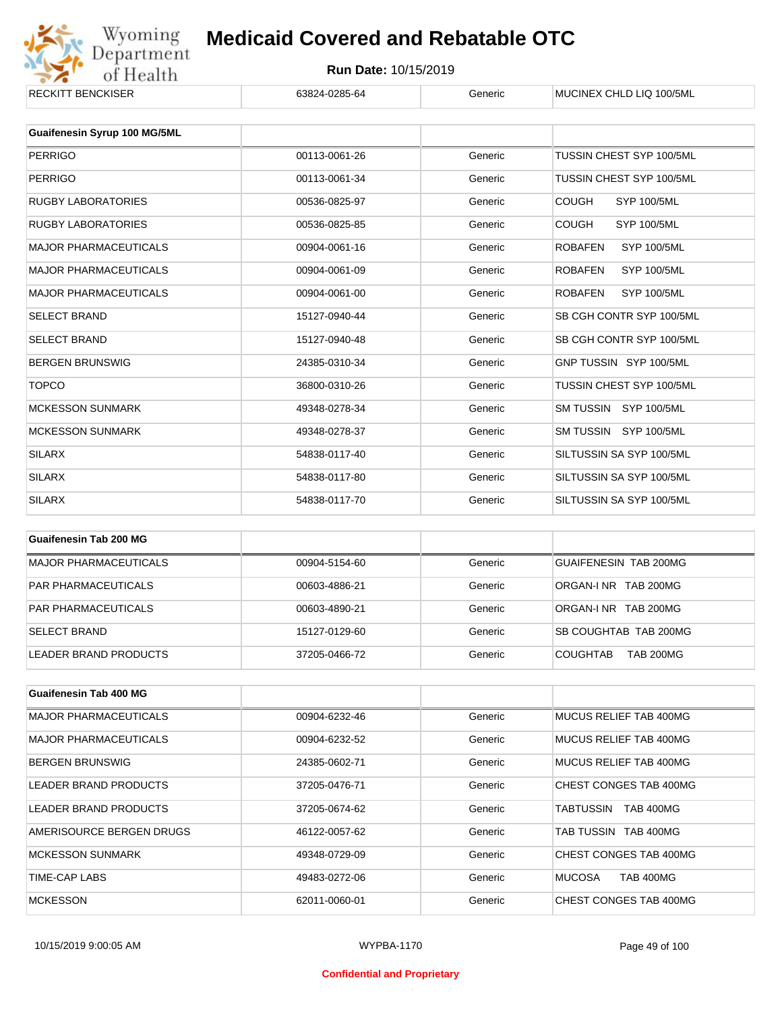

| NLUNII I DLINUNJEN           | 000Z4-0Z00-04 | uurin   | <b>MUCINEA CHED LIQ TUUGHIL</b>      |
|------------------------------|---------------|---------|--------------------------------------|
| Guaifenesin Syrup 100 MG/5ML |               |         |                                      |
|                              |               |         |                                      |
| <b>PERRIGO</b>               | 00113-0061-26 | Generic | TUSSIN CHEST SYP 100/5ML             |
| <b>PERRIGO</b>               | 00113-0061-34 | Generic | TUSSIN CHEST SYP 100/5ML             |
| <b>RUGBY LABORATORIES</b>    | 00536-0825-97 | Generic | <b>COUGH</b><br><b>SYP 100/5ML</b>   |
| RUGBY LABORATORIES           | 00536-0825-85 | Generic | <b>COUGH</b><br><b>SYP 100/5ML</b>   |
| <b>MAJOR PHARMACEUTICALS</b> | 00904-0061-16 | Generic | <b>ROBAFEN</b><br><b>SYP 100/5ML</b> |
| <b>MAJOR PHARMACEUTICALS</b> | 00904-0061-09 | Generic | <b>ROBAFEN</b><br><b>SYP 100/5ML</b> |
| <b>MAJOR PHARMACEUTICALS</b> | 00904-0061-00 | Generic | <b>ROBAFEN</b><br><b>SYP 100/5ML</b> |
| <b>SELECT BRAND</b>          | 15127-0940-44 | Generic | SB CGH CONTR SYP 100/5ML             |
| <b>SELECT BRAND</b>          | 15127-0940-48 | Generic | SB CGH CONTR SYP 100/5ML             |
| <b>BERGEN BRUNSWIG</b>       | 24385-0310-34 | Generic | GNP TUSSIN SYP 100/5ML               |
| <b>TOPCO</b>                 | 36800-0310-26 | Generic | TUSSIN CHEST SYP 100/5ML             |
| <b>MCKESSON SUNMARK</b>      | 49348-0278-34 | Generic | SM TUSSIN SYP 100/5ML                |
| <b>MCKESSON SUNMARK</b>      | 49348-0278-37 | Generic | SM TUSSIN SYP 100/5ML                |
| <b>SILARX</b>                | 54838-0117-40 | Generic | SILTUSSIN SA SYP 100/5ML             |
| <b>SILARX</b>                | 54838-0117-80 | Generic | SILTUSSIN SA SYP 100/5ML             |
| <b>SILARX</b>                | 54838-0117-70 | Generic | SILTUSSIN SA SYP 100/5ML             |
|                              |               |         |                                      |

| Guaifenesin Tab 200 MG       |               |         |                                     |
|------------------------------|---------------|---------|-------------------------------------|
| <b>MAJOR PHARMACEUTICALS</b> | 00904-5154-60 | Generic | GUAIFENESIN TAB 200MG               |
| <b>PAR PHARMACEUTICALS</b>   | 00603-4886-21 | Generic | ORGAN-LNR TAB 200MG                 |
| <b>PAR PHARMACEUTICALS</b>   | 00603-4890-21 | Generic | ORGAN-LNR TAB 200MG                 |
| <b>SELECT BRAND</b>          | 15127-0129-60 | Generic | SB COUGHTAB TAB 200MG               |
| LEADER BRAND PRODUCTS        | 37205-0466-72 | Generic | <b>TAB 200MG</b><br><b>COUGHTAB</b> |

| <b>Guaifenesin Tab 400 MG</b> |               |         |                                   |
|-------------------------------|---------------|---------|-----------------------------------|
| <b>MAJOR PHARMACEUTICALS</b>  | 00904-6232-46 | Generic | MUCUS RELIEF TAB 400MG            |
| <b>MAJOR PHARMACEUTICALS</b>  | 00904-6232-52 | Generic | MUCUS RELIEF TAB 400MG            |
| <b>BERGEN BRUNSWIG</b>        | 24385-0602-71 | Generic | MUCUS RELIEF TAB 400MG            |
| LEADER BRAND PRODUCTS         | 37205-0476-71 | Generic | CHEST CONGES TAB 400MG            |
| LEADER BRAND PRODUCTS         | 37205-0674-62 | Generic | <b>TAB 400MG</b><br>TABTUSSIN     |
| AMERISOURCE BERGEN DRUGS      | 46122-0057-62 | Generic | TAB TUSSIN TAB 400MG              |
| <b>MCKESSON SUNMARK</b>       | 49348-0729-09 | Generic | CHEST CONGES TAB 400MG            |
| TIME-CAP LABS                 | 49483-0272-06 | Generic | <b>MUCOSA</b><br><b>TAB 400MG</b> |
| <b>MCKESSON</b>               | 62011-0060-01 | Generic | CHEST CONGES TAB 400MG            |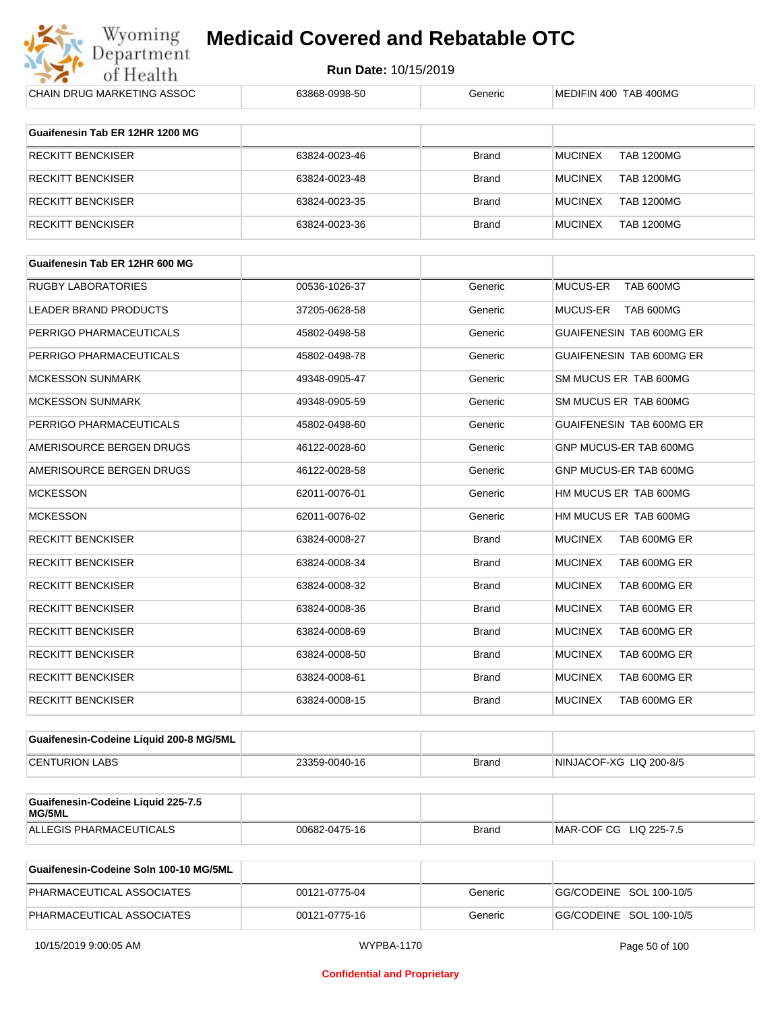

| CHAIN DRUG MARKETING ASSOC                   | 63868-0998-50 | Generic      | MEDIFIN 400 TAB 400MG               |
|----------------------------------------------|---------------|--------------|-------------------------------------|
| Guaifenesin Tab ER 12HR 1200 MG              |               |              |                                     |
| <b>RECKITT BENCKISER</b>                     | 63824-0023-46 | Brand        | <b>MUCINEX</b><br><b>TAB 1200MG</b> |
| <b>RECKITT BENCKISER</b>                     | 63824-0023-48 | Brand        | <b>MUCINEX</b><br><b>TAB 1200MG</b> |
| <b>RECKITT BENCKISER</b>                     | 63824-0023-35 | <b>Brand</b> | <b>MUCINEX</b><br><b>TAB 1200MG</b> |
| <b>RECKITT BENCKISER</b>                     | 63824-0023-36 | Brand        | <b>MUCINEX</b><br><b>TAB 1200MG</b> |
| Guaifenesin Tab ER 12HR 600 MG               |               |              |                                     |
| <b>RUGBY LABORATORIES</b>                    | 00536-1026-37 | Generic      | MUCUS-ER<br>TAB 600MG               |
| LEADER BRAND PRODUCTS                        | 37205-0628-58 | Generic      | <b>MUCUS-ER</b><br>TAB 600MG        |
| PERRIGO PHARMACEUTICALS                      | 45802-0498-58 | Generic      | GUAIFENESIN TAB 600MG ER            |
| PERRIGO PHARMACEUTICALS                      | 45802-0498-78 | Generic      | GUAIFENESIN TAB 600MG ER            |
| <b>MCKESSON SUNMARK</b>                      | 49348-0905-47 | Generic      | SM MUCUS ER TAB 600MG               |
| <b>MCKESSON SUNMARK</b>                      | 49348-0905-59 | Generic      | SM MUCUS ER TAB 600MG               |
| PERRIGO PHARMACEUTICALS                      | 45802-0498-60 | Generic      | GUAIFENESIN TAB 600MG ER            |
| AMERISOURCE BERGEN DRUGS                     | 46122-0028-60 | Generic      | GNP MUCUS-ER TAB 600MG              |
| AMERISOURCE BERGEN DRUGS                     | 46122-0028-58 | Generic      | GNP MUCUS-ER TAB 600MG              |
| <b>MCKESSON</b>                              | 62011-0076-01 | Generic      | HM MUCUS ER TAB 600MG               |
| <b>MCKESSON</b>                              | 62011-0076-02 | Generic      | HM MUCUS ER TAB 600MG               |
| <b>RECKITT BENCKISER</b>                     | 63824-0008-27 | <b>Brand</b> | TAB 600MG ER<br><b>MUCINEX</b>      |
| <b>RECKITT BENCKISER</b>                     | 63824-0008-34 | <b>Brand</b> | <b>MUCINEX</b><br>TAB 600MG ER      |
| <b>RECKITT BENCKISER</b>                     | 63824-0008-32 | <b>Brand</b> | <b>MUCINEX</b><br>TAB 600MG ER      |
| <b>RECKITT BENCKISER</b>                     | 63824-0008-36 | <b>Brand</b> | <b>MUCINEX</b><br>TAB 600MG ER      |
| <b>RECKITT BENCKISER</b>                     | 63824-0008-69 | <b>Brand</b> | <b>MUCINEX</b><br>TAB 600MG ER      |
| RECKITT BENCKISER                            | 63824-0008-50 | Brand        | <b>MUCINEX</b><br>TAB 600MG ER      |
| <b>RECKITT BENCKISER</b>                     | 63824-0008-61 | <b>Brand</b> | <b>MUCINEX</b><br>TAB 600MG ER      |
| <b>RECKITT BENCKISER</b>                     | 63824-0008-15 | <b>Brand</b> | <b>MUCINEX</b><br>TAB 600MG ER      |
| Guaifenesin-Codeine Liquid 200-8 MG/5ML      |               |              |                                     |
| <b>CENTURION LABS</b>                        | 23359-0040-16 | <b>Brand</b> | NINJACOF-XG LIQ 200-8/5             |
| Guaifenesin-Codeine Liquid 225-7.5<br>MG/5ML |               |              |                                     |
| <b>ALLEGIS PHARMACEUTICALS</b>               | 00682-0475-16 | <b>Brand</b> | MAR-COF CG LIQ 225-7.5              |

| Guaifenesin-Codeine Soln 100-10 MG/5ML |               |         |                         |
|----------------------------------------|---------------|---------|-------------------------|
| PHARMACEUTICAL ASSOCIATES              | 00121-0775-04 | Generic | GG/CODEINE SOL 100-10/5 |
| PHARMACEUTICAL ASSOCIATES              | 00121-0775-16 | Generic | GG/CODEINE SOL 100-10/5 |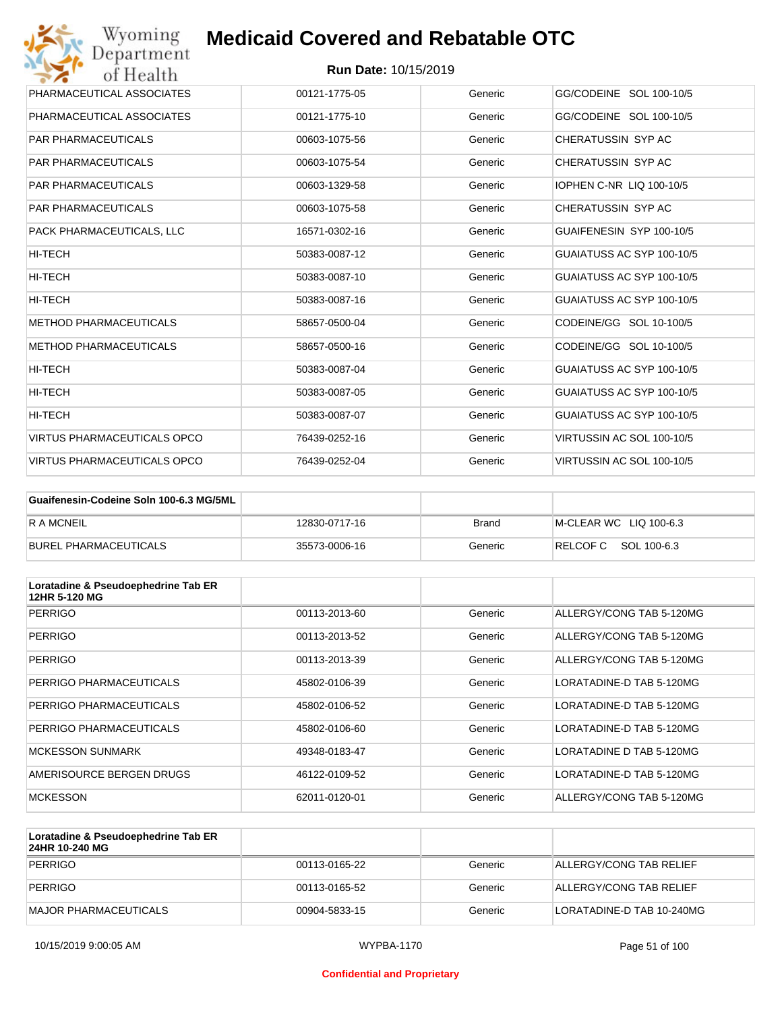

| Wyoming<br>Department              | <b>Medicaid Covered and Rebatable OTC</b> |         |                           |
|------------------------------------|-------------------------------------------|---------|---------------------------|
| of Health                          | <b>Run Date: 10/15/2019</b>               |         |                           |
| PHARMACEUTICAL ASSOCIATES          | 00121-1775-05                             | Generic | GG/CODEINE SOL 100-10/5   |
| PHARMACEUTICAL ASSOCIATES          | 00121-1775-10                             | Generic | GG/CODEINE SOL 100-10/5   |
| <b>PAR PHARMACEUTICALS</b>         | 00603-1075-56                             | Generic | CHERATUSSIN SYP AC        |
| <b>PAR PHARMACEUTICALS</b>         | 00603-1075-54                             | Generic | CHERATUSSIN SYP AC        |
| <b>PAR PHARMACEUTICALS</b>         | 00603-1329-58                             | Generic | IOPHEN C-NR LIQ 100-10/5  |
| <b>PAR PHARMACEUTICALS</b>         | 00603-1075-58                             | Generic | CHERATUSSIN SYP AC        |
| PACK PHARMACEUTICALS, LLC          | 16571-0302-16                             | Generic | GUAIFENESIN SYP 100-10/5  |
| HI-TECH                            | 50383-0087-12                             | Generic | GUAIATUSS AC SYP 100-10/5 |
| HI-TECH                            | 50383-0087-10                             | Generic | GUAIATUSS AC SYP 100-10/5 |
| HI-TECH                            | 50383-0087-16                             | Generic | GUAIATUSS AC SYP 100-10/5 |
| <b>METHOD PHARMACEUTICALS</b>      | 58657-0500-04                             | Generic | CODEINE/GG SOL 10-100/5   |
| <b>METHOD PHARMACEUTICALS</b>      | 58657-0500-16                             | Generic | CODEINE/GG SOL 10-100/5   |
| HI-TECH                            | 50383-0087-04                             | Generic | GUAIATUSS AC SYP 100-10/5 |
| HI-TECH                            | 50383-0087-05                             | Generic | GUAIATUSS AC SYP 100-10/5 |
| HI-TECH                            | 50383-0087-07                             | Generic | GUAIATUSS AC SYP 100-10/5 |
| <b>VIRTUS PHARMACEUTICALS OPCO</b> | 76439-0252-16                             | Generic | VIRTUSSIN AC SOL 100-10/5 |
| <b>VIRTUS PHARMACEUTICALS OPCO</b> | 76439-0252-04                             | Generic | VIRTUSSIN AC SOL 100-10/5 |

| Guaifenesin-Codeine Soln 100-6.3 MG/5ML |               |              |                        |
|-----------------------------------------|---------------|--------------|------------------------|
| <b>RAMCNEIL</b>                         | 12830-0717-16 | <b>Brand</b> | M-CLEAR WC LIQ 100-6.3 |
| BUREL PHARMACEUTICALS                   | 35573-0006-16 | Generic      | RELCOFC SOL 100-6.3    |

| Loratadine & Pseudoephedrine Tab ER<br>12HR 5-120 MG |               |         |                          |
|------------------------------------------------------|---------------|---------|--------------------------|
| <b>PERRIGO</b>                                       | 00113-2013-60 | Generic | ALLERGY/CONG TAB 5-120MG |
| <b>PERRIGO</b>                                       | 00113-2013-52 | Generic | ALLERGY/CONG TAB 5-120MG |
| <b>PERRIGO</b>                                       | 00113-2013-39 | Generic | ALLERGY/CONG TAB 5-120MG |
| PERRIGO PHARMACEUTICALS                              | 45802-0106-39 | Generic | LORATADINE-D TAB 5-120MG |
| PERRIGO PHARMACEUTICALS                              | 45802-0106-52 | Generic | LORATADINE-D TAB 5-120MG |
| PERRIGO PHARMACEUTICALS                              | 45802-0106-60 | Generic | LORATADINE-D TAB 5-120MG |
| <b>MCKESSON SUNMARK</b>                              | 49348-0183-47 | Generic | LORATADINE D TAB 5-120MG |
| AMERISOURCE BERGEN DRUGS                             | 46122-0109-52 | Generic | LORATADINE-D TAB 5-120MG |
| <b>MCKESSON</b>                                      | 62011-0120-01 | Generic | ALLERGY/CONG TAB 5-120MG |

| Loratadine & Pseudoephedrine Tab ER<br>24HR 10-240 MG |               |         |                           |
|-------------------------------------------------------|---------------|---------|---------------------------|
| PERRIGO                                               | 00113-0165-22 | Generic | ALLERGY/CONG TAB RELIEF   |
| PERRIGO                                               | 00113-0165-52 | Generic | ALLERGY/CONG TAB RELIEF   |
| MAJOR PHARMACEUTICALS                                 | 00904-5833-15 | Generic | LORATADINE-D TAB 10-240MG |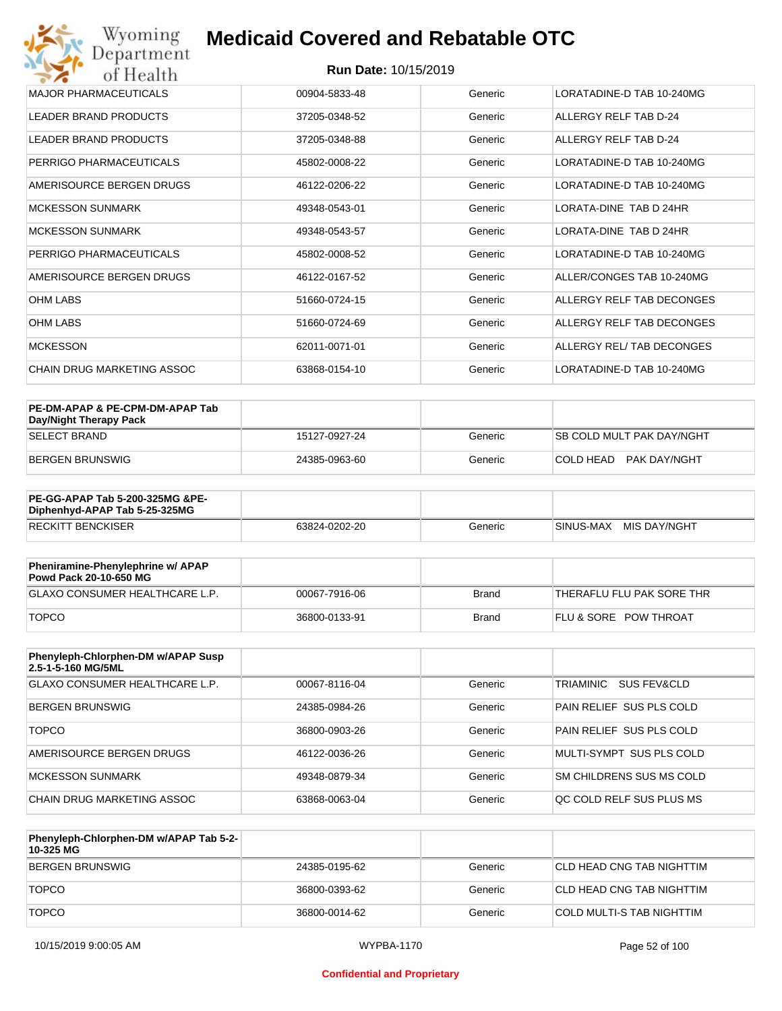#### **Run Date:** 10/15/2019

| Wyoming<br>Department        | <b>Medicaid Covered and Rebatable OTC</b> |         |                                |  |  |  |
|------------------------------|-------------------------------------------|---------|--------------------------------|--|--|--|
| of Health                    | <b>Run Date: 10/15/2019</b>               |         |                                |  |  |  |
| <b>MAJOR PHARMACEUTICALS</b> | 00904-5833-48                             | Generic | LORATADINE-D TAB 10-240MG      |  |  |  |
| <b>LEADER BRAND PRODUCTS</b> | 37205-0348-52                             | Generic | ALLERGY RELF TAB D-24          |  |  |  |
| <b>LEADER BRAND PRODUCTS</b> | 37205-0348-88                             | Generic | ALLERGY RELF TAB D-24          |  |  |  |
| PERRIGO PHARMACEUTICALS      | 45802-0008-22                             | Generic | LORATADINE-D TAB 10-240MG      |  |  |  |
| AMERISOURCE BERGEN DRUGS     | 46122-0206-22                             | Generic | LORATADINE-D TAB 10-240MG      |  |  |  |
| MCKESSON SUNMARK             | 49348-0543-01                             | Generic | <b>I ORATA-DINE TAB D 24HR</b> |  |  |  |
| <b>MCKESSON SUNMARK</b>      | 49348-0543-57                             | Generic | LORATA-DINE TAB D 24HR         |  |  |  |
| PERRIGO PHARMACEUTICALS      | 45802-0008-52                             | Generic | LORATADINE-D TAB 10-240MG      |  |  |  |
| AMERISOURCE BERGEN DRUGS     | 46122-0167-52                             | Generic | ALLER/CONGES TAB 10-240MG      |  |  |  |
| <b>OHM LABS</b>              | 51660-0724-15                             | Generic | ALLERGY RELF TAB DECONGES      |  |  |  |
| <b>OHM LABS</b>              | 51660-0724-69                             | Generic | ALLERGY RELF TAB DECONGES      |  |  |  |
| <b>MCKESSON</b>              | 62011-0071-01                             | Generic | ALLERGY REL/ TAB DECONGES      |  |  |  |
| CHAIN DRUG MARKETING ASSOC   | 63868-0154-10                             | Generic | LORATADINE-D TAB 10-240MG      |  |  |  |

| PE-DM-APAP & PE-CPM-DM-APAP Tab<br>Day/Night Therapy Pack |               |         |                                  |
|-----------------------------------------------------------|---------------|---------|----------------------------------|
| <b>SELECT BRAND</b>                                       | 15127-0927-24 | Generic | <b>SB COLD MULT PAK DAY/NGHT</b> |
| BERGEN BRUNSWIG                                           | 24385-0963-60 | Generic | COLD HEAD PAK DAY/NGHT           |

| <b>PE-GG-APAP Tab 5-200-325MG &amp;PE-</b><br>Diphenhyd-APAP Tab 5-25-325MG |               |         |                           |
|-----------------------------------------------------------------------------|---------------|---------|---------------------------|
| <b>RECKITT BENCKISER</b>                                                    | 63824-0202-20 | Generic | MIS DAY/NGHT<br>SINUS-MAX |

| Pheniramine-Phenylephrine w/ APAP<br>Powd Pack 20-10-650 MG |               |       |                                  |
|-------------------------------------------------------------|---------------|-------|----------------------------------|
| GLAXO CONSUMER HEALTHCARE L.P.                              | 00067-7916-06 | Brand | 'THERAFLU FLU PAK SORE THR       |
| <b>TOPCO</b>                                                | 36800-0133-91 | Brand | <b>FLU &amp; SORE POW THROAT</b> |

| Phenyleph-Chlorphen-DM w/APAP Susp<br>2.5-1-5-160 MG/5ML |               |         |                                     |
|----------------------------------------------------------|---------------|---------|-------------------------------------|
| <b>GLAXO CONSUMER HEALTHCARE L.P.</b>                    | 00067-8116-04 | Generic | TRIAMINIC<br><b>SUS FEV&amp;CLD</b> |
| <b>BERGEN BRUNSWIG</b>                                   | 24385-0984-26 | Generic | PAIN RELIEF SUS PLS COLD            |
| <b>TOPCO</b>                                             | 36800-0903-26 | Generic | PAIN RELIEF SUS PLS COLD            |
| AMERISOURCE BERGEN DRUGS                                 | 46122-0036-26 | Generic | MULTI-SYMPT SUS PLS COLD            |
| MCKESSON SUNMARK                                         | 49348-0879-34 | Generic | SM CHILDRENS SUS MS COLD            |
| CHAIN DRUG MARKETING ASSOC                               | 63868-0063-04 | Generic | OC COLD RELF SUS PLUS MS            |

| Phenyleph-Chlorphen-DM w/APAP Tab 5-2-<br>10-325 MG |               |         |                           |
|-----------------------------------------------------|---------------|---------|---------------------------|
| BERGEN BRUNSWIG                                     | 24385-0195-62 | Generic | CLD HEAD CNG TAB NIGHTTIM |
| <b>TOPCO</b>                                        | 36800-0393-62 | Generic | CLD HEAD CNG TAB NIGHTTIM |
| <b>TOPCO</b>                                        | 36800-0014-62 | Generic | COLD MULTI-S TAB NIGHTTIM |

#### **Confidential and Proprietary**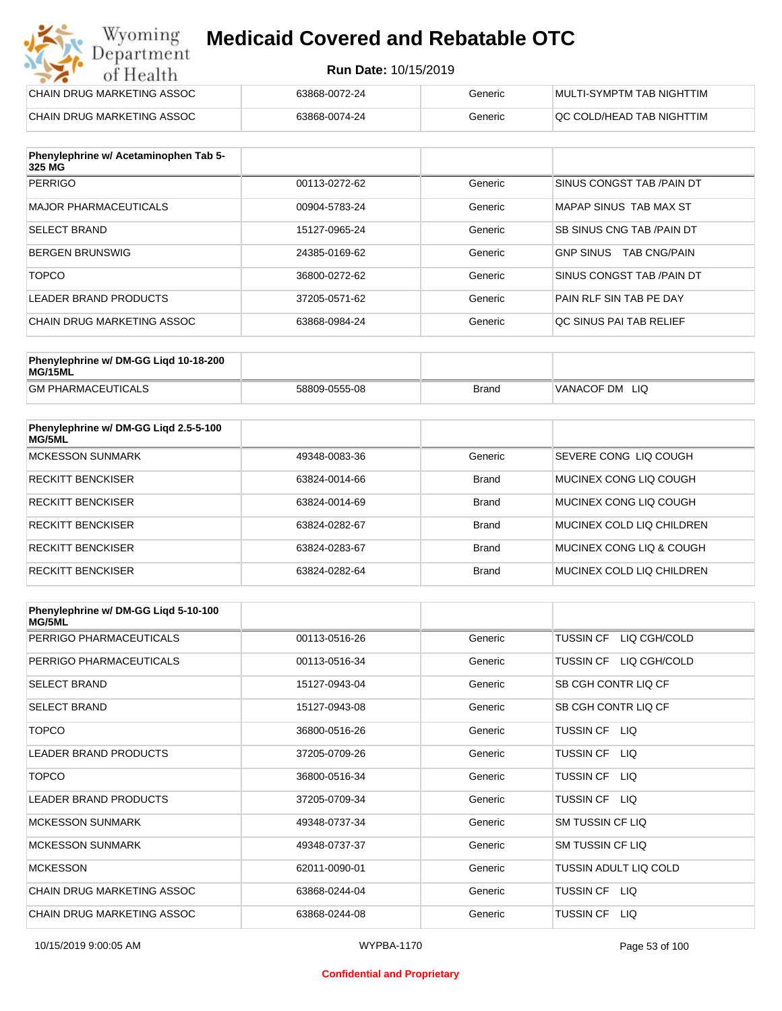#### **Run Date:** 10/15/2019

| Wyoming<br><b>Medicaid Covered and Rebatable OTC</b><br>Department |                             |         |                           |  |
|--------------------------------------------------------------------|-----------------------------|---------|---------------------------|--|
| of Health                                                          | <b>Run Date: 10/15/2019</b> |         |                           |  |
| CHAIN DRUG MARKETING ASSOC                                         | 63868-0072-24               | Generic | MULTI-SYMPTM TAB NIGHTTIM |  |
| CHAIN DRUG MARKETING ASSOC                                         | 63868-0074-24               | Generic | QC COLD/HEAD TAB NIGHTTIM |  |

| Phenylephrine w/ Acetaminophen Tab 5-<br>325 MG |               |         |                                         |
|-------------------------------------------------|---------------|---------|-----------------------------------------|
| <b>PERRIGO</b>                                  | 00113-0272-62 | Generic | SINUS CONGST TAB / PAIN DT              |
| MAJOR PHARMACEUTICALS                           | 00904-5783-24 | Generic | MAPAP SINUS TAB MAX ST                  |
| <b>SELECT BRAND</b>                             | 15127-0965-24 | Generic | SB SINUS CNG TAB / PAIN DT              |
| BERGEN BRUNSWIG                                 | 24385-0169-62 | Generic | <b>GNP SINUS</b><br><b>TAB CNG/PAIN</b> |
| <b>TOPCO</b>                                    | 36800-0272-62 | Generic | SINUS CONGST TAB /PAIN DT               |
| LEADER BRAND PRODUCTS                           | 37205-0571-62 | Generic | PAIN RLF SIN TAB PE DAY                 |
| CHAIN DRUG MARKETING ASSOC                      | 63868-0984-24 | Generic | OC SINUS PAI TAB RELIEF                 |

| Phenylephrine w/ DM-GG Ligd 10-18-200<br>MG/15ML |               |       |                |
|--------------------------------------------------|---------------|-------|----------------|
| <b>GM PHARMACEUTICALS</b>                        | 58809-0555-08 | Brand | VANACOF DM LIQ |

| Phenylephrine w/ DM-GG Liqd 2.5-5-100<br>MG/5ML |               |              |                           |
|-------------------------------------------------|---------------|--------------|---------------------------|
| <b>MCKESSON SUNMARK</b>                         | 49348-0083-36 | Generic      | SEVERE CONG LIO COUGH     |
| <b>RECKITT BENCKISER</b>                        | 63824-0014-66 | <b>Brand</b> | MUCINEX CONG LIO COUGH    |
| <b>RECKITT BENCKISER</b>                        | 63824-0014-69 | <b>Brand</b> | MUCINEX CONG LIO COUGH    |
| <b>RECKITT BENCKISER</b>                        | 63824-0282-67 | <b>Brand</b> | MUCINEX COLD LIQ CHILDREN |
| <b>RECKITT BENCKISER</b>                        | 63824-0283-67 | <b>Brand</b> | MUCINEX CONG LIO & COUGH  |
| <b>RECKITT BENCKISER</b>                        | 63824-0282-64 | <b>Brand</b> | MUCINEX COLD LIQ CHILDREN |

| Phenylephrine w/ DM-GG Ligd 5-10-100<br><b>MG/5ML</b> |               |         |                                  |
|-------------------------------------------------------|---------------|---------|----------------------------------|
| PERRIGO PHARMACEUTICALS                               | 00113-0516-26 | Generic | LIQ CGH/COLD<br>TUSSIN CF        |
| PERRIGO PHARMACEUTICALS                               | 00113-0516-34 | Generic | LIQ CGH/COLD<br><b>TUSSIN CF</b> |
| <b>SELECT BRAND</b>                                   | 15127-0943-04 | Generic | SB CGH CONTR LIQ CF              |
| <b>SELECT BRAND</b>                                   | 15127-0943-08 | Generic | SB CGH CONTR LIQ CF              |
| <b>TOPCO</b>                                          | 36800-0516-26 | Generic | TUSSIN CF LIQ                    |
| <b>LEADER BRAND PRODUCTS</b>                          | 37205-0709-26 | Generic | <b>TUSSIN CF</b><br>LIQ.         |
| <b>TOPCO</b>                                          | 36800-0516-34 | Generic | <b>TUSSIN CF</b><br>LIQ.         |
| <b>LEADER BRAND PRODUCTS</b>                          | 37205-0709-34 | Generic | TUSSIN CF LIQ                    |
| <b>MCKESSON SUNMARK</b>                               | 49348-0737-34 | Generic | <b>SM TUSSIN CF LIQ</b>          |
| <b>MCKESSON SUNMARK</b>                               | 49348-0737-37 | Generic | <b>SM TUSSIN CF LIQ</b>          |
| <b>MCKESSON</b>                                       | 62011-0090-01 | Generic | TUSSIN ADULT LIQ COLD            |
| CHAIN DRUG MARKETING ASSOC                            | 63868-0244-04 | Generic | TUSSIN CF<br>LIQ.                |
| CHAIN DRUG MARKETING ASSOC                            | 63868-0244-08 | Generic | <b>TUSSIN CF</b><br>LIQ.         |

#### **Confidential and Proprietary**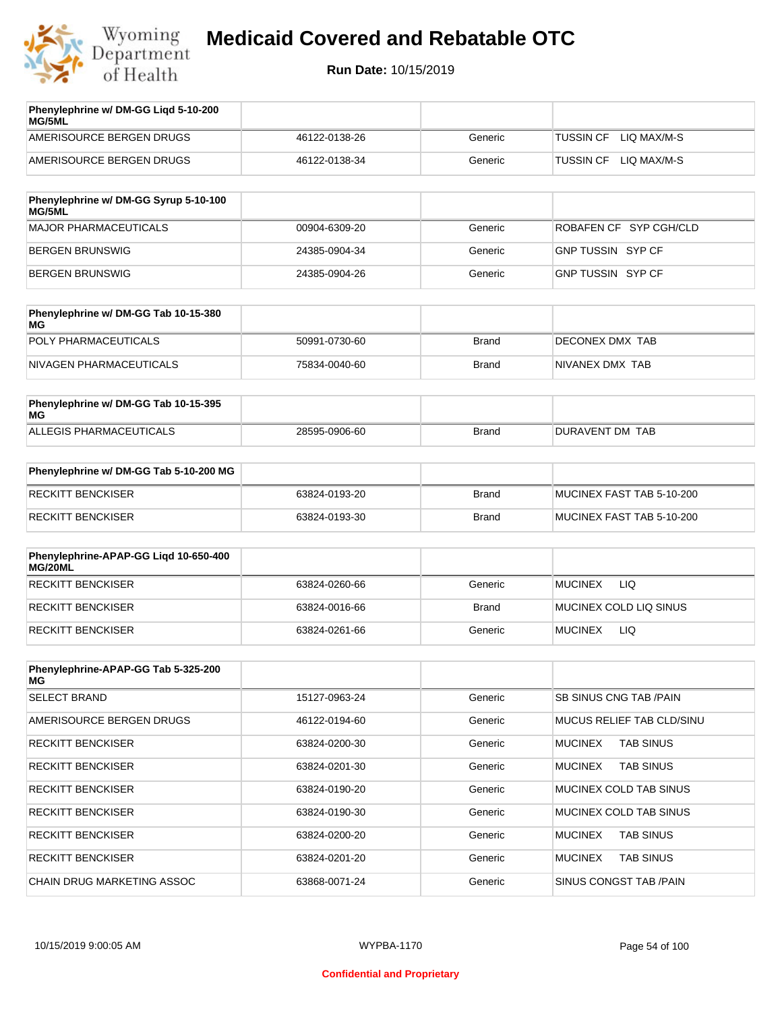

| Phenylephrine w/ DM-GG Ligd 5-10-200<br><b>MG/5ML</b> |               |         |                                 |
|-------------------------------------------------------|---------------|---------|---------------------------------|
| AMERISOURCE BERGEN DRUGS                              | 46122-0138-26 | Generic | LIO MAX/M-S<br><b>TUSSIN CF</b> |
| AMERISOURCE BERGEN DRUGS                              | 46122-0138-34 | Generic | LIO MAX/M-S<br>TUSSIN CF        |
|                                                       |               |         |                                 |

| Phenylephrine w/ DM-GG Syrup 5-10-100<br><b>MG/5ML</b> |               |         |                        |
|--------------------------------------------------------|---------------|---------|------------------------|
| MAJOR PHARMACEUTICALS                                  | 00904-6309-20 | Generic | ROBAFEN CF SYP CGH/CLD |
| BERGEN BRUNSWIG                                        | 24385-0904-34 | Generic | GNP TUSSIN SYP CF      |
| BERGEN BRUNSWIG                                        | 24385-0904-26 | Generic | GNP TUSSIN SYP CF      |

| Phenylephrine w/ DM-GG Tab 10-15-380<br>MG |               |              |                 |
|--------------------------------------------|---------------|--------------|-----------------|
| POLY PHARMACEUTICALS                       | 50991-0730-60 | <b>Brand</b> | DECONEX DMX TAB |
| NIVAGEN PHARMACEUTICALS                    | 75834-0040-60 | Brand        | NIVANEX DMX TAB |

| Phenylephrine w/ DM-GG Tab 10-15-395<br>MG |               |       |                 |
|--------------------------------------------|---------------|-------|-----------------|
| ALLEGIS PHARMACEUTICALS                    | 28595-0906-60 | Brand | DURAVENT DM TAB |

| Phenylephrine w/ DM-GG Tab 5-10-200 MG |               |       |                           |
|----------------------------------------|---------------|-------|---------------------------|
| RECKITT BENCKISER                      | 63824-0193-20 | Brand | MUCINEX FAST TAB 5-10-200 |
| RECKITT BENCKISER                      | 63824-0193-30 | Brand | MUCINEX FAST TAB 5-10-200 |

| Phenylephrine-APAP-GG Ligd 10-650-400<br>MG/20ML |               |              |                              |
|--------------------------------------------------|---------------|--------------|------------------------------|
| <b>RECKITT BENCKISER</b>                         | 63824-0260-66 | Generic      | LIQ<br><b>MUCINEX</b>        |
| <b>RECKITT BENCKISER</b>                         | 63824-0016-66 | <b>Brand</b> | MUCINEX COLD LIQ SINUS       |
| RECKITT BENCKISER                                | 63824-0261-66 | Generic      | <b>LIQ</b><br><b>MUCINEX</b> |

| Phenylephrine-APAP-GG Tab 5-325-200<br>MG |               |         |                                    |
|-------------------------------------------|---------------|---------|------------------------------------|
| <b>SELECT BRAND</b>                       | 15127-0963-24 | Generic | <b>SB SINUS CNG TAB /PAIN</b>      |
| AMERISOURCE BERGEN DRUGS                  | 46122-0194-60 | Generic | MUCUS RELIEF TAB CLD/SINU          |
| <b>RECKITT BENCKISER</b>                  | 63824-0200-30 | Generic | <b>TAB SINUS</b><br><b>MUCINEX</b> |
| <b>RECKITT BENCKISER</b>                  | 63824-0201-30 | Generic | <b>MUCINEX</b><br><b>TAB SINUS</b> |
| <b>RECKITT BENCKISER</b>                  | 63824-0190-20 | Generic | MUCINEX COLD TAB SINUS             |
| <b>RECKITT BENCKISER</b>                  | 63824-0190-30 | Generic | MUCINEX COLD TAB SINUS             |
| <b>RECKITT BENCKISER</b>                  | 63824-0200-20 | Generic | <b>TAB SINUS</b><br><b>MUCINEX</b> |
| <b>RECKITT BENCKISER</b>                  | 63824-0201-20 | Generic | <b>MUCINEX</b><br><b>TAB SINUS</b> |
| CHAIN DRUG MARKETING ASSOC                | 63868-0071-24 | Generic | SINUS CONGST TAB /PAIN             |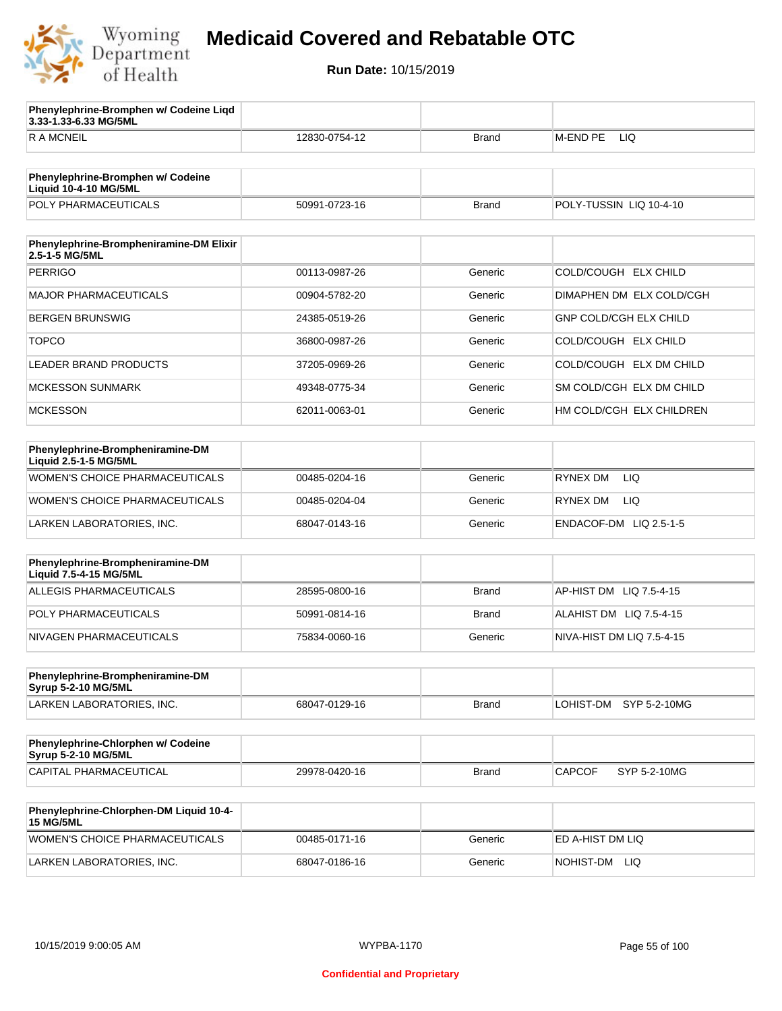

**3.33-1.33-6.33 MG/5ML**

**Phenylephrine-Bromphen w/ Codeine Liqd** 

## **Medicaid Covered and Rebatable OTC**

| <b>RAMCNEIL</b>                                                   | 12830-0754-12 | <b>Brand</b> | M-END PE LIQ                  |
|-------------------------------------------------------------------|---------------|--------------|-------------------------------|
|                                                                   |               |              |                               |
| Phenylephrine-Bromphen w/ Codeine<br><b>Liquid 10-4-10 MG/5ML</b> |               |              |                               |
| POLY PHARMACEUTICALS                                              | 50991-0723-16 | <b>Brand</b> | POLY-TUSSIN LIQ 10-4-10       |
| Phenylephrine-Brompheniramine-DM Elixir<br>2.5-1-5 MG/5ML         |               |              |                               |
| <b>PERRIGO</b>                                                    | 00113-0987-26 | Generic      | COLD/COUGH ELX CHILD          |
| <b>MAJOR PHARMACEUTICALS</b>                                      | 00904-5782-20 | Generic      | DIMAPHEN DM ELX COLD/CGH      |
| <b>BERGEN BRUNSWIG</b>                                            | 24385-0519-26 | Generic      | <b>GNP COLD/CGH ELX CHILD</b> |
| <b>TOPCO</b>                                                      | 36800-0987-26 | Generic      | COLD/COUGH ELX CHILD          |
| <b>LEADER BRAND PRODUCTS</b>                                      | 37205-0969-26 | Generic      | COLD/COUGH ELX DM CHILD       |
| <b>MCKESSON SUNMARK</b>                                           | 49348-0775-34 | Generic      | SM COLD/CGH ELX DM CHILD      |
| <b>MCKESSON</b>                                                   | 62011-0063-01 | Generic      | HM COLD/CGH ELX CHILDREN      |
|                                                                   |               |              |                               |
| Phenylephrine-Brompheniramine-DM<br>Liquid 2.5-1-5 MG/5ML         |               |              |                               |
| <b>WOMEN'S CHOICE PHARMACEUTICALS</b>                             | 00485-0204-16 | Generic      | <b>RYNEX DM</b><br>LIQ        |
| <b>WOMEN'S CHOICE PHARMACEUTICALS</b>                             | 00485-0204-04 | Generic      | <b>RYNEX DM</b><br>LIQ        |
| LARKEN LABORATORIES, INC.                                         | 68047-0143-16 | Generic      | ENDACOF-DM LIQ 2.5-1-5        |
|                                                                   |               |              |                               |
| Phenylephrine-Brompheniramine-DM<br>Liquid 7.5-4-15 MG/5ML        |               |              |                               |
| ALLEGIS PHARMACEUTICALS                                           | 28595-0800-16 | <b>Brand</b> | AP-HIST DM LIQ 7.5-4-15       |
| POLY PHARMACEUTICALS                                              | 50991-0814-16 | <b>Brand</b> | ALAHIST DM LIQ 7.5-4-15       |
| NIVAGEN PHARMACEUTICALS                                           | 75834-0060-16 | Generic      | NIVA-HIST DM LIQ 7.5-4-15     |
|                                                                   |               |              |                               |
| Phenylephrine-Brompheniramine-DM<br>Syrup 5-2-10 MG/5ML           |               |              |                               |
| LARKEN LABORATORIES, INC.                                         | 68047-0129-16 | <b>Brand</b> | LOHIST-DM SYP 5-2-10MG        |
|                                                                   |               |              |                               |
| Phenylephrine-Chlorphen w/ Codeine<br>Syrup 5-2-10 MG/5ML         |               |              |                               |
| CAPITAL PHARMACEUTICAL                                            | 29978-0420-16 | <b>Brand</b> | <b>CAPCOF</b><br>SYP 5-2-10MG |
| Phenylephrine-Chlorphen-DM Liquid 10-4-<br><b>15 MG/5ML</b>       |               |              |                               |
| <b>WOMEN'S CHOICE PHARMACEUTICALS</b>                             | 00485-0171-16 | Generic      | ED A-HIST DM LIQ              |
| LARKEN LABORATORIES, INC.                                         | 68047-0186-16 | Generic      | NOHIST-DM LIQ                 |
|                                                                   |               |              |                               |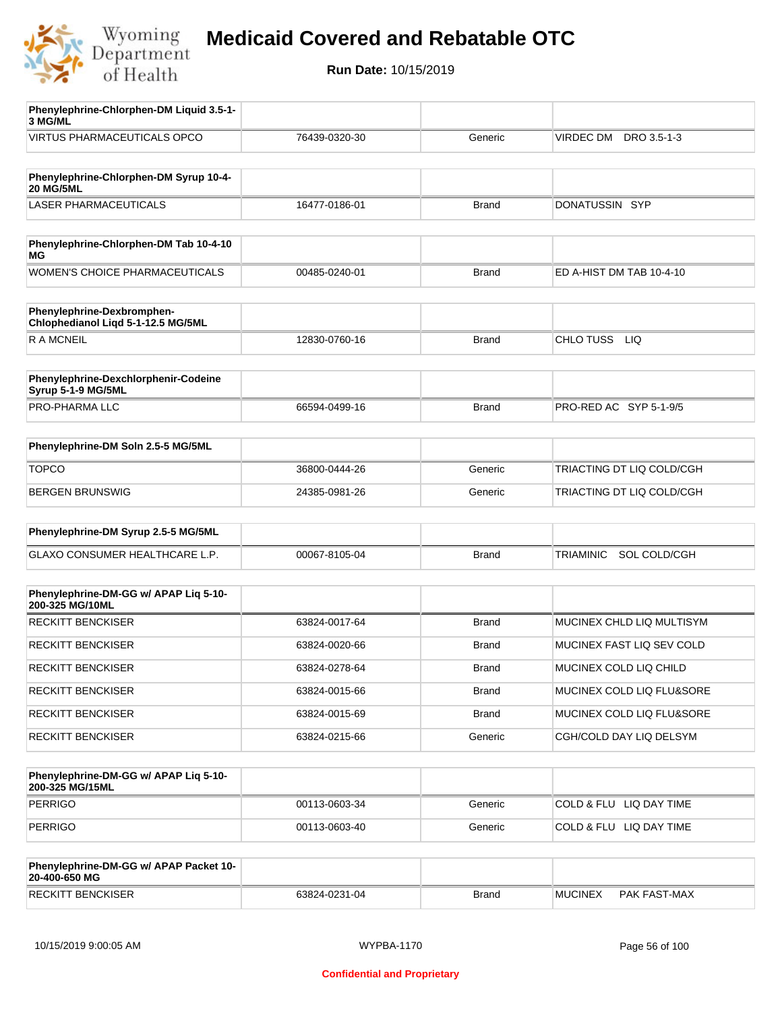

**Run Date:** 10/15/2019

| Phenylephrine-Chlorphen-DM Liquid 3.5-1-<br>3 MG/ML              |               |              |                           |
|------------------------------------------------------------------|---------------|--------------|---------------------------|
| <b>VIRTUS PHARMACEUTICALS OPCO</b>                               | 76439-0320-30 | Generic      | VIRDEC DM DRO 3.5-1-3     |
|                                                                  |               |              |                           |
| Phenylephrine-Chlorphen-DM Syrup 10-4-<br><b>20 MG/5ML</b>       |               |              |                           |
| <b>LASER PHARMACEUTICALS</b>                                     | 16477-0186-01 | Brand        | DONATUSSIN SYP            |
|                                                                  |               |              |                           |
| Phenylephrine-Chlorphen-DM Tab 10-4-10<br>МG                     |               |              |                           |
| WOMEN'S CHOICE PHARMACEUTICALS                                   | 00485-0240-01 | <b>Brand</b> | ED A-HIST DM TAB 10-4-10  |
| Phenylephrine-Dexbromphen-<br>Chlophedianol Liqd 5-1-12.5 MG/5ML |               |              |                           |
| R A MCNEIL                                                       | 12830-0760-16 | <b>Brand</b> | CHLO TUSS LIQ             |
|                                                                  |               |              |                           |
| Phenylephrine-Dexchlorphenir-Codeine<br>Syrup 5-1-9 MG/5ML       |               |              |                           |
| PRO-PHARMA LLC                                                   | 66594-0499-16 | <b>Brand</b> | PRO-RED AC SYP 5-1-9/5    |
| Phenylephrine-DM Soln 2.5-5 MG/5ML                               |               |              |                           |
|                                                                  |               |              |                           |
| <b>TOPCO</b>                                                     | 36800-0444-26 | Generic      | TRIACTING DT LIQ COLD/CGH |
| <b>BERGEN BRUNSWIG</b>                                           | 24385-0981-26 | Generic      | TRIACTING DT LIQ COLD/CGH |
| Phenylephrine-DM Syrup 2.5-5 MG/5ML                              |               |              |                           |
| GLAXO CONSUMER HEALTHCARE L.P.                                   | 00067-8105-04 | <b>Brand</b> | SOL COLD/CGH<br>TRIAMINIC |
|                                                                  |               |              |                           |
| Phenylephrine-DM-GG w/ APAP Liq 5-10-<br>200-325 MG/10ML         |               |              |                           |
| <b>RECKITT BENCKISER</b>                                         | 63824-0017-64 | <b>Brand</b> | MUCINEX CHLD LIQ MULTISYM |
| <b>RECKITT BENCKISER</b>                                         | 63824-0020-66 | Brand        | MUCINEX FAST LIQ SEV COLD |
| RECKITT BENCKISER                                                | 63824-0278-64 | <b>Brand</b> | MUCINEX COLD LIQ CHILD    |
| <b>RECKITT BENCKISER</b>                                         | 63824-0015-66 | Brand        | MUCINEX COLD LIQ FLU&SORE |
| <b>RECKITT BENCKISER</b>                                         | 63824-0015-69 | <b>Brand</b> | MUCINEX COLD LIQ FLU&SORE |
| <b>RECKITT BENCKISER</b>                                         | 63824-0215-66 | Generic      | CGH/COLD DAY LIQ DELSYM   |
|                                                                  |               |              |                           |
| Phenylephrine-DM-GG w/ APAP Liq 5-10-<br>200-325 MG/15ML         |               |              |                           |
| <b>PERRIGO</b>                                                   | 00113-0603-34 | Generic      | COLD & FLU LIQ DAY TIME   |
| <b>PERRIGO</b>                                                   | 00113-0603-40 | Generic      | COLD & FLU LIQ DAY TIME   |
|                                                                  |               |              |                           |
| Phenylephrine-DM-GG w/ APAP Packet 10-<br>20-400-650 MG          |               |              |                           |

RECKITT BENCKISER 63824-0231-04 Brand MUCINEX PAK FAST-MAX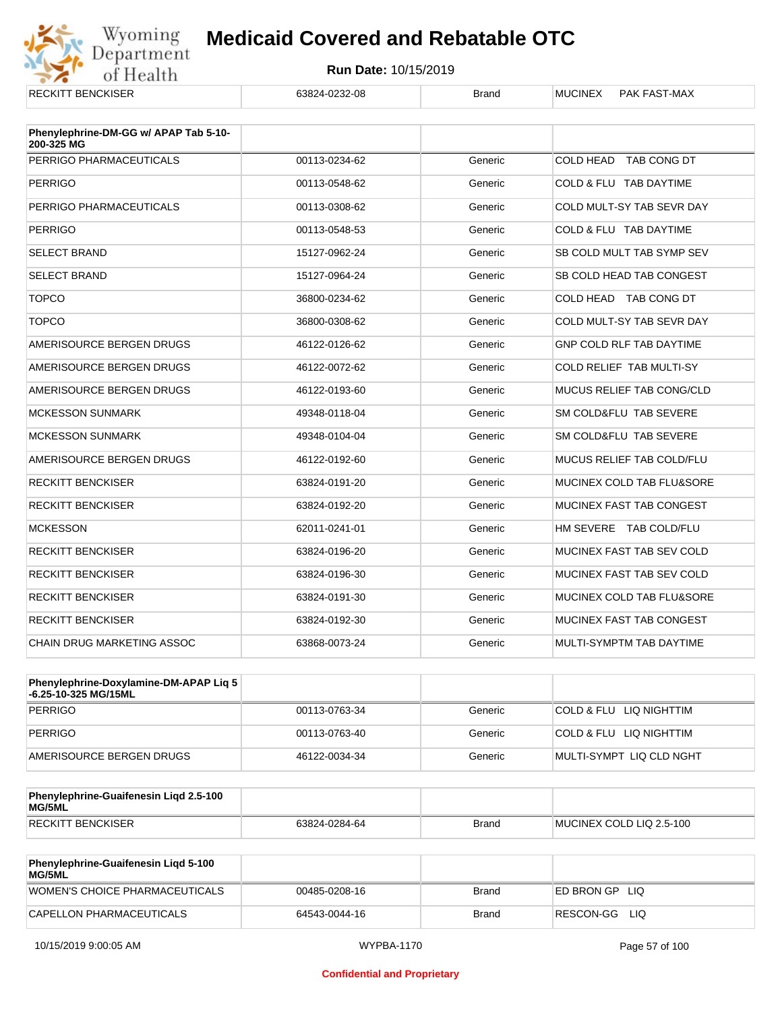

| <b>RECKITT BENCKISER</b>              | 63824-0232-08 | <b>Brand</b> | <b>MUCINEX</b><br><b>PAK FAST-MAX</b> |
|---------------------------------------|---------------|--------------|---------------------------------------|
| Phenylephrine-DM-GG w/ APAP Tab 5-10- |               |              |                                       |
| 200-325 MG                            |               |              |                                       |
| PERRIGO PHARMACEUTICALS               | 00113-0234-62 | Generic      | COLD HEAD TAB CONG DT                 |
| <b>PERRIGO</b>                        | 00113-0548-62 | Generic      | COLD & FLU TAB DAYTIME                |
| PERRIGO PHARMACEUTICALS               | 00113-0308-62 | Generic      | COLD MULT-SY TAB SEVR DAY             |
| <b>PERRIGO</b>                        | 00113-0548-53 | Generic      | COLD & FLU TAB DAYTIME                |
| <b>SELECT BRAND</b>                   | 15127-0962-24 | Generic      | SB COLD MULT TAB SYMP SEV             |
| <b>SELECT BRAND</b>                   | 15127-0964-24 | Generic      | SB COLD HEAD TAB CONGEST              |
| <b>TOPCO</b>                          | 36800-0234-62 | Generic      | COLD HEAD TAB CONG DT                 |
| <b>TOPCO</b>                          | 36800-0308-62 | Generic      | COLD MULT-SY TAB SEVR DAY             |
| AMERISOURCE BERGEN DRUGS              | 46122-0126-62 | Generic      | GNP COLD RLF TAB DAYTIME              |
| AMERISOURCE BERGEN DRUGS              | 46122-0072-62 | Generic      | COLD RELIEF TAB MULTI-SY              |
| AMERISOURCE BERGEN DRUGS              | 46122-0193-60 | Generic      | <b>MUCUS RELIEF TAB CONG/CLD</b>      |
| <b>MCKESSON SUNMARK</b>               | 49348-0118-04 | Generic      | SM COLD&FLU TAB SEVERE                |
| <b>MCKESSON SUNMARK</b>               | 49348-0104-04 | Generic      | SM COLD&FLU TAB SEVERE                |
| AMERISOURCE BERGEN DRUGS              | 46122-0192-60 | Generic      | MUCUS RELIEF TAB COLD/FLU             |
| <b>RECKITT BENCKISER</b>              | 63824-0191-20 | Generic      | MUCINEX COLD TAB FLU&SORE             |
| <b>RECKITT BENCKISER</b>              | 63824-0192-20 | Generic      | MUCINEX FAST TAB CONGEST              |
| <b>MCKESSON</b>                       | 62011-0241-01 | Generic      | HM SEVERE TAB COLD/FLU                |
| <b>RECKITT BENCKISER</b>              | 63824-0196-20 | Generic      | MUCINEX FAST TAB SEV COLD             |
| <b>RECKITT BENCKISER</b>              | 63824-0196-30 | Generic      | MUCINEX FAST TAB SEV COLD             |
| <b>RECKITT BENCKISER</b>              | 63824-0191-30 | Generic      | MUCINEX COLD TAB FLU&SORE             |
| <b>RECKITT BENCKISER</b>              | 63824-0192-30 | Generic      | MUCINEX FAST TAB CONGEST              |
| CHAIN DRUG MARKETING ASSOC            | 63868-0073-24 | Generic      | MULTI-SYMPTM TAB DAYTIME              |

| <b>Phenylephrine-Doxylamine-DM-APAP Lig 5</b><br>-6.25-10-325 MG/15ML |               |         |                          |
|-----------------------------------------------------------------------|---------------|---------|--------------------------|
| PERRIGO                                                               | 00113-0763-34 | Generic | COLD & FLU LIQ NIGHTTIM  |
| PERRIGO                                                               | 00113-0763-40 | Generic | COLD & FLU LIQ NIGHTTIM  |
| AMERISOURCE BERGEN DRUGS                                              | 46122-0034-34 | Generic | MULTI-SYMPT LIQ CLD NGHT |

| Phenylephrine-Guaifenesin Ligd 2.5-100<br>MG/5ML |               |              |                          |
|--------------------------------------------------|---------------|--------------|--------------------------|
| <b>RECKITT BENCKISER</b>                         | 63824-0284-64 | <b>Brand</b> | MUCINEX COLD LIQ 2.5-100 |

| <b>Phenylephrine-Guaifenesin Ligd 5-100</b><br><b>MG/5ML</b> |               |       |                    |
|--------------------------------------------------------------|---------------|-------|--------------------|
| WOMEN'S CHOICE PHARMACEUTICALS                               | 00485-0208-16 | Brand | ED BRON GP<br>-LIQ |
| CAPELLON PHARMACEUTICALS                                     | 64543-0044-16 | Brand | RESCON-GG<br>LIQ   |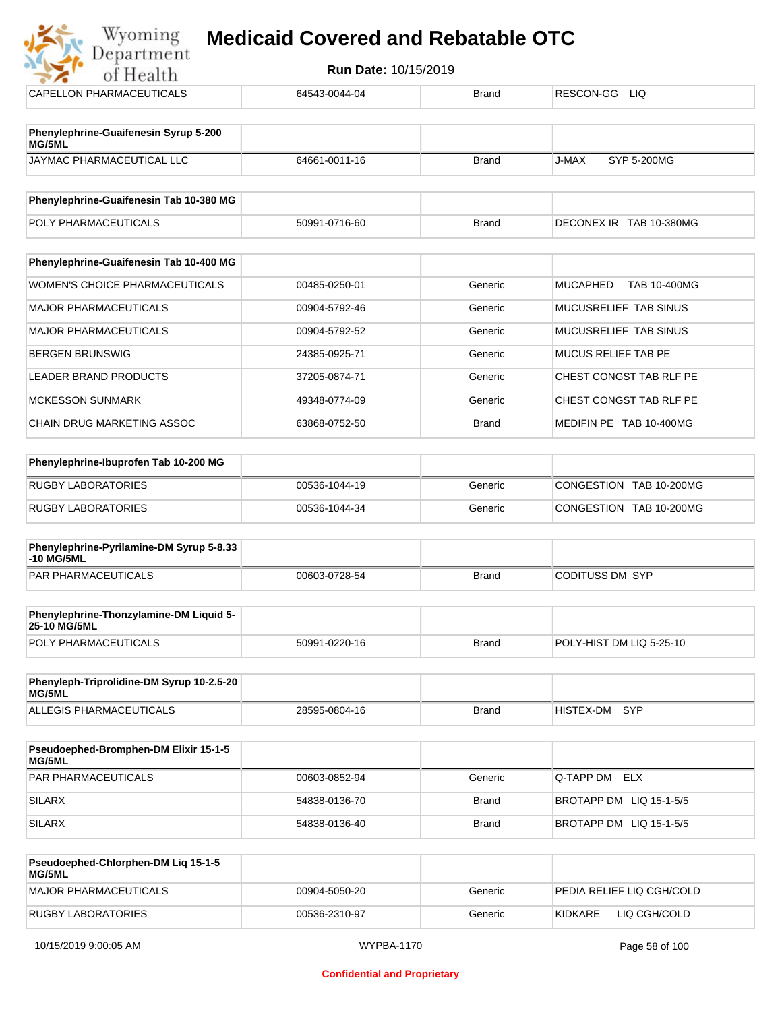#### **Medicaid Covered and Rebatable OTC**Department

**Run Date:** 10/15/2019 of Health CAPELLON PHARMACEUTICALS 64543-0044-04 Brand RESCON-GG LIQ **Phenylephrine-Guaifenesin Syrup 5-200 MG/5ML** JAYMAC PHARMACEUTICAL LLC 64661-0011-16 Brand J-MAX SYP 5-200MG **Phenylephrine-Guaifenesin Tab 10-380 MG** POLY PHARMACEUTICALS **FOLY PHARMACEUTICALS** 50991-0716-60 Brand Brand DECONEX IR TAB 10-380MG **Phenylephrine-Guaifenesin Tab 10-400 MG** WOMEN'S CHOICE PHARMACEUTICALS | 00485-0250-01 Generic MUCAPHED TAB 10-400MG MAJOR PHARMACEUTICALS **DO904-5792-46** O0904-5792-46 Generic MUCUSRELIEF TAB SINUS MAJOR PHARMACEUTICALS 
20904-5792-52 Generic MUCUSRELIEF TAB SINUS BERGEN BRUNSWIG 
BROW | 24385-0925-71 
Generic MUCUS RELIEF TAB PE LEADER BRAND PRODUCTS  $37205-0874-71$ Seneric 
CHEST CONGST TAB RLF PE MCKESSON SUNMARK  $\begin{array}{|c|c|c|c|c|c|}\n\hline\n & & 49348-0774-09 & & \text{Generic} & \text{CHEST CONGST TAB RLF PE} \end{array}$ CHAIN DRUG MARKETING ASSOC 63868-0752-50 Brand MEDIFIN PE TAB 10-400MG

| Phenylephrine-Ibuprofen Tab 10-200 MG |               |         |                         |
|---------------------------------------|---------------|---------|-------------------------|
| RUGBY LABORATORIES                    | 00536-1044-19 | Generic | CONGESTION TAB 10-200MG |
| RUGBY LABORATORIES                    | 00536-1044-34 | Generic | CONGESTION TAB 10-200MG |

| Phenylephrine-Pyrilamine-DM Syrup 5-8.33<br>-10 MG/5ML |               |       |                 |
|--------------------------------------------------------|---------------|-------|-----------------|
| <b>PAR PHARMACEUTICALS</b>                             | 00603-0728-54 | Brand | CODITUSS DM SYP |

| <b>Phenylephrine-Thonzylamine-DM Liquid 5-</b><br><b>25-10 MG/5ML</b> |               |              |                          |
|-----------------------------------------------------------------------|---------------|--------------|--------------------------|
| <b>POLY PHARMACEUTICALS</b>                                           | 50991-0220-16 | <b>Brand</b> | POLY-HIST DM LIQ 5-25-10 |

| Phenyleph-Triprolidine-DM Syrup 10-2.5-20<br>MG/5ML |               |       |               |
|-----------------------------------------------------|---------------|-------|---------------|
| ALLEGIS PHARMACEUTICALS                             | 28595-0804-16 | Brand | HISTEX-DM SYP |

| <b>Pseudoephed-Bromphen-DM Elixir 15-1-5</b><br>MG/5ML |               |         |                         |
|--------------------------------------------------------|---------------|---------|-------------------------|
| <b>PAR PHARMACEUTICALS</b>                             | 00603-0852-94 | Generic | Q-TAPP DM ELX           |
| SILARX                                                 | 54838-0136-70 | Brand   | BROTAPP DM LIQ 15-1-5/5 |
| SILARX                                                 | 54838-0136-40 | Brand   | BROTAPP DM LIQ 15-1-5/5 |

| Pseudoephed-Chlorphen-DM Lig 15-1-5<br><b>MG/5ML</b> |               |         |                           |
|------------------------------------------------------|---------------|---------|---------------------------|
| MAJOR PHARMACEUTICALS                                | 00904-5050-20 | Generic | PEDIA RELIEF LIO CGH/COLD |
| RUGBY LABORATORIES                                   | 00536-2310-97 | Generic | KIDKARE<br>LIQ CGH/COLD   |

Wyoming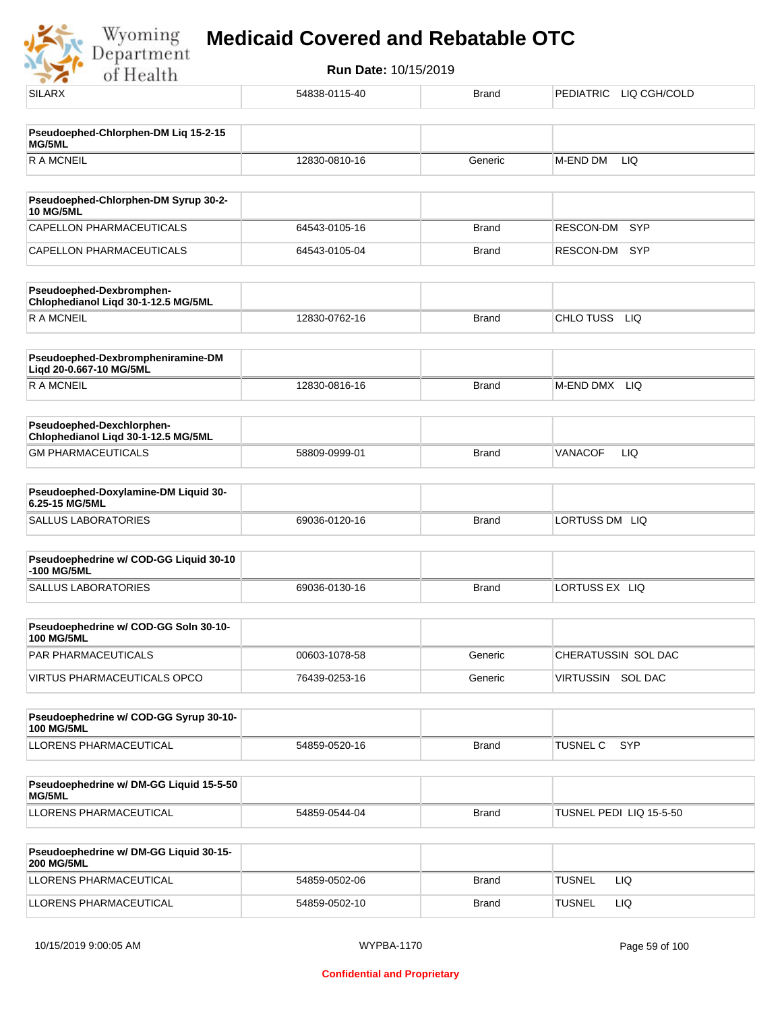

| <b>SILARX</b>                                                    | 54838-0115-40 | <b>Brand</b> | PEDIATRIC LIQ CGH/COLD  |
|------------------------------------------------------------------|---------------|--------------|-------------------------|
| Pseudoephed-Chlorphen-DM Liq 15-2-15<br>MG/5ML                   |               |              |                         |
| <b>RAMCNEIL</b>                                                  | 12830-0810-16 | Generic      | M-END DM<br>LIQ         |
| Pseudoephed-Chlorphen-DM Syrup 30-2-                             |               |              |                         |
| <b>10 MG/5ML</b><br>CAPELLON PHARMACEUTICALS                     | 64543-0105-16 | <b>Brand</b> | <b>SYP</b><br>RESCON-DM |
| CAPELLON PHARMACEUTICALS                                         | 64543-0105-04 | <b>Brand</b> | RESCON-DM<br><b>SYP</b> |
| Pseudoephed-Dexbromphen-<br>Chlophedianol Liqd 30-1-12.5 MG/5ML  |               |              |                         |
| <b>RAMCNEIL</b>                                                  | 12830-0762-16 | <b>Brand</b> | CHLO TUSS<br><b>LIQ</b> |
| Pseudoephed-Dexbrompheniramine-DM<br>Liqd 20-0.667-10 MG/5ML     |               |              |                         |
| <b>RAMCNEIL</b>                                                  | 12830-0816-16 | <b>Brand</b> | M-END DMX LIQ           |
| Pseudoephed-Dexchlorphen-<br>Chlophedianol Liqd 30-1-12.5 MG/5ML |               |              |                         |
| <b>GM PHARMACEUTICALS</b>                                        | 58809-0999-01 | <b>Brand</b> | VANACOF<br><b>LIQ</b>   |
| Pseudoephed-Doxylamine-DM Liquid 30-<br>6.25-15 MG/5ML           |               |              |                         |
| <b>SALLUS LABORATORIES</b>                                       | 69036-0120-16 | <b>Brand</b> | LORTUSS DM LIQ          |
| Pseudoephedrine w/ COD-GG Liquid 30-10<br>-100 MG/5ML            |               |              |                         |
| <b>SALLUS LABORATORIES</b>                                       | 69036-0130-16 | <b>Brand</b> | LORTUSS EX LIQ          |
| Pseudoephedrine w/ COD-GG Soln 30-10-<br><b>100 MG/5ML</b>       |               |              |                         |
| PAR PHARMACEUTICALS                                              | 00603-1078-58 | Generic      | CHERATUSSIN SOL DAC     |
| <b>VIRTUS PHARMACEUTICALS OPCO</b>                               | 76439-0253-16 | Generic      | VIRTUSSIN SOL DAC       |
| Pseudoephedrine w/ COD-GG Syrup 30-10-<br><b>100 MG/5ML</b>      |               |              |                         |
| LLORENS PHARMACEUTICAL                                           | 54859-0520-16 | <b>Brand</b> | TUSNEL C<br>SYP         |
| Pseudoephedrine w/ DM-GG Liquid 15-5-50<br>MG/5ML                |               |              |                         |
| LLORENS PHARMACEUTICAL                                           | 54859-0544-04 | Brand        | TUSNEL PEDI LIQ 15-5-50 |
| Pseudoephedrine w/ DM-GG Liquid 30-15-<br><b>200 MG/5ML</b>      |               |              |                         |
| LLORENS PHARMACEUTICAL                                           | 54859-0502-06 | Brand        | <b>TUSNEL</b><br>LIQ    |
| LLORENS PHARMACEUTICAL                                           | 54859-0502-10 | <b>Brand</b> | <b>TUSNEL</b><br>LIQ    |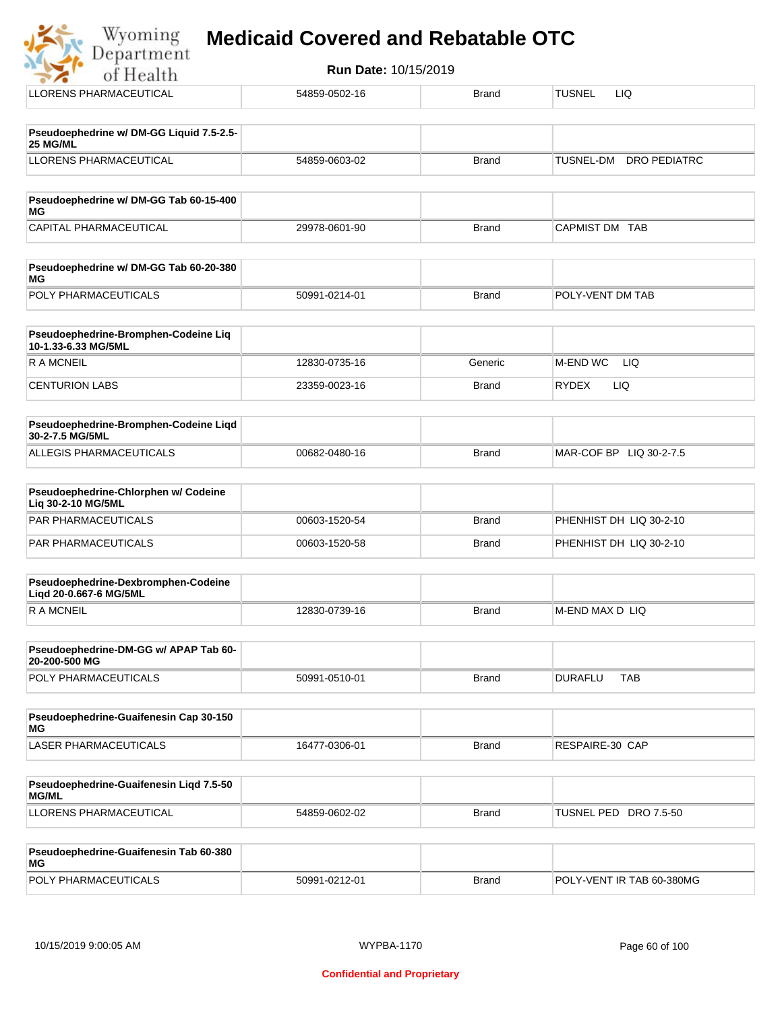| Run Date: 10/15/2019<br>of Health                           |               |              |                                         |  |
|-------------------------------------------------------------|---------------|--------------|-----------------------------------------|--|
| LLORENS PHARMACEUTICAL                                      | 54859-0502-16 | <b>Brand</b> | <b>TUSNEL</b><br><b>LIQ</b>             |  |
| Pseudoephedrine w/ DM-GG Liquid 7.5-2.5-<br>25 MG/ML        |               |              |                                         |  |
| LLORENS PHARMACEUTICAL                                      | 54859-0603-02 | <b>Brand</b> | <b>TUSNEL-DM</b><br><b>DRO PEDIATRC</b> |  |
| Pseudoephedrine w/ DM-GG Tab 60-15-400<br>МG                |               |              |                                         |  |
| CAPITAL PHARMACEUTICAL                                      | 29978-0601-90 | <b>Brand</b> | CAPMIST DM TAB                          |  |
| Pseudoephedrine w/ DM-GG Tab 60-20-380<br><b>MG</b>         |               |              |                                         |  |
| POLY PHARMACEUTICALS                                        | 50991-0214-01 | <b>Brand</b> | POLY-VENT DM TAB                        |  |
| Pseudoephedrine-Bromphen-Codeine Liq<br>10-1.33-6.33 MG/5ML |               |              |                                         |  |
| <b>RAMCNEIL</b>                                             | 12830-0735-16 | Generic      | M-END WC<br><b>LIQ</b>                  |  |
| <b>CENTURION LABS</b>                                       | 23359-0023-16 | <b>Brand</b> | <b>LIQ</b><br><b>RYDEX</b>              |  |
| Pseudoephedrine-Bromphen-Codeine Liqd<br>30-2-7.5 MG/5ML    |               |              |                                         |  |
| ALLEGIS PHARMACEUTICALS                                     | 00682-0480-16 | <b>Brand</b> | MAR-COF BP LIQ 30-2-7.5                 |  |
| Pseudoephedrine-Chlorphen w/ Codeine<br>Liq 30-2-10 MG/5ML  |               |              |                                         |  |
| PAR PHARMACEUTICALS                                         | 00603-1520-54 | <b>Brand</b> | PHENHIST DH LIQ 30-2-10                 |  |
| PAR PHARMACEUTICALS                                         | 00603-1520-58 | <b>Brand</b> | PHENHIST DH LIQ 30-2-10                 |  |
|                                                             |               |              |                                         |  |

| <b>Pseudoephedrine-Dexbromphen-Codeine</b><br>Ligd 20-0.667-6 MG/5ML |               |       |                 |
|----------------------------------------------------------------------|---------------|-------|-----------------|
|                                                                      | 12830-0739-16 | Brand | M-END MAX D LIQ |

| Pseudoephedrine-DM-GG w/ APAP Tab 60-<br>20-200-500 MG |               |       |                |            |
|--------------------------------------------------------|---------------|-------|----------------|------------|
| <b>POLY PHARMACEUTICALS</b>                            | 50991-0510-01 | Brand | <b>DURAFLU</b> | <b>TAB</b> |

| Pseudoephedrine-Guaifenesin Cap 30-150<br>MG |               |       |                 |
|----------------------------------------------|---------------|-------|-----------------|
| LASER PHARMACEUTICALS                        | 16477-0306-01 | Brand | RESPAIRE-30 CAP |

| Pseudoephedrine-Guaifenesin Ligd 7.5-50<br><b>MG/ML</b> |               |       |                       |
|---------------------------------------------------------|---------------|-------|-----------------------|
| LLORENS PHARMACEUTICAL                                  | 54859-0602-02 | Brand | TUSNEL PED DRO 7.5-50 |

| Pseudoephedrine-Guaifenesin Tab 60-380<br>MG |               |       |                           |
|----------------------------------------------|---------------|-------|---------------------------|
| <b>POLY PHARMACEUTICALS</b>                  | 50991-0212-01 | Brand | POLY-VENT IR TAB 60-380MG |

 $\frac{1}{2}$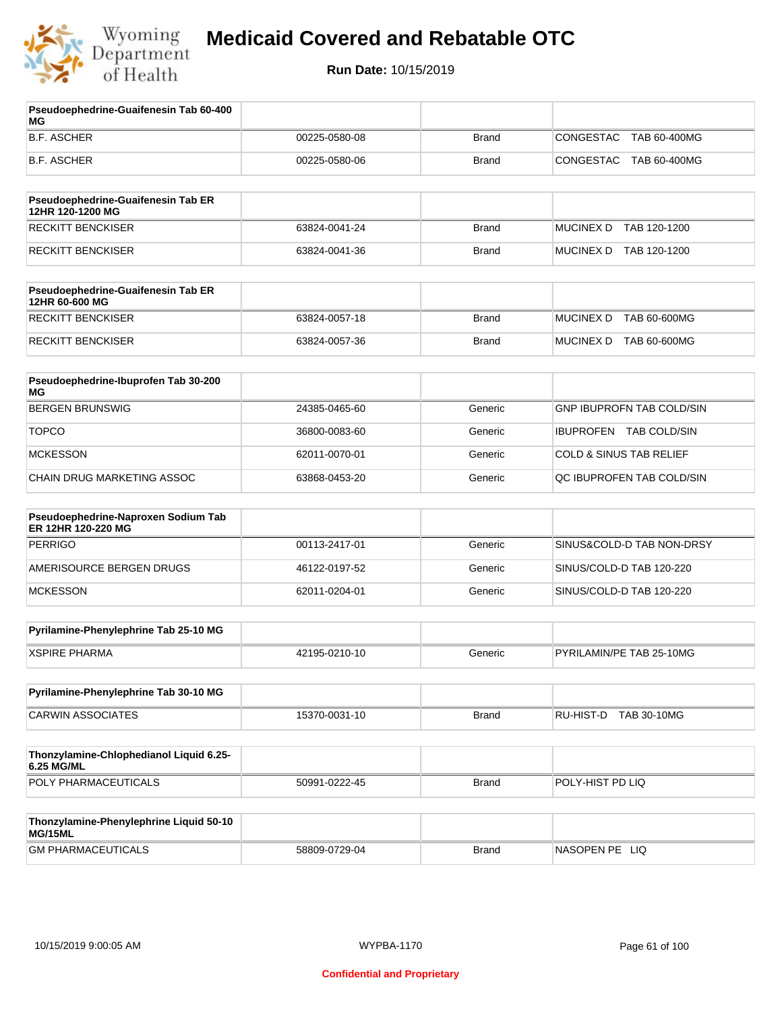

**Run Date:** 10/15/2019

| Pseudoephedrine-Guaifenesin Tab 60-400<br>ΜG              |               |              |                                    |
|-----------------------------------------------------------|---------------|--------------|------------------------------------|
| <b>B.F. ASCHER</b>                                        | 00225-0580-08 | <b>Brand</b> | CONGESTAC<br>TAB 60-400MG          |
| <b>B.F. ASCHER</b>                                        | 00225-0580-06 | <b>Brand</b> | <b>CONGESTAC</b><br>TAB 60-400MG   |
| Pseudoephedrine-Guaifenesin Tab ER                        |               |              |                                    |
| 12HR 120-1200 MG<br><b>RECKITT BENCKISER</b>              | 63824-0041-24 | <b>Brand</b> | <b>MUCINEX D</b><br>TAB 120-1200   |
|                                                           |               |              |                                    |
| <b>RECKITT BENCKISER</b>                                  | 63824-0041-36 | <b>Brand</b> | MUCINEX D TAB 120-1200             |
| Pseudoephedrine-Guaifenesin Tab ER<br>12HR 60-600 MG      |               |              |                                    |
| <b>RECKITT BENCKISER</b>                                  | 63824-0057-18 | <b>Brand</b> | MUCINEX D TAB 60-600MG             |
| <b>RECKITT BENCKISER</b>                                  | 63824-0057-36 | <b>Brand</b> | MUCINEX D TAB 60-600MG             |
| Pseudoephedrine-Ibuprofen Tab 30-200<br><b>MG</b>         |               |              |                                    |
| <b>BERGEN BRUNSWIG</b>                                    | 24385-0465-60 | Generic      | <b>GNP IBUPROFN TAB COLD/SIN</b>   |
| <b>TOPCO</b>                                              | 36800-0083-60 | Generic      | IBUPROFEN TAB COLD/SIN             |
| <b>MCKESSON</b>                                           | 62011-0070-01 | Generic      | <b>COLD &amp; SINUS TAB RELIEF</b> |
| <b>CHAIN DRUG MARKETING ASSOC</b>                         | 63868-0453-20 | Generic      | QC IBUPROFEN TAB COLD/SIN          |
| Pseudoephedrine-Naproxen Sodium Tab<br>ER 12HR 120-220 MG |               |              |                                    |
| <b>PERRIGO</b>                                            | 00113-2417-01 | Generic      | SINUS&COLD-D TAB NON-DRSY          |
| AMERISOURCE BERGEN DRUGS                                  | 46122-0197-52 | Generic      | SINUS/COLD-D TAB 120-220           |
| <b>MCKESSON</b>                                           | 62011-0204-01 | Generic      | SINUS/COLD-D TAB 120-220           |
| Pyrilamine-Phenylephrine Tab 25-10 MG                     |               |              |                                    |
| <b>XSPIRE PHARMA</b>                                      | 42195-0210-10 | Generic      | PYRILAMIN/PE TAB 25-10MG           |
| Pyrilamine-Phenylephrine Tab 30-10 MG                     |               |              |                                    |
| <b>CARWIN ASSOCIATES</b>                                  | 15370-0031-10 | <b>Brand</b> | RU-HIST-D TAB 30-10MG              |
| Thonzylamine-Chlophedianol Liquid 6.25-<br>6.25 MG/ML     |               |              |                                    |
| POLY PHARMACEUTICALS                                      | 50991-0222-45 | <b>Brand</b> | POLY-HIST PD LIQ                   |
| Thonzylamine-Phenylephrine Liquid 50-10                   |               |              |                                    |
| MG/15ML<br><b>GM PHARMACEUTICALS</b>                      | 58809-0729-04 | <b>Brand</b> | NASOPEN PE LIQ                     |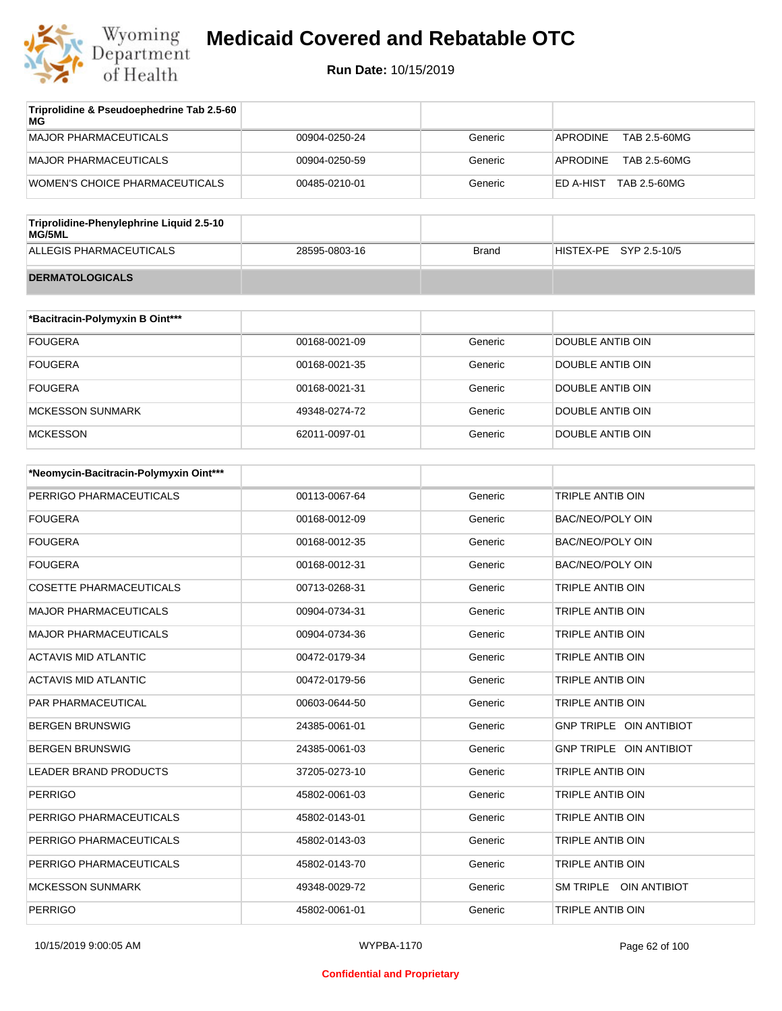

| Triprolidine & Pseudoephedrine Tab 2.5-60<br>MG |               |         |                           |
|-------------------------------------------------|---------------|---------|---------------------------|
| MAJOR PHARMACEUTICALS                           | 00904-0250-24 | Generic | APRODINE<br>TAB 2.5-60MG  |
| MAJOR PHARMACEUTICALS                           | 00904-0250-59 | Generic | TAB 2.5-60MG<br>APRODINE  |
| WOMEN'S CHOICE PHARMACEUTICALS                  | 00485-0210-01 | Generic | TAB 2.5-60MG<br>ED A-HIST |
|                                                 |               |         |                           |

| Triprolidine-Phenylephrine Liquid 2.5-10<br>MG/5ML |               |       |                        |
|----------------------------------------------------|---------------|-------|------------------------|
| ALLEGIS PHARMACEUTICALS                            | 28595-0803-16 | Brand | HISTEX-PE SYP 2.5-10/5 |
| <b>DERMATOLOGICALS</b>                             |               |       |                        |

| *Bacitracin-Polymyxin B Oint*** |               |         |                  |
|---------------------------------|---------------|---------|------------------|
| <b>FOUGERA</b>                  | 00168-0021-09 | Generic | DOUBLE ANTIB OIN |
| <b>FOUGERA</b>                  | 00168-0021-35 | Generic | DOUBLE ANTIB OIN |
| <b>FOUGERA</b>                  | 00168-0021-31 | Generic | DOUBLE ANTIB OIN |
| MCKESSON SUNMARK                | 49348-0274-72 | Generic | DOUBLE ANTIB OIN |
| <b>MCKESSON</b>                 | 62011-0097-01 | Generic | DOUBLE ANTIB OIN |

| *Neomycin-Bacitracin-Polymyxin Oint*** |               |         |                                |
|----------------------------------------|---------------|---------|--------------------------------|
| PERRIGO PHARMACEUTICALS                | 00113-0067-64 | Generic | TRIPLE ANTIB OIN               |
| <b>FOUGERA</b>                         | 00168-0012-09 | Generic | <b>BAC/NEO/POLY OIN</b>        |
| <b>FOUGERA</b>                         | 00168-0012-35 | Generic | <b>BAC/NEO/POLY OIN</b>        |
| <b>FOUGERA</b>                         | 00168-0012-31 | Generic | <b>BAC/NEO/POLY OIN</b>        |
| <b>COSETTE PHARMACEUTICALS</b>         | 00713-0268-31 | Generic | TRIPLE ANTIB OIN               |
| <b>MAJOR PHARMACEUTICALS</b>           | 00904-0734-31 | Generic | <b>TRIPLE ANTIB OIN</b>        |
| <b>MAJOR PHARMACEUTICALS</b>           | 00904-0734-36 | Generic | TRIPLE ANTIB OIN               |
| <b>ACTAVIS MID ATLANTIC</b>            | 00472-0179-34 | Generic | <b>TRIPLE ANTIB OIN</b>        |
| <b>ACTAVIS MID ATLANTIC</b>            | 00472-0179-56 | Generic | TRIPLE ANTIB OIN               |
| <b>PAR PHARMACEUTICAL</b>              | 00603-0644-50 | Generic | TRIPLE ANTIB OIN               |
| <b>BERGEN BRUNSWIG</b>                 | 24385-0061-01 | Generic | <b>GNP TRIPLE OIN ANTIBIOT</b> |
| <b>BERGEN BRUNSWIG</b>                 | 24385-0061-03 | Generic | GNP TRIPLE OIN ANTIBIOT        |
| <b>LEADER BRAND PRODUCTS</b>           | 37205-0273-10 | Generic | TRIPLE ANTIB OIN               |
| <b>PERRIGO</b>                         | 45802-0061-03 | Generic | TRIPLE ANTIB OIN               |
| PERRIGO PHARMACEUTICALS                | 45802-0143-01 | Generic | <b>TRIPLE ANTIB OIN</b>        |
| PERRIGO PHARMACEUTICALS                | 45802-0143-03 | Generic | TRIPLE ANTIB OIN               |
| PERRIGO PHARMACEUTICALS                | 45802-0143-70 | Generic | TRIPLE ANTIB OIN               |
| <b>MCKESSON SUNMARK</b>                | 49348-0029-72 | Generic | SM TRIPLE OIN ANTIBIOT         |
| <b>PERRIGO</b>                         | 45802-0061-01 | Generic | TRIPLE ANTIB OIN               |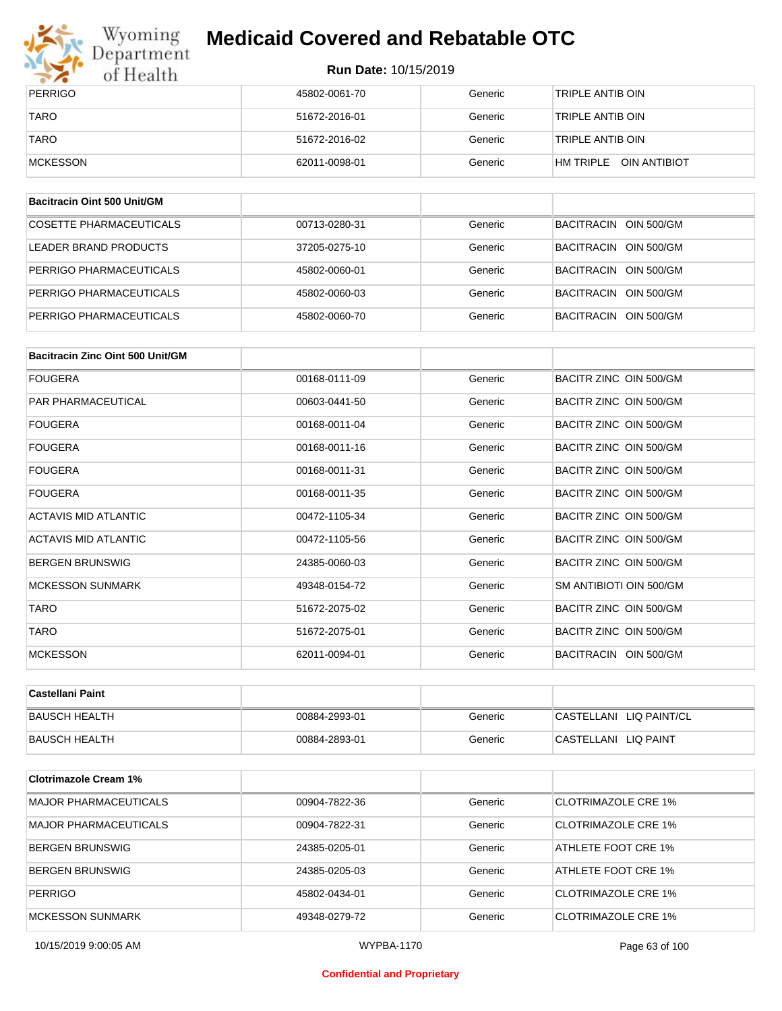

# Wyoming<br>Department<br>of Health

## **Medicaid Covered and Rebatable OTC**

**Run Date:** 10/15/2019

| PERRIGO     | 45802-0061-70 | Generic | 'TRIPLE ANTIB OIN         |
|-------------|---------------|---------|---------------------------|
| <b>TARO</b> | 51672-2016-01 | Generic | 'TRIPLE ANTIB OIN         |
| <b>TARO</b> | 51672-2016-02 | Generic | 'TRIPLE ANTIB OIN         |
| MCKESSON    | 62011-0098-01 | Generic | OIN ANTIBIOT<br>HM TRIPLE |

| Bacitracin Oint 500 Unit/GM |               |         |                       |
|-----------------------------|---------------|---------|-----------------------|
| COSETTE PHARMACEUTICALS     | 00713-0280-31 | Generic | BACITRACIN OIN 500/GM |
| LEADER BRAND PRODUCTS       | 37205-0275-10 | Generic | BACITRACIN OIN 500/GM |
| PERRIGO PHARMACEUTICALS     | 45802-0060-01 | Generic | BACITRACIN OIN 500/GM |
| PERRIGO PHARMACEUTICALS     | 45802-0060-03 | Generic | BACITRACIN OIN 500/GM |
| PERRIGO PHARMACEUTICALS     | 45802-0060-70 | Generic | BACITRACIN OIN 500/GM |

| Bacitracin Zinc Oint 500 Unit/GM |               |         |                         |
|----------------------------------|---------------|---------|-------------------------|
| <b>FOUGERA</b>                   | 00168-0111-09 | Generic | BACITR ZINC OIN 500/GM  |
| PAR PHARMACEUTICAL               | 00603-0441-50 | Generic | BACITR ZINC OIN 500/GM  |
| <b>FOUGERA</b>                   | 00168-0011-04 | Generic | BACITR ZINC OIN 500/GM  |
| <b>FOUGERA</b>                   | 00168-0011-16 | Generic | BACITR ZINC OIN 500/GM  |
| FOUGERA                          | 00168-0011-31 | Generic | BACITR ZINC OIN 500/GM  |
| <b>FOUGERA</b>                   | 00168-0011-35 | Generic | BACITR ZINC OIN 500/GM  |
| <b>ACTAVIS MID ATLANTIC</b>      | 00472-1105-34 | Generic | BACITR ZINC OIN 500/GM  |
| ACTAVIS MID ATLANTIC             | 00472-1105-56 | Generic | BACITR ZINC OIN 500/GM  |
| <b>BERGEN BRUNSWIG</b>           | 24385-0060-03 | Generic | BACITR ZINC OIN 500/GM  |
| <b>MCKESSON SUNMARK</b>          | 49348-0154-72 | Generic | SM ANTIBIOTI OIN 500/GM |
| <b>TARO</b>                      | 51672-2075-02 | Generic | BACITR ZINC OIN 500/GM  |
| <b>TARO</b>                      | 51672-2075-01 | Generic | BACITR ZINC OIN 500/GM  |
| <b>MCKESSON</b>                  | 62011-0094-01 | Generic | BACITRACIN OIN 500/GM   |

| ∣Castellani Paint    |               |         |                         |
|----------------------|---------------|---------|-------------------------|
| <b>BAUSCH HEALTH</b> | 00884-2993-01 | Generic | CASTELLANI LIQ PAINT/CL |
| <b>BAUSCH HEALTH</b> | 00884-2893-01 | Generic | CASTELLANI LIQ PAINT    |

| <b>Clotrimazole Cream 1%</b> |               |         |                            |
|------------------------------|---------------|---------|----------------------------|
| <b>MAJOR PHARMACEUTICALS</b> | 00904-7822-36 | Generic | CLOTRIMAZOLE CRE 1%        |
| <b>MAJOR PHARMACEUTICALS</b> | 00904-7822-31 | Generic | CLOTRIMAZOLE CRE 1%        |
| <b>BERGEN BRUNSWIG</b>       | 24385-0205-01 | Generic | ATHLETE FOOT CRE 1%        |
| <b>BERGEN BRUNSWIG</b>       | 24385-0205-03 | Generic | ATHLETE FOOT CRE 1%        |
| <b>PERRIGO</b>               | 45802-0434-01 | Generic | CLOTRIMAZOLE CRE 1%        |
| <b>MCKESSON SUNMARK</b>      | 49348-0279-72 | Generic | <b>CLOTRIMAZOLE CRE 1%</b> |

10/15/2019 9:00:05 AM WYPBA-1170 Page 63 of 100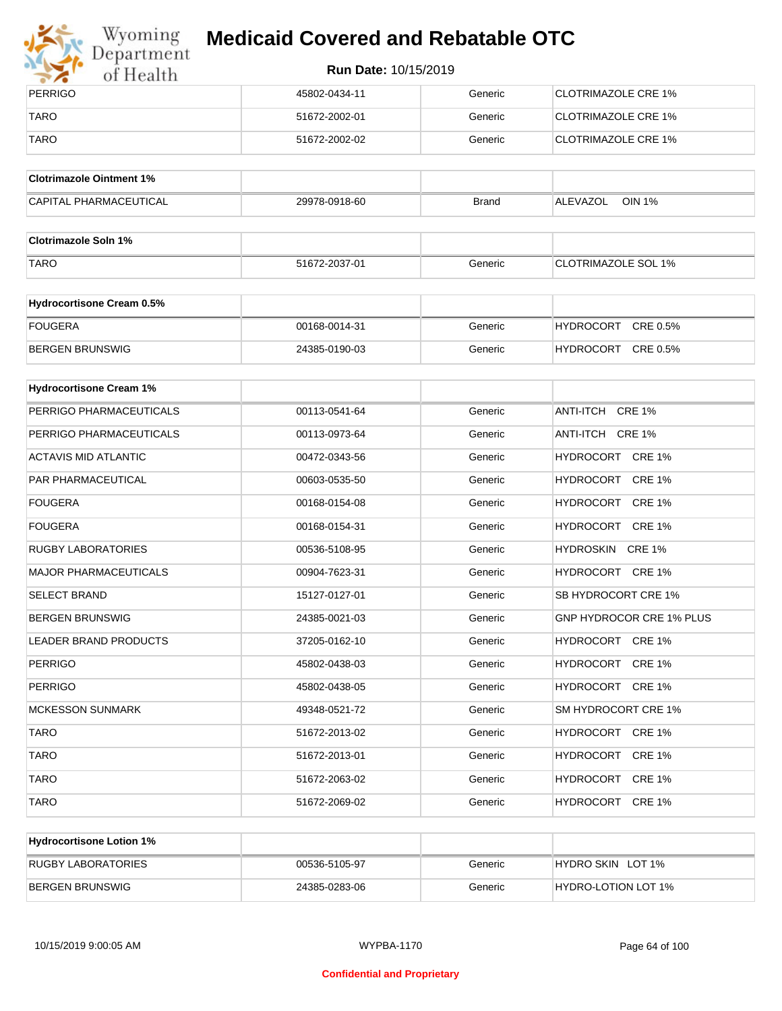

# Wyoming<br>Department<br>of Health

## **Medicaid Covered and Rebatable OTC**

| PERRIGO     | 45802-0434-11 | Generic | <b>ICLOTRIMAZOLE CRE 1%</b> |
|-------------|---------------|---------|-----------------------------|
| <b>TARO</b> | 51672-2002-01 | Generic | CLOTRIMAZOLE CRE 1%         |
| <b>TARO</b> | 51672-2002-02 | Generic | <b>CLOTRIMAZOLE CRE 1%</b>  |

| <b>Clotrimazole Ointment 1%</b> |               |              |                    |
|---------------------------------|---------------|--------------|--------------------|
| <b>CAPITAL PHARMACEUTICAL</b>   | 29978-0918-60 | <b>Brand</b> | OIN 1%<br>ALEVAZOL |

| <b>Clotrimazole Soln 1%</b> |               |         |                            |
|-----------------------------|---------------|---------|----------------------------|
| <b>TARO</b>                 | 51672-2037-01 | Generic | <b>CLOTRIMAZOLE SOL 1%</b> |

| <b>Hydrocortisone Cream 0.5%</b> |               |         |                              |
|----------------------------------|---------------|---------|------------------------------|
| FOUGERA                          | 00168-0014-31 | Generic | CRE 0.5%<br><b>HYDROCORT</b> |
| BERGEN BRUNSWIG                  | 24385-0190-03 | Generic | CRE 0.5%<br><b>HYDROCORT</b> |

| <b>Hydrocortisone Cream 1%</b> |               |         |                                 |
|--------------------------------|---------------|---------|---------------------------------|
| PERRIGO PHARMACEUTICALS        | 00113-0541-64 | Generic | ANTI-ITCH CRE 1%                |
| PERRIGO PHARMACEUTICALS        | 00113-0973-64 | Generic | ANTI-ITCH CRE 1%                |
| <b>ACTAVIS MID ATLANTIC</b>    | 00472-0343-56 | Generic | HYDROCORT CRE 1%                |
| <b>PAR PHARMACEUTICAL</b>      | 00603-0535-50 | Generic | HYDROCORT CRE 1%                |
| <b>FOUGERA</b>                 | 00168-0154-08 | Generic | HYDROCORT CRE 1%                |
| <b>FOUGERA</b>                 | 00168-0154-31 | Generic | HYDROCORT CRE 1%                |
| <b>RUGBY LABORATORIES</b>      | 00536-5108-95 | Generic | HYDROSKIN CRE 1%                |
| <b>MAJOR PHARMACEUTICALS</b>   | 00904-7623-31 | Generic | HYDROCORT CRE 1%                |
| <b>SELECT BRAND</b>            | 15127-0127-01 | Generic | SB HYDROCORT CRE 1%             |
| <b>BERGEN BRUNSWIG</b>         | 24385-0021-03 | Generic | <b>GNP HYDROCOR CRE 1% PLUS</b> |
| <b>LEADER BRAND PRODUCTS</b>   | 37205-0162-10 | Generic | HYDROCORT CRE 1%                |
| <b>PERRIGO</b>                 | 45802-0438-03 | Generic | HYDROCORT CRE 1%                |
| <b>PERRIGO</b>                 | 45802-0438-05 | Generic | HYDROCORT CRE 1%                |
| <b>MCKESSON SUNMARK</b>        | 49348-0521-72 | Generic | SM HYDROCORT CRE 1%             |
| <b>TARO</b>                    | 51672-2013-02 | Generic | HYDROCORT CRE 1%                |
| <b>TARO</b>                    | 51672-2013-01 | Generic | HYDROCORT CRE 1%                |
| <b>TARO</b>                    | 51672-2063-02 | Generic | HYDROCORT CRE 1%                |
| <b>TARO</b>                    | 51672-2069-02 | Generic | HYDROCORT CRE 1%                |

| <b>Hydrocortisone Lotion 1%</b> |               |         |                            |
|---------------------------------|---------------|---------|----------------------------|
| RUGBY LABORATORIES              | 00536-5105-97 | Generic | HYDRO SKIN LOT 1%          |
| BERGEN BRUNSWIG                 | 24385-0283-06 | Generic | <b>HYDRO-LOTION LOT 1%</b> |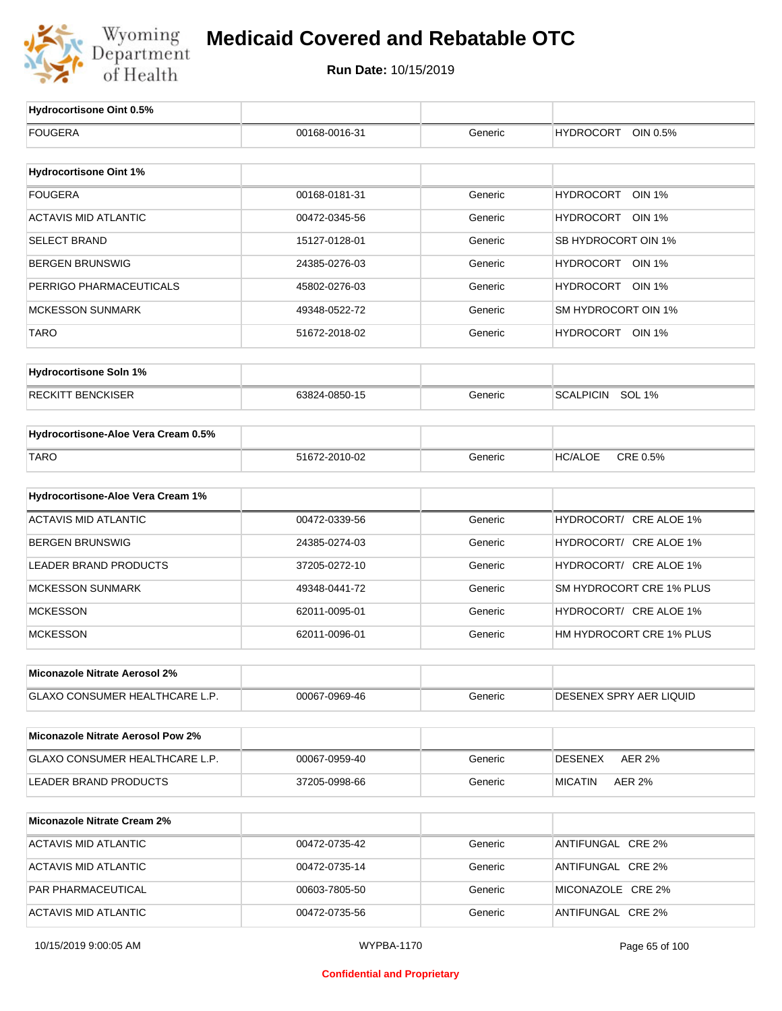

| Hydrocortisone Oint 0.5%                 |                   |         |                                   |
|------------------------------------------|-------------------|---------|-----------------------------------|
| <b>FOUGERA</b>                           | 00168-0016-31     | Generic | <b>HYDROCORT</b><br>OIN 0.5%      |
|                                          |                   |         |                                   |
| <b>Hydrocortisone Oint 1%</b>            |                   |         |                                   |
| <b>FOUGERA</b>                           | 00168-0181-31     | Generic | <b>HYDROCORT</b><br><b>OIN 1%</b> |
| <b>ACTAVIS MID ATLANTIC</b>              | 00472-0345-56     | Generic | HYDROCORT OIN 1%                  |
| <b>SELECT BRAND</b>                      | 15127-0128-01     | Generic | SB HYDROCORT OIN 1%               |
| <b>BERGEN BRUNSWIG</b>                   | 24385-0276-03     | Generic | HYDROCORT OIN 1%                  |
| PERRIGO PHARMACEUTICALS                  | 45802-0276-03     | Generic | HYDROCORT OIN 1%                  |
| <b>MCKESSON SUNMARK</b>                  | 49348-0522-72     | Generic | SM HYDROCORT OIN 1%               |
| <b>TARO</b>                              | 51672-2018-02     | Generic | HYDROCORT OIN 1%                  |
| <b>Hydrocortisone Soln 1%</b>            |                   |         |                                   |
| <b>RECKITT BENCKISER</b>                 | 63824-0850-15     | Generic | SCALPICIN SOL 1%                  |
| Hydrocortisone-Aloe Vera Cream 0.5%      |                   |         |                                   |
| <b>TARO</b>                              | 51672-2010-02     | Generic | CRE 0.5%<br><b>HC/ALOE</b>        |
|                                          |                   |         |                                   |
| Hydrocortisone-Aloe Vera Cream 1%        |                   |         |                                   |
| <b>ACTAVIS MID ATLANTIC</b>              | 00472-0339-56     | Generic | HYDROCORT/ CRE ALOE 1%            |
| <b>BERGEN BRUNSWIG</b>                   | 24385-0274-03     | Generic | HYDROCORT/ CRE ALOE 1%            |
| LEADER BRAND PRODUCTS                    | 37205-0272-10     | Generic | HYDROCORT/ CRE ALOE 1%            |
| <b>MCKESSON SUNMARK</b>                  | 49348-0441-72     | Generic | SM HYDROCORT CRE 1% PLUS          |
| <b>MCKESSON</b>                          | 62011-0095-01     | Generic | HYDROCORT/ CRE ALOE 1%            |
| <b>MCKESSON</b>                          | 62011-0096-01     | Generic | HM HYDROCORT CRE 1% PLUS          |
| Miconazole Nitrate Aerosol 2%            |                   |         |                                   |
| GLAXO CONSUMER HEALTHCARE L.P.           | 00067-0969-46     | Generic | DESENEX SPRY AER LIQUID           |
| <b>Miconazole Nitrate Aerosol Pow 2%</b> |                   |         |                                   |
| GLAXO CONSUMER HEALTHCARE L.P.           | 00067-0959-40     | Generic | <b>DESENEX</b><br><b>AER 2%</b>   |
| LEADER BRAND PRODUCTS                    | 37205-0998-66     | Generic | <b>MICATIN</b><br>AER 2%          |
|                                          |                   |         |                                   |
| <b>Miconazole Nitrate Cream 2%</b>       |                   |         |                                   |
| <b>ACTAVIS MID ATLANTIC</b>              | 00472-0735-42     | Generic | ANTIFUNGAL CRE 2%                 |
| <b>ACTAVIS MID ATLANTIC</b>              | 00472-0735-14     | Generic | ANTIFUNGAL CRE 2%                 |
| PAR PHARMACEUTICAL                       | 00603-7805-50     | Generic | MICONAZOLE CRE 2%                 |
| <b>ACTAVIS MID ATLANTIC</b>              | 00472-0735-56     | Generic | ANTIFUNGAL CRE 2%                 |
| 10/15/2019 9:00:05 AM                    | <b>WYPBA-1170</b> |         | Page 65 of 100                    |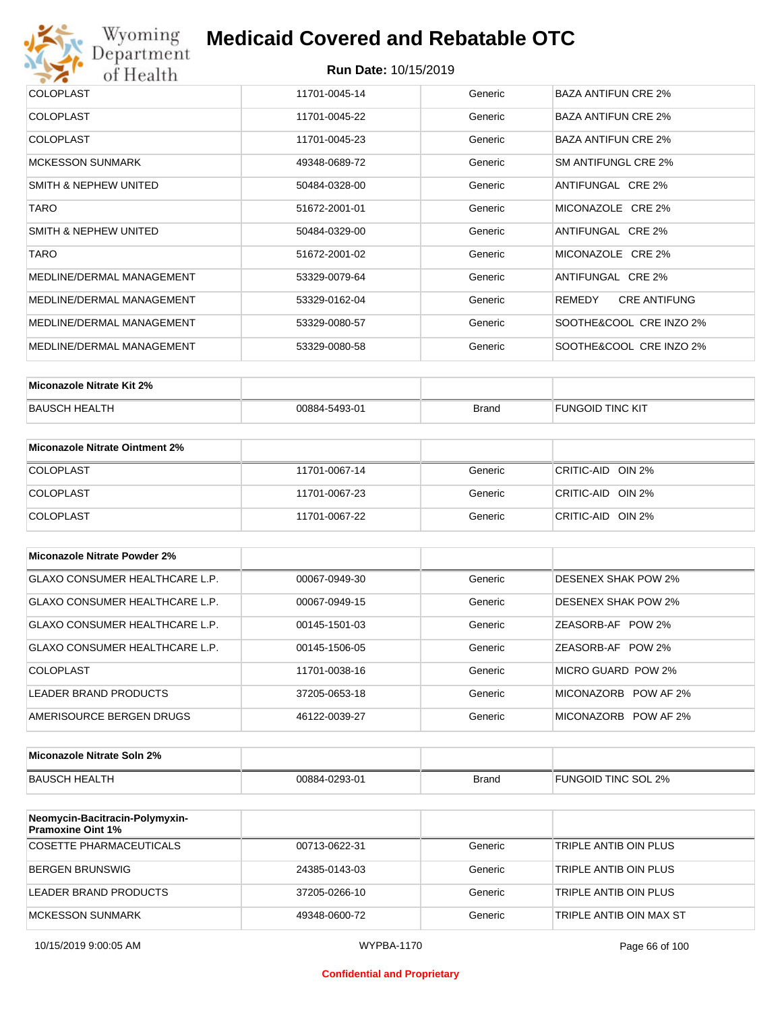

|               |                                                                                                    | <b>BAZA ANTIFUN CRE 2%</b>                                     |
|---------------|----------------------------------------------------------------------------------------------------|----------------------------------------------------------------|
|               |                                                                                                    |                                                                |
| 11701-0045-22 | Generic                                                                                            | <b>BAZA ANTIFUN CRE 2%</b>                                     |
|               |                                                                                                    |                                                                |
|               |                                                                                                    | <b>BAZA ANTIFUN CRE 2%</b>                                     |
| 49348-0689-72 | Generic                                                                                            | SM ANTIFUNGL CRE 2%                                            |
|               |                                                                                                    |                                                                |
| 50484-0328-00 | Generic                                                                                            | ANTIFUNGAL CRE 2%                                              |
|               |                                                                                                    | MICONAZOLE CRE 2%                                              |
|               |                                                                                                    |                                                                |
| 50484-0329-00 | Generic                                                                                            | ANTIFUNGAL CRE 2%                                              |
|               |                                                                                                    |                                                                |
|               |                                                                                                    | MICONAZOLE CRE 2%                                              |
| 53329-0079-64 | Generic                                                                                            | ANTIFUNGAL CRE 2%                                              |
|               |                                                                                                    |                                                                |
| 53329-0162-04 | Generic                                                                                            | <b>CRE ANTIFUNG</b><br>REMEDY                                  |
|               |                                                                                                    |                                                                |
|               |                                                                                                    | SOOTHE&COOL CRE INZO 2%                                        |
|               |                                                                                                    | SOOTHE&COOL CRE INZO 2%                                        |
|               |                                                                                                    |                                                                |
|               | 11701-0045-14<br>11701-0045-23<br>51672-2001-01<br>51672-2001-02<br>53329-0080-57<br>53329-0080-58 | Generic<br>Generic<br>Generic<br>Generic<br>Generic<br>Generic |

| Miconazole Nitrate Kit 2% |               |       |                         |
|---------------------------|---------------|-------|-------------------------|
| <b>BAUSCH HEALTH</b>      | 00884-5493-01 | Brand | <b>FUNGOID TINC KIT</b> |

| Miconazole Nitrate Ointment 2% |               |         |                   |
|--------------------------------|---------------|---------|-------------------|
| <b>COLOPLAST</b>               | 11701-0067-14 | Generic | CRITIC-AID OIN 2% |
| <b>COLOPLAST</b>               | 11701-0067-23 | Generic | CRITIC-AID OIN 2% |
| <b>COLOPLAST</b>               | 11701-0067-22 | Generic | CRITIC-AID OIN 2% |

| Miconazole Nitrate Powder 2%   |               |         |                            |
|--------------------------------|---------------|---------|----------------------------|
| GLAXO CONSUMER HEALTHCARE L.P. | 00067-0949-30 | Generic | DESENEX SHAK POW 2%        |
| GLAXO CONSUMER HEALTHCARE L.P. | 00067-0949-15 | Generic | <b>DESENEX SHAK POW 2%</b> |
| GLAXO CONSUMER HEALTHCARE L.P. | 00145-1501-03 | Generic | ZEASORB-AF POW 2%          |
| GLAXO CONSUMER HEALTHCARE L.P. | 00145-1506-05 | Generic | ZEASORB-AF POW 2%          |
| COLOPLAST                      | 11701-0038-16 | Generic | MICRO GUARD POW 2%         |
| LEADER BRAND PRODUCTS          | 37205-0653-18 | Generic | MICONAZORB POW AF 2%       |
| AMERISOURCE BERGEN DRUGS       | 46122-0039-27 | Generic | MICONAZORB POW AF 2%       |

| Miconazole Nitrate Soln 2% |               |       |                     |
|----------------------------|---------------|-------|---------------------|
| BAUSCH HEALTH              | 00884-0293-01 | Brand | FUNGOID TINC SOL 2% |

| Neomycin-Bacitracin-Polymyxin-<br><b>Pramoxine Oint 1%</b> |               |         |                         |
|------------------------------------------------------------|---------------|---------|-------------------------|
| COSETTE PHARMACEUTICALS                                    | 00713-0622-31 | Generic | TRIPLE ANTIB OIN PLUS   |
| BERGEN BRUNSWIG                                            | 24385-0143-03 | Generic | TRIPLE ANTIB OIN PLUS   |
| LEADER BRAND PRODUCTS                                      | 37205-0266-10 | Generic | TRIPLE ANTIB OIN PLUS   |
| MCKESSON SUNMARK                                           | 49348-0600-72 | Generic | TRIPLE ANTIB OIN MAX ST |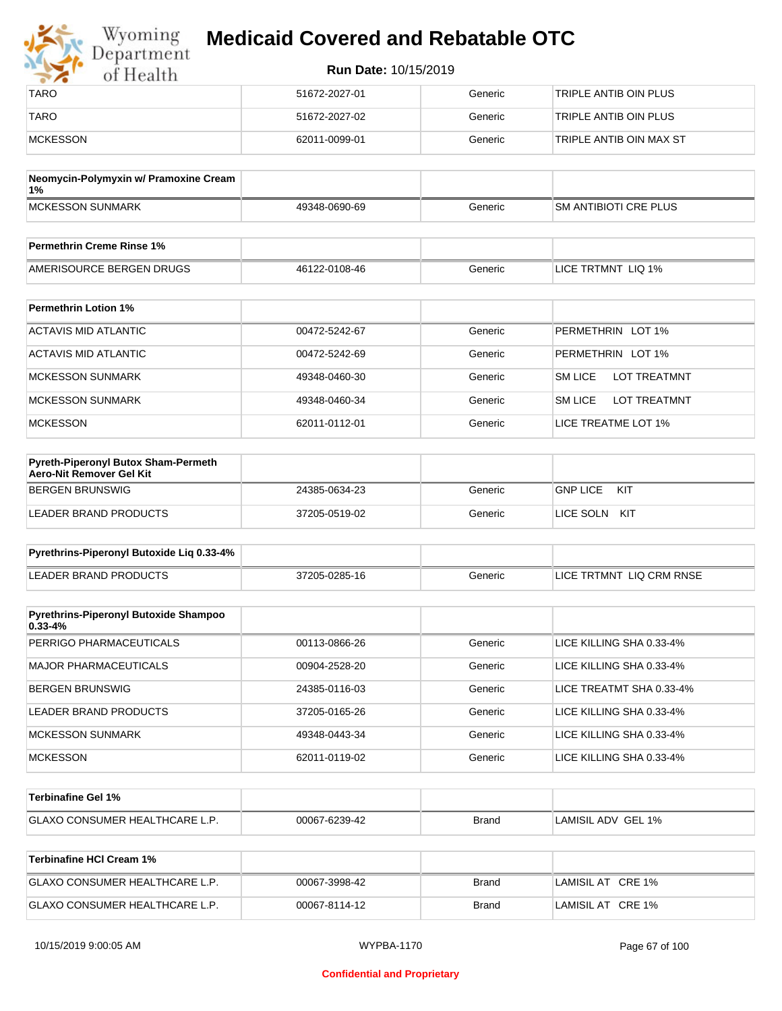| Wyoming<br><b>Medicaid Covered and Rebatable OTC</b><br>Department |                             |         |                         |  |
|--------------------------------------------------------------------|-----------------------------|---------|-------------------------|--|
| of Health                                                          | <b>Run Date: 10/15/2019</b> |         |                         |  |
| <b>TARO</b>                                                        | 51672-2027-01               | Generic | TRIPLE ANTIB OIN PLUS   |  |
| <b>TARO</b>                                                        | 51672-2027-02               | Generic | TRIPLE ANTIB OIN PLUS   |  |
| <b>MCKESSON</b>                                                    | 62011-0099-01               | Generic | TRIPLE ANTIB OIN MAX ST |  |

| Neomycin-Polymyxin w/ Pramoxine Cream<br>$1\%$ |               |         |                              |
|------------------------------------------------|---------------|---------|------------------------------|
| MCKESSON SUNMARK                               | 49348-0690-69 | Generic | <b>SM ANTIBIOTI CRE PLUS</b> |
|                                                |               |         |                              |
| <b>Permethrin Creme Rinse 1%</b>               |               |         |                              |

| AMERISOURCE BERGEN DRUGS    | 46122-0108-46 | Generic | LICE TRTMNT LIQ 1% |
|-----------------------------|---------------|---------|--------------------|
|                             |               |         |                    |
| <b>Permethrin Lotion 1%</b> |               |         |                    |

| . VIIIVUIIIII EVUVII I <i>I</i> V |               |         |                                       |
|-----------------------------------|---------------|---------|---------------------------------------|
| ACTAVIS MID ATLANTIC              | 00472-5242-67 | Generic | PERMETHRIN LOT 1%                     |
| ACTAVIS MID ATLANTIC              | 00472-5242-69 | Generic | PERMETHRIN LOT 1%                     |
| <b>MCKESSON SUNMARK</b>           | 49348-0460-30 | Generic | <b>SM LICE</b><br><b>LOT TREATMNT</b> |
| <b>MCKESSON SUNMARK</b>           | 49348-0460-34 | Generic | <b>SM LICE</b><br><b>LOT TREATMNT</b> |
| <b>MCKESSON</b>                   | 62011-0112-01 | Generic | LICE TREATME LOT 1%                   |

| <b>Pyreth-Piperonyl Butox Sham-Permeth</b><br>Aero-Nit Remover Gel Kit |               |         |                        |
|------------------------------------------------------------------------|---------------|---------|------------------------|
| BERGEN BRUNSWIG                                                        | 24385-0634-23 | Generic | <b>GNP LICE</b><br>KIT |
| LEADER BRAND PRODUCTS                                                  | 37205-0519-02 | Generic | LICE SOLN<br>KIT       |

| Pyrethrins-Piperonyl Butoxide Lig 0.33-4% |               |         |                          |
|-------------------------------------------|---------------|---------|--------------------------|
| LEADER BRAND PRODUCTS                     | 37205-0285-16 | Generic | LICE TRTMNT LIQ CRM RNSE |

| <b>Pyrethrins-Piperonyl Butoxide Shampoo</b><br>$0.33 - 4%$ |               |         |                          |
|-------------------------------------------------------------|---------------|---------|--------------------------|
| PERRIGO PHARMACEUTICALS                                     | 00113-0866-26 | Generic | LICE KILLING SHA 0.33-4% |
| <b>MAJOR PHARMACEUTICALS</b>                                | 00904-2528-20 | Generic | LICE KILLING SHA 0.33-4% |
| <b>BERGEN BRUNSWIG</b>                                      | 24385-0116-03 | Generic | LICE TREATMT SHA 0.33-4% |
| LEADER BRAND PRODUCTS                                       | 37205-0165-26 | Generic | LICE KILLING SHA 0.33-4% |
| <b>MCKESSON SUNMARK</b>                                     | 49348-0443-34 | Generic | LICE KILLING SHA 0.33-4% |
| <b>MCKESSON</b>                                             | 62011-0119-02 | Generic | LICE KILLING SHA 0.33-4% |

| ∣Terbinafine Gel 1%                |                    |       |                          |
|------------------------------------|--------------------|-------|--------------------------|
| <b>GLAXO CONSUMER HEALTHCARE L</b> | 7-6239-42<br>00067 | Brand | LAMISIL ADV GEL<br>$1\%$ |

| Terbinafine HCI Cream 1%              |               |       |                   |
|---------------------------------------|---------------|-------|-------------------|
| <b>GLAXO CONSUMER HEALTHCARE L.P.</b> | 00067-3998-42 | Brand | LAMISIL AT CRE 1% |
| <b>GLAXO CONSUMER HEALTHCARE L.P.</b> | 00067-8114-12 | Brand | LAMISIL AT CRE 1% |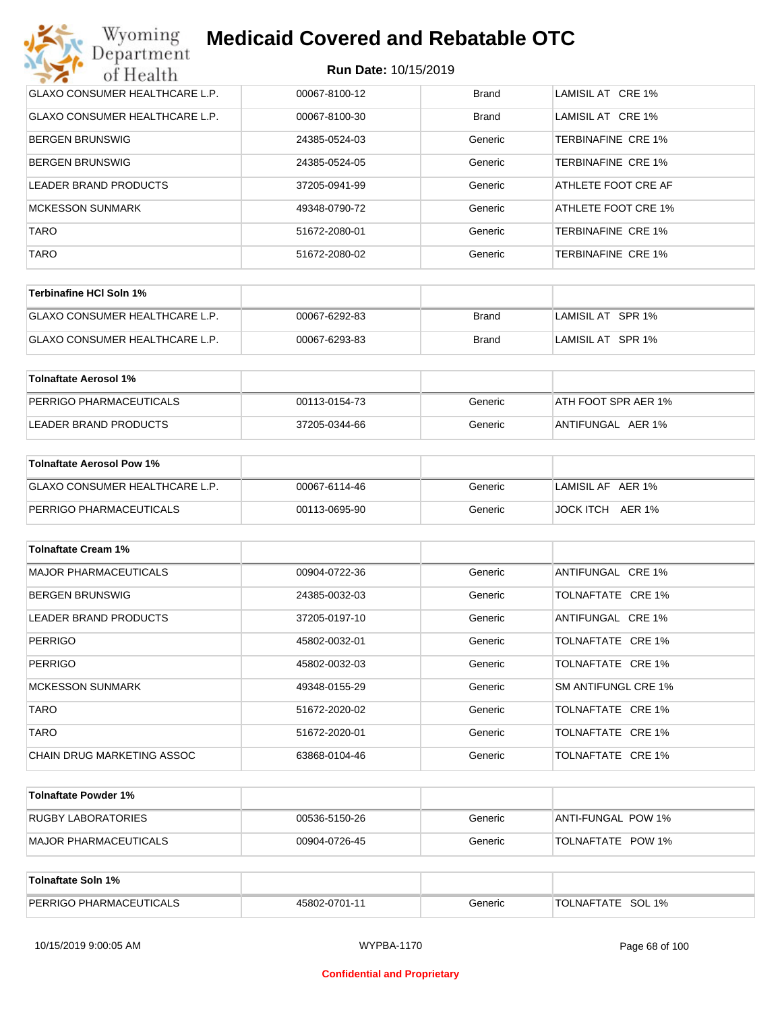| Wyoming<br><b>Medicaid Covered and Rebatable OTC</b><br>Department |               |              |                     |  |  |
|--------------------------------------------------------------------|---------------|--------------|---------------------|--|--|
| <b>Run Date: 10/15/2019</b><br>of Health                           |               |              |                     |  |  |
| GLAXO CONSUMER HEALTHCARE L.P.                                     | 00067-8100-12 | <b>Brand</b> | LAMISIL AT CRE 1%   |  |  |
| <b>GLAXO CONSUMER HEALTHCARE L.P.</b>                              | 00067-8100-30 | Brand        | LAMISIL AT CRE 1%   |  |  |
| <b>BERGEN BRUNSWIG</b>                                             | 24385-0524-03 | Generic      | TERBINAFINE CRE 1%  |  |  |
| <b>BERGEN BRUNSWIG</b>                                             | 24385-0524-05 | Generic      | TERBINAFINE CRE 1%  |  |  |
| LEADER BRAND PRODUCTS                                              | 37205-0941-99 | Generic      | ATHLETE FOOT CRE AF |  |  |
| <b>MCKESSON SUNMARK</b>                                            | 49348-0790-72 | Generic      | ATHLETE FOOT CRE 1% |  |  |
| <b>TARO</b>                                                        | 51672-2080-01 | Generic      | TERBINAFINE CRE 1%  |  |  |
| <b>TARO</b>                                                        | 51672-2080-02 | Generic      | TERBINAFINE CRE 1%  |  |  |

| ∣Terbinafine HCl Soln 1%              |               |       |                   |
|---------------------------------------|---------------|-------|-------------------|
| <b>GLAXO CONSUMER HEALTHCARE L.P.</b> | 00067-6292-83 | Brand | LAMISIL AT SPR 1% |
| <b>GLAXO CONSUMER HEALTHCARE L.P.</b> | 00067-6293-83 | Brand | LAMISIL AT SPR 1% |

| Tolnaftate Aerosol 1%   |               |         |                     |
|-------------------------|---------------|---------|---------------------|
| PERRIGO PHARMACEUTICALS | 00113-0154-73 | Generic | ATH FOOT SPR AER 1% |
| LEADER BRAND PRODUCTS   | 37205-0344-66 | Generic | ANTIFUNGAL AER 1%   |

| Tolnaftate Aerosol Pow 1%      |               |         |                     |
|--------------------------------|---------------|---------|---------------------|
| GLAXO CONSUMER HEALTHCARE L.P. | 00067-6114-46 | Generic | LAMISIL AF AER 1%   |
| PERRIGO PHARMACEUTICALS        | 00113-0695-90 | Generic | JOCK ITCH<br>AER 1% |

| <b>Tolnaftate Cream 1%</b>   |               |         |                     |
|------------------------------|---------------|---------|---------------------|
| <b>MAJOR PHARMACEUTICALS</b> | 00904-0722-36 | Generic | ANTIFUNGAL CRE 1%   |
| <b>BERGEN BRUNSWIG</b>       | 24385-0032-03 | Generic | TOLNAFTATE CRE 1%   |
| LEADER BRAND PRODUCTS        | 37205-0197-10 | Generic | ANTIFUNGAL CRE 1%   |
| <b>PERRIGO</b>               | 45802-0032-01 | Generic | TOLNAFTATE CRE 1%   |
| <b>PERRIGO</b>               | 45802-0032-03 | Generic | TOLNAFTATE CRE 1%   |
| <b>MCKESSON SUNMARK</b>      | 49348-0155-29 | Generic | SM ANTIFUNGL CRE 1% |
| <b>TARO</b>                  | 51672-2020-02 | Generic | TOLNAFTATE CRE 1%   |
| <b>TARO</b>                  | 51672-2020-01 | Generic | TOLNAFTATE CRE 1%   |
| CHAIN DRUG MARKETING ASSOC   | 63868-0104-46 | Generic | TOLNAFTATE CRE 1%   |

| Tolnaftate Powder 1%  |               |         |                     |
|-----------------------|---------------|---------|---------------------|
| RUGBY LABORATORIES    | 00536-5150-26 | Generic | IANTI-FUNGAL POW 1% |
| MAJOR PHARMACEUTICALS | 00904-0726-45 | Generic | TOLNAFTATE POW 1%   |

| <b>Tolnaftate Soln 1%</b>      |               |         |                   |
|--------------------------------|---------------|---------|-------------------|
| <b>PERRIGO PHARMACEUTICALS</b> | 45802-0701-11 | Generic | TOLNAFTATE SOL 1% |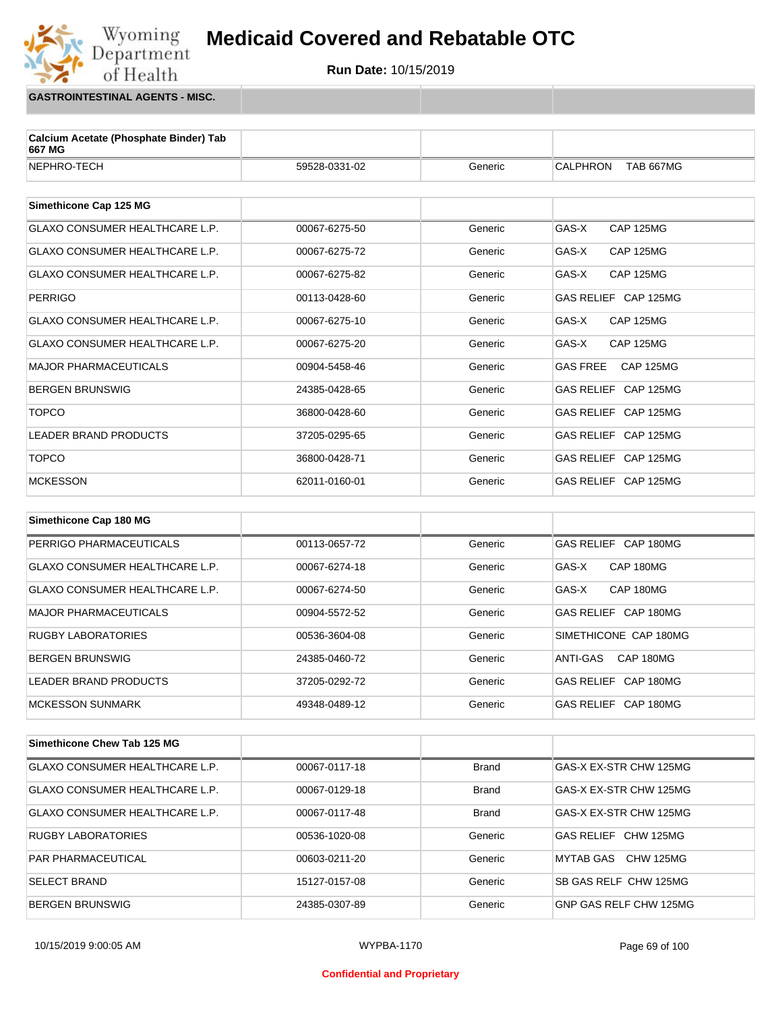

**GASTROINTESTINAL AGENTS - MISC.**

 $\begin{array}{c} \rm{Wyoming} \\ {\rm Department} \end{array}$ 

of Health

| Calcium Acetate (Phosphate Binder) Tab<br>667 MG |               |         |                                     |
|--------------------------------------------------|---------------|---------|-------------------------------------|
| NEPHRO-TECH                                      | 59528-0331-02 | Generic | <b>CALPHRON</b><br><b>TAB 667MG</b> |
|                                                  |               |         |                                     |
| Simethicone Cap 125 MG                           |               |         |                                     |
| GLAXO CONSUMER HEALTHCARE L.P.                   | 00067-6275-50 | Generic | GAS-X<br><b>CAP 125MG</b>           |
| GLAXO CONSUMER HEALTHCARE L.P.                   | 00067-6275-72 | Generic | GAS-X<br><b>CAP 125MG</b>           |
| GLAXO CONSUMER HEALTHCARE L.P.                   | 00067-6275-82 | Generic | GAS-X<br><b>CAP 125MG</b>           |
| <b>PERRIGO</b>                                   | 00113-0428-60 | Generic | GAS RELIEF CAP 125MG                |
| GLAXO CONSUMER HEALTHCARE L.P.                   | 00067-6275-10 | Generic | GAS-X<br><b>CAP 125MG</b>           |
| GLAXO CONSUMER HEALTHCARE L.P.                   | 00067-6275-20 | Generic | GAS-X<br><b>CAP 125MG</b>           |
| MAJOR PHARMACEUTICALS                            | 00904-5458-46 | Generic | <b>GAS FREE</b><br><b>CAP 125MG</b> |
| <b>BERGEN BRUNSWIG</b>                           | 24385-0428-65 | Generic | GAS RELIEF CAP 125MG                |
| <b>TOPCO</b>                                     | 36800-0428-60 | Generic | GAS RELIEF CAP 125MG                |
| <b>LEADER BRAND PRODUCTS</b>                     | 37205-0295-65 | Generic | GAS RELIEF CAP 125MG                |
| <b>TOPCO</b>                                     | 36800-0428-71 | Generic | GAS RELIEF CAP 125MG                |
| <b>MCKESSON</b>                                  | 62011-0160-01 | Generic | GAS RELIEF CAP 125MG                |
|                                                  |               |         |                                     |
| Simethicone Cap 180 MG                           |               |         |                                     |
| PERRIGO PHARMACEUTICALS                          | 00113-0657-72 | Generic | GAS RELIEF CAP 180MG                |
| GLAXO CONSUMER HEALTHCARE L.P.                   | 00067-6274-18 | Generic | GAS-X<br>CAP 180MG                  |
| GLAXO CONSUMER HEALTHCARE L.P.                   | 00067-6274-50 | Generic | CAP 180MG<br>GAS-X                  |
| MAJOR PHARMACEUTICALS                            | 00904-5572-52 | Generic | GAS RELIEF CAP 180MG                |
| <b>RUGBY LABORATORIES</b>                        | 00536-3604-08 | Generic | SIMETHICONE CAP 180MG               |
| <b>BERGEN BRUNSWIG</b>                           | 24385-0460-72 | Generic | ANTI-GAS<br>CAP 180MG               |
| <b>LEADER BRAND PRODUCTS</b>                     | 37205-0292-72 | Generic | GAS RELIEF CAP 180MG                |
| <b>MCKESSON SUNMARK</b>                          | 49348-0489-12 | Generic | GAS RELIEF CAP 180MG                |

**Simethicone Chew Tab 125 MG** GLAXO CONSUMER HEALTHCARE L.P. 00067-0117-18 Brand GAS-X EX-STR CHW 125MG GLAXO CONSUMER HEALTHCARE L.P.  $\qquad 00067-0129-18$  Brand GAS-X EX-STR CHW 125MG GLAXO CONSUMER HEALTHCARE L.P.  $\vert$  00067-0117-48 Brand GAS-X EX-STR CHW 125MG RUGBY LABORATORIES 
and the oots36-1020-08 (Generic CHW 125MG USBN 125MG PAR PHARMACEUTICAL **COMBUS 200603-0211-20** O0603-0211-20 Generic MYTAB GAS CHW 125MG SELECT BRAND **15127-0157-08** Generic SB GAS RELF CHW 125MG BERGEN BRUNSWIG **EXAMPLE 24385-0307-89** Ceneric GNP GAS RELF CHW 125MG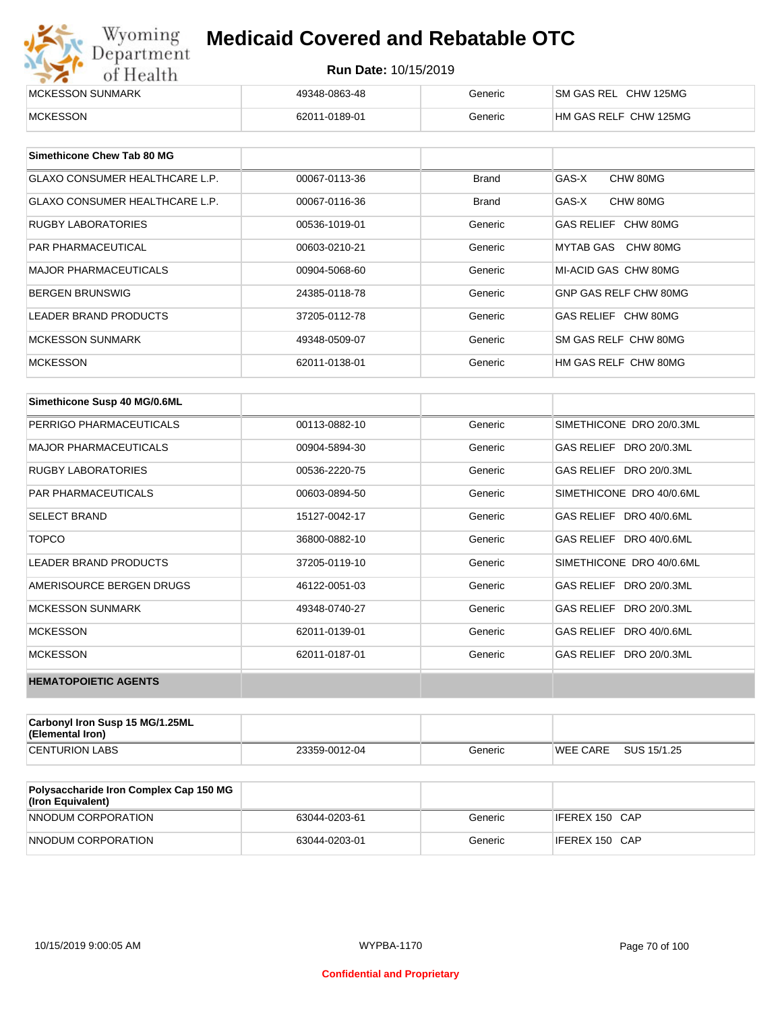| Wyoming<br><b>Medicaid Covered and Rebatable OTC</b><br>Department |                             |         |                       |  |
|--------------------------------------------------------------------|-----------------------------|---------|-----------------------|--|
| of Health                                                          | <b>Run Date: 10/15/2019</b> |         |                       |  |
| MCKESSON SUNMARK                                                   | 49348-0863-48               | Generic | SM GAS REL CHW 125MG  |  |
| <b>MCKESSON</b>                                                    | 62011-0189-01               | Generic | HM GAS RELF CHW 125MG |  |

| Simethicone Chew Tab 80 MG            |               |              |                       |
|---------------------------------------|---------------|--------------|-----------------------|
| GLAXO CONSUMER HEALTHCARE L.P.        | 00067-0113-36 | <b>Brand</b> | GAS-X<br>CHW 80MG     |
| <b>GLAXO CONSUMER HEALTHCARE L.P.</b> | 00067-0116-36 | <b>Brand</b> | GAS-X<br>CHW 80MG     |
| <b>RUGBY LABORATORIES</b>             | 00536-1019-01 | Generic      | GAS RELIEF CHW 80MG   |
| <b>PAR PHARMACEUTICAL</b>             | 00603-0210-21 | Generic      | MYTAB GAS CHW 80MG    |
| <b>MAJOR PHARMACEUTICALS</b>          | 00904-5068-60 | Generic      | MI-ACID GAS CHW 80MG  |
| <b>BERGEN BRUNSWIG</b>                | 24385-0118-78 | Generic      | GNP GAS RELF CHW 80MG |
| <b>LEADER BRAND PRODUCTS</b>          | 37205-0112-78 | Generic      | GAS RELIEF CHW 80MG   |
| MCKESSON SUNMARK                      | 49348-0509-07 | Generic      | SM GAS RELF CHW 80MG  |
| <b>MCKESSON</b>                       | 62011-0138-01 | Generic      | HM GAS RELF CHW 80MG  |

| Simethicone Susp 40 MG/0.6ML |               |         |                          |
|------------------------------|---------------|---------|--------------------------|
| PERRIGO PHARMACEUTICALS      | 00113-0882-10 | Generic | SIMETHICONE DRO 20/0.3ML |
| <b>MAJOR PHARMACEUTICALS</b> | 00904-5894-30 | Generic | GAS RELIEF DRO 20/0.3ML  |
| <b>RUGBY LABORATORIES</b>    | 00536-2220-75 | Generic | GAS RELIEF DRO 20/0.3ML  |
| <b>PAR PHARMACEUTICALS</b>   | 00603-0894-50 | Generic | SIMETHICONE DRO 40/0.6ML |
| <b>SELECT BRAND</b>          | 15127-0042-17 | Generic | GAS RELIEF DRO 40/0.6ML  |
| <b>TOPCO</b>                 | 36800-0882-10 | Generic | GAS RELIEF DRO 40/0.6ML  |
| <b>LEADER BRAND PRODUCTS</b> | 37205-0119-10 | Generic | SIMETHICONE DRO 40/0.6ML |
| AMERISOURCE BERGEN DRUGS     | 46122-0051-03 | Generic | GAS RELIEF DRO 20/0.3ML  |
| <b>MCKESSON SUNMARK</b>      | 49348-0740-27 | Generic | GAS RELIEF DRO 20/0.3ML  |
| <b>MCKESSON</b>              | 62011-0139-01 | Generic | GAS RELIEF DRO 40/0.6ML  |
| <b>MCKESSON</b>              | 62011-0187-01 | Generic | GAS RELIEF DRO 20/0.3ML  |
| <b>HEMATOPOIETIC AGENTS</b>  |               |         |                          |

| <b>Carbonyl Iron Susp 15 MG/1.25ML</b><br>(Elemental Iron) |               |         |          |             |
|------------------------------------------------------------|---------------|---------|----------|-------------|
| <b>CENTURION LABS</b>                                      | 23359-0012-04 | Generic | WEE CARE | SUS 15/1.25 |

| <b>Polysaccharide Iron Complex Cap 150 MG</b><br>(Iron Equivalent) |               |         |                |
|--------------------------------------------------------------------|---------------|---------|----------------|
| NNODUM CORPORATION                                                 | 63044-0203-61 | Generic | IFEREX 150 CAP |
| NNODUM CORPORATION                                                 | 63044-0203-01 | Generic | IFEREX 150 CAP |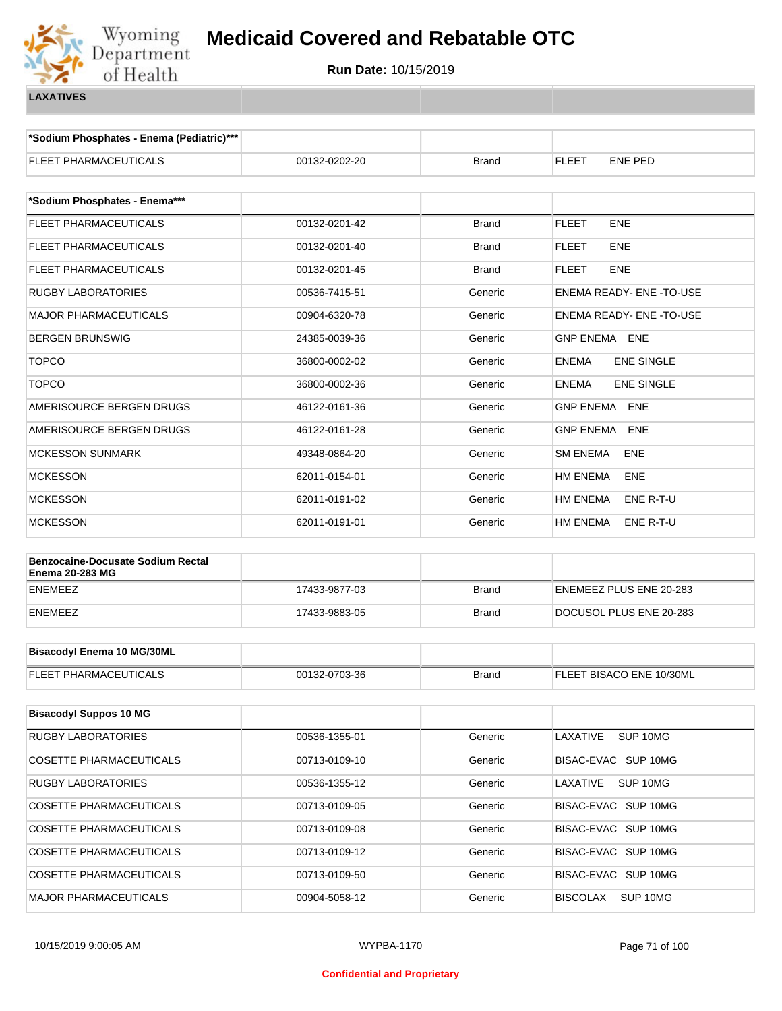

**\*Sodium Phosphates - Enema (Pediatric)\*\*\***

| FLEET PHARMACEUTICALS                                              | 00132-0202-20 | Brand        | FLEET<br>ENE PED               |
|--------------------------------------------------------------------|---------------|--------------|--------------------------------|
|                                                                    |               |              |                                |
| *Sodium Phosphates - Enema***                                      |               |              |                                |
| FLEET PHARMACEUTICALS                                              | 00132-0201-42 | <b>Brand</b> | <b>FLEET</b><br><b>ENE</b>     |
| FLEET PHARMACEUTICALS                                              | 00132-0201-40 | <b>Brand</b> | <b>FLEET</b><br><b>ENE</b>     |
| FLEET PHARMACEUTICALS                                              | 00132-0201-45 | <b>Brand</b> | <b>FLEET</b><br><b>ENE</b>     |
| RUGBY LABORATORIES                                                 | 00536-7415-51 | Generic      | <b>ENEMA READY- ENE-TO-USE</b> |
| <b>MAJOR PHARMACEUTICALS</b>                                       | 00904-6320-78 | Generic      | ENEMA READY- ENE -TO-USE       |
| <b>BERGEN BRUNSWIG</b>                                             | 24385-0039-36 | Generic      | GNP ENEMA ENE                  |
| <b>TOPCO</b>                                                       | 36800-0002-02 | Generic      | ENEMA<br><b>ENE SINGLE</b>     |
| <b>TOPCO</b>                                                       | 36800-0002-36 | Generic      | ENEMA<br><b>ENE SINGLE</b>     |
| AMERISOURCE BERGEN DRUGS                                           | 46122-0161-36 | Generic      | <b>GNP ENEMA ENE</b>           |
| AMERISOURCE BERGEN DRUGS                                           | 46122-0161-28 | Generic      | GNP ENEMA<br><b>ENE</b>        |
| <b>MCKESSON SUNMARK</b>                                            | 49348-0864-20 | Generic      | SM ENEMA<br><b>ENE</b>         |
| <b>MCKESSON</b>                                                    | 62011-0154-01 | Generic      | HM ENEMA<br><b>ENE</b>         |
| <b>MCKESSON</b>                                                    | 62011-0191-02 | Generic      | HM ENEMA<br>ENE R-T-U          |
| <b>MCKESSON</b>                                                    | 62011-0191-01 | Generic      | HM ENEMA<br>ENE R-T-U          |
|                                                                    |               |              |                                |
| <b>Benzocaine-Docusate Sodium Rectal</b><br><b>Enema 20-283 MG</b> |               |              |                                |
| <b>ENEMEEZ</b>                                                     | 17433-9877-03 | <b>Brand</b> | ENEMEEZ PLUS ENE 20-283        |
| ENEMEEZ                                                            | 17433-9883-05 | <b>Brand</b> | DOCUSOL PLUS ENE 20-283        |
|                                                                    |               |              |                                |
| <b>Bisacodyl Enema 10 MG/30ML</b>                                  |               |              |                                |
| FLEET PHARMACEUTICALS                                              | 00132-0703-36 | <b>Brand</b> | FLEET BISACO ENE 10/30ML       |
| <b>Bisacodyl Suppos 10 MG</b>                                      |               |              |                                |
|                                                                    |               |              |                                |
| <b>RUGBY LABORATORIES</b>                                          | 00536-1355-01 | Generic      | SUP 10MG<br>LAXATIVE           |
| <b>COSETTE PHARMACEUTICALS</b>                                     | 00713-0109-10 | Generic      | BISAC-EVAC SUP 10MG            |
| RUGBY LABORATORIES                                                 | 00536-1355-12 | Generic      | LAXATIVE<br>SUP 10MG           |
| <b>COSETTE PHARMACEUTICALS</b>                                     | 00713-0109-05 | Generic      | BISAC-EVAC SUP 10MG            |
| <b>COSETTE PHARMACEUTICALS</b>                                     | 00713-0109-08 | Generic      | BISAC-EVAC SUP 10MG            |
| <b>COSETTE PHARMACEUTICALS</b>                                     | 00713-0109-12 | Generic      | BISAC-EVAC SUP 10MG            |
| COSETTE PHARMACEUTICALS                                            | 00713-0109-50 | Generic      | BISAC-EVAC SUP 10MG            |
| <b>MAJOR PHARMACEUTICALS</b>                                       | 00904-5058-12 | Generic      | BISCOLAX SUP 10MG              |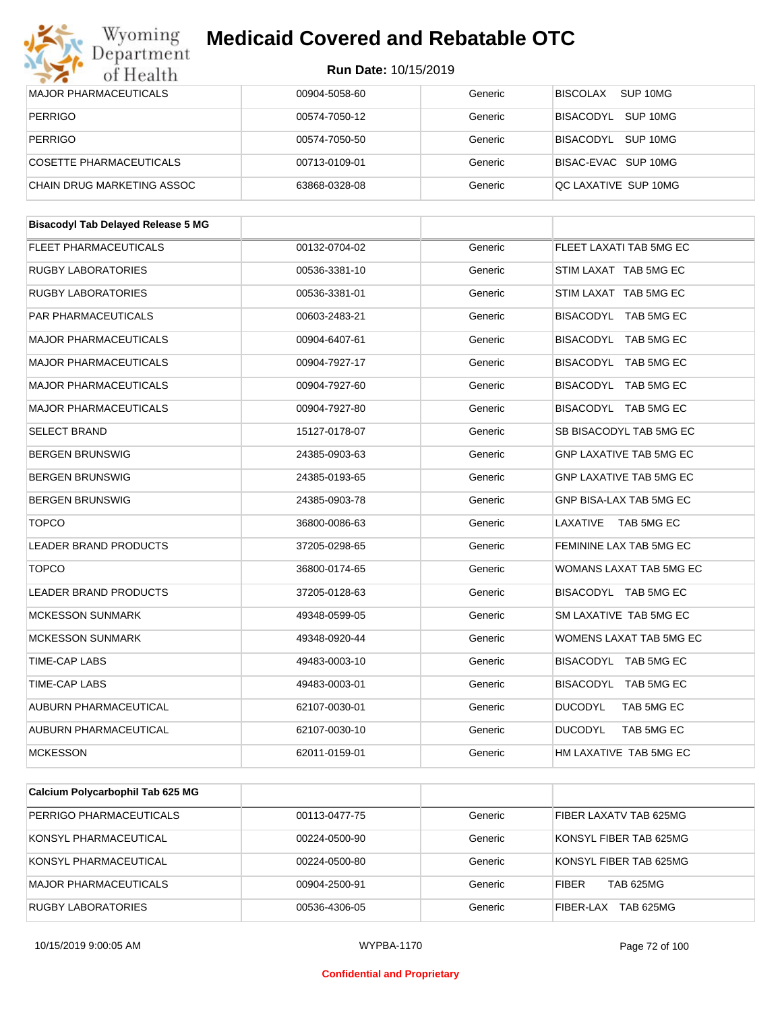

| of Health                                 | Run Date: 10/15/2019 |         |                                |
|-------------------------------------------|----------------------|---------|--------------------------------|
| <b>MAJOR PHARMACEUTICALS</b>              | 00904-5058-60        | Generic | <b>BISCOLAX</b><br>SUP 10MG    |
| <b>PERRIGO</b>                            | 00574-7050-12        | Generic | BISACODYL<br>SUP 10MG          |
| <b>PERRIGO</b>                            | 00574-7050-50        | Generic | BISACODYL SUP 10MG             |
| <b>COSETTE PHARMACEUTICALS</b>            | 00713-0109-01        | Generic | BISAC-EVAC SUP 10MG            |
| CHAIN DRUG MARKETING ASSOC                | 63868-0328-08        | Generic | QC LAXATIVE SUP 10MG           |
| <b>Bisacodyl Tab Delayed Release 5 MG</b> |                      |         |                                |
| <b>FLEET PHARMACEUTICALS</b>              | 00132-0704-02        | Generic | FLEET LAXATI TAB 5MG EC        |
| <b>RUGBY LABORATORIES</b>                 | 00536-3381-10        | Generic | STIM LAXAT TAB 5MG EC          |
| RUGBY LABORATORIES                        | 00536-3381-01        | Generic | STIM LAXAT TAB 5MG EC          |
| <b>PAR PHARMACEUTICALS</b>                | 00603-2483-21        | Generic | BISACODYL TAB 5MG EC           |
| <b>MAJOR PHARMACEUTICALS</b>              | 00904-6407-61        | Generic | BISACODYL TAB 5MG EC           |
| <b>MAJOR PHARMACEUTICALS</b>              | 00904-7927-17        | Generic | BISACODYL TAB 5MG EC           |
| <b>MAJOR PHARMACEUTICALS</b>              | 00904-7927-60        | Generic | BISACODYL TAB 5MG EC           |
| <b>MAJOR PHARMACEUTICALS</b>              | 00904-7927-80        | Generic | BISACODYL TAB 5MG EC           |
| <b>SELECT BRAND</b>                       | 15127-0178-07        | Generic | SB BISACODYL TAB 5MG EC        |
| <b>BERGEN BRUNSWIG</b>                    | 24385-0903-63        | Generic | <b>GNP LAXATIVE TAB 5MG EC</b> |
| <b>BERGEN BRUNSWIG</b>                    | 24385-0193-65        | Generic | <b>GNP LAXATIVE TAB 5MG EC</b> |
| <b>BERGEN BRUNSWIG</b>                    | 24385-0903-78        | Generic | GNP BISA-LAX TAB 5MG EC        |
| <b>TOPCO</b>                              | 36800-0086-63        | Generic | LAXATIVE<br>TAB 5MG EC         |
| <b>LEADER BRAND PRODUCTS</b>              | 37205-0298-65        | Generic | FEMININE LAX TAB 5MG EC        |
| <b>TOPCO</b>                              | 36800-0174-65        | Generic | WOMANS LAXAT TAB 5MG EC        |
| <b>LEADER BRAND PRODUCTS</b>              | 37205-0128-63        | Generic | BISACODYL TAB 5MG EC           |
| <b>MCKESSON SUNMARK</b>                   | 49348-0599-05        | Generic | SM LAXATIVE TAB 5MG EC         |
| <b>MCKESSON SUNMARK</b>                   | 49348-0920-44        | Generic | WOMENS LAXAT TAB 5MG EC        |
| TIME-CAP LABS                             | 49483-0003-10        | Generic | BISACODYL TAB 5MG EC           |
| TIME-CAP LABS                             | 49483-0003-01        | Generic | BISACODYL TAB 5MG EC           |
| AUBURN PHARMACEUTICAL                     | 62107-0030-01        | Generic | <b>DUCODYL</b><br>TAB 5MG EC   |
| AUBURN PHARMACEUTICAL                     | 62107-0030-10        | Generic | <b>DUCODYL</b><br>TAB 5MG EC   |
| <b>MCKESSON</b>                           | 62011-0159-01        | Generic | HM LAXATIVE TAB 5MG EC         |

| PERRIGO PHARMACEUTICALS   | 00113-0477-75 | Generic | FIBER LAXATV TAB 625MG           |
|---------------------------|---------------|---------|----------------------------------|
| KONSYL PHARMACEUTICAL     | 00224-0500-90 | Generic | KONSYL FIBER TAB 625MG           |
| KONSYL PHARMACEUTICAL     | 00224-0500-80 | Generic | KONSYL FIBER TAB 625MG           |
| MAJOR PHARMACEUTICALS     | 00904-2500-91 | Generic | <b>TAB 625MG</b><br><b>FIBER</b> |
| <b>RUGBY LABORATORIES</b> | 00536-4306-05 | Generic | <b>TAB 625MG</b><br>FIBER-LAX    |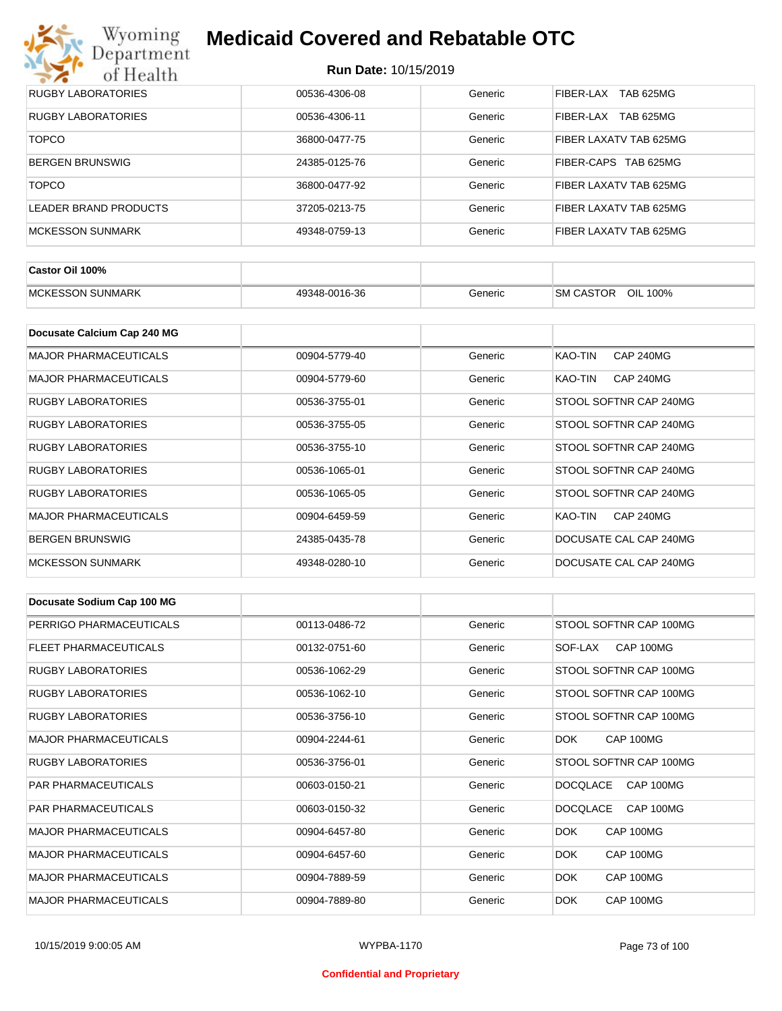

| <b>RUGBY LABORATORIES</b> | 00536-4306-08 | Generic | TAB 625MG<br>FIBER-LAX |
|---------------------------|---------------|---------|------------------------|
| <b>RUGBY LABORATORIES</b> | 00536-4306-11 | Generic | TAB 625MG<br>FIBER-LAX |
| <b>TOPCO</b>              | 36800-0477-75 | Generic | FIBER LAXATV TAB 625MG |
| <b>BERGEN BRUNSWIG</b>    | 24385-0125-76 | Generic | FIBER-CAPS TAB 625MG   |
| <b>TOPCO</b>              | 36800-0477-92 | Generic | FIBER LAXATV TAB 625MG |
| LEADER BRAND PRODUCTS     | 37205-0213-75 | Generic | FIBER LAXATV TAB 625MG |
| MCKESSON SUNMARK          | 49348-0759-13 | Generic | FIBER LAXATV TAB 625MG |

| Castor Oil 100%          |               |         |                              |
|--------------------------|---------------|---------|------------------------------|
| <b>IMCKESSON SUNMARK</b> | 49348-0016-36 | Generic | OIL 100%<br><b>SM CASTOR</b> |

| Docusate Calcium Cap 240 MG  |               |         |                             |
|------------------------------|---------------|---------|-----------------------------|
| <b>MAJOR PHARMACEUTICALS</b> | 00904-5779-40 | Generic | KAO-TIN<br><b>CAP 240MG</b> |
| <b>MAJOR PHARMACEUTICALS</b> | 00904-5779-60 | Generic | <b>CAP 240MG</b><br>KAO-TIN |
| <b>RUGBY LABORATORIES</b>    | 00536-3755-01 | Generic | STOOL SOFTNR CAP 240MG      |
| <b>RUGBY LABORATORIES</b>    | 00536-3755-05 | Generic | STOOL SOFTNR CAP 240MG      |
| <b>RUGBY LABORATORIES</b>    | 00536-3755-10 | Generic | STOOL SOFTNR CAP 240MG      |
| <b>RUGBY LABORATORIES</b>    | 00536-1065-01 | Generic | STOOL SOFTNR CAP 240MG      |
| RUGBY LABORATORIES           | 00536-1065-05 | Generic | STOOL SOFTNR CAP 240MG      |
| <b>MAJOR PHARMACEUTICALS</b> | 00904-6459-59 | Generic | <b>CAP 240MG</b><br>KAO-TIN |
| <b>BERGEN BRUNSWIG</b>       | 24385-0435-78 | Generic | DOCUSATE CAL CAP 240MG      |
| <b>MCKESSON SUNMARK</b>      | 49348-0280-10 | Generic | DOCUSATE CAL CAP 240MG      |

| Docusate Sodium Cap 100 MG   |               |         |                              |
|------------------------------|---------------|---------|------------------------------|
| PERRIGO PHARMACEUTICALS      | 00113-0486-72 | Generic | STOOL SOFTNR CAP 100MG       |
| <b>FLEET PHARMACEUTICALS</b> | 00132-0751-60 | Generic | CAP 100MG<br>SOF-LAX         |
| <b>RUGBY LABORATORIES</b>    | 00536-1062-29 | Generic | STOOL SOFTNR CAP 100MG       |
| <b>RUGBY LABORATORIES</b>    | 00536-1062-10 | Generic | STOOL SOFTNR CAP 100MG       |
| <b>RUGBY LABORATORIES</b>    | 00536-3756-10 | Generic | STOOL SOFTNR CAP 100MG       |
| <b>MAJOR PHARMACEUTICALS</b> | 00904-2244-61 | Generic | CAP 100MG<br>DOK.            |
| <b>RUGBY LABORATORIES</b>    | 00536-3756-01 | Generic | STOOL SOFTNR CAP 100MG       |
| <b>PAR PHARMACEUTICALS</b>   | 00603-0150-21 | Generic | <b>DOCQLACE</b><br>CAP 100MG |
| <b>PAR PHARMACEUTICALS</b>   | 00603-0150-32 | Generic | <b>DOCQLACE</b><br>CAP 100MG |
| <b>MAJOR PHARMACEUTICALS</b> | 00904-6457-80 | Generic | CAP 100MG<br>DOK.            |
| <b>MAJOR PHARMACEUTICALS</b> | 00904-6457-60 | Generic | <b>DOK</b><br>CAP 100MG      |
| <b>MAJOR PHARMACEUTICALS</b> | 00904-7889-59 | Generic | <b>DOK</b><br>CAP 100MG      |
| <b>MAJOR PHARMACEUTICALS</b> | 00904-7889-80 | Generic | CAP 100MG<br><b>DOK</b>      |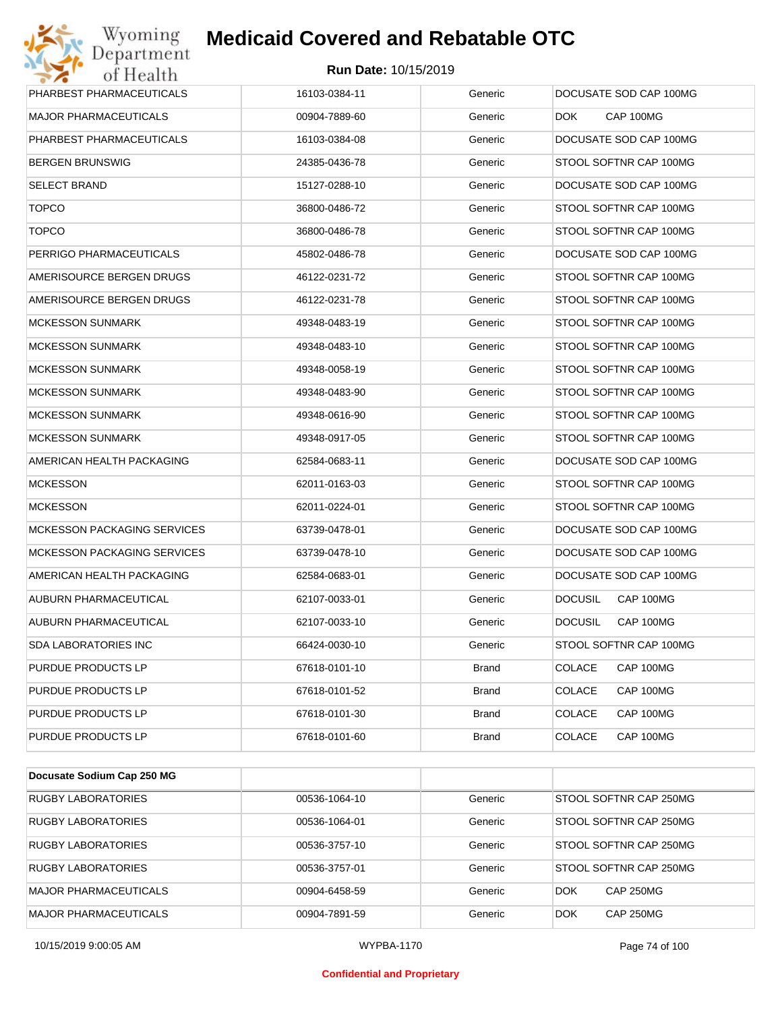

| PHARBEST PHARMACEUTICALS           | 16103-0384-11 | Generic      | DOCUSATE SOD CAP 100MG      |
|------------------------------------|---------------|--------------|-----------------------------|
| <b>MAJOR PHARMACEUTICALS</b>       | 00904-7889-60 | Generic      | CAP 100MG<br>DOK.           |
| PHARBEST PHARMACEUTICALS           | 16103-0384-08 | Generic      | DOCUSATE SOD CAP 100MG      |
| <b>BERGEN BRUNSWIG</b>             | 24385-0436-78 | Generic      | STOOL SOFTNR CAP 100MG      |
| <b>SELECT BRAND</b>                | 15127-0288-10 | Generic      | DOCUSATE SOD CAP 100MG      |
| <b>TOPCO</b>                       | 36800-0486-72 | Generic      | STOOL SOFTNR CAP 100MG      |
| <b>TOPCO</b>                       | 36800-0486-78 | Generic      | STOOL SOFTNR CAP 100MG      |
| PERRIGO PHARMACEUTICALS            | 45802-0486-78 | Generic      | DOCUSATE SOD CAP 100MG      |
| AMERISOURCE BERGEN DRUGS           | 46122-0231-72 | Generic      | STOOL SOFTNR CAP 100MG      |
| AMERISOURCE BERGEN DRUGS           | 46122-0231-78 | Generic      | STOOL SOFTNR CAP 100MG      |
| <b>MCKESSON SUNMARK</b>            | 49348-0483-19 | Generic      | STOOL SOFTNR CAP 100MG      |
| <b>MCKESSON SUNMARK</b>            | 49348-0483-10 | Generic      | STOOL SOFTNR CAP 100MG      |
| <b>MCKESSON SUNMARK</b>            | 49348-0058-19 | Generic      | STOOL SOFTNR CAP 100MG      |
| <b>MCKESSON SUNMARK</b>            | 49348-0483-90 | Generic      | STOOL SOFTNR CAP 100MG      |
| <b>MCKESSON SUNMARK</b>            | 49348-0616-90 | Generic      | STOOL SOFTNR CAP 100MG      |
| <b>MCKESSON SUNMARK</b>            | 49348-0917-05 | Generic      | STOOL SOFTNR CAP 100MG      |
| AMERICAN HEALTH PACKAGING          | 62584-0683-11 | Generic      | DOCUSATE SOD CAP 100MG      |
| <b>MCKESSON</b>                    | 62011-0163-03 | Generic      | STOOL SOFTNR CAP 100MG      |
| <b>MCKESSON</b>                    | 62011-0224-01 | Generic      | STOOL SOFTNR CAP 100MG      |
| <b>MCKESSON PACKAGING SERVICES</b> | 63739-0478-01 | Generic      | DOCUSATE SOD CAP 100MG      |
| MCKESSON PACKAGING SERVICES        | 63739-0478-10 | Generic      | DOCUSATE SOD CAP 100MG      |
| AMERICAN HEALTH PACKAGING          | 62584-0683-01 | Generic      | DOCUSATE SOD CAP 100MG      |
| AUBURN PHARMACEUTICAL              | 62107-0033-01 | Generic      | <b>DOCUSIL</b><br>CAP 100MG |
| AUBURN PHARMACEUTICAL              | 62107-0033-10 | Generic      | <b>DOCUSIL</b><br>CAP 100MG |
| <b>SDA LABORATORIES INC</b>        | 66424-0030-10 | Generic      | STOOL SOFTNR CAP 100MG      |
| PURDUE PRODUCTS LP                 | 67618-0101-10 | <b>Brand</b> | <b>COLACE</b><br>CAP 100MG  |
| PURDUE PRODUCTS LP                 | 67618-0101-52 | <b>Brand</b> | COLACE<br>CAP 100MG         |
| PURDUE PRODUCTS LP                 | 67618-0101-30 | <b>Brand</b> | <b>COLACE</b><br>CAP 100MG  |
| PURDUE PRODUCTS LP                 | 67618-0101-60 | <b>Brand</b> | <b>COLACE</b><br>CAP 100MG  |

| Docusate Sodium Cap 250 MG   |               |         |                                |
|------------------------------|---------------|---------|--------------------------------|
| <b>RUGBY LABORATORIES</b>    | 00536-1064-10 | Generic | STOOL SOFTNR CAP 250MG         |
| RUGBY LABORATORIES           | 00536-1064-01 | Generic | STOOL SOFTNR CAP 250MG         |
| <b>RUGBY LABORATORIES</b>    | 00536-3757-10 | Generic | STOOL SOFTNR CAP 250MG         |
| RUGBY LABORATORIES           | 00536-3757-01 | Generic | STOOL SOFTNR CAP 250MG         |
| <b>MAJOR PHARMACEUTICALS</b> | 00904-6458-59 | Generic | <b>DOK</b><br><b>CAP 250MG</b> |
| <b>MAJOR PHARMACEUTICALS</b> | 00904-7891-59 | Generic | <b>CAP 250MG</b><br><b>DOK</b> |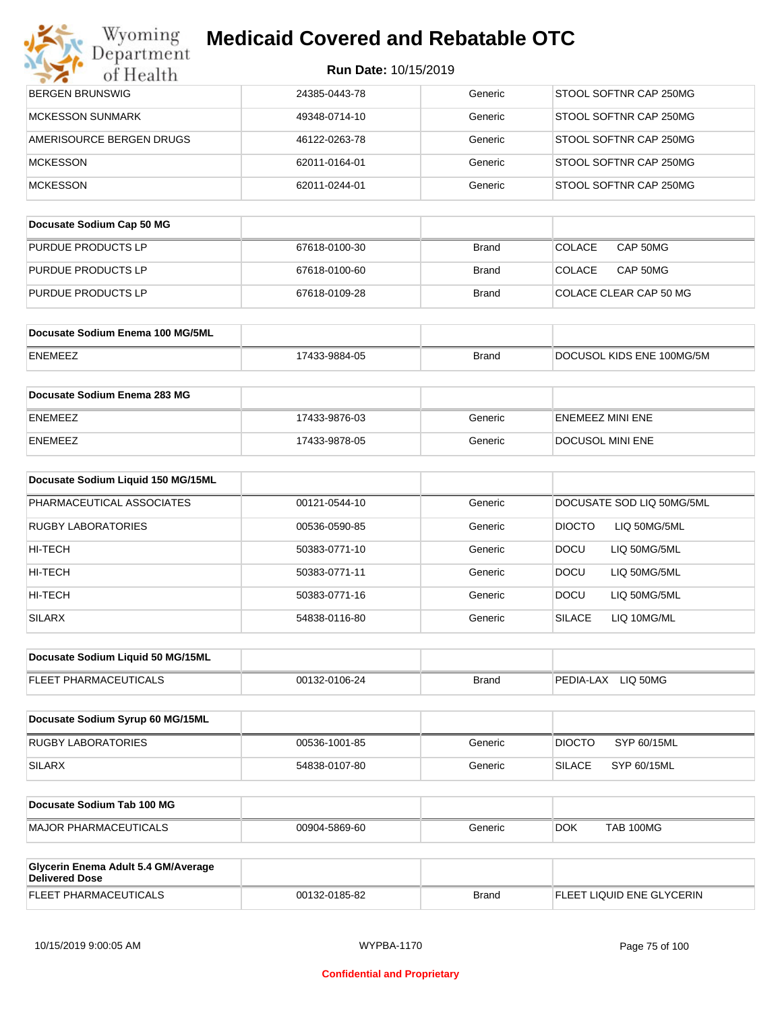### Wyoming<br>Department **Medicaid Covered and Rebatable OTC**

| of Health                                                    | Run Date: 10/15/2019 |              |                                |
|--------------------------------------------------------------|----------------------|--------------|--------------------------------|
| <b>BERGEN BRUNSWIG</b>                                       | 24385-0443-78        | Generic      | STOOL SOFTNR CAP 250MG         |
| <b>MCKESSON SUNMARK</b>                                      | 49348-0714-10        | Generic      | STOOL SOFTNR CAP 250MG         |
| AMERISOURCE BERGEN DRUGS                                     | 46122-0263-78        | Generic      | STOOL SOFTNR CAP 250MG         |
| <b>MCKESSON</b>                                              | 62011-0164-01        | Generic      | STOOL SOFTNR CAP 250MG         |
| <b>MCKESSON</b>                                              | 62011-0244-01        | Generic      | STOOL SOFTNR CAP 250MG         |
| Docusate Sodium Cap 50 MG                                    |                      |              |                                |
| PURDUE PRODUCTS LP                                           | 67618-0100-30        | <b>Brand</b> | COLACE<br>CAP 50MG             |
| PURDUE PRODUCTS LP                                           | 67618-0100-60        | <b>Brand</b> | <b>COLACE</b><br>CAP 50MG      |
| PURDUE PRODUCTS LP                                           | 67618-0109-28        | <b>Brand</b> | COLACE CLEAR CAP 50 MG         |
| Docusate Sodium Enema 100 MG/5ML                             |                      |              |                                |
| ENEMEEZ                                                      | 17433-9884-05        | <b>Brand</b> | DOCUSOL KIDS ENE 100MG/5M      |
| Docusate Sodium Enema 283 MG                                 |                      |              |                                |
| ENEMEEZ                                                      | 17433-9876-03        | Generic      | <b>ENEMEEZ MINI ENE</b>        |
| ENEMEEZ                                                      | 17433-9878-05        | Generic      | DOCUSOL MINI ENE               |
| Docusate Sodium Liquid 150 MG/15ML                           |                      |              |                                |
| PHARMACEUTICAL ASSOCIATES                                    | 00121-0544-10        | Generic      | DOCUSATE SOD LIQ 50MG/5ML      |
| RUGBY LABORATORIES                                           | 00536-0590-85        | Generic      | <b>DIOCTO</b><br>LIQ 50MG/5ML  |
| HI-TECH                                                      | 50383-0771-10        | Generic      | <b>DOCU</b><br>LIQ 50MG/5ML    |
| HI-TECH                                                      | 50383-0771-11        | Generic      | <b>DOCU</b><br>LIQ 50MG/5ML    |
| HI-TECH                                                      | 50383-0771-16        | Generic      | <b>DOCU</b><br>LIQ 50MG/5ML    |
| <b>SILARX</b>                                                | 54838-0116-80        | Generic      | <b>SILACE</b><br>LIQ 10MG/ML   |
| Docusate Sodium Liquid 50 MG/15ML                            |                      |              |                                |
| FLEET PHARMACEUTICALS                                        | 00132-0106-24        | <b>Brand</b> | PEDIA-LAX LIQ 50MG             |
| Docusate Sodium Syrup 60 MG/15ML                             |                      |              |                                |
| <b>RUGBY LABORATORIES</b>                                    | 00536-1001-85        | Generic      | <b>DIOCTO</b><br>SYP 60/15ML   |
| SILARX                                                       | 54838-0107-80        | Generic      | <b>SILACE</b><br>SYP 60/15ML   |
| Docusate Sodium Tab 100 MG                                   |                      |              |                                |
| MAJOR PHARMACEUTICALS                                        | 00904-5869-60        | Generic      | <b>DOK</b><br><b>TAB 100MG</b> |
| Glycerin Enema Adult 5.4 GM/Average<br><b>Delivered Dose</b> |                      |              |                                |
| FLEET PHARMACEUTICALS                                        | 00132-0185-82        | <b>Brand</b> | FLEET LIQUID ENE GLYCERIN      |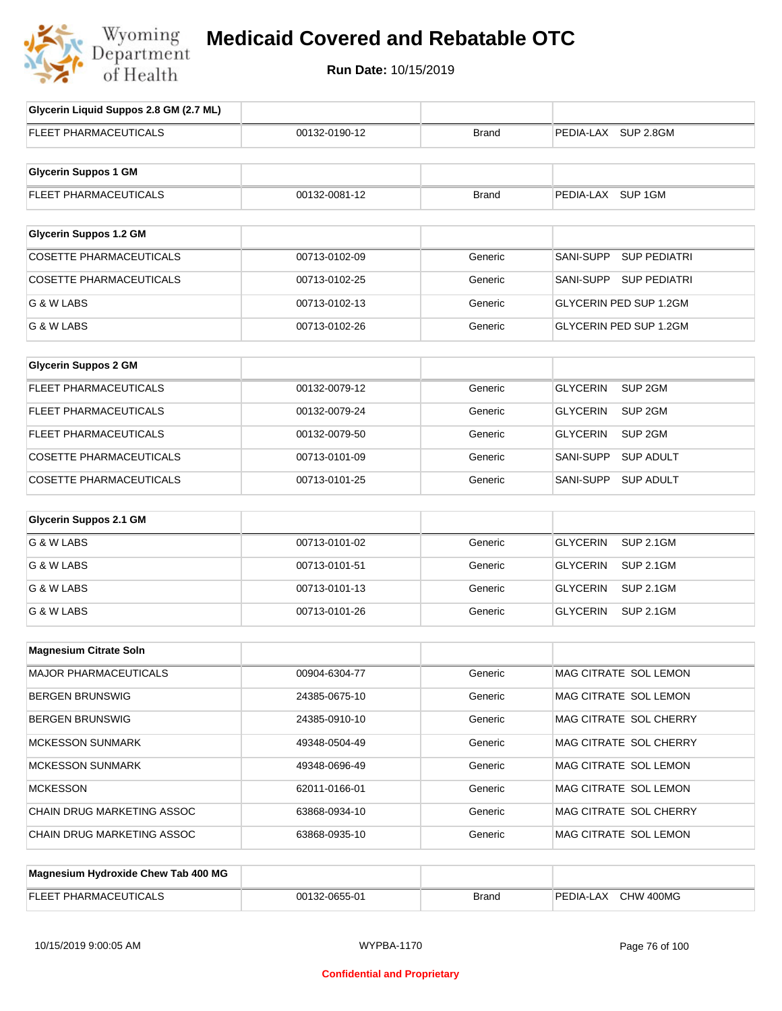

## **Medicaid Covered and Rebatable OTC**

**Run Date:** 10/15/2019

| Glycerin Liquid Suppos 2.8 GM (2.7 ML) |               |              |                                       |
|----------------------------------------|---------------|--------------|---------------------------------------|
| <b>FLEET PHARMACEUTICALS</b>           | 00132-0190-12 | <b>Brand</b> | PEDIA-LAX SUP 2.8GM                   |
|                                        |               |              |                                       |
| <b>Glycerin Suppos 1 GM</b>            |               |              |                                       |
| FLEET PHARMACEUTICALS                  | 00132-0081-12 | <b>Brand</b> | PEDIA-LAX SUP 1GM                     |
| <b>Glycerin Suppos 1.2 GM</b>          |               |              |                                       |
| <b>COSETTE PHARMACEUTICALS</b>         | 00713-0102-09 | Generic      | SANI-SUPP<br><b>SUP PEDIATRI</b>      |
| <b>COSETTE PHARMACEUTICALS</b>         |               | Generic      |                                       |
|                                        | 00713-0102-25 |              | SANI-SUPP<br><b>SUP PEDIATRI</b>      |
| G & W LABS                             | 00713-0102-13 | Generic      | <b>GLYCERIN PED SUP 1.2GM</b>         |
| G & W LABS                             | 00713-0102-26 | Generic      | <b>GLYCERIN PED SUP 1.2GM</b>         |
| <b>Glycerin Suppos 2 GM</b>            |               |              |                                       |
| FLEET PHARMACEUTICALS                  | 00132-0079-12 | Generic      | SUP <sub>2GM</sub><br><b>GLYCERIN</b> |
| FLEET PHARMACEUTICALS                  | 00132-0079-24 | Generic      | <b>GLYCERIN</b><br>SUP <sub>2GM</sub> |
| FLEET PHARMACEUTICALS                  | 00132-0079-50 | Generic      | <b>GLYCERIN</b><br>SUP 2GM            |
| COSETTE PHARMACEUTICALS                | 00713-0101-09 | Generic      | <b>SANI-SUPP</b><br><b>SUP ADULT</b>  |
| <b>COSETTE PHARMACEUTICALS</b>         | 00713-0101-25 | Generic      | SANI-SUPP<br><b>SUP ADULT</b>         |
| <b>Glycerin Suppos 2.1 GM</b>          |               |              |                                       |
| G & W LABS                             | 00713-0101-02 | Generic      | <b>GLYCERIN</b><br><b>SUP 2.1GM</b>   |
| G & W LABS                             | 00713-0101-51 | Generic      | <b>GLYCERIN</b><br><b>SUP 2.1GM</b>   |
| G & W LABS                             | 00713-0101-13 | Generic      | <b>GLYCERIN</b><br><b>SUP 2.1GM</b>   |
| G & W LABS                             | 00713-0101-26 | Generic      | <b>GLYCERIN</b><br><b>SUP 2.1GM</b>   |
|                                        |               |              |                                       |
| <b>Magnesium Citrate Soln</b>          |               |              |                                       |
| MAJOR PHARMACEUTICALS                  | 00904-6304-77 | Generic      | MAG CITRATE SOL LEMON                 |
| <b>BERGEN BRUNSWIG</b>                 | 24385-0675-10 | Generic      | MAG CITRATE SOL LEMON                 |
| <b>BERGEN BRUNSWIG</b>                 | 24385-0910-10 | Generic      | MAG CITRATE SOL CHERRY                |
| <b>MCKESSON SUNMARK</b>                | 49348-0504-49 | Generic      | MAG CITRATE SOL CHERRY                |
| <b>MCKESSON SUNMARK</b>                | 49348-0696-49 | Generic      | MAG CITRATE SOL LEMON                 |
| <b>MCKESSON</b>                        | 62011-0166-01 | Generic      | MAG CITRATE SOL LEMON                 |
| CHAIN DRUG MARKETING ASSOC             | 63868-0934-10 | Generic      | MAG CITRATE SOL CHERRY                |
| CHAIN DRUG MARKETING ASSOC             | 63868-0935-10 | Generic      | MAG CITRATE SOL LEMON                 |
| Magnesium Hydroxide Chew Tab 400 MG    |               |              |                                       |
|                                        |               |              |                                       |

| EL EE)<br>. ICAL<br>PHARMAC.<br>╌<br>___ | -0655-01<br>00132<br>0655-01 | Brand | $400M$ G<br>PEDIA-L<br>.AX<br>วHW |
|------------------------------------------|------------------------------|-------|-----------------------------------|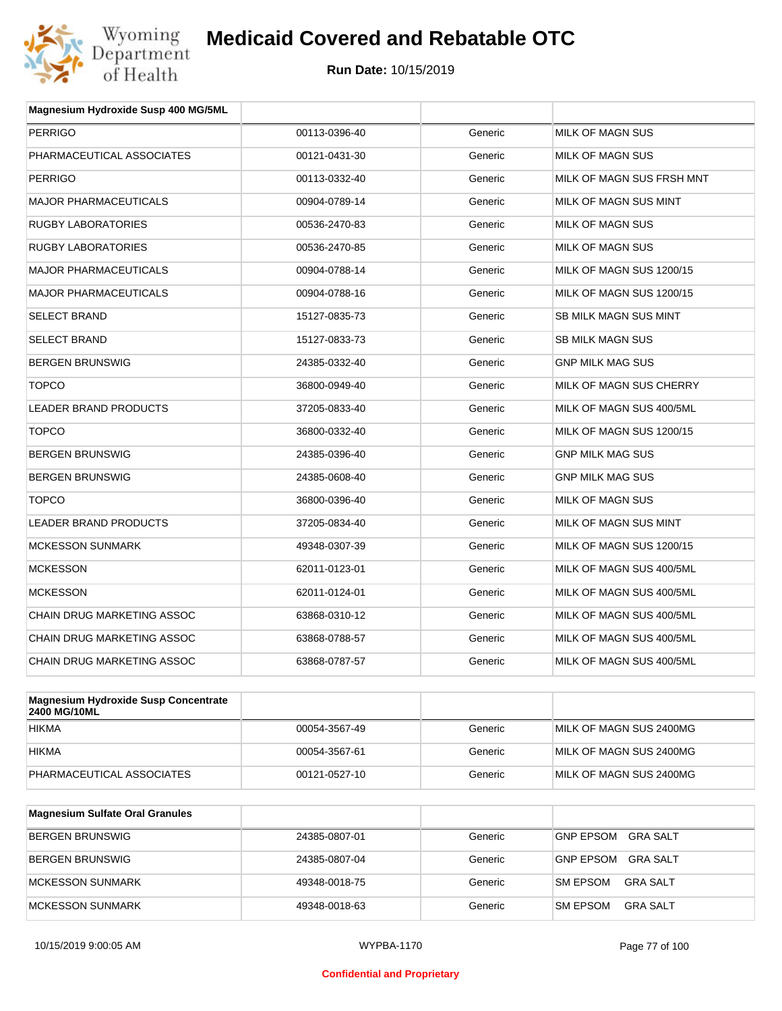

| Magnesium Hydroxide Susp 400 MG/5ML         |               |         |                              |
|---------------------------------------------|---------------|---------|------------------------------|
| <b>PERRIGO</b>                              | 00113-0396-40 | Generic | <b>MILK OF MAGN SUS</b>      |
| PHARMACEUTICAL ASSOCIATES                   | 00121-0431-30 | Generic | <b>MILK OF MAGN SUS</b>      |
| <b>PERRIGO</b>                              | 00113-0332-40 | Generic | MILK OF MAGN SUS FRSH MNT    |
| <b>MAJOR PHARMACEUTICALS</b>                | 00904-0789-14 | Generic | MILK OF MAGN SUS MINT        |
| <b>RUGBY LABORATORIES</b>                   | 00536-2470-83 | Generic | MILK OF MAGN SUS             |
| <b>RUGBY LABORATORIES</b>                   | 00536-2470-85 | Generic | <b>MILK OF MAGN SUS</b>      |
| <b>MAJOR PHARMACEUTICALS</b>                | 00904-0788-14 | Generic | MILK OF MAGN SUS 1200/15     |
| <b>MAJOR PHARMACEUTICALS</b>                | 00904-0788-16 | Generic | MILK OF MAGN SUS 1200/15     |
| <b>SELECT BRAND</b>                         | 15127-0835-73 | Generic | <b>SB MILK MAGN SUS MINT</b> |
| <b>SELECT BRAND</b>                         | 15127-0833-73 | Generic | <b>SB MILK MAGN SUS</b>      |
| <b>BERGEN BRUNSWIG</b>                      | 24385-0332-40 | Generic | <b>GNP MILK MAG SUS</b>      |
| <b>TOPCO</b>                                | 36800-0949-40 | Generic | MILK OF MAGN SUS CHERRY      |
| <b>LEADER BRAND PRODUCTS</b>                | 37205-0833-40 | Generic | MILK OF MAGN SUS 400/5ML     |
| <b>TOPCO</b>                                | 36800-0332-40 | Generic | MILK OF MAGN SUS 1200/15     |
| <b>BERGEN BRUNSWIG</b>                      | 24385-0396-40 | Generic | <b>GNP MILK MAG SUS</b>      |
| <b>BERGEN BRUNSWIG</b>                      | 24385-0608-40 | Generic | <b>GNP MILK MAG SUS</b>      |
| <b>TOPCO</b>                                | 36800-0396-40 | Generic | MILK OF MAGN SUS             |
| <b>LEADER BRAND PRODUCTS</b>                | 37205-0834-40 | Generic | MILK OF MAGN SUS MINT        |
| <b>MCKESSON SUNMARK</b>                     | 49348-0307-39 | Generic | MILK OF MAGN SUS 1200/15     |
| <b>MCKESSON</b>                             | 62011-0123-01 | Generic | MILK OF MAGN SUS 400/5ML     |
| <b>MCKESSON</b>                             | 62011-0124-01 | Generic | MILK OF MAGN SUS 400/5ML     |
| <b>CHAIN DRUG MARKETING ASSOC</b>           | 63868-0310-12 | Generic | MILK OF MAGN SUS 400/5ML     |
| CHAIN DRUG MARKETING ASSOC                  | 63868-0788-57 | Generic | MILK OF MAGN SUS 400/5ML     |
| <b>CHAIN DRUG MARKETING ASSOC</b>           | 63868-0787-57 | Generic | MILK OF MAGN SUS 400/5ML     |
|                                             |               |         |                              |
| <b>Magnesium Hydroxide Susp Concentrate</b> |               |         |                              |

| Magnesium Hydroxide Susp Concentrate<br>2400 MG/10ML |               |         |                         |
|------------------------------------------------------|---------------|---------|-------------------------|
| <b>HIKMA</b>                                         | 00054-3567-49 | Generic | MILK OF MAGN SUS 2400MG |
| <b>HIKMA</b>                                         | 00054-3567-61 | Generic | MILK OF MAGN SUS 2400MG |
| PHARMACEUTICAL ASSOCIATES                            | 00121-0527-10 | Generic | MILK OF MAGN SUS 2400MG |

| <b>Magnesium Sulfate Oral Granules</b> |               |         |                                     |
|----------------------------------------|---------------|---------|-------------------------------------|
| <b>BERGEN BRUNSWIG</b>                 | 24385-0807-01 | Generic | <b>GNP EPSOM</b><br>GRA SALT        |
| BERGEN BRUNSWIG                        | 24385-0807-04 | Generic | <b>GRA SALT</b><br><b>GNP EPSOM</b> |
| MCKESSON SUNMARK                       | 49348-0018-75 | Generic | <b>SM EPSOM</b><br>GRA SALT         |
| MCKESSON SUNMARK                       | 49348-0018-63 | Generic | <b>SM EPSOM</b><br>GRA SALT         |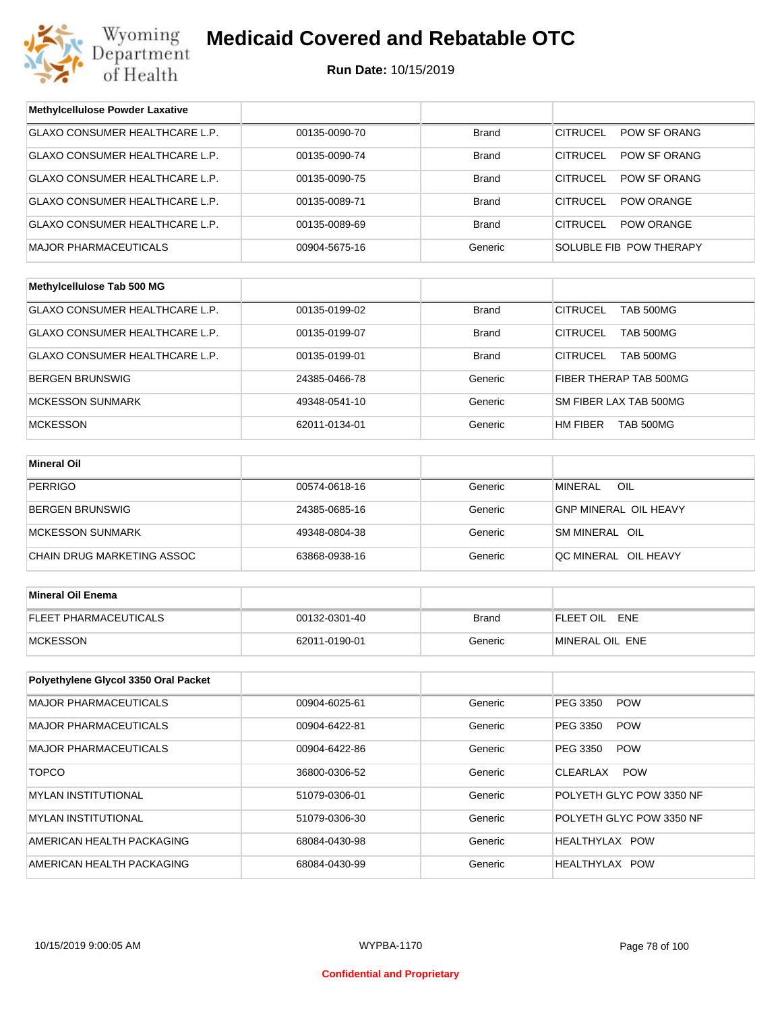

## **Medicaid Covered and Rebatable OTC**

**Run Date:** 10/15/2019

| <b>Methylcellulose Powder Laxative</b> |               |              |                                     |  |
|----------------------------------------|---------------|--------------|-------------------------------------|--|
| <b>GLAXO CONSUMER HEALTHCARE L.P.</b>  | 00135-0090-70 | <b>Brand</b> | <b>CITRUCEL</b><br>POW SF ORANG     |  |
| GLAXO CONSUMER HEALTHCARE L.P.         | 00135-0090-74 | <b>Brand</b> | <b>CITRUCEL</b><br>POW SF ORANG     |  |
| GLAXO CONSUMER HEALTHCARE L.P.         | 00135-0090-75 | <b>Brand</b> | <b>CITRUCEL</b><br>POW SF ORANG     |  |
| GLAXO CONSUMER HEALTHCARE L.P.         | 00135-0089-71 | <b>Brand</b> | <b>CITRUCEL</b><br>POW ORANGE       |  |
| GLAXO CONSUMER HEALTHCARE L.P.         | 00135-0089-69 | <b>Brand</b> | <b>CITRUCEL</b><br>POW ORANGE       |  |
| <b>MAJOR PHARMACEUTICALS</b>           | 00904-5675-16 | Generic      | SOLUBLE FIB POW THERAPY             |  |
|                                        |               |              |                                     |  |
| Methylcellulose Tab 500 MG             |               |              |                                     |  |
| GLAXO CONSUMER HEALTHCARE L.P.         | 00135-0199-02 | <b>Brand</b> | <b>CITRUCEL</b><br><b>TAB 500MG</b> |  |
| GLAXO CONSUMER HEALTHCARE L.P.         | 00135-0199-07 | <b>Brand</b> | <b>CITRUCEL</b><br><b>TAB 500MG</b> |  |
| GLAXO CONSUMER HEALTHCARE L.P.         | 00135-0199-01 | Brand        | <b>CITRUCEL</b><br>TAB 500MG        |  |
| <b>BERGEN BRUNSWIG</b>                 | 24385-0466-78 | Generic      | FIBER THERAP TAB 500MG              |  |
| <b>MCKESSON SUNMARK</b>                | 49348-0541-10 | Generic      | SM FIBER LAX TAB 500MG              |  |
| <b>MCKESSON</b>                        | 62011-0134-01 | Generic      | HM FIBER<br><b>TAB 500MG</b>        |  |
|                                        |               |              |                                     |  |
| <b>Mineral Oil</b>                     |               |              |                                     |  |
| <b>PERRIGO</b>                         | 00574-0618-16 | Generic      | <b>MINERAL</b><br>OIL               |  |
| <b>BERGEN BRUNSWIG</b>                 | 24385-0685-16 | Generic      | GNP MINERAL OIL HEAVY               |  |
| <b>MCKESSON SUNMARK</b>                | 49348-0804-38 | Generic      | SM MINERAL OIL                      |  |
| CHAIN DRUG MARKETING ASSOC             | 63868-0938-16 | Generic      | QC MINERAL OIL HEAVY                |  |
|                                        |               |              |                                     |  |
| <b>Mineral Oil Enema</b>               |               |              |                                     |  |
| <b>FLEET PHARMACEUTICALS</b>           | 00132-0301-40 | <b>Brand</b> | FLEET OIL ENE                       |  |
| <b>MCKESSON</b>                        | 62011-0190-01 | Generic      | MINERAL OIL ENE                     |  |
|                                        |               |              |                                     |  |
| Polyethylene Glycol 3350 Oral Packet   |               |              |                                     |  |
| <b>MAJOR PHARMACEUTICALS</b>           | 00904-6025-61 | Generic      | PEG 3350<br><b>POW</b>              |  |
| <b>MAJOR PHARMACEUTICALS</b>           | 00904-6422-81 | Generic      | PEG 3350<br><b>POW</b>              |  |
| <b>MAJOR PHARMACEUTICALS</b>           | 00904-6422-86 | Generic      | PEG 3350<br><b>POW</b>              |  |
| <b>TOPCO</b>                           | 36800-0306-52 | Generic      | <b>CLEARLAX</b><br><b>POW</b>       |  |
| <b>MYLAN INSTITUTIONAL</b>             | 51079-0306-01 | Generic      | POLYETH GLYC POW 3350 NF            |  |
| <b>MYLAN INSTITUTIONAL</b>             | 51079-0306-30 | Generic      | POLYETH GLYC POW 3350 NF            |  |
| AMERICAN HEALTH PACKAGING              | 68084-0430-98 | Generic      | HEALTHYLAX POW                      |  |
| AMERICAN HEALTH PACKAGING              | 68084-0430-99 | Generic      | HEALTHYLAX POW                      |  |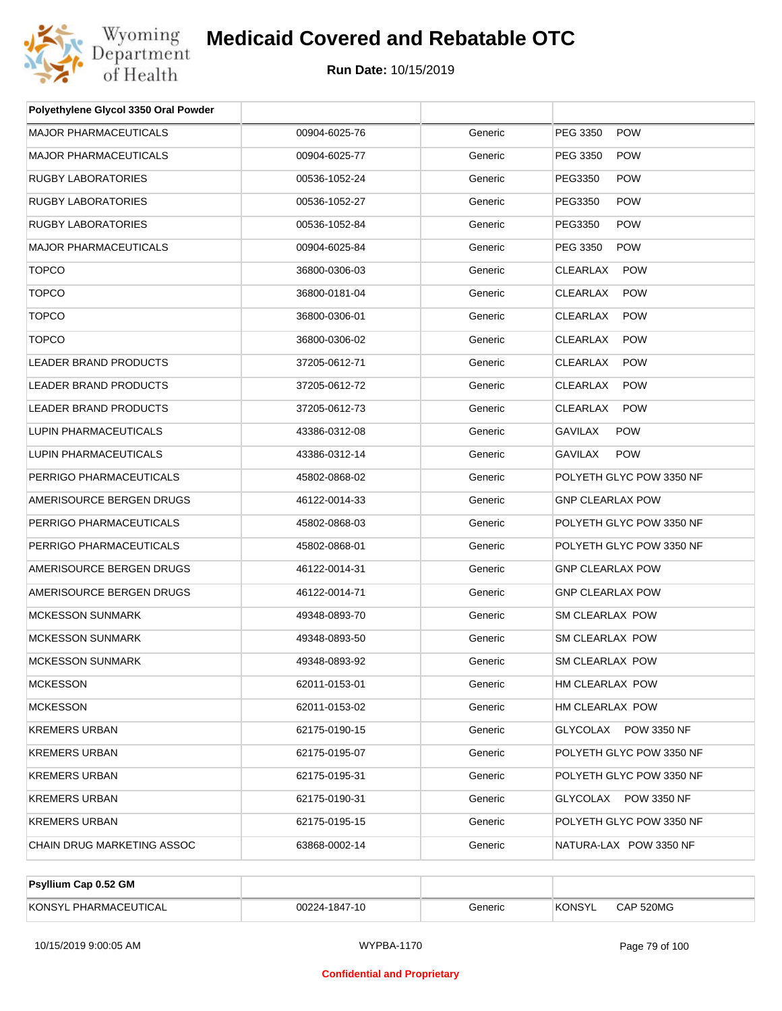

| <b>MAJOR PHARMACEUTICALS</b><br>00904-6025-76<br>Generic<br>PEG 3350<br><b>POW</b><br>MAJOR PHARMACEUTICALS<br>PEG 3350<br><b>POW</b><br>00904-6025-77<br>Generic<br>RUGBY LABORATORIES<br>Generic<br>PEG3350<br><b>POW</b><br>00536-1052-24<br>RUGBY LABORATORIES<br><b>POW</b><br>00536-1052-27<br>Generic<br>PEG3350<br>RUGBY LABORATORIES<br>Generic<br>PEG3350<br><b>POW</b><br>00536-1052-84<br><b>POW</b><br><b>MAJOR PHARMACEUTICALS</b><br>00904-6025-84<br>Generic<br>PEG 3350<br><b>TOPCO</b><br>Generic<br><b>POW</b><br>36800-0306-03<br>CLEARLAX<br><b>TOPCO</b><br><b>CLEARLAX</b><br>36800-0181-04<br>Generic<br><b>POW</b><br><b>TOPCO</b><br>Generic<br><b>CLEARLAX</b><br><b>POW</b><br>36800-0306-01<br><b>TOPCO</b><br><b>CLEARLAX</b><br>36800-0306-02<br>Generic<br><b>POW</b><br><b>LEADER BRAND PRODUCTS</b><br>Generic<br><b>CLEARLAX</b><br>37205-0612-71<br><b>POW</b><br>CLEARLAX<br>LEADER BRAND PRODUCTS<br>37205-0612-72<br>Generic<br><b>POW</b><br>LEADER BRAND PRODUCTS<br>Generic<br>CLEARLAX<br><b>POW</b><br>37205-0612-73<br>LUPIN PHARMACEUTICALS<br><b>GAVILAX</b><br>43386-0312-08<br>Generic<br><b>POW</b><br>LUPIN PHARMACEUTICALS<br>Generic<br><b>GAVILAX</b><br><b>POW</b><br>43386-0312-14<br>PERRIGO PHARMACEUTICALS<br>POLYETH GLYC POW 3350 NF<br>45802-0868-02<br>Generic<br>AMERISOURCE BERGEN DRUGS<br>Generic<br><b>GNP CLEARLAX POW</b><br>46122-0014-33<br>PERRIGO PHARMACEUTICALS<br>POLYETH GLYC POW 3350 NF<br>45802-0868-03<br>Generic<br>PERRIGO PHARMACEUTICALS<br>Generic<br>POLYETH GLYC POW 3350 NF<br>45802-0868-01<br>AMERISOURCE BERGEN DRUGS<br>46122-0014-31<br>Generic<br><b>GNP CLEARLAX POW</b><br>AMERISOURCE BERGEN DRUGS<br>Generic<br>46122-0014-71<br><b>GNP CLEARLAX POW</b><br><b>MCKESSON SUNMARK</b><br>49348-0893-70<br>Generic<br>SM CLEARLAX POW<br><b>MCKESSON SUNMARK</b><br>49348-0893-50<br>Generic<br>SM CLEARLAX POW<br>MCKESSON SUNMARK<br>49348-0893-92<br>Generic<br>SM CLEARLAX POW<br>MCKESSON<br>62011-0153-01<br>Generic<br>HM CLEARLAX POW<br>HM CLEARLAX POW<br><b>MCKESSON</b><br>62011-0153-02<br>Generic<br>GLYCOLAX POW 3350 NF<br>KREMERS URBAN<br>62175-0190-15<br>Generic<br>POLYETH GLYC POW 3350 NF<br>KREMERS URBAN<br>62175-0195-07<br>Generic<br>POLYETH GLYC POW 3350 NF<br>KREMERS URBAN<br>62175-0195-31<br>Generic<br>GLYCOLAX POW 3350 NF<br>KREMERS URBAN<br>62175-0190-31<br>Generic<br>POLYETH GLYC POW 3350 NF<br>KREMERS URBAN<br>62175-0195-15<br>Generic<br>CHAIN DRUG MARKETING ASSOC<br>Generic<br>NATURA-LAX POW 3350 NF<br>63868-0002-14 | Polyethylene Glycol 3350 Oral Powder |  |  |
|---------------------------------------------------------------------------------------------------------------------------------------------------------------------------------------------------------------------------------------------------------------------------------------------------------------------------------------------------------------------------------------------------------------------------------------------------------------------------------------------------------------------------------------------------------------------------------------------------------------------------------------------------------------------------------------------------------------------------------------------------------------------------------------------------------------------------------------------------------------------------------------------------------------------------------------------------------------------------------------------------------------------------------------------------------------------------------------------------------------------------------------------------------------------------------------------------------------------------------------------------------------------------------------------------------------------------------------------------------------------------------------------------------------------------------------------------------------------------------------------------------------------------------------------------------------------------------------------------------------------------------------------------------------------------------------------------------------------------------------------------------------------------------------------------------------------------------------------------------------------------------------------------------------------------------------------------------------------------------------------------------------------------------------------------------------------------------------------------------------------------------------------------------------------------------------------------------------------------------------------------------------------------------------------------------------------------------------------------------------------------------------------------------------------------------------------------------------------------------------------------------------------------------------------------------------------------|--------------------------------------|--|--|
|                                                                                                                                                                                                                                                                                                                                                                                                                                                                                                                                                                                                                                                                                                                                                                                                                                                                                                                                                                                                                                                                                                                                                                                                                                                                                                                                                                                                                                                                                                                                                                                                                                                                                                                                                                                                                                                                                                                                                                                                                                                                                                                                                                                                                                                                                                                                                                                                                                                                                                                                                                           |                                      |  |  |
|                                                                                                                                                                                                                                                                                                                                                                                                                                                                                                                                                                                                                                                                                                                                                                                                                                                                                                                                                                                                                                                                                                                                                                                                                                                                                                                                                                                                                                                                                                                                                                                                                                                                                                                                                                                                                                                                                                                                                                                                                                                                                                                                                                                                                                                                                                                                                                                                                                                                                                                                                                           |                                      |  |  |
|                                                                                                                                                                                                                                                                                                                                                                                                                                                                                                                                                                                                                                                                                                                                                                                                                                                                                                                                                                                                                                                                                                                                                                                                                                                                                                                                                                                                                                                                                                                                                                                                                                                                                                                                                                                                                                                                                                                                                                                                                                                                                                                                                                                                                                                                                                                                                                                                                                                                                                                                                                           |                                      |  |  |
|                                                                                                                                                                                                                                                                                                                                                                                                                                                                                                                                                                                                                                                                                                                                                                                                                                                                                                                                                                                                                                                                                                                                                                                                                                                                                                                                                                                                                                                                                                                                                                                                                                                                                                                                                                                                                                                                                                                                                                                                                                                                                                                                                                                                                                                                                                                                                                                                                                                                                                                                                                           |                                      |  |  |
|                                                                                                                                                                                                                                                                                                                                                                                                                                                                                                                                                                                                                                                                                                                                                                                                                                                                                                                                                                                                                                                                                                                                                                                                                                                                                                                                                                                                                                                                                                                                                                                                                                                                                                                                                                                                                                                                                                                                                                                                                                                                                                                                                                                                                                                                                                                                                                                                                                                                                                                                                                           |                                      |  |  |
|                                                                                                                                                                                                                                                                                                                                                                                                                                                                                                                                                                                                                                                                                                                                                                                                                                                                                                                                                                                                                                                                                                                                                                                                                                                                                                                                                                                                                                                                                                                                                                                                                                                                                                                                                                                                                                                                                                                                                                                                                                                                                                                                                                                                                                                                                                                                                                                                                                                                                                                                                                           |                                      |  |  |
|                                                                                                                                                                                                                                                                                                                                                                                                                                                                                                                                                                                                                                                                                                                                                                                                                                                                                                                                                                                                                                                                                                                                                                                                                                                                                                                                                                                                                                                                                                                                                                                                                                                                                                                                                                                                                                                                                                                                                                                                                                                                                                                                                                                                                                                                                                                                                                                                                                                                                                                                                                           |                                      |  |  |
|                                                                                                                                                                                                                                                                                                                                                                                                                                                                                                                                                                                                                                                                                                                                                                                                                                                                                                                                                                                                                                                                                                                                                                                                                                                                                                                                                                                                                                                                                                                                                                                                                                                                                                                                                                                                                                                                                                                                                                                                                                                                                                                                                                                                                                                                                                                                                                                                                                                                                                                                                                           |                                      |  |  |
|                                                                                                                                                                                                                                                                                                                                                                                                                                                                                                                                                                                                                                                                                                                                                                                                                                                                                                                                                                                                                                                                                                                                                                                                                                                                                                                                                                                                                                                                                                                                                                                                                                                                                                                                                                                                                                                                                                                                                                                                                                                                                                                                                                                                                                                                                                                                                                                                                                                                                                                                                                           |                                      |  |  |
|                                                                                                                                                                                                                                                                                                                                                                                                                                                                                                                                                                                                                                                                                                                                                                                                                                                                                                                                                                                                                                                                                                                                                                                                                                                                                                                                                                                                                                                                                                                                                                                                                                                                                                                                                                                                                                                                                                                                                                                                                                                                                                                                                                                                                                                                                                                                                                                                                                                                                                                                                                           |                                      |  |  |
|                                                                                                                                                                                                                                                                                                                                                                                                                                                                                                                                                                                                                                                                                                                                                                                                                                                                                                                                                                                                                                                                                                                                                                                                                                                                                                                                                                                                                                                                                                                                                                                                                                                                                                                                                                                                                                                                                                                                                                                                                                                                                                                                                                                                                                                                                                                                                                                                                                                                                                                                                                           |                                      |  |  |
|                                                                                                                                                                                                                                                                                                                                                                                                                                                                                                                                                                                                                                                                                                                                                                                                                                                                                                                                                                                                                                                                                                                                                                                                                                                                                                                                                                                                                                                                                                                                                                                                                                                                                                                                                                                                                                                                                                                                                                                                                                                                                                                                                                                                                                                                                                                                                                                                                                                                                                                                                                           |                                      |  |  |
|                                                                                                                                                                                                                                                                                                                                                                                                                                                                                                                                                                                                                                                                                                                                                                                                                                                                                                                                                                                                                                                                                                                                                                                                                                                                                                                                                                                                                                                                                                                                                                                                                                                                                                                                                                                                                                                                                                                                                                                                                                                                                                                                                                                                                                                                                                                                                                                                                                                                                                                                                                           |                                      |  |  |
|                                                                                                                                                                                                                                                                                                                                                                                                                                                                                                                                                                                                                                                                                                                                                                                                                                                                                                                                                                                                                                                                                                                                                                                                                                                                                                                                                                                                                                                                                                                                                                                                                                                                                                                                                                                                                                                                                                                                                                                                                                                                                                                                                                                                                                                                                                                                                                                                                                                                                                                                                                           |                                      |  |  |
|                                                                                                                                                                                                                                                                                                                                                                                                                                                                                                                                                                                                                                                                                                                                                                                                                                                                                                                                                                                                                                                                                                                                                                                                                                                                                                                                                                                                                                                                                                                                                                                                                                                                                                                                                                                                                                                                                                                                                                                                                                                                                                                                                                                                                                                                                                                                                                                                                                                                                                                                                                           |                                      |  |  |
|                                                                                                                                                                                                                                                                                                                                                                                                                                                                                                                                                                                                                                                                                                                                                                                                                                                                                                                                                                                                                                                                                                                                                                                                                                                                                                                                                                                                                                                                                                                                                                                                                                                                                                                                                                                                                                                                                                                                                                                                                                                                                                                                                                                                                                                                                                                                                                                                                                                                                                                                                                           |                                      |  |  |
|                                                                                                                                                                                                                                                                                                                                                                                                                                                                                                                                                                                                                                                                                                                                                                                                                                                                                                                                                                                                                                                                                                                                                                                                                                                                                                                                                                                                                                                                                                                                                                                                                                                                                                                                                                                                                                                                                                                                                                                                                                                                                                                                                                                                                                                                                                                                                                                                                                                                                                                                                                           |                                      |  |  |
|                                                                                                                                                                                                                                                                                                                                                                                                                                                                                                                                                                                                                                                                                                                                                                                                                                                                                                                                                                                                                                                                                                                                                                                                                                                                                                                                                                                                                                                                                                                                                                                                                                                                                                                                                                                                                                                                                                                                                                                                                                                                                                                                                                                                                                                                                                                                                                                                                                                                                                                                                                           |                                      |  |  |
|                                                                                                                                                                                                                                                                                                                                                                                                                                                                                                                                                                                                                                                                                                                                                                                                                                                                                                                                                                                                                                                                                                                                                                                                                                                                                                                                                                                                                                                                                                                                                                                                                                                                                                                                                                                                                                                                                                                                                                                                                                                                                                                                                                                                                                                                                                                                                                                                                                                                                                                                                                           |                                      |  |  |
|                                                                                                                                                                                                                                                                                                                                                                                                                                                                                                                                                                                                                                                                                                                                                                                                                                                                                                                                                                                                                                                                                                                                                                                                                                                                                                                                                                                                                                                                                                                                                                                                                                                                                                                                                                                                                                                                                                                                                                                                                                                                                                                                                                                                                                                                                                                                                                                                                                                                                                                                                                           |                                      |  |  |
|                                                                                                                                                                                                                                                                                                                                                                                                                                                                                                                                                                                                                                                                                                                                                                                                                                                                                                                                                                                                                                                                                                                                                                                                                                                                                                                                                                                                                                                                                                                                                                                                                                                                                                                                                                                                                                                                                                                                                                                                                                                                                                                                                                                                                                                                                                                                                                                                                                                                                                                                                                           |                                      |  |  |
|                                                                                                                                                                                                                                                                                                                                                                                                                                                                                                                                                                                                                                                                                                                                                                                                                                                                                                                                                                                                                                                                                                                                                                                                                                                                                                                                                                                                                                                                                                                                                                                                                                                                                                                                                                                                                                                                                                                                                                                                                                                                                                                                                                                                                                                                                                                                                                                                                                                                                                                                                                           |                                      |  |  |
|                                                                                                                                                                                                                                                                                                                                                                                                                                                                                                                                                                                                                                                                                                                                                                                                                                                                                                                                                                                                                                                                                                                                                                                                                                                                                                                                                                                                                                                                                                                                                                                                                                                                                                                                                                                                                                                                                                                                                                                                                                                                                                                                                                                                                                                                                                                                                                                                                                                                                                                                                                           |                                      |  |  |
|                                                                                                                                                                                                                                                                                                                                                                                                                                                                                                                                                                                                                                                                                                                                                                                                                                                                                                                                                                                                                                                                                                                                                                                                                                                                                                                                                                                                                                                                                                                                                                                                                                                                                                                                                                                                                                                                                                                                                                                                                                                                                                                                                                                                                                                                                                                                                                                                                                                                                                                                                                           |                                      |  |  |
|                                                                                                                                                                                                                                                                                                                                                                                                                                                                                                                                                                                                                                                                                                                                                                                                                                                                                                                                                                                                                                                                                                                                                                                                                                                                                                                                                                                                                                                                                                                                                                                                                                                                                                                                                                                                                                                                                                                                                                                                                                                                                                                                                                                                                                                                                                                                                                                                                                                                                                                                                                           |                                      |  |  |
|                                                                                                                                                                                                                                                                                                                                                                                                                                                                                                                                                                                                                                                                                                                                                                                                                                                                                                                                                                                                                                                                                                                                                                                                                                                                                                                                                                                                                                                                                                                                                                                                                                                                                                                                                                                                                                                                                                                                                                                                                                                                                                                                                                                                                                                                                                                                                                                                                                                                                                                                                                           |                                      |  |  |
|                                                                                                                                                                                                                                                                                                                                                                                                                                                                                                                                                                                                                                                                                                                                                                                                                                                                                                                                                                                                                                                                                                                                                                                                                                                                                                                                                                                                                                                                                                                                                                                                                                                                                                                                                                                                                                                                                                                                                                                                                                                                                                                                                                                                                                                                                                                                                                                                                                                                                                                                                                           |                                      |  |  |
|                                                                                                                                                                                                                                                                                                                                                                                                                                                                                                                                                                                                                                                                                                                                                                                                                                                                                                                                                                                                                                                                                                                                                                                                                                                                                                                                                                                                                                                                                                                                                                                                                                                                                                                                                                                                                                                                                                                                                                                                                                                                                                                                                                                                                                                                                                                                                                                                                                                                                                                                                                           |                                      |  |  |
|                                                                                                                                                                                                                                                                                                                                                                                                                                                                                                                                                                                                                                                                                                                                                                                                                                                                                                                                                                                                                                                                                                                                                                                                                                                                                                                                                                                                                                                                                                                                                                                                                                                                                                                                                                                                                                                                                                                                                                                                                                                                                                                                                                                                                                                                                                                                                                                                                                                                                                                                                                           |                                      |  |  |
|                                                                                                                                                                                                                                                                                                                                                                                                                                                                                                                                                                                                                                                                                                                                                                                                                                                                                                                                                                                                                                                                                                                                                                                                                                                                                                                                                                                                                                                                                                                                                                                                                                                                                                                                                                                                                                                                                                                                                                                                                                                                                                                                                                                                                                                                                                                                                                                                                                                                                                                                                                           |                                      |  |  |
|                                                                                                                                                                                                                                                                                                                                                                                                                                                                                                                                                                                                                                                                                                                                                                                                                                                                                                                                                                                                                                                                                                                                                                                                                                                                                                                                                                                                                                                                                                                                                                                                                                                                                                                                                                                                                                                                                                                                                                                                                                                                                                                                                                                                                                                                                                                                                                                                                                                                                                                                                                           |                                      |  |  |
|                                                                                                                                                                                                                                                                                                                                                                                                                                                                                                                                                                                                                                                                                                                                                                                                                                                                                                                                                                                                                                                                                                                                                                                                                                                                                                                                                                                                                                                                                                                                                                                                                                                                                                                                                                                                                                                                                                                                                                                                                                                                                                                                                                                                                                                                                                                                                                                                                                                                                                                                                                           |                                      |  |  |

| <b>Psyllium Cap 0.52 GM</b> |               |         |               |           |
|-----------------------------|---------------|---------|---------------|-----------|
| KONSYL PHARMACEUTICAL       | 00224-1847-10 | Generic | <b>KONSYL</b> | CAP 520MG |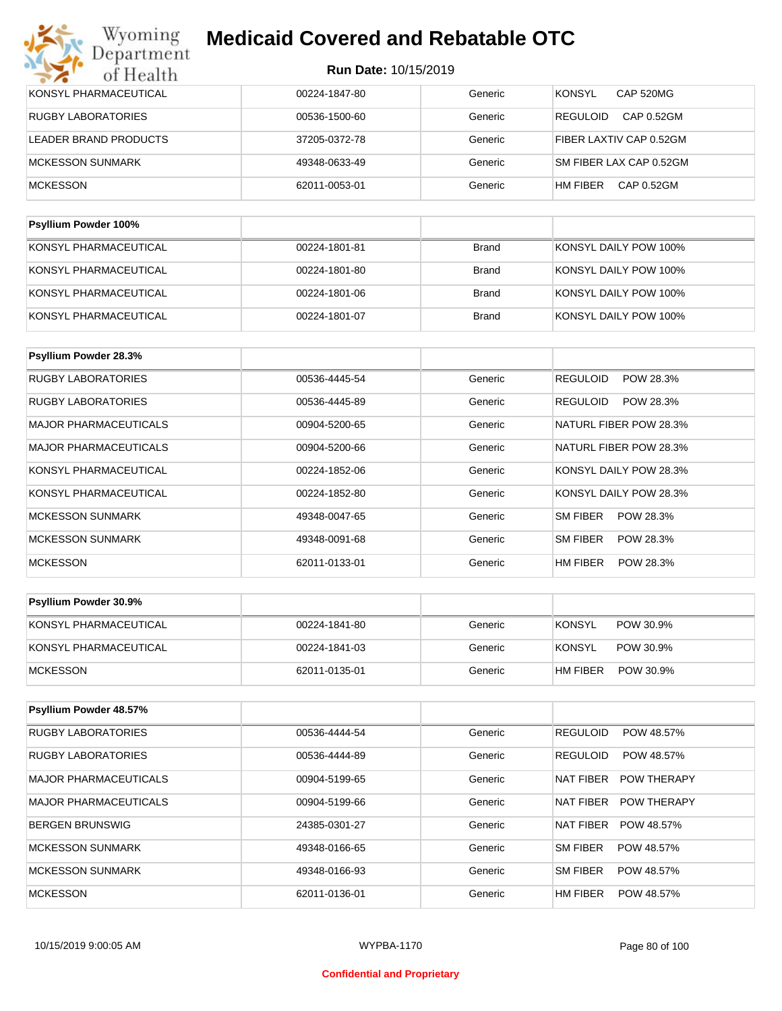| KONSYL PHARMACEUTICAL | 00224-1847-80 | Generic | <b>KONSYL</b><br><b>CAP 520MG</b> |
|-----------------------|---------------|---------|-----------------------------------|
| RUGBY LABORATORIES    | 00536-1500-60 | Generic | <b>REGULOID</b><br>CAP 0.52GM     |
| LEADER BRAND PRODUCTS | 37205-0372-78 | Generic | FIBER LAXTIV CAP 0.52GM           |
| MCKESSON SUNMARK      | 49348-0633-49 | Generic | SM FIBER LAX CAP 0.52GM           |
| <b>MCKESSON</b>       | 62011-0053-01 | Generic | HM FIBER<br>CAP 0.52GM            |
|                       |               |         |                                   |

| <b>Psyllium Powder 100%</b> |               |              |                       |
|-----------------------------|---------------|--------------|-----------------------|
| KONSYL PHARMACEUTICAL       | 00224-1801-81 | Brand        | KONSYL DAILY POW 100% |
| KONSYL PHARMACEUTICAL       | 00224-1801-80 | Brand        | KONSYL DAILY POW 100% |
| KONSYL PHARMACEUTICAL       | 00224-1801-06 | Brand        | KONSYL DAILY POW 100% |
| KONSYL PHARMACEUTICAL       | 00224-1801-07 | <b>Brand</b> | KONSYL DAILY POW 100% |

| Psyllium Powder 28.3%        |               |         |                        |
|------------------------------|---------------|---------|------------------------|
| <b>RUGBY LABORATORIES</b>    | 00536-4445-54 | Generic | REGULOID<br>POW 28.3%  |
| <b>RUGBY LABORATORIES</b>    | 00536-4445-89 | Generic | REGULOID<br>POW 28.3%  |
| <b>MAJOR PHARMACEUTICALS</b> | 00904-5200-65 | Generic | NATURL FIBER POW 28.3% |
| <b>MAJOR PHARMACEUTICALS</b> | 00904-5200-66 | Generic | NATURL FIBER POW 28.3% |
| KONSYL PHARMACEUTICAL        | 00224-1852-06 | Generic | KONSYL DAILY POW 28.3% |
| KONSYL PHARMACEUTICAL        | 00224-1852-80 | Generic | KONSYL DAILY POW 28.3% |
| <b>MCKESSON SUNMARK</b>      | 49348-0047-65 | Generic | SM FIBER<br>POW 28.3%  |
| <b>MCKESSON SUNMARK</b>      | 49348-0091-68 | Generic | SM FIBER<br>POW 28.3%  |
| <b>MCKESSON</b>              | 62011-0133-01 | Generic | HM FIBER<br>POW 28.3%  |

| Psyllium Powder 30.9% |               |         |                            |
|-----------------------|---------------|---------|----------------------------|
| KONSYL PHARMACEUTICAL | 00224-1841-80 | Generic | <b>KONSYL</b><br>POW 30.9% |
| KONSYL PHARMACEUTICAL | 00224-1841-03 | Generic | KONSYL<br>POW 30.9%        |
| <b>IMCKESSON</b>      | 62011-0135-01 | Generic | HM FIBER<br>POW 30.9%      |

| Psyllium Powder 48.57%       |               |         |                                 |
|------------------------------|---------------|---------|---------------------------------|
| <b>RUGBY LABORATORIES</b>    | 00536-4444-54 | Generic | <b>REGULOID</b><br>POW 48.57%   |
| <b>RUGBY LABORATORIES</b>    | 00536-4444-89 | Generic | <b>REGULOID</b><br>POW 48.57%   |
| <b>MAJOR PHARMACEUTICALS</b> | 00904-5199-65 | Generic | <b>POW THERAPY</b><br>NAT FIBER |
| MAJOR PHARMACEUTICALS        | 00904-5199-66 | Generic | NAT FIBER<br><b>POW THERAPY</b> |
| BERGEN BRUNSWIG              | 24385-0301-27 | Generic | NAT FIBER<br>POW 48.57%         |
| MCKESSON SUNMARK             | 49348-0166-65 | Generic | SM FIBER<br>POW 48.57%          |
| MCKESSON SUNMARK             | 49348-0166-93 | Generic | SM FIBER<br>POW 48.57%          |
| <b>MCKESSON</b>              | 62011-0136-01 | Generic | HM FIBER<br>POW 48.57%          |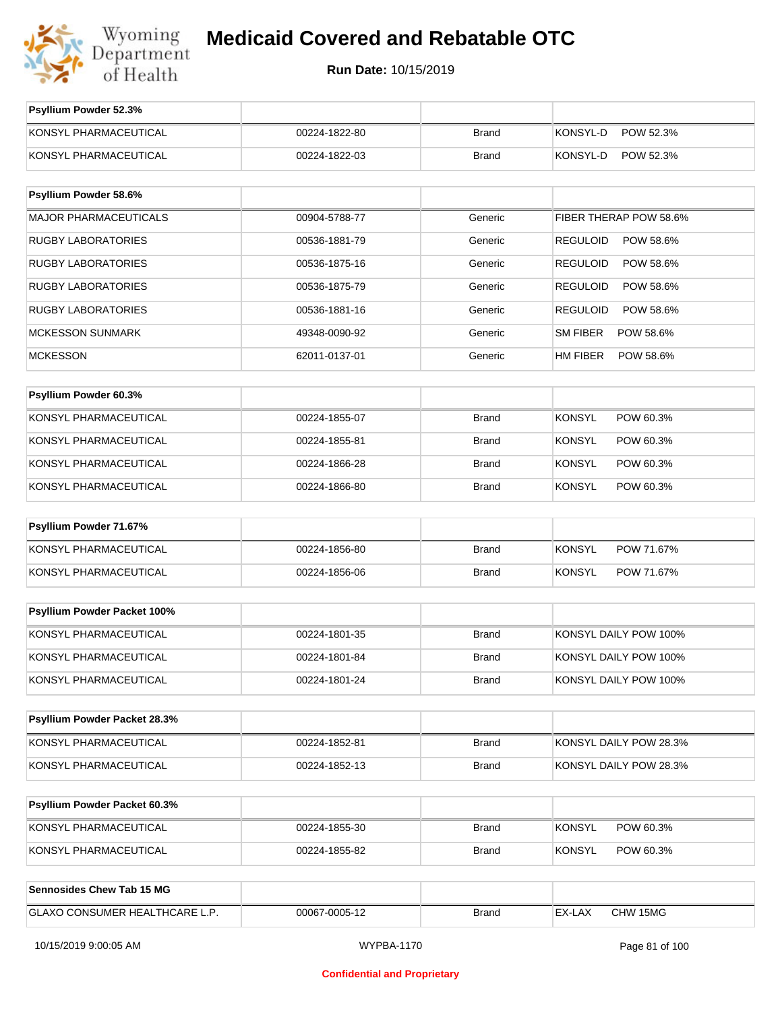

**Run Date:** 10/15/2019

| Psyllium Powder 52.3%            |               |              |                              |
|----------------------------------|---------------|--------------|------------------------------|
| KONSYL PHARMACEUTICAL            | 00224-1822-80 | <b>Brand</b> | KONSYL-D<br>POW 52.3%        |
| KONSYL PHARMACEUTICAL            | 00224-1822-03 | <b>Brand</b> | KONSYL-D<br>POW 52.3%        |
|                                  |               |              |                              |
| Psyllium Powder 58.6%            |               |              |                              |
| <b>MAJOR PHARMACEUTICALS</b>     | 00904-5788-77 | Generic      | FIBER THERAP POW 58.6%       |
| <b>RUGBY LABORATORIES</b>        | 00536-1881-79 | Generic      | <b>REGULOID</b><br>POW 58.6% |
| <b>RUGBY LABORATORIES</b>        | 00536-1875-16 | Generic      | POW 58.6%<br><b>REGULOID</b> |
| <b>RUGBY LABORATORIES</b>        | 00536-1875-79 | Generic      | <b>REGULOID</b><br>POW 58.6% |
| <b>RUGBY LABORATORIES</b>        | 00536-1881-16 | Generic      | <b>REGULOID</b><br>POW 58.6% |
| <b>MCKESSON SUNMARK</b>          | 49348-0090-92 | Generic      | <b>SM FIBER</b><br>POW 58.6% |
| <b>MCKESSON</b>                  | 62011-0137-01 | Generic      | HM FIBER<br>POW 58.6%        |
| Psyllium Powder 60.3%            |               |              |                              |
|                                  |               |              | POW 60.3%                    |
| KONSYL PHARMACEUTICAL            | 00224-1855-07 | <b>Brand</b> | <b>KONSYL</b>                |
| KONSYL PHARMACEUTICAL            | 00224-1855-81 | <b>Brand</b> | <b>KONSYL</b><br>POW 60.3%   |
| KONSYL PHARMACEUTICAL            | 00224-1866-28 | <b>Brand</b> | <b>KONSYL</b><br>POW 60.3%   |
| KONSYL PHARMACEUTICAL            | 00224-1866-80 | <b>Brand</b> | <b>KONSYL</b><br>POW 60.3%   |
| Psyllium Powder 71.67%           |               |              |                              |
| KONSYL PHARMACEUTICAL            | 00224-1856-80 | <b>Brand</b> | <b>KONSYL</b><br>POW 71.67%  |
| KONSYL PHARMACEUTICAL            | 00224-1856-06 | <b>Brand</b> | <b>KONSYL</b><br>POW 71.67%  |
|                                  |               |              |                              |
| Psyllium Powder Packet 100%      |               |              |                              |
| KONSYL PHARMACEUTICAL            | 00224-1801-35 | <b>Brand</b> | KONSYL DAILY POW 100%        |
| KONSYL PHARMACEUTICAL            | 00224-1801-84 | <b>Brand</b> | KONSYL DAILY POW 100%        |
| KONSYL PHARMACEUTICAL            | 00224-1801-24 | <b>Brand</b> | KONSYL DAILY POW 100%        |
| Psyllium Powder Packet 28.3%     |               |              |                              |
| KONSYL PHARMACEUTICAL            | 00224-1852-81 | <b>Brand</b> | KONSYL DAILY POW 28.3%       |
| KONSYL PHARMACEUTICAL            | 00224-1852-13 | <b>Brand</b> | KONSYL DAILY POW 28.3%       |
|                                  |               |              |                              |
| Psyllium Powder Packet 60.3%     |               |              |                              |
| KONSYL PHARMACEUTICAL            | 00224-1855-30 | <b>Brand</b> | <b>KONSYL</b><br>POW 60.3%   |
| KONSYL PHARMACEUTICAL            | 00224-1855-82 | <b>Brand</b> | <b>KONSYL</b><br>POW 60.3%   |
| <b>Sennosides Chew Tab 15 MG</b> |               |              |                              |
| GLAXO CONSUMER HEALTHCARE L.P.   | 00067-0005-12 | <b>Brand</b> | EX-LAX<br>CHW 15MG           |
|                                  |               |              |                              |

10/15/2019 9:00:05 AM WYPBA-1170 Page 81 of 100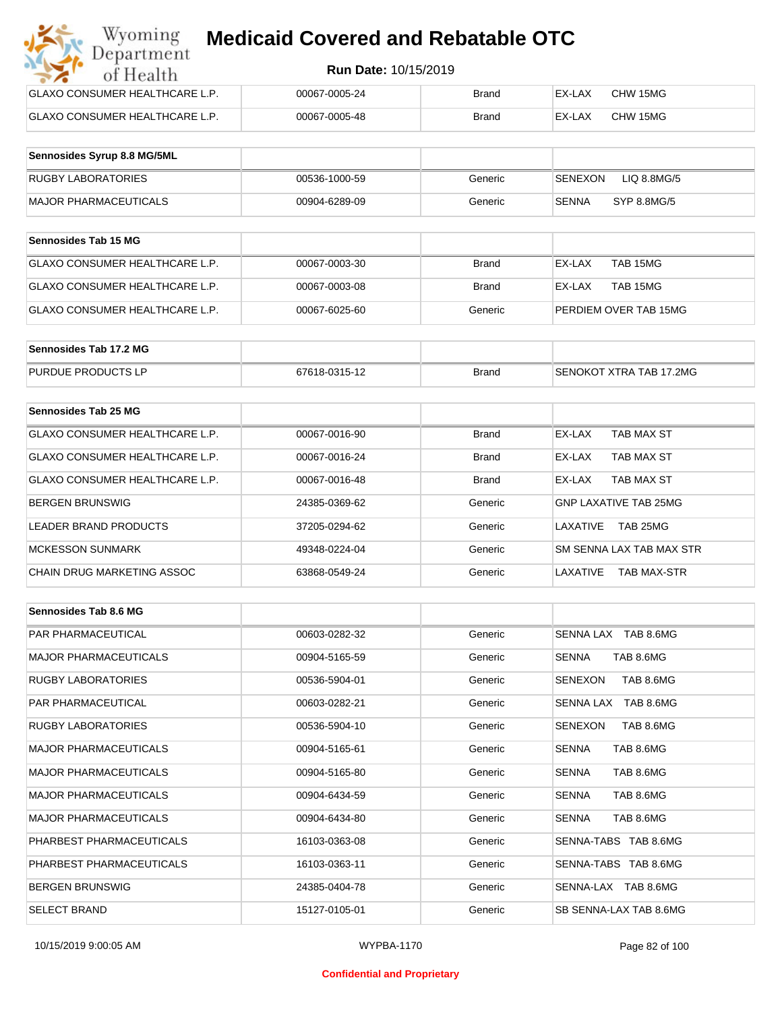| Wyoming<br><b>Medicaid Covered and Rebatable OTC</b><br>Department |               |              |        |          |  |
|--------------------------------------------------------------------|---------------|--------------|--------|----------|--|
| <b>Run Date: 10/15/2019</b><br>of Health                           |               |              |        |          |  |
| <b>GLAXO CONSUMER HEALTHCARE L.P.</b>                              | 00067-0005-24 | Brand        | EX-LAX | CHW 15MG |  |
| <b>GLAXO CONSUMER HEALTHCARE L.P.</b>                              | 00067-0005-48 | <b>Brand</b> | EX-LAX | CHW 15MG |  |

| Sennosides Syrup 8.8 MG/5ML |               |         |                        |
|-----------------------------|---------------|---------|------------------------|
| <b>RUGBY LABORATORIES</b>   | 00536-1000-59 | Generic | SENEXON<br>LIQ 8.8MG/5 |
| MAJOR PHARMACEUTICALS       | 00904-6289-09 | Generic | SYP 8.8MG/5<br>SENNA   |

| <b>Sennosides Tab 15 MG</b>    |               |         |                       |
|--------------------------------|---------------|---------|-----------------------|
| GLAXO CONSUMER HEALTHCARE L.P. | 00067-0003-30 | Brand   | TAB 15MG<br>EX-LAX    |
| GLAXO CONSUMER HEALTHCARE L.P. | 00067-0003-08 | Brand   | TAB 15MG<br>EX-LAX    |
| GLAXO CONSUMER HEALTHCARE L.P. | 00067-6025-60 | Generic | PERDIEM OVER TAB 15MG |

| Sennosides Tab 17.2 MG    |               |              |                         |
|---------------------------|---------------|--------------|-------------------------|
| <b>PURDUE PRODUCTS LP</b> | 67618-0315-12 | <b>Brand</b> | SENOKOT XTRA TAB 17.2MG |

| Sennosides Tab 25 MG           |               |              |                                |
|--------------------------------|---------------|--------------|--------------------------------|
| GLAXO CONSUMER HEALTHCARE L.P. | 00067-0016-90 | <b>Brand</b> | EX-LAX<br>TAB MAX ST           |
| GLAXO CONSUMER HEALTHCARE L.P. | 00067-0016-24 | <b>Brand</b> | TAB MAX ST<br>EX-LAX           |
| GLAXO CONSUMER HEALTHCARE L.P. | 00067-0016-48 | <b>Brand</b> | TAB MAX ST<br>EX-LAX           |
| <b>BERGEN BRUNSWIG</b>         | 24385-0369-62 | Generic      | <b>GNP LAXATIVE TAB 25MG</b>   |
| LEADER BRAND PRODUCTS          | 37205-0294-62 | Generic      | TAB 25MG<br>LAXATIVE           |
| <b>MCKESSON SUNMARK</b>        | 49348-0224-04 | Generic      | SM SENNA LAX TAB MAX STR       |
| CHAIN DRUG MARKETING ASSOC     | 63868-0549-24 | Generic      | LAXATIVE<br><b>TAB MAX-STR</b> |

| Sennosides Tab 8.6 MG        |               |         |                           |
|------------------------------|---------------|---------|---------------------------|
| <b>PAR PHARMACEUTICAL</b>    | 00603-0282-32 | Generic | SENNA LAX TAB 8.6MG       |
| <b>MAJOR PHARMACEUTICALS</b> | 00904-5165-59 | Generic | <b>SENNA</b><br>TAB 8.6MG |
| <b>RUGBY LABORATORIES</b>    | 00536-5904-01 | Generic | TAB 8.6MG<br>SENEXON      |
| <b>PAR PHARMACEUTICAL</b>    | 00603-0282-21 | Generic | SENNA LAX TAB 8.6MG       |
| <b>RUGBY LABORATORIES</b>    | 00536-5904-10 | Generic | SENEXON<br>TAB 8.6MG      |
| <b>MAJOR PHARMACEUTICALS</b> | 00904-5165-61 | Generic | TAB 8.6MG<br><b>SENNA</b> |
| <b>MAJOR PHARMACEUTICALS</b> | 00904-5165-80 | Generic | TAB 8.6MG<br><b>SENNA</b> |
| <b>MAJOR PHARMACEUTICALS</b> | 00904-6434-59 | Generic | <b>SENNA</b><br>TAB 8.6MG |
| <b>MAJOR PHARMACEUTICALS</b> | 00904-6434-80 | Generic | <b>SENNA</b><br>TAB 8.6MG |
| PHARBEST PHARMACEUTICALS     | 16103-0363-08 | Generic | SENNA-TABS TAB 8.6MG      |
| PHARBEST PHARMACEUTICALS     | 16103-0363-11 | Generic | SENNA-TABS TAB 8.6MG      |
| <b>BERGEN BRUNSWIG</b>       | 24385-0404-78 | Generic | SENNA-LAX TAB 8.6MG       |
| <b>SELECT BRAND</b>          | 15127-0105-01 | Generic | SB SENNA-LAX TAB 8.6MG    |

#### **Confidential and Proprietary**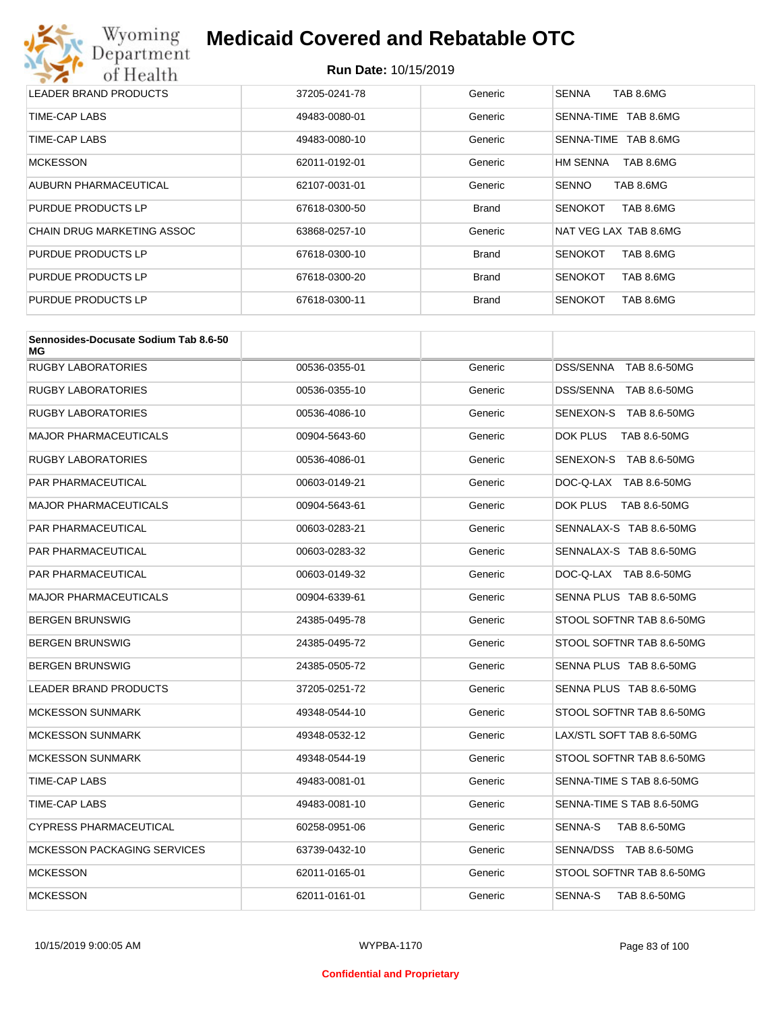

| LEADER BRAND PRODUCTS      | 37205-0241-78 | Generic      | <b>SENNA</b><br>TAB 8.6MG    |
|----------------------------|---------------|--------------|------------------------------|
| TIME-CAP LABS              | 49483-0080-01 | Generic      | TAB 8.6MG<br>SENNA-TIME      |
| TIME-CAP LABS              | 49483-0080-10 | Generic      | TAB 8.6MG<br>SENNA-TIME      |
| <b>MCKESSON</b>            | 62011-0192-01 | Generic      | TAB 8.6MG<br><b>HM SENNA</b> |
| AUBURN PHARMACEUTICAL      | 62107-0031-01 | Generic      | <b>SENNO</b><br>TAB 8.6MG    |
| PURDUE PRODUCTS LP         | 67618-0300-50 | <b>Brand</b> | TAB 8.6MG<br><b>SENOKOT</b>  |
| CHAIN DRUG MARKETING ASSOC | 63868-0257-10 | Generic      | NAT VEG LAX TAB 8.6MG        |
| <b>PURDUE PRODUCTS LP</b>  | 67618-0300-10 | <b>Brand</b> | TAB 8.6MG<br><b>SENOKOT</b>  |
| <b>PURDUE PRODUCTS LP</b>  | 67618-0300-20 | <b>Brand</b> | <b>SENOKOT</b><br>TAB 8.6MG  |
| PURDUE PRODUCTS LP         | 67618-0300-11 | <b>Brand</b> | <b>SENOKOT</b><br>TAB 8.6MG  |

| Sennosides-Docusate Sodium Tab 8.6-50<br>МG |               |         |                           |
|---------------------------------------------|---------------|---------|---------------------------|
| <b>RUGBY LABORATORIES</b>                   | 00536-0355-01 | Generic | DSS/SENNA TAB 8.6-50MG    |
| RUGBY LABORATORIES                          | 00536-0355-10 | Generic | DSS/SENNA TAB 8.6-50MG    |
| RUGBY LABORATORIES                          | 00536-4086-10 | Generic | SENEXON-S TAB 8.6-50MG    |
| <b>MAJOR PHARMACEUTICALS</b>                | 00904-5643-60 | Generic | DOK PLUS<br>TAB 8.6-50MG  |
| RUGBY LABORATORIES                          | 00536-4086-01 | Generic | SENEXON-S TAB 8.6-50MG    |
| PAR PHARMACEUTICAL                          | 00603-0149-21 | Generic | DOC-Q-LAX TAB 8.6-50MG    |
| MAJOR PHARMACEUTICALS                       | 00904-5643-61 | Generic | DOK PLUS<br>TAB 8.6-50MG  |
| PAR PHARMACEUTICAL                          | 00603-0283-21 | Generic | SENNALAX-S TAB 8.6-50MG   |
| PAR PHARMACEUTICAL                          | 00603-0283-32 | Generic | SENNALAX-S TAB 8.6-50MG   |
| PAR PHARMACEUTICAL                          | 00603-0149-32 | Generic | DOC-Q-LAX TAB 8.6-50MG    |
| <b>MAJOR PHARMACEUTICALS</b>                | 00904-6339-61 | Generic | SENNA PLUS TAB 8.6-50MG   |
| BERGEN BRUNSWIG                             | 24385-0495-78 | Generic | STOOL SOFTNR TAB 8.6-50MG |
| BERGEN BRUNSWIG                             | 24385-0495-72 | Generic | STOOL SOFTNR TAB 8.6-50MG |
| BERGEN BRUNSWIG                             | 24385-0505-72 | Generic | SENNA PLUS TAB 8.6-50MG   |
| LEADER BRAND PRODUCTS                       | 37205-0251-72 | Generic | SENNA PLUS TAB 8.6-50MG   |
| <b>MCKESSON SUNMARK</b>                     | 49348-0544-10 | Generic | STOOL SOFTNR TAB 8.6-50MG |
| <b>MCKESSON SUNMARK</b>                     | 49348-0532-12 | Generic | LAX/STL SOFT TAB 8.6-50MG |
| <b>MCKESSON SUNMARK</b>                     | 49348-0544-19 | Generic | STOOL SOFTNR TAB 8.6-50MG |
| TIME-CAP LABS                               | 49483-0081-01 | Generic | SENNA-TIME S TAB 8.6-50MG |
| TIME-CAP LABS                               | 49483-0081-10 | Generic | SENNA-TIME S TAB 8.6-50MG |
| CYPRESS PHARMACEUTICAL                      | 60258-0951-06 | Generic | SENNA-S<br>TAB 8.6-50MG   |
| <b>MCKESSON PACKAGING SERVICES</b>          | 63739-0432-10 | Generic | SENNA/DSS TAB 8.6-50MG    |
| <b>MCKESSON</b>                             | 62011-0165-01 | Generic | STOOL SOFTNR TAB 8.6-50MG |
| <b>MCKESSON</b>                             | 62011-0161-01 | Generic | SENNA-S<br>TAB 8.6-50MG   |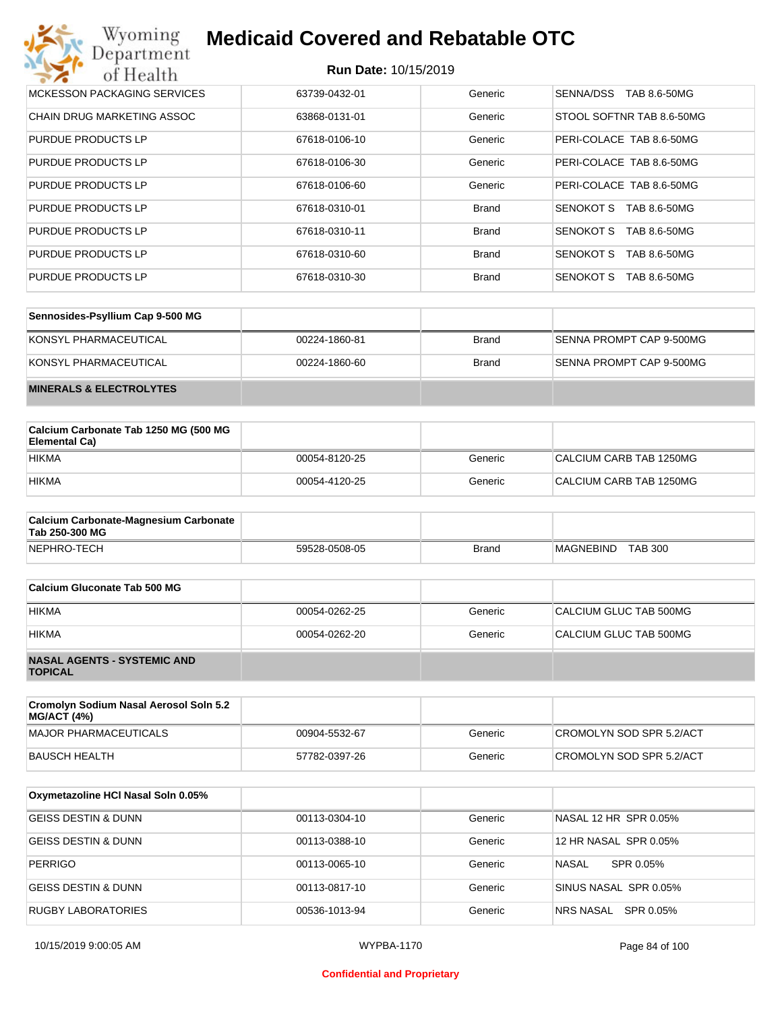| Wyoming<br><b>Medicaid Covered and Rebatable OTC</b><br>Department |                             |              |                                  |  |
|--------------------------------------------------------------------|-----------------------------|--------------|----------------------------------|--|
| of Health                                                          | <b>Run Date: 10/15/2019</b> |              |                                  |  |
| <b>MCKESSON PACKAGING SERVICES</b>                                 | 63739-0432-01               | Generic      | SENNA/DSS<br>TAB 8.6-50MG        |  |
| <b>CHAIN DRUG MARKETING ASSOC</b>                                  | 63868-0131-01               | Generic      | STOOL SOFTNR TAB 8.6-50MG        |  |
| PURDUE PRODUCTS LP                                                 | 67618-0106-10               | Generic      | PERI-COLACE TAB 8.6-50MG         |  |
| PURDUE PRODUCTS LP                                                 | 67618-0106-30               | Generic      | PERI-COLACE TAB 8.6-50MG         |  |
| PURDUE PRODUCTS LP                                                 | 67618-0106-60               | Generic      | PERI-COLACE TAB 8.6-50MG         |  |
| PURDUE PRODUCTS LP                                                 | 67618-0310-01               | <b>Brand</b> | SENOKOT S<br>TAB 8.6-50MG        |  |
| PURDUE PRODUCTS LP                                                 | 67618-0310-11               | <b>Brand</b> | <b>SENOKOT S</b><br>TAB 8.6-50MG |  |
| PURDUE PRODUCTS LP                                                 | 67618-0310-60               | <b>Brand</b> | <b>SENOKOT S</b><br>TAB 8.6-50MG |  |
| PURDUE PRODUCTS LP                                                 | 67618-0310-30               | <b>Brand</b> | <b>SENOKOT S</b><br>TAB 8.6-50MG |  |

| Sennosides-Psyllium Cap 9-500 MG   |               |       |                          |
|------------------------------------|---------------|-------|--------------------------|
| KONSYL PHARMACEUTICAL              | 00224-1860-81 | Brand | SENNA PROMPT CAP 9-500MG |
| KONSYL PHARMACEUTICAL              | 00224-1860-60 | Brand | SENNA PROMPT CAP 9-500MG |
| <b>MINERALS &amp; ELECTROLYTES</b> |               |       |                          |

| Calcium Carbonate Tab 1250 MG (500 MG<br>Elemental Ca) |               |         |                         |
|--------------------------------------------------------|---------------|---------|-------------------------|
| <b>HIKMA</b>                                           | 00054-8120-25 | Generic | CALCIUM CARB TAB 1250MG |
| <b>HIKMA</b>                                           | 00054-4120-25 | Generic | CALCIUM CARB TAB 1250MG |

| <b>Calcium Carbonate-Magnesium Carbonate</b><br>Tab 250-300 MG |               |              |                                    |
|----------------------------------------------------------------|---------------|--------------|------------------------------------|
| NEPHRO-TECH                                                    | 59528-0508-05 | <b>Brand</b> | <b>TAB 300</b><br><b>MAGNEBIND</b> |

| Calcium Gluconate Tab 500 MG                         |               |         |                        |
|------------------------------------------------------|---------------|---------|------------------------|
| <b>HIKMA</b>                                         | 00054-0262-25 | Generic | CALCIUM GLUC TAB 500MG |
| <b>HIKMA</b>                                         | 00054-0262-20 | Generic | CALCIUM GLUC TAB 500MG |
| <b>NASAL AGENTS - SYSTEMIC AND</b><br><b>TOPICAL</b> |               |         |                        |

| Cromolyn Sodium Nasal Aerosol Soln 5.2<br><b>MG/ACT (4%)</b> |               |         |                          |
|--------------------------------------------------------------|---------------|---------|--------------------------|
| MAJOR PHARMACEUTICALS                                        | 00904-5532-67 | Generic | CROMOLYN SOD SPR 5.2/ACT |
| BAUSCH HEALTH                                                | 57782-0397-26 | Generic | CROMOLYN SOD SPR 5.2/ACT |

| Oxymetazoline HCI Nasal Soln 0.05% |               |         |                       |
|------------------------------------|---------------|---------|-----------------------|
| GEISS DESTIN & DUNN                | 00113-0304-10 | Generic | NASAL 12 HR SPR 0.05% |
| <b>GEISS DESTIN &amp; DUNN</b>     | 00113-0388-10 | Generic | 12 HR NASAL SPR 0.05% |
| <b>PERRIGO</b>                     | 00113-0065-10 | Generic | NASAL<br>SPR 0.05%    |
| <b>GEISS DESTIN &amp; DUNN</b>     | 00113-0817-10 | Generic | SINUS NASAL SPR 0.05% |
| <b>RUGBY LABORATORIES</b>          | 00536-1013-94 | Generic | NRS NASAL SPR 0.05%   |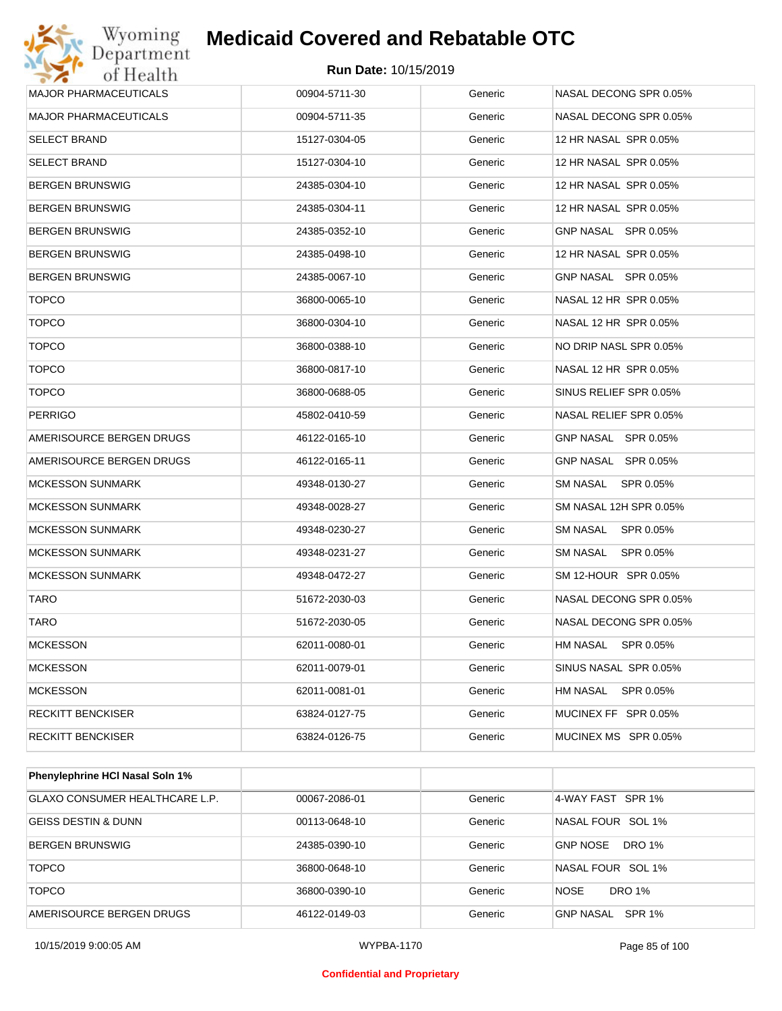

| <b>MAJOR PHARMACEUTICALS</b> | 00904-5711-30 | Generic | NASAL DECONG SPR 0.05% |
|------------------------------|---------------|---------|------------------------|
| <b>MAJOR PHARMACEUTICALS</b> | 00904-5711-35 | Generic | NASAL DECONG SPR 0.05% |
| <b>SELECT BRAND</b>          | 15127-0304-05 | Generic | 12 HR NASAL SPR 0.05%  |
| <b>SELECT BRAND</b>          | 15127-0304-10 | Generic | 12 HR NASAL SPR 0.05%  |
| <b>BERGEN BRUNSWIG</b>       | 24385-0304-10 | Generic | 12 HR NASAL SPR 0.05%  |
| <b>BERGEN BRUNSWIG</b>       | 24385-0304-11 | Generic | 12 HR NASAL SPR 0.05%  |
| <b>BERGEN BRUNSWIG</b>       | 24385-0352-10 | Generic | GNP NASAL SPR 0.05%    |
| <b>BERGEN BRUNSWIG</b>       | 24385-0498-10 | Generic | 12 HR NASAL SPR 0.05%  |
| <b>BERGEN BRUNSWIG</b>       | 24385-0067-10 | Generic | GNP NASAL SPR 0.05%    |
| <b>TOPCO</b>                 | 36800-0065-10 | Generic | NASAL 12 HR SPR 0.05%  |
| <b>TOPCO</b>                 | 36800-0304-10 | Generic | NASAL 12 HR SPR 0.05%  |
| <b>TOPCO</b>                 | 36800-0388-10 | Generic | NO DRIP NASL SPR 0.05% |
| <b>TOPCO</b>                 | 36800-0817-10 | Generic | NASAL 12 HR SPR 0.05%  |
| <b>TOPCO</b>                 | 36800-0688-05 | Generic | SINUS RELIEF SPR 0.05% |
| <b>PERRIGO</b>               | 45802-0410-59 | Generic | NASAL RELIEF SPR 0.05% |
| AMERISOURCE BERGEN DRUGS     | 46122-0165-10 | Generic | GNP NASAL SPR 0.05%    |
| AMERISOURCE BERGEN DRUGS     | 46122-0165-11 | Generic | GNP NASAL SPR 0.05%    |
| <b>MCKESSON SUNMARK</b>      | 49348-0130-27 | Generic | SM NASAL<br>SPR 0.05%  |
| <b>MCKESSON SUNMARK</b>      | 49348-0028-27 | Generic | SM NASAL 12H SPR 0.05% |
| <b>MCKESSON SUNMARK</b>      | 49348-0230-27 | Generic | SM NASAL<br>SPR 0.05%  |
| <b>MCKESSON SUNMARK</b>      | 49348-0231-27 | Generic | SM NASAL<br>SPR 0.05%  |
| <b>MCKESSON SUNMARK</b>      | 49348-0472-27 | Generic | SM 12-HOUR SPR 0.05%   |
| TARO                         | 51672-2030-03 | Generic | NASAL DECONG SPR 0.05% |
| TARO                         | 51672-2030-05 | Generic | NASAL DECONG SPR 0.05% |
| <b>MCKESSON</b>              | 62011-0080-01 | Generic | HM NASAL SPR 0.05%     |
| <b>MCKESSON</b>              | 62011-0079-01 | Generic | SINUS NASAL SPR 0.05%  |
| <b>MCKESSON</b>              | 62011-0081-01 | Generic | HM NASAL<br>SPR 0.05%  |
| <b>RECKITT BENCKISER</b>     | 63824-0127-75 | Generic | MUCINEX FF SPR 0.05%   |
| RECKITT BENCKISER            | 63824-0126-75 | Generic | MUCINEX MS SPR 0.05%   |
|                              |               |         |                        |

| <b>Phenylephrine HCI Nasal Soln 1%</b> |               |         |                            |
|----------------------------------------|---------------|---------|----------------------------|
| GLAXO CONSUMER HEALTHCARE L.P.         | 00067-2086-01 | Generic | 4-WAY FAST SPR 1%          |
| <b>GEISS DESTIN &amp; DUNN</b>         | 00113-0648-10 | Generic | NASAL FOUR SOL 1%          |
| <b>BERGEN BRUNSWIG</b>                 | 24385-0390-10 | Generic | DRO 1%<br><b>GNP NOSE</b>  |
| <b>TOPCO</b>                           | 36800-0648-10 | Generic | NASAL FOUR SOL 1%          |
| <b>TOPCO</b>                           | 36800-0390-10 | Generic | DRO 1%<br><b>NOSE</b>      |
| AMERISOURCE BERGEN DRUGS               | 46122-0149-03 | Generic | GNP NASAL<br><b>SPR 1%</b> |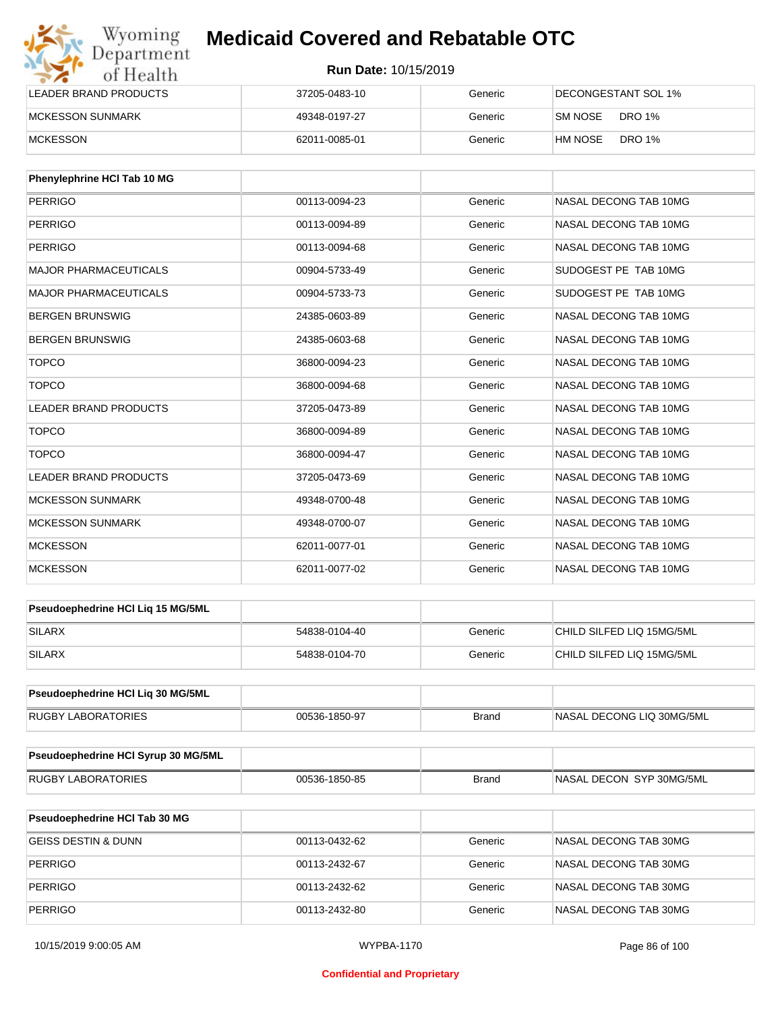| Wyoming<br>Department   | <b>Medicaid Covered and Rebatable OTC</b> |         |                          |  |
|-------------------------|-------------------------------------------|---------|--------------------------|--|
| of Health               | <b>Run Date: 10/15/2019</b>               |         |                          |  |
| LEADER BRAND PRODUCTS   | 37205-0483-10                             | Generic | DECONGESTANT SOL 1%      |  |
| <b>MCKESSON SUNMARK</b> | 49348-0197-27                             | Generic | SM NOSE<br>DRO 1%        |  |
| <b>MCKESSON</b>         | 62011-0085-01                             | Generic | <b>DRO 1%</b><br>HM NOSE |  |

| Phenylephrine HCI Tab 10 MG  |               |         |                       |
|------------------------------|---------------|---------|-----------------------|
| <b>PERRIGO</b>               | 00113-0094-23 | Generic | NASAL DECONG TAB 10MG |
| PERRIGO                      | 00113-0094-89 | Generic | NASAL DECONG TAB 10MG |
| <b>PERRIGO</b>               | 00113-0094-68 | Generic | NASAL DECONG TAB 10MG |
| <b>MAJOR PHARMACEUTICALS</b> | 00904-5733-49 | Generic | SUDOGEST PE TAB 10MG  |
| <b>MAJOR PHARMACEUTICALS</b> | 00904-5733-73 | Generic | SUDOGEST PE TAB 10MG  |
| <b>BERGEN BRUNSWIG</b>       | 24385-0603-89 | Generic | NASAL DECONG TAB 10MG |
| <b>BERGEN BRUNSWIG</b>       | 24385-0603-68 | Generic | NASAL DECONG TAB 10MG |
| <b>TOPCO</b>                 | 36800-0094-23 | Generic | NASAL DECONG TAB 10MG |
| <b>TOPCO</b>                 | 36800-0094-68 | Generic | NASAL DECONG TAB 10MG |
| <b>LEADER BRAND PRODUCTS</b> | 37205-0473-89 | Generic | NASAL DECONG TAB 10MG |
| <b>TOPCO</b>                 | 36800-0094-89 | Generic | NASAL DECONG TAB 10MG |
| <b>TOPCO</b>                 | 36800-0094-47 | Generic | NASAL DECONG TAB 10MG |
| <b>LEADER BRAND PRODUCTS</b> | 37205-0473-69 | Generic | NASAL DECONG TAB 10MG |
| <b>MCKESSON SUNMARK</b>      | 49348-0700-48 | Generic | NASAL DECONG TAB 10MG |
| <b>MCKESSON SUNMARK</b>      | 49348-0700-07 | Generic | NASAL DECONG TAB 10MG |
| <b>MCKESSON</b>              | 62011-0077-01 | Generic | NASAL DECONG TAB 10MG |
| <b>MCKESSON</b>              | 62011-0077-02 | Generic | NASAL DECONG TAB 10MG |

| <b>Pseudoephedrine HCI Lig 15 MG/5ML</b> |               |         |                           |
|------------------------------------------|---------------|---------|---------------------------|
| <b>SILARX</b>                            | 54838-0104-40 | Generic | CHILD SILFED LIQ 15MG/5ML |
| <b>SILARX</b>                            | 54838-0104-70 | Generic | CHILD SILFED LIQ 15MG/5ML |

| <b>Pseudoephedrine HCI Lig 30 MG/5ML</b> |               |       |                           |
|------------------------------------------|---------------|-------|---------------------------|
| RUGBY LABORATORIES                       | 00536-1850-97 | Brand | NASAL DECONG LIQ 30MG/5ML |

| <b>Pseudoephedrine HCI Syrup 30 MG/5ML</b> |               |              |                           |
|--------------------------------------------|---------------|--------------|---------------------------|
| <b>RUGBY LABORATORIES</b>                  | 00536-1850-85 | <b>Brand</b> | INASAL DECON SYP 30MG/5ML |

| <b>Pseudoephedrine HCI Tab 30 MG</b> |               |         |                       |
|--------------------------------------|---------------|---------|-----------------------|
| GEISS DESTIN & DUNN                  | 00113-0432-62 | Generic | NASAL DECONG TAB 30MG |
| <b>PERRIGO</b>                       | 00113-2432-67 | Generic | NASAL DECONG TAB 30MG |
| <b>PERRIGO</b>                       | 00113-2432-62 | Generic | NASAL DECONG TAB 30MG |
| <b>PERRIGO</b>                       | 00113-2432-80 | Generic | NASAL DECONG TAB 30MG |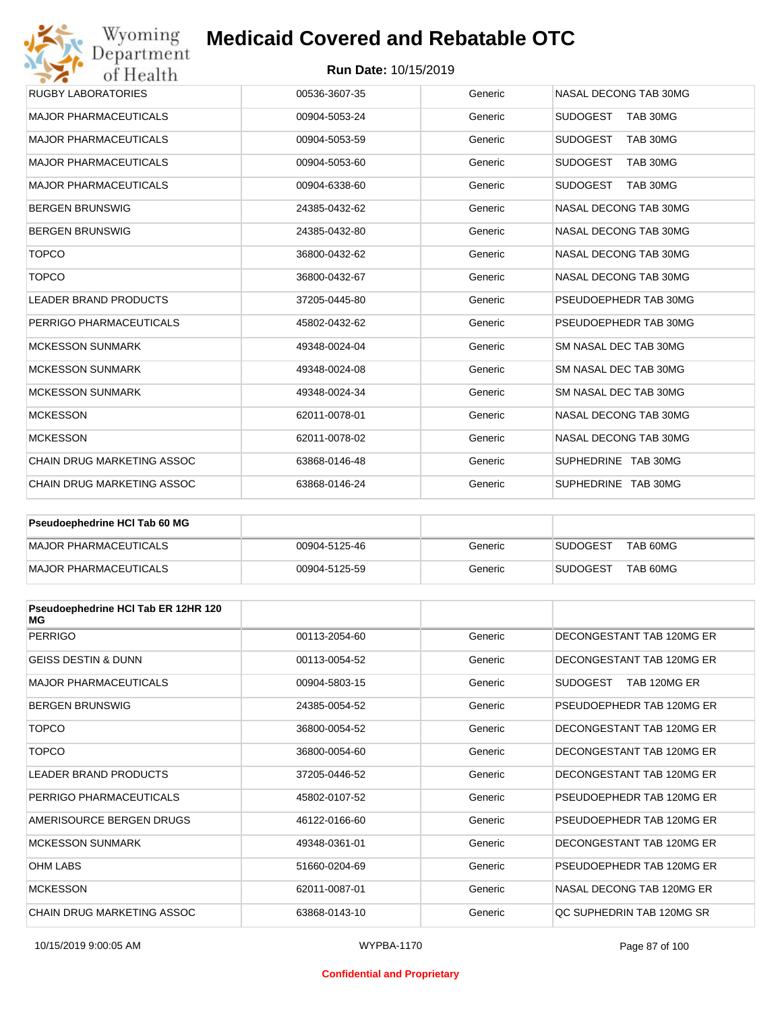#### **Run Date:** 10/15/2019

| Wyoming<br>Department             | <b>Medicaid Covered and Rebatable OTC</b> |         |                             |
|-----------------------------------|-------------------------------------------|---------|-----------------------------|
| of Health                         | <b>Run Date: 10/15/2019</b>               |         |                             |
| <b>RUGBY LABORATORIES</b>         | 00536-3607-35                             | Generic | NASAL DECONG TAB 30MG       |
| <b>MAJOR PHARMACEUTICALS</b>      | 00904-5053-24                             | Generic | <b>SUDOGEST</b><br>TAB 30MG |
| <b>MAJOR PHARMACEUTICALS</b>      | 00904-5053-59                             | Generic | <b>SUDOGEST</b><br>TAB 30MG |
| <b>MAJOR PHARMACEUTICALS</b>      | 00904-5053-60                             | Generic | <b>SUDOGEST</b><br>TAB 30MG |
| <b>MAJOR PHARMACEUTICALS</b>      | 00904-6338-60                             | Generic | <b>SUDOGEST</b><br>TAB 30MG |
| <b>BERGEN BRUNSWIG</b>            | 24385-0432-62                             | Generic | NASAL DECONG TAB 30MG       |
| <b>BERGEN BRUNSWIG</b>            | 24385-0432-80                             | Generic | NASAL DECONG TAB 30MG       |
| <b>TOPCO</b>                      | 36800-0432-62                             | Generic | NASAL DECONG TAB 30MG       |
| <b>TOPCO</b>                      | 36800-0432-67                             | Generic | NASAL DECONG TAB 30MG       |
| <b>LEADER BRAND PRODUCTS</b>      | 37205-0445-80                             | Generic | PSEUDOEPHEDR TAB 30MG       |
| PERRIGO PHARMACEUTICALS           | 45802-0432-62                             | Generic | PSEUDOEPHEDR TAB 30MG       |
| <b>MCKESSON SUNMARK</b>           | 49348-0024-04                             | Generic | SM NASAL DEC TAB 30MG       |
| <b>MCKESSON SUNMARK</b>           | 49348-0024-08                             | Generic | SM NASAL DEC TAB 30MG       |
| <b>MCKESSON SUNMARK</b>           | 49348-0024-34                             | Generic | SM NASAL DEC TAB 30MG       |
| <b>MCKESSON</b>                   | 62011-0078-01                             | Generic | NASAL DECONG TAB 30MG       |
| <b>MCKESSON</b>                   | 62011-0078-02                             | Generic | NASAL DECONG TAB 30MG       |
| CHAIN DRUG MARKETING ASSOC        | 63868-0146-48                             | Generic | SUPHEDRINE TAB 30MG         |
| <b>CHAIN DRUG MARKETING ASSOC</b> | 63868-0146-24                             | Generic | SUPHEDRINE TAB 30MG         |

| <b>Pseudoephedrine HCI Tab 60 MG</b> |               |         |                             |
|--------------------------------------|---------------|---------|-----------------------------|
| MAJOR PHARMACEUTICALS                | 00904-5125-46 | Generic | TAB 60MG<br><b>SUDOGEST</b> |
| MAJOR PHARMACEUTICALS                | 00904-5125-59 | Generic | TAB 60MG<br><b>SUDOGEST</b> |

| Pseudoephedrine HCI Tab ER 12HR 120<br>МG |               |         |                                 |
|-------------------------------------------|---------------|---------|---------------------------------|
| <b>PERRIGO</b>                            | 00113-2054-60 | Generic | DECONGESTANT TAB 120MG ER       |
| <b>GEISS DESTIN &amp; DUNN</b>            | 00113-0054-52 | Generic | DECONGESTANT TAB 120MG ER       |
| <b>MAJOR PHARMACEUTICALS</b>              | 00904-5803-15 | Generic | <b>SUDOGEST</b><br>TAB 120MG ER |
| <b>BERGEN BRUNSWIG</b>                    | 24385-0054-52 | Generic | PSEUDOEPHEDR TAB 120MG ER       |
| <b>TOPCO</b>                              | 36800-0054-52 | Generic | DECONGESTANT TAB 120MG ER       |
| <b>TOPCO</b>                              | 36800-0054-60 | Generic | DECONGESTANT TAB 120MG ER       |
| <b>LEADER BRAND PRODUCTS</b>              | 37205-0446-52 | Generic | DECONGESTANT TAB 120MG ER       |
| PERRIGO PHARMACEUTICALS                   | 45802-0107-52 | Generic | PSEUDOEPHEDR TAB 120MG ER       |
| AMERISOURCE BERGEN DRUGS                  | 46122-0166-60 | Generic | PSEUDOEPHEDR TAB 120MG ER       |
| <b>MCKESSON SUNMARK</b>                   | 49348-0361-01 | Generic | DECONGESTANT TAB 120MG ER       |
| <b>OHM LABS</b>                           | 51660-0204-69 | Generic | PSEUDOEPHEDR TAB 120MG ER       |
| <b>MCKESSON</b>                           | 62011-0087-01 | Generic | NASAL DECONG TAB 120MG ER       |
| CHAIN DRUG MARKETING ASSOC                | 63868-0143-10 | Generic | OC SUPHEDRIN TAB 120MG SR       |

#### **Confidential and Proprietary**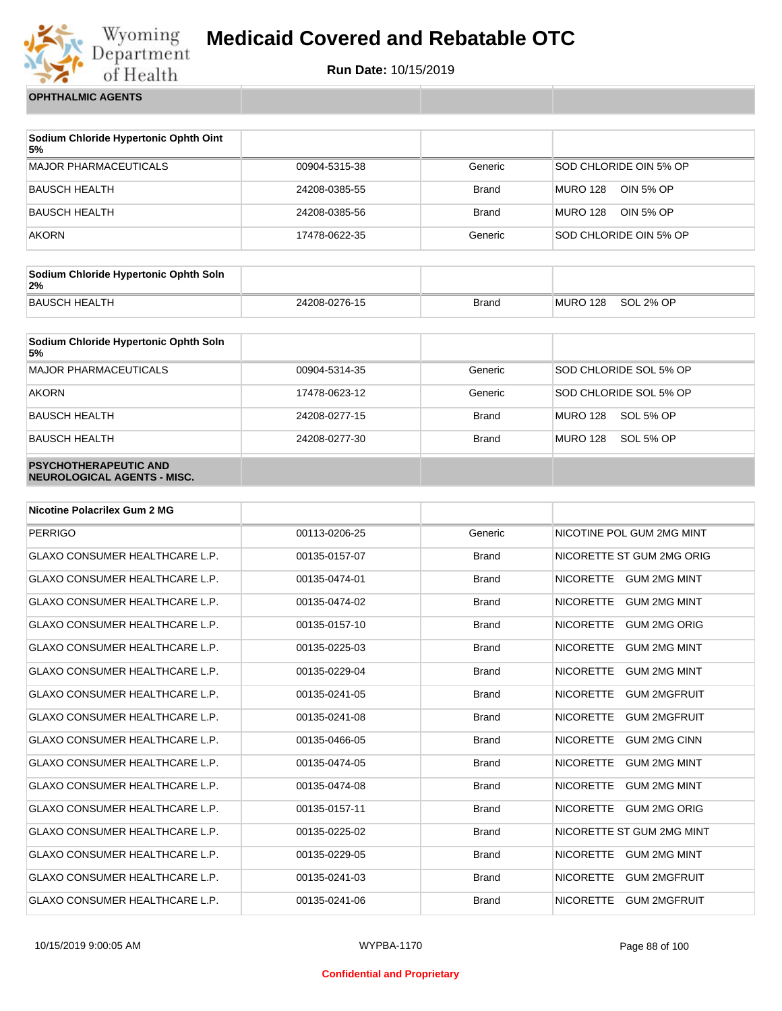

**Run Date:** 10/15/2019

**OPHTHALMIC AGENTS**

| Sodium Chloride Hypertonic Ophth Oint<br>5% |               |              |                              |
|---------------------------------------------|---------------|--------------|------------------------------|
| <b>MAJOR PHARMACEUTICALS</b>                | 00904-5315-38 | Generic      | SOD CHLORIDE OIN 5% OP       |
| <b>BAUSCH HEALTH</b>                        | 24208-0385-55 | <b>Brand</b> | <b>MURO 128</b><br>OIN 5% OP |
| <b>BAUSCH HEALTH</b>                        | 24208-0385-56 | <b>Brand</b> | <b>MURO 128</b><br>OIN 5% OP |
| <b>AKORN</b>                                | 17478-0622-35 | Generic      | SOD CHLORIDE OIN 5% OP       |

| Sodium Chloride Hypertonic Ophth Soln<br>2% |               |              |          |           |
|---------------------------------------------|---------------|--------------|----------|-----------|
| <b>BAUSCH HEALTH</b>                        | 24208-0276-15 | <b>Brand</b> | MURO 128 | SOL 2% OP |

| Sodium Chloride Hypertonic Ophth Soln<br>5%                 |               |              |                              |
|-------------------------------------------------------------|---------------|--------------|------------------------------|
| <b>MAJOR PHARMACEUTICALS</b>                                | 00904-5314-35 | Generic      | SOD CHLORIDE SOL 5% OP       |
| <b>AKORN</b>                                                | 17478-0623-12 | Generic      | SOD CHLORIDE SOL 5% OP       |
| <b>BAUSCH HEALTH</b>                                        | 24208-0277-15 | <b>Brand</b> | <b>MURO 128</b><br>SOL 5% OP |
| <b>BAUSCH HEALTH</b>                                        | 24208-0277-30 | <b>Brand</b> | <b>MURO 128</b><br>SOL 5% OP |
| <b>PSYCHOTHERAPEUTIC AND</b><br>NEUROLOGICAL AGENTS - MISC. |               |              |                              |

| <b>Nicotine Polacrilex Gum 2 MG</b>   |               |              |                                         |
|---------------------------------------|---------------|--------------|-----------------------------------------|
| <b>PERRIGO</b>                        | 00113-0206-25 | Generic      | NICOTINE POL GUM 2MG MINT               |
| <b>GLAXO CONSUMER HEALTHCARE L.P.</b> | 00135-0157-07 | <b>Brand</b> | NICORETTE ST GUM 2MG ORIG               |
| <b>GLAXO CONSUMER HEALTHCARE L.P.</b> | 00135-0474-01 | <b>Brand</b> | <b>NICORETTE</b><br><b>GUM 2MG MINT</b> |
| <b>GLAXO CONSUMER HEALTHCARE L.P.</b> | 00135-0474-02 | <b>Brand</b> | <b>NICORETTE</b><br><b>GUM 2MG MINT</b> |
| <b>GLAXO CONSUMER HEALTHCARE L.P.</b> | 00135-0157-10 | <b>Brand</b> | <b>NICORETTE</b><br><b>GUM 2MG ORIG</b> |
| <b>GLAXO CONSUMER HEALTHCARE L.P.</b> | 00135-0225-03 | <b>Brand</b> | <b>NICORETTE</b><br><b>GUM 2MG MINT</b> |
| <b>GLAXO CONSUMER HEALTHCARE L.P.</b> | 00135-0229-04 | <b>Brand</b> | <b>NICORETTE</b><br><b>GUM 2MG MINT</b> |
| <b>GLAXO CONSUMER HEALTHCARE L.P.</b> | 00135-0241-05 | <b>Brand</b> | <b>NICORETTE</b><br><b>GUM 2MGFRUIT</b> |
| <b>GLAXO CONSUMER HEALTHCARE L.P.</b> | 00135-0241-08 | <b>Brand</b> | <b>NICORETTE</b><br><b>GUM 2MGFRUIT</b> |
| <b>GLAXO CONSUMER HEALTHCARE L.P.</b> | 00135-0466-05 | <b>Brand</b> | <b>NICORETTE</b><br><b>GUM 2MG CINN</b> |
| <b>GLAXO CONSUMER HEALTHCARE L.P.</b> | 00135-0474-05 | <b>Brand</b> | <b>NICORETTE</b><br><b>GUM 2MG MINT</b> |
| <b>GLAXO CONSUMER HEALTHCARE L.P.</b> | 00135-0474-08 | <b>Brand</b> | <b>NICORETTE</b><br><b>GUM 2MG MINT</b> |
| <b>GLAXO CONSUMER HEALTHCARE L.P.</b> | 00135-0157-11 | <b>Brand</b> | <b>NICORETTE</b><br><b>GUM 2MG ORIG</b> |
| <b>GLAXO CONSUMER HEALTHCARE L.P.</b> | 00135-0225-02 | <b>Brand</b> | NICORETTE ST GUM 2MG MINT               |
| <b>GLAXO CONSUMER HEALTHCARE L.P.</b> | 00135-0229-05 | <b>Brand</b> | <b>NICORETTE</b><br><b>GUM 2MG MINT</b> |
| <b>GLAXO CONSUMER HEALTHCARE L.P.</b> | 00135-0241-03 | <b>Brand</b> | <b>NICORETTE</b><br><b>GUM 2MGFRUIT</b> |
| <b>GLAXO CONSUMER HEALTHCARE L.P.</b> | 00135-0241-06 | <b>Brand</b> | <b>NICORETTE</b><br><b>GUM 2MGFRUIT</b> |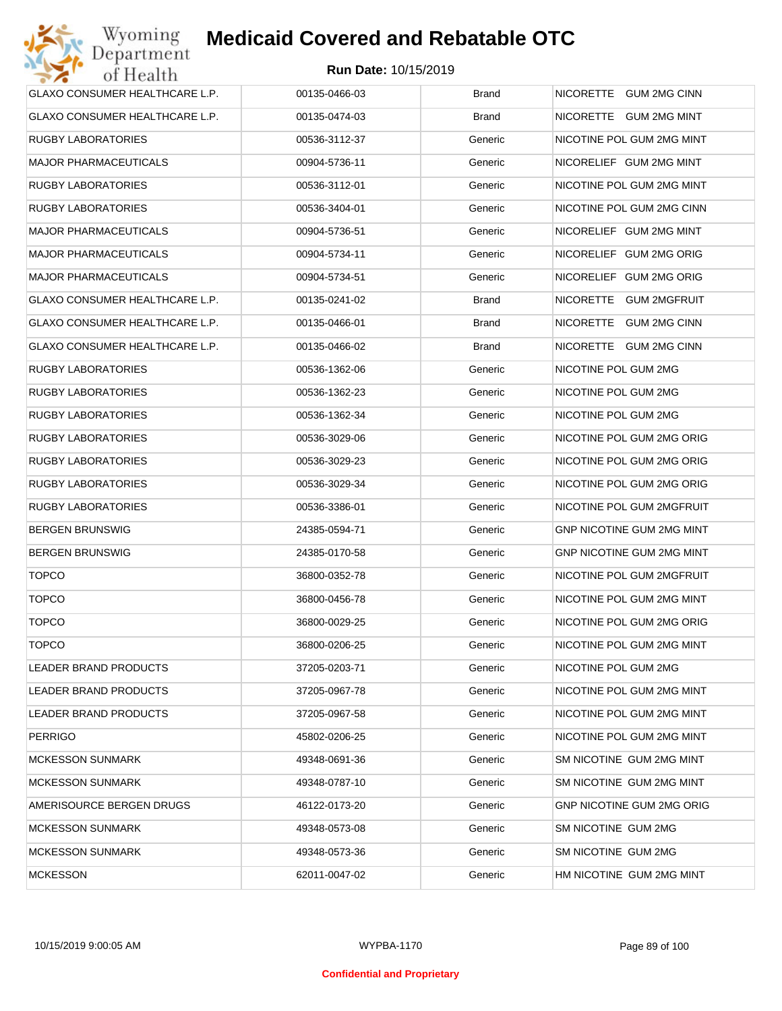

| <b>GLAXO CONSUMER HEALTHCARE L.P.</b> | 00135-0466-03 | <b>Brand</b> | NICORETTE GUM 2MG CINN           |
|---------------------------------------|---------------|--------------|----------------------------------|
| <b>GLAXO CONSUMER HEALTHCARE L.P.</b> | 00135-0474-03 | <b>Brand</b> | NICORETTE GUM 2MG MINT           |
| RUGBY LABORATORIES                    | 00536-3112-37 | Generic      | NICOTINE POL GUM 2MG MINT        |
| <b>MAJOR PHARMACEUTICALS</b>          | 00904-5736-11 | Generic      | NICORELIEF GUM 2MG MINT          |
| <b>RUGBY LABORATORIES</b>             | 00536-3112-01 | Generic      | NICOTINE POL GUM 2MG MINT        |
| <b>RUGBY LABORATORIES</b>             | 00536-3404-01 | Generic      | NICOTINE POL GUM 2MG CINN        |
| <b>MAJOR PHARMACEUTICALS</b>          | 00904-5736-51 | Generic      | NICORELIEF GUM 2MG MINT          |
| <b>MAJOR PHARMACEUTICALS</b>          | 00904-5734-11 | Generic      | NICORELIEF GUM 2MG ORIG          |
| <b>MAJOR PHARMACEUTICALS</b>          | 00904-5734-51 | Generic      | NICORELIEF GUM 2MG ORIG          |
| GLAXO CONSUMER HEALTHCARE L.P.        | 00135-0241-02 | <b>Brand</b> | NICORETTE GUM 2MGFRUIT           |
| GLAXO CONSUMER HEALTHCARE L.P.        | 00135-0466-01 | <b>Brand</b> | NICORETTE GUM 2MG CINN           |
| <b>GLAXO CONSUMER HEALTHCARE L.P.</b> | 00135-0466-02 | <b>Brand</b> | NICORETTE GUM 2MG CINN           |
| <b>RUGBY LABORATORIES</b>             | 00536-1362-06 | Generic      | NICOTINE POL GUM 2MG             |
| <b>RUGBY LABORATORIES</b>             | 00536-1362-23 | Generic      | NICOTINE POL GUM 2MG             |
| <b>RUGBY LABORATORIES</b>             | 00536-1362-34 | Generic      | NICOTINE POL GUM 2MG             |
| <b>RUGBY LABORATORIES</b>             | 00536-3029-06 | Generic      | NICOTINE POL GUM 2MG ORIG        |
| <b>RUGBY LABORATORIES</b>             | 00536-3029-23 | Generic      | NICOTINE POL GUM 2MG ORIG        |
| <b>RUGBY LABORATORIES</b>             | 00536-3029-34 | Generic      | NICOTINE POL GUM 2MG ORIG        |
| <b>RUGBY LABORATORIES</b>             | 00536-3386-01 | Generic      | NICOTINE POL GUM 2MGFRUIT        |
| <b>BERGEN BRUNSWIG</b>                | 24385-0594-71 | Generic      | <b>GNP NICOTINE GUM 2MG MINT</b> |
| <b>BERGEN BRUNSWIG</b>                | 24385-0170-58 | Generic      | <b>GNP NICOTINE GUM 2MG MINT</b> |
| <b>TOPCO</b>                          | 36800-0352-78 | Generic      | NICOTINE POL GUM 2MGFRUIT        |
| <b>TOPCO</b>                          | 36800-0456-78 | Generic      | NICOTINE POL GUM 2MG MINT        |
| <b>TOPCO</b>                          | 36800-0029-25 | Generic      | NICOTINE POL GUM 2MG ORIG        |
| <b>TOPCO</b>                          | 36800-0206-25 | Generic      | NICOTINE POL GUM 2MG MINT        |
| <b>LEADER BRAND PRODUCTS</b>          | 37205-0203-71 | Generic      | NICOTINE POL GUM 2MG             |
| LEADER BRAND PRODUCTS                 | 37205-0967-78 | Generic      | NICOTINE POL GUM 2MG MINT        |
| LEADER BRAND PRODUCTS                 | 37205-0967-58 | Generic      | NICOTINE POL GUM 2MG MINT        |
| <b>PERRIGO</b>                        | 45802-0206-25 | Generic      | NICOTINE POL GUM 2MG MINT        |
| <b>MCKESSON SUNMARK</b>               | 49348-0691-36 | Generic      | SM NICOTINE GUM 2MG MINT         |
| <b>MCKESSON SUNMARK</b>               | 49348-0787-10 | Generic      | SM NICOTINE GUM 2MG MINT         |
| AMERISOURCE BERGEN DRUGS              | 46122-0173-20 | Generic      | <b>GNP NICOTINE GUM 2MG ORIG</b> |
| <b>MCKESSON SUNMARK</b>               | 49348-0573-08 | Generic      | SM NICOTINE GUM 2MG              |
| <b>MCKESSON SUNMARK</b>               | 49348-0573-36 | Generic      | SM NICOTINE GUM 2MG              |
| <b>MCKESSON</b>                       | 62011-0047-02 | Generic      | HM NICOTINE GUM 2MG MINT         |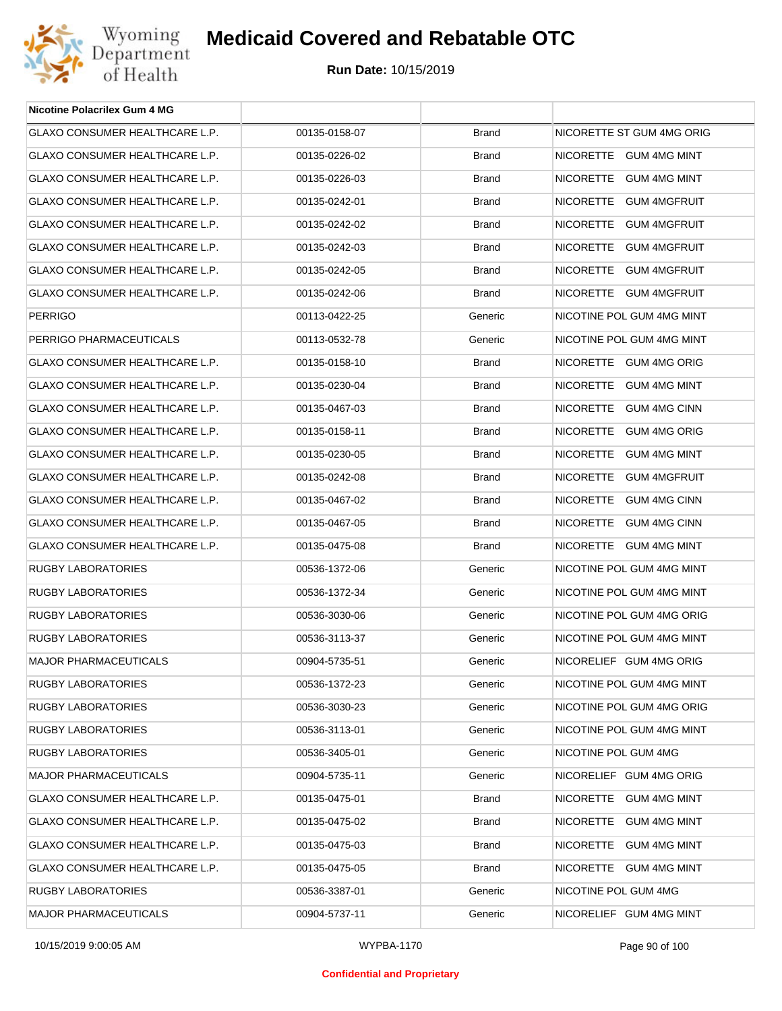

| <b>Nicotine Polacrilex Gum 4 MG</b>   |               |              |                           |
|---------------------------------------|---------------|--------------|---------------------------|
| GLAXO CONSUMER HEALTHCARE L.P.        | 00135-0158-07 | <b>Brand</b> | NICORETTE ST GUM 4MG ORIG |
| GLAXO CONSUMER HEALTHCARE L.P.        | 00135-0226-02 | <b>Brand</b> | NICORETTE GUM 4MG MINT    |
| GLAXO CONSUMER HEALTHCARE L.P.        | 00135-0226-03 | <b>Brand</b> | NICORETTE GUM 4MG MINT    |
| GLAXO CONSUMER HEALTHCARE L.P.        | 00135-0242-01 | <b>Brand</b> | NICORETTE GUM 4MGFRUIT    |
| GLAXO CONSUMER HEALTHCARE L.P.        | 00135-0242-02 | <b>Brand</b> | NICORETTE GUM 4MGFRUIT    |
| <b>GLAXO CONSUMER HEALTHCARE L.P.</b> | 00135-0242-03 | <b>Brand</b> | NICORETTE GUM 4MGFRUIT    |
| <b>GLAXO CONSUMER HEALTHCARE L.P.</b> | 00135-0242-05 | <b>Brand</b> | NICORETTE GUM 4MGFRUIT    |
| GLAXO CONSUMER HEALTHCARE L.P.        | 00135-0242-06 | <b>Brand</b> | NICORETTE GUM 4MGFRUIT    |
| <b>PERRIGO</b>                        | 00113-0422-25 | Generic      | NICOTINE POL GUM 4MG MINT |
| PERRIGO PHARMACEUTICALS               | 00113-0532-78 | Generic      | NICOTINE POL GUM 4MG MINT |
| GLAXO CONSUMER HEALTHCARE L.P.        | 00135-0158-10 | <b>Brand</b> | NICORETTE GUM 4MG ORIG    |
| <b>GLAXO CONSUMER HEALTHCARE L.P.</b> | 00135-0230-04 | <b>Brand</b> | NICORETTE GUM 4MG MINT    |
| GLAXO CONSUMER HEALTHCARE L.P.        | 00135-0467-03 | <b>Brand</b> | NICORETTE GUM 4MG CINN    |
| <b>GLAXO CONSUMER HEALTHCARE L.P.</b> | 00135-0158-11 | <b>Brand</b> | NICORETTE GUM 4MG ORIG    |
| GLAXO CONSUMER HEALTHCARE L.P.        | 00135-0230-05 | <b>Brand</b> | NICORETTE GUM 4MG MINT    |
| GLAXO CONSUMER HEALTHCARE L.P.        | 00135-0242-08 | <b>Brand</b> | NICORETTE GUM 4MGFRUIT    |
| GLAXO CONSUMER HEALTHCARE L.P.        | 00135-0467-02 | <b>Brand</b> | NICORETTE GUM 4MG CINN    |
| GLAXO CONSUMER HEALTHCARE L.P.        | 00135-0467-05 | <b>Brand</b> | NICORETTE GUM 4MG CINN    |
| GLAXO CONSUMER HEALTHCARE L.P.        | 00135-0475-08 | <b>Brand</b> | NICORETTE GUM 4MG MINT    |
| <b>RUGBY LABORATORIES</b>             | 00536-1372-06 | Generic      | NICOTINE POL GUM 4MG MINT |
| <b>RUGBY LABORATORIES</b>             | 00536-1372-34 | Generic      | NICOTINE POL GUM 4MG MINT |
| <b>RUGBY LABORATORIES</b>             | 00536-3030-06 | Generic      | NICOTINE POL GUM 4MG ORIG |
| <b>RUGBY LABORATORIES</b>             | 00536-3113-37 | Generic      | NICOTINE POL GUM 4MG MINT |
| <b>MAJOR PHARMACEUTICALS</b>          | 00904-5735-51 | Generic      | NICORELIEF GUM 4MG ORIG   |
| RUGBY LABORATORIES                    | 00536-1372-23 | Generic      | NICOTINE POL GUM 4MG MINT |
| <b>RUGBY LABORATORIES</b>             | 00536-3030-23 | Generic      | NICOTINE POL GUM 4MG ORIG |
| <b>RUGBY LABORATORIES</b>             | 00536-3113-01 | Generic      | NICOTINE POL GUM 4MG MINT |
| <b>RUGBY LABORATORIES</b>             | 00536-3405-01 | Generic      | NICOTINE POL GUM 4MG      |
| <b>MAJOR PHARMACEUTICALS</b>          | 00904-5735-11 | Generic      | NICORELIEF GUM 4MG ORIG   |
| <b>GLAXO CONSUMER HEALTHCARE L.P.</b> | 00135-0475-01 | <b>Brand</b> | NICORETTE GUM 4MG MINT    |
| <b>GLAXO CONSUMER HEALTHCARE L.P.</b> | 00135-0475-02 | <b>Brand</b> | NICORETTE GUM 4MG MINT    |
| GLAXO CONSUMER HEALTHCARE L.P.        | 00135-0475-03 | <b>Brand</b> | NICORETTE GUM 4MG MINT    |
| GLAXO CONSUMER HEALTHCARE L.P.        | 00135-0475-05 | <b>Brand</b> | NICORETTE GUM 4MG MINT    |
| RUGBY LABORATORIES                    | 00536-3387-01 | Generic      | NICOTINE POL GUM 4MG      |
| <b>MAJOR PHARMACEUTICALS</b>          | 00904-5737-11 | Generic      | NICORELIEF GUM 4MG MINT   |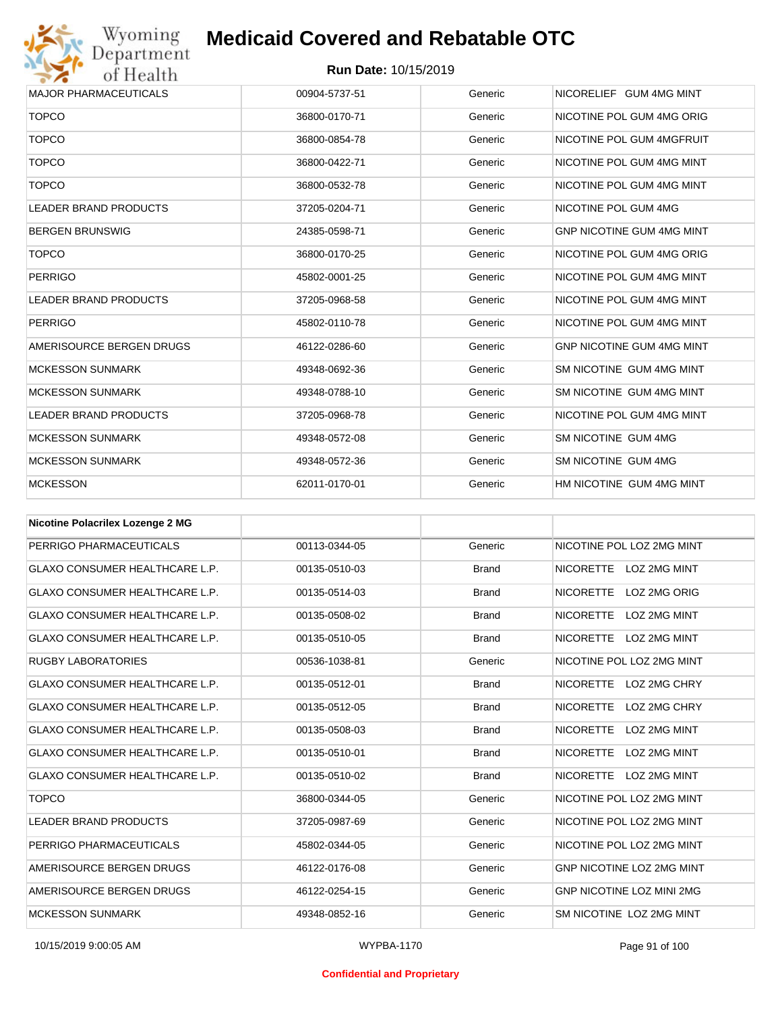

| <b>MAJOR PHARMACEUTICALS</b> | 00904-5737-51 | Generic | NICORELIEF GUM 4MG MINT          |
|------------------------------|---------------|---------|----------------------------------|
| <b>TOPCO</b>                 | 36800-0170-71 | Generic | NICOTINE POL GUM 4MG ORIG        |
| <b>TOPCO</b>                 | 36800-0854-78 | Generic | NICOTINE POL GUM 4MGFRUIT        |
| <b>TOPCO</b>                 | 36800-0422-71 | Generic | NICOTINE POL GUM 4MG MINT        |
| <b>TOPCO</b>                 | 36800-0532-78 | Generic | NICOTINE POL GUM 4MG MINT        |
| <b>LEADER BRAND PRODUCTS</b> | 37205-0204-71 | Generic | NICOTINE POL GUM 4MG             |
| <b>BERGEN BRUNSWIG</b>       | 24385-0598-71 | Generic | <b>GNP NICOTINE GUM 4MG MINT</b> |
| <b>TOPCO</b>                 | 36800-0170-25 | Generic | NICOTINE POL GUM 4MG ORIG        |
| <b>PERRIGO</b>               | 45802-0001-25 | Generic | NICOTINE POL GUM 4MG MINT        |
| <b>LEADER BRAND PRODUCTS</b> | 37205-0968-58 | Generic | NICOTINE POL GUM 4MG MINT        |
| <b>PERRIGO</b>               | 45802-0110-78 | Generic | NICOTINE POL GUM 4MG MINT        |
| AMERISOURCE BERGEN DRUGS     | 46122-0286-60 | Generic | <b>GNP NICOTINE GUM 4MG MINT</b> |
| <b>MCKESSON SUNMARK</b>      | 49348-0692-36 | Generic | SM NICOTINE GUM 4MG MINT         |
| <b>MCKESSON SUNMARK</b>      | 49348-0788-10 | Generic | SM NICOTINE GUM 4MG MINT         |
| <b>LEADER BRAND PRODUCTS</b> | 37205-0968-78 | Generic | NICOTINE POL GUM 4MG MINT        |
| <b>MCKESSON SUNMARK</b>      | 49348-0572-08 | Generic | SM NICOTINE GUM 4MG              |
| <b>MCKESSON SUNMARK</b>      | 49348-0572-36 | Generic | SM NICOTINE GUM 4MG              |
| <b>MCKESSON</b>              | 62011-0170-01 | Generic | HM NICOTINE GUM 4MG MINT         |

| <b>Nicotine Polacrilex Lozenge 2 MG</b> |               |              |                                  |
|-----------------------------------------|---------------|--------------|----------------------------------|
| PERRIGO PHARMACEUTICALS                 | 00113-0344-05 | Generic      | NICOTINE POL LOZ 2MG MINT        |
| <b>GLAXO CONSUMER HEALTHCARE L.P.</b>   | 00135-0510-03 | <b>Brand</b> | NICORETTE LOZ 2MG MINT           |
| <b>GLAXO CONSUMER HEALTHCARE L.P.</b>   | 00135-0514-03 | <b>Brand</b> | <b>NICORETTE</b><br>LOZ 2MG ORIG |
| <b>GLAXO CONSUMER HEALTHCARE L.P.</b>   | 00135-0508-02 | <b>Brand</b> | <b>NICORETTE</b><br>LOZ 2MG MINT |
| <b>GLAXO CONSUMER HEALTHCARE L.P.</b>   | 00135-0510-05 | <b>Brand</b> | NICORETTE LOZ 2MG MINT           |
| <b>RUGBY LABORATORIES</b>               | 00536-1038-81 | Generic      | NICOTINE POL LOZ 2MG MINT        |
| <b>GLAXO CONSUMER HEALTHCARE L.P.</b>   | 00135-0512-01 | <b>Brand</b> | <b>NICORETTE</b><br>LOZ 2MG CHRY |
| <b>GLAXO CONSUMER HEALTHCARE L.P.</b>   | 00135-0512-05 | <b>Brand</b> | <b>NICORETTE</b><br>LOZ 2MG CHRY |
| <b>GLAXO CONSUMER HEALTHCARE L.P.</b>   | 00135-0508-03 | <b>Brand</b> | <b>NICORETTE</b><br>LOZ 2MG MINT |
| <b>GLAXO CONSUMER HEALTHCARE L.P.</b>   | 00135-0510-01 | <b>Brand</b> | <b>NICORETTE</b><br>LOZ 2MG MINT |
| <b>GLAXO CONSUMER HEALTHCARE L.P.</b>   | 00135-0510-02 | <b>Brand</b> | NICORETTE LOZ 2MG MINT           |
| <b>TOPCO</b>                            | 36800-0344-05 | Generic      | NICOTINE POL LOZ 2MG MINT        |
| <b>LEADER BRAND PRODUCTS</b>            | 37205-0987-69 | Generic      | NICOTINE POL LOZ 2MG MINT        |
| PERRIGO PHARMACEUTICALS                 | 45802-0344-05 | Generic      | NICOTINE POL LOZ 2MG MINT        |
| AMERISOURCE BERGEN DRUGS                | 46122-0176-08 | Generic      | <b>GNP NICOTINE LOZ 2MG MINT</b> |
| AMERISOURCE BERGEN DRUGS                | 46122-0254-15 | Generic      | <b>GNP NICOTINE LOZ MINI 2MG</b> |
| <b>MCKESSON SUNMARK</b>                 | 49348-0852-16 | Generic      | SM NICOTINE LOZ 2MG MINT         |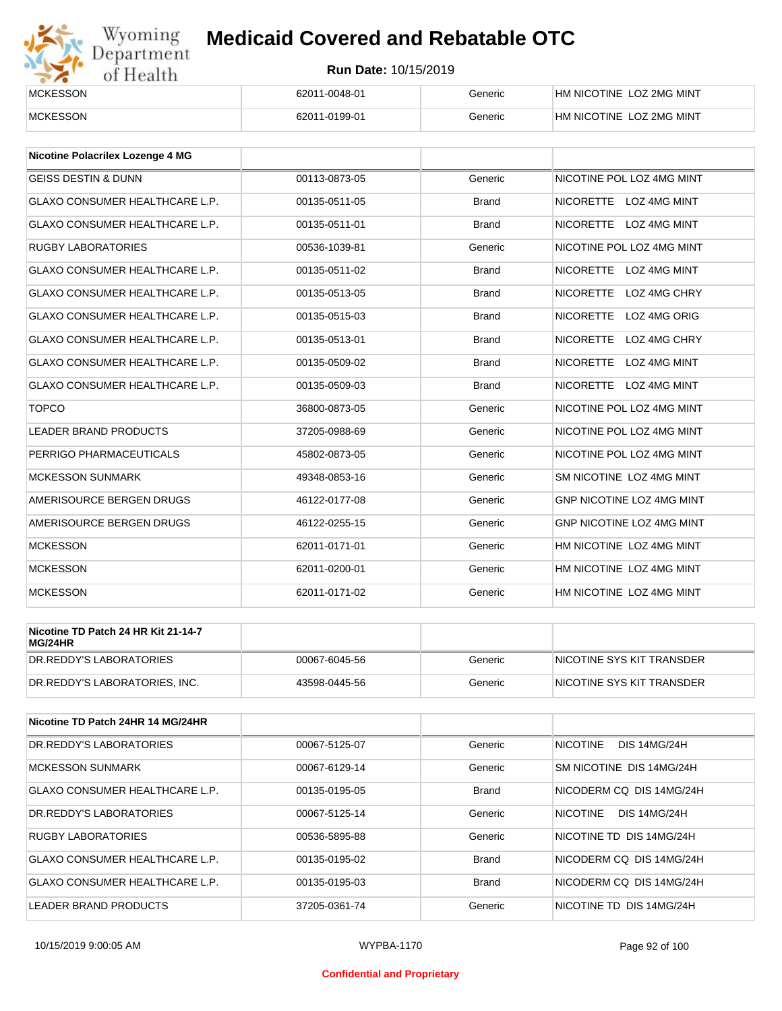# Wyoming<br>Department<br>of Health

## **Medicaid Covered and Rebatable OTC**

| __________<br><b>MCKESSON</b> | 62011-0048-01 | Generic | HM NICOTINE LOZ 2MG MINT |
|-------------------------------|---------------|---------|--------------------------|
| <b>MCKESSON</b>               | 62011-0199-01 | Generic | HM NICOTINE LOZ 2MG MINT |

| <b>Nicotine Polacrilex Lozenge 4 MG</b> |               |              |                                  |
|-----------------------------------------|---------------|--------------|----------------------------------|
| <b>GEISS DESTIN &amp; DUNN</b>          | 00113-0873-05 | Generic      | NICOTINE POL LOZ 4MG MINT        |
| <b>GLAXO CONSUMER HEALTHCARE L.P.</b>   | 00135-0511-05 | <b>Brand</b> | NICORETTE LOZ 4MG MINT           |
| <b>GLAXO CONSUMER HEALTHCARE L.P.</b>   | 00135-0511-01 | <b>Brand</b> | NICORETTE LOZ 4MG MINT           |
| <b>RUGBY LABORATORIES</b>               | 00536-1039-81 | Generic      | NICOTINE POL LOZ 4MG MINT        |
| <b>GLAXO CONSUMER HEALTHCARE L.P.</b>   | 00135-0511-02 | <b>Brand</b> | NICORETTE LOZ 4MG MINT           |
| <b>GLAXO CONSUMER HEALTHCARE L.P.</b>   | 00135-0513-05 | <b>Brand</b> | NICORETTE LOZ 4MG CHRY           |
| <b>GLAXO CONSUMER HEALTHCARE L.P.</b>   | 00135-0515-03 | <b>Brand</b> | NICORETTE LOZ 4MG ORIG           |
| <b>GLAXO CONSUMER HEALTHCARE L.P.</b>   | 00135-0513-01 | <b>Brand</b> | <b>NICORETTE</b><br>LOZ 4MG CHRY |
| <b>GLAXO CONSUMER HEALTHCARE L.P.</b>   | 00135-0509-02 | <b>Brand</b> | NICORETTE LOZ 4MG MINT           |
| <b>GLAXO CONSUMER HEALTHCARE L.P.</b>   | 00135-0509-03 | <b>Brand</b> | NICORETTE LOZ 4MG MINT           |
| <b>TOPCO</b>                            | 36800-0873-05 | Generic      | NICOTINE POL LOZ 4MG MINT        |
| <b>LEADER BRAND PRODUCTS</b>            | 37205-0988-69 | Generic      | NICOTINE POL LOZ 4MG MINT        |
| PERRIGO PHARMACEUTICALS                 | 45802-0873-05 | Generic      | NICOTINE POL LOZ 4MG MINT        |
| <b>MCKESSON SUNMARK</b>                 | 49348-0853-16 | Generic      | SM NICOTINE LOZ 4MG MINT         |
| AMERISOURCE BERGEN DRUGS                | 46122-0177-08 | Generic      | <b>GNP NICOTINE LOZ 4MG MINT</b> |
| AMERISOURCE BERGEN DRUGS                | 46122-0255-15 | Generic      | GNP NICOTINE LOZ 4MG MINT        |
| <b>MCKESSON</b>                         | 62011-0171-01 | Generic      | HM NICOTINE LOZ 4MG MINT         |
| <b>MCKESSON</b>                         | 62011-0200-01 | Generic      | HM NICOTINE LOZ 4MG MINT         |
| <b>MCKESSON</b>                         | 62011-0171-02 | Generic      | HM NICOTINE LOZ 4MG MINT         |

| Nicotine TD Patch 24 HR Kit 21-14-7<br>MG/24HR |               |         |                            |
|------------------------------------------------|---------------|---------|----------------------------|
| IDR.REDDY'S LABORATORIES                       | 00067-6045-56 | Generic | INICOTINE SYS KIT TRANSDER |
| DR.REDDY'S LABORATORIES. INC.                  | 43598-0445-56 | Generic | INICOTINE SYS KIT TRANSDER |

| Nicotine TD Patch 24HR 14 MG/24HR |               |              |                                        |
|-----------------------------------|---------------|--------------|----------------------------------------|
| DR.REDDY'S LABORATORIES           | 00067-5125-07 | Generic      | <b>NICOTINE</b><br><b>DIS 14MG/24H</b> |
| <b>MCKESSON SUNMARK</b>           | 00067-6129-14 | Generic      | SM NICOTINE DIS 14MG/24H               |
| GLAXO CONSUMER HEALTHCARE L.P.    | 00135-0195-05 | <b>Brand</b> | NICODERM CO DIS 14MG/24H               |
| DR.REDDY'S LABORATORIES           | 00067-5125-14 | Generic      | <b>NICOTINE</b><br><b>DIS 14MG/24H</b> |
| RUGBY LABORATORIES                | 00536-5895-88 | Generic      | NICOTINE TD DIS 14MG/24H               |
| GLAXO CONSUMER HEALTHCARE L.P.    | 00135-0195-02 | <b>Brand</b> | NICODERM CO DIS 14MG/24H               |
| GLAXO CONSUMER HEALTHCARE L.P.    | 00135-0195-03 | <b>Brand</b> | NICODERM CO DIS 14MG/24H               |
| LEADER BRAND PRODUCTS             | 37205-0361-74 | Generic      | NICOTINE TD DIS 14MG/24H               |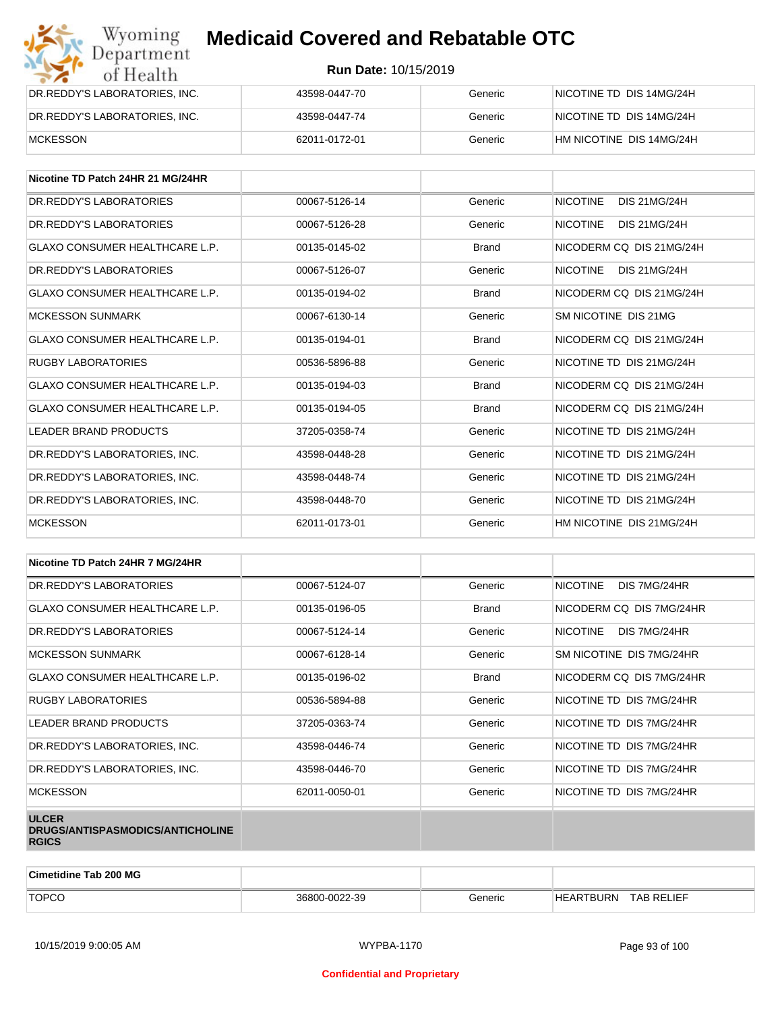| Wyoming<br>Department         | <b>Medicaid Covered and Rebatable OTC</b> |         |                          |  |  |
|-------------------------------|-------------------------------------------|---------|--------------------------|--|--|
| of Health                     | <b>Run Date: 10/15/2019</b>               |         |                          |  |  |
| DR.REDDY'S LABORATORIES, INC. | 43598-0447-70                             | Generic | NICOTINE TD DIS 14MG/24H |  |  |
| DR.REDDY'S LABORATORIES, INC. | 43598-0447-74                             | Generic | NICOTINE TD DIS 14MG/24H |  |  |
| <b>MCKESSON</b>               | 62011-0172-01                             | Generic | HM NICOTINE DIS 14MG/24H |  |  |

| Nicotine TD Patch 24HR 21 MG/24HR     |               |              |                                        |
|---------------------------------------|---------------|--------------|----------------------------------------|
| DR. REDDY'S LABORATORIES              | 00067-5126-14 | Generic      | <b>NICOTINE</b><br><b>DIS 21MG/24H</b> |
| DR. REDDY'S LABORATORIES              | 00067-5126-28 | Generic      | <b>NICOTINE</b><br><b>DIS 21MG/24H</b> |
| <b>GLAXO CONSUMER HEALTHCARE L.P.</b> | 00135-0145-02 | <b>Brand</b> | NICODERM CO DIS 21MG/24H               |
| DR. REDDY'S LABORATORIES              | 00067-5126-07 | Generic      | <b>NICOTINE</b><br>DIS 21MG/24H        |
| <b>GLAXO CONSUMER HEALTHCARE L.P.</b> | 00135-0194-02 | <b>Brand</b> | NICODERM CO DIS 21MG/24H               |
| <b>MCKESSON SUNMARK</b>               | 00067-6130-14 | Generic      | SM NICOTINE DIS 21MG                   |
| <b>GLAXO CONSUMER HEALTHCARE L.P.</b> | 00135-0194-01 | <b>Brand</b> | NICODERM CO DIS 21MG/24H               |
| <b>RUGBY LABORATORIES</b>             | 00536-5896-88 | Generic      | NICOTINE TD DIS 21MG/24H               |
| <b>GLAXO CONSUMER HEALTHCARE L.P.</b> | 00135-0194-03 | <b>Brand</b> | NICODERM CO DIS 21MG/24H               |
| <b>GLAXO CONSUMER HEALTHCARE L.P.</b> | 00135-0194-05 | <b>Brand</b> | NICODERM CO DIS 21MG/24H               |
| LEADER BRAND PRODUCTS                 | 37205-0358-74 | Generic      | NICOTINE TD DIS 21MG/24H               |
| DR.REDDY'S LABORATORIES, INC.         | 43598-0448-28 | Generic      | NICOTINE TD DIS 21MG/24H               |
| DR.REDDY'S LABORATORIES, INC.         | 43598-0448-74 | Generic      | NICOTINE TD DIS 21MG/24H               |
| DR. REDDY'S LABORATORIES. INC.        | 43598-0448-70 | Generic      | NICOTINE TD DIS 21MG/24H               |
| <b>MCKESSON</b>                       | 62011-0173-01 | Generic      | HM NICOTINE DIS 21MG/24H               |

| Nicotine TD Patch 24HR 7 MG/24HR                                 |               |              |                                 |
|------------------------------------------------------------------|---------------|--------------|---------------------------------|
| DR.REDDY'S LABORATORIES                                          | 00067-5124-07 | Generic      | DIS 7MG/24HR<br><b>NICOTINE</b> |
| <b>GLAXO CONSUMER HEALTHCARE L.P.</b>                            | 00135-0196-05 | <b>Brand</b> | NICODERM CQ DIS 7MG/24HR        |
| DR. REDDY'S LABORATORIES                                         | 00067-5124-14 | Generic      | NICOTINE<br>DIS 7MG/24HR        |
| <b>MCKESSON SUNMARK</b>                                          | 00067-6128-14 | Generic      | SM NICOTINE DIS 7MG/24HR        |
| <b>GLAXO CONSUMER HEALTHCARE L.P.</b>                            | 00135-0196-02 | <b>Brand</b> | NICODERM CQ DIS 7MG/24HR        |
| RUGBY LABORATORIES                                               | 00536-5894-88 | Generic      | NICOTINE TD DIS 7MG/24HR        |
| LEADER BRAND PRODUCTS                                            | 37205-0363-74 | Generic      | NICOTINE TD DIS 7MG/24HR        |
| DR.REDDY'S LABORATORIES, INC.                                    | 43598-0446-74 | Generic      | NICOTINE TD DIS 7MG/24HR        |
| DR.REDDY'S LABORATORIES, INC.                                    | 43598-0446-70 | Generic      | NICOTINE TD DIS 7MG/24HR        |
| <b>MCKESSON</b>                                                  | 62011-0050-01 | Generic      | NICOTINE TD DIS 7MG/24HR        |
| <b>ULCER</b><br>DRUGS/ANTISPASMODICS/ANTICHOLINE<br><b>RGICS</b> |               |              |                                 |

| <b>Cimetidine Tab 200 MG</b> |               |         |                            |                   |
|------------------------------|---------------|---------|----------------------------|-------------------|
| <b>TOPCO</b>                 | 36800-0022-39 | 3eneric | ARTBURN<br>HF <sub>F</sub> | <b>TAB RELIEF</b> |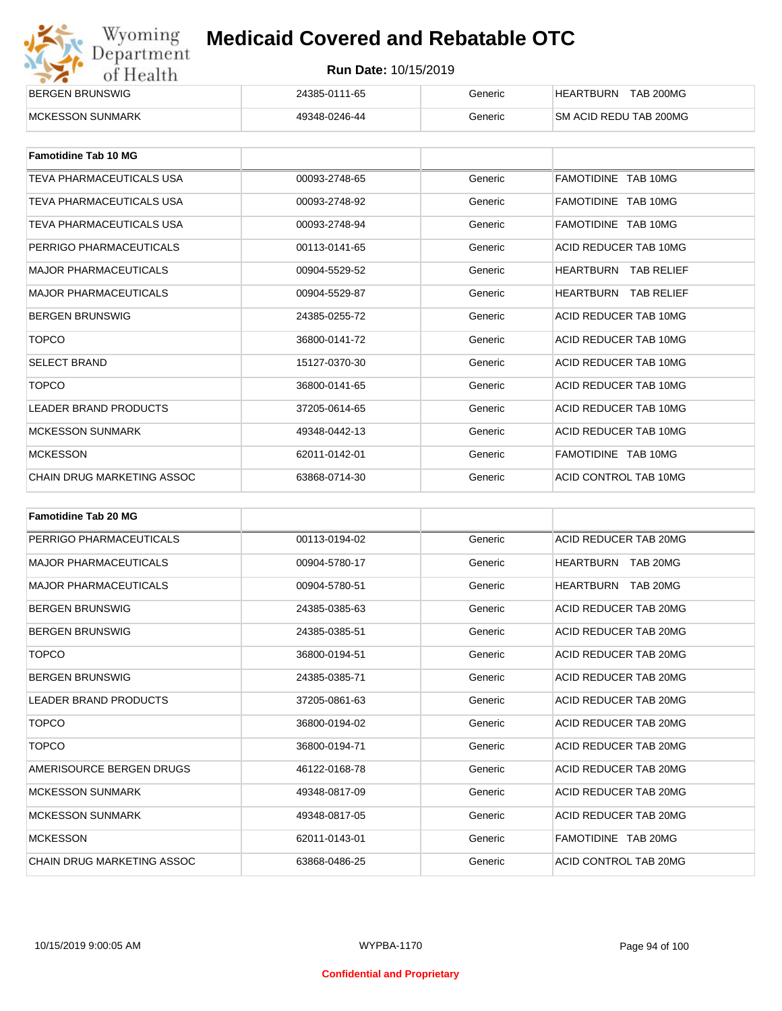| Wyoming    |
|------------|
| Department |
| of Health  |

| <b>BERGEN BRUNSWIG</b> | 24385-0111-65 | Generic | <b>TAB 200MG</b><br><b>HEARTBURN</b> |
|------------------------|---------------|---------|--------------------------------------|
| MCKESSON SUNMARK       | 49348-0246-44 | Generic | <b>SM ACID REDU TAB 200MG</b>        |

| <b>Famotidine Tab 10 MG</b>  |               |         |                                |
|------------------------------|---------------|---------|--------------------------------|
| TEVA PHARMACEUTICALS USA     | 00093-2748-65 | Generic | FAMOTIDINE TAB 10MG            |
| TEVA PHARMACEUTICALS USA     | 00093-2748-92 | Generic | FAMOTIDINE TAB 10MG            |
| TEVA PHARMACEUTICALS USA     | 00093-2748-94 | Generic | FAMOTIDINE TAB 10MG            |
| PERRIGO PHARMACEUTICALS      | 00113-0141-65 | Generic | ACID REDUCER TAB 10MG          |
| <b>MAJOR PHARMACEUTICALS</b> | 00904-5529-52 | Generic | <b>HEARTBURN TAB RELIEF</b>    |
| <b>MAJOR PHARMACEUTICALS</b> | 00904-5529-87 | Generic | HEARTBURN<br><b>TAB RELIEF</b> |
| <b>BERGEN BRUNSWIG</b>       | 24385-0255-72 | Generic | ACID REDUCER TAB 10MG          |
| <b>TOPCO</b>                 | 36800-0141-72 | Generic | ACID REDUCER TAB 10MG          |
| <b>SELECT BRAND</b>          | 15127-0370-30 | Generic | ACID REDUCER TAB 10MG          |
| <b>TOPCO</b>                 | 36800-0141-65 | Generic | ACID REDUCER TAB 10MG          |
| <b>LEADER BRAND PRODUCTS</b> | 37205-0614-65 | Generic | ACID REDUCER TAB 10MG          |
| <b>MCKESSON SUNMARK</b>      | 49348-0442-13 | Generic | ACID REDUCER TAB 10MG          |
| <b>MCKESSON</b>              | 62011-0142-01 | Generic | FAMOTIDINE TAB 10MG            |
| CHAIN DRUG MARKETING ASSOC   | 63868-0714-30 | Generic | ACID CONTROL TAB 10MG          |

| <b>Famotidine Tab 20 MG</b>       |               |         |                              |
|-----------------------------------|---------------|---------|------------------------------|
| PERRIGO PHARMACEUTICALS           | 00113-0194-02 | Generic | ACID REDUCER TAB 20MG        |
| <b>MAJOR PHARMACEUTICALS</b>      | 00904-5780-17 | Generic | <b>HEARTBURN TAB 20MG</b>    |
| <b>MAJOR PHARMACEUTICALS</b>      | 00904-5780-51 | Generic | TAB 20MG<br><b>HEARTBURN</b> |
| <b>BERGEN BRUNSWIG</b>            | 24385-0385-63 | Generic | ACID REDUCER TAB 20MG        |
| <b>BERGEN BRUNSWIG</b>            | 24385-0385-51 | Generic | ACID REDUCER TAB 20MG        |
| <b>TOPCO</b>                      | 36800-0194-51 | Generic | ACID REDUCER TAB 20MG        |
| <b>BERGEN BRUNSWIG</b>            | 24385-0385-71 | Generic | ACID REDUCER TAB 20MG        |
| <b>LEADER BRAND PRODUCTS</b>      | 37205-0861-63 | Generic | ACID REDUCER TAB 20MG        |
| <b>TOPCO</b>                      | 36800-0194-02 | Generic | ACID REDUCER TAB 20MG        |
| <b>TOPCO</b>                      | 36800-0194-71 | Generic | ACID REDUCER TAB 20MG        |
| AMERISOURCE BERGEN DRUGS          | 46122-0168-78 | Generic | ACID REDUCER TAB 20MG        |
| <b>MCKESSON SUNMARK</b>           | 49348-0817-09 | Generic | ACID REDUCER TAB 20MG        |
| <b>MCKESSON SUNMARK</b>           | 49348-0817-05 | Generic | ACID REDUCER TAB 20MG        |
| <b>MCKESSON</b>                   | 62011-0143-01 | Generic | FAMOTIDINE TAB 20MG          |
| <b>CHAIN DRUG MARKETING ASSOC</b> | 63868-0486-25 | Generic | ACID CONTROL TAB 20MG        |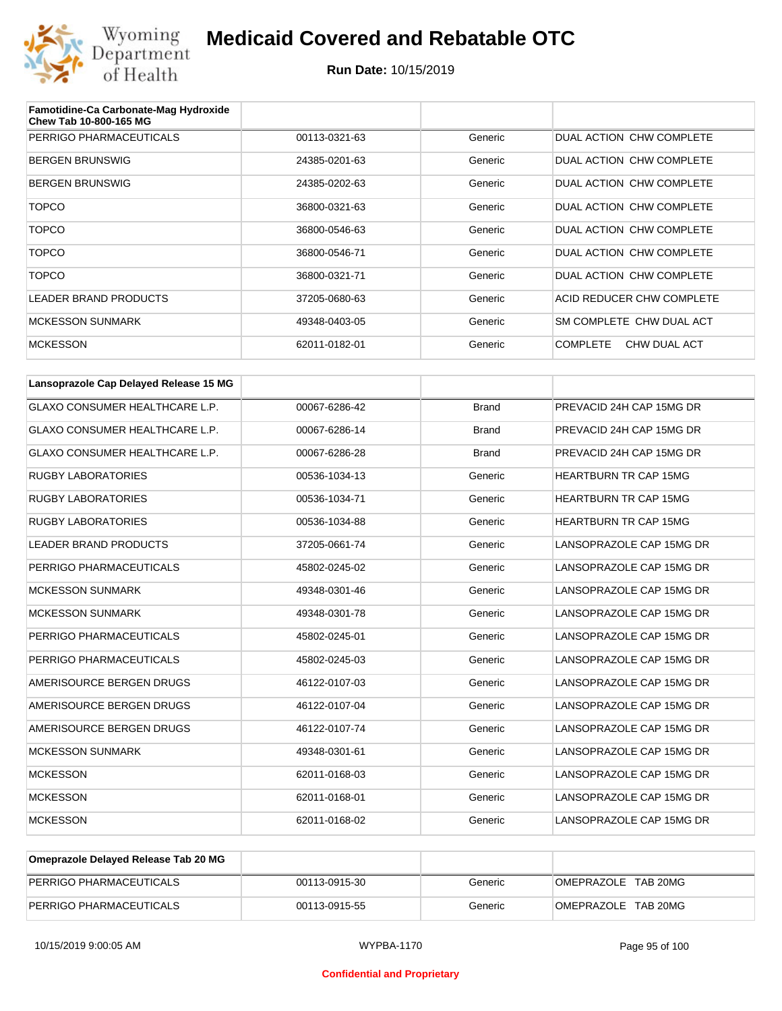

| Famotidine-Ca Carbonate-Mag Hydroxide<br>Chew Tab 10-800-165 MG |               |         |                                 |
|-----------------------------------------------------------------|---------------|---------|---------------------------------|
| PERRIGO PHARMACEUTICALS                                         | 00113-0321-63 | Generic | DUAL ACTION CHW COMPLETE        |
| <b>BERGEN BRUNSWIG</b>                                          | 24385-0201-63 | Generic | DUAL ACTION CHW COMPLETE        |
| <b>BERGEN BRUNSWIG</b>                                          | 24385-0202-63 | Generic | DUAL ACTION CHW COMPLETE        |
| <b>TOPCO</b>                                                    | 36800-0321-63 | Generic | DUAL ACTION CHW COMPLETE        |
| <b>TOPCO</b>                                                    | 36800-0546-63 | Generic | DUAL ACTION CHW COMPLETE        |
| <b>TOPCO</b>                                                    | 36800-0546-71 | Generic | DUAL ACTION CHW COMPLETE        |
| <b>TOPCO</b>                                                    | 36800-0321-71 | Generic | DUAL ACTION CHW COMPLETE        |
| <b>LEADER BRAND PRODUCTS</b>                                    | 37205-0680-63 | Generic | ACID REDUCER CHW COMPLETE       |
| <b>MCKESSON SUNMARK</b>                                         | 49348-0403-05 | Generic | SM COMPLETE CHW DUAL ACT        |
| <b>MCKESSON</b>                                                 | 62011-0182-01 | Generic | <b>COMPLETE</b><br>CHW DUAL ACT |

| Lansoprazole Cap Delayed Release 15 MG |               |              |                              |
|----------------------------------------|---------------|--------------|------------------------------|
| <b>GLAXO CONSUMER HEALTHCARE L.P.</b>  | 00067-6286-42 | <b>Brand</b> | PREVACID 24H CAP 15MG DR     |
| <b>GLAXO CONSUMER HEALTHCARE L.P.</b>  | 00067-6286-14 | <b>Brand</b> | PREVACID 24H CAP 15MG DR     |
| <b>GLAXO CONSUMER HEALTHCARE L.P.</b>  | 00067-6286-28 | <b>Brand</b> | PREVACID 24H CAP 15MG DR     |
| <b>RUGBY LABORATORIES</b>              | 00536-1034-13 | Generic      | <b>HEARTBURN TR CAP 15MG</b> |
| <b>RUGBY LABORATORIES</b>              | 00536-1034-71 | Generic      | <b>HEARTBURN TR CAP 15MG</b> |
| <b>RUGBY LABORATORIES</b>              | 00536-1034-88 | Generic      | <b>HEARTBURN TR CAP 15MG</b> |
| <b>LEADER BRAND PRODUCTS</b>           | 37205-0661-74 | Generic      | LANSOPRAZOLE CAP 15MG DR     |
| PERRIGO PHARMACEUTICALS                | 45802-0245-02 | Generic      | LANSOPRAZOLE CAP 15MG DR     |
| <b>MCKESSON SUNMARK</b>                | 49348-0301-46 | Generic      | LANSOPRAZOLE CAP 15MG DR     |
| <b>MCKESSON SUNMARK</b>                | 49348-0301-78 | Generic      | LANSOPRAZOLE CAP 15MG DR     |
| PERRIGO PHARMACEUTICALS                | 45802-0245-01 | Generic      | LANSOPRAZOLE CAP 15MG DR     |
| PERRIGO PHARMACEUTICALS                | 45802-0245-03 | Generic      | LANSOPRAZOLE CAP 15MG DR     |
| AMERISOURCE BERGEN DRUGS               | 46122-0107-03 | Generic      | LANSOPRAZOLE CAP 15MG DR     |
| AMERISOURCE BERGEN DRUGS               | 46122-0107-04 | Generic      | LANSOPRAZOLE CAP 15MG DR     |
| AMERISOURCE BERGEN DRUGS               | 46122-0107-74 | Generic      | LANSOPRAZOLE CAP 15MG DR     |
| <b>MCKESSON SUNMARK</b>                | 49348-0301-61 | Generic      | LANSOPRAZOLE CAP 15MG DR     |
| <b>MCKESSON</b>                        | 62011-0168-03 | Generic      | LANSOPRAZOLE CAP 15MG DR     |
| <b>MCKESSON</b>                        | 62011-0168-01 | Generic      | LANSOPRAZOLE CAP 15MG DR     |
| <b>MCKESSON</b>                        | 62011-0168-02 | Generic      | LANSOPRAZOLE CAP 15MG DR     |

| Omeprazole Delayed Release Tab 20 MG |               |         |                     |
|--------------------------------------|---------------|---------|---------------------|
| PERRIGO PHARMACEUTICALS              | 00113-0915-30 | Generic | OMEPRAZOLE TAB 20MG |
| PERRIGO PHARMACEUTICALS              | 00113-0915-55 | Generic | OMEPRAZOLE TAB 20MG |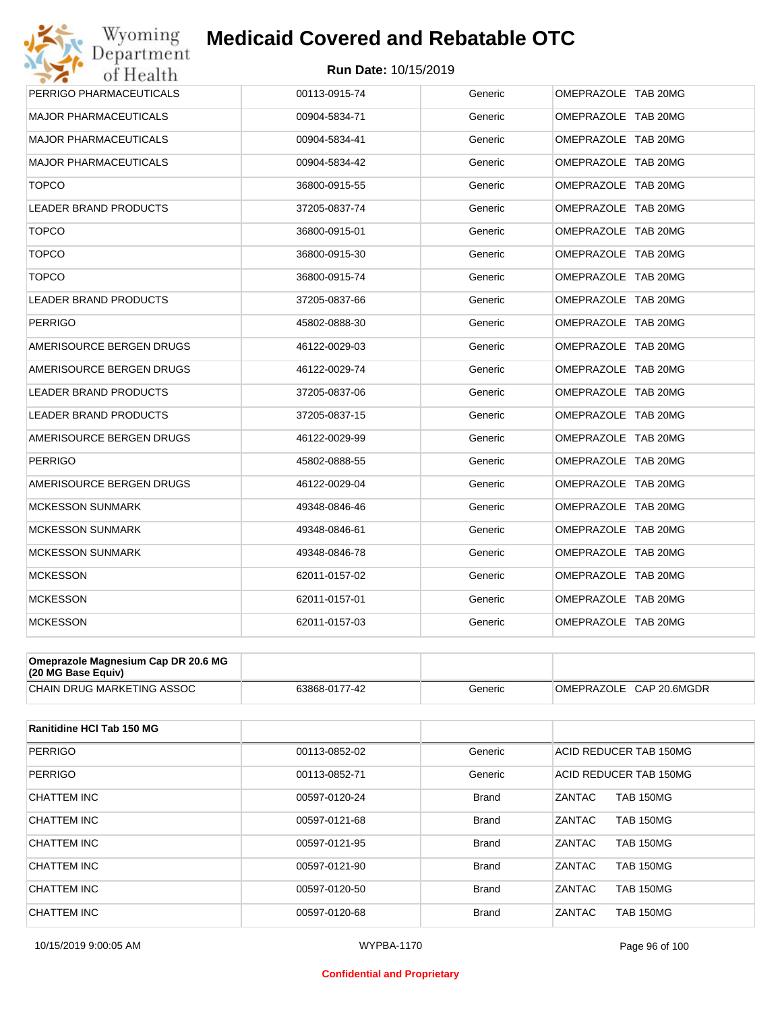

| Wyoming                             | <b>Medicaid Covered and Rebatable OTC</b> |         |                     |
|-------------------------------------|-------------------------------------------|---------|---------------------|
| Department<br>of Health             | <b>Run Date: 10/15/2019</b>               |         |                     |
| PERRIGO PHARMACEUTICALS             | 00113-0915-74                             | Generic | OMEPRAZOLE TAB 20MG |
| MAJOR PHARMACEUTICALS               | 00904-5834-71                             | Generic | OMEPRAZOLE TAB 20MG |
| <b>MAJOR PHARMACEUTICALS</b>        | 00904-5834-41                             | Generic | OMEPRAZOLE TAB 20MG |
| <b>MAJOR PHARMACEUTICALS</b>        | 00904-5834-42                             | Generic | OMEPRAZOLE TAB 20MG |
| <b>TOPCO</b>                        | 36800-0915-55                             | Generic | OMEPRAZOLE TAB 20MG |
| <b>LEADER BRAND PRODUCTS</b>        | 37205-0837-74                             | Generic | OMEPRAZOLE TAB 20MG |
| <b>TOPCO</b>                        | 36800-0915-01                             | Generic | OMEPRAZOLE TAB 20MG |
| <b>TOPCO</b>                        | 36800-0915-30                             | Generic | OMEPRAZOLE TAB 20MG |
| <b>TOPCO</b>                        | 36800-0915-74                             | Generic | OMEPRAZOLE TAB 20MG |
| <b>LEADER BRAND PRODUCTS</b>        | 37205-0837-66                             | Generic | OMEPRAZOLE TAB 20MG |
| <b>PERRIGO</b>                      | 45802-0888-30                             | Generic | OMEPRAZOLE TAB 20MG |
| AMERISOURCE BERGEN DRUGS            | 46122-0029-03                             | Generic | OMEPRAZOLE TAB 20MG |
| AMERISOURCE BERGEN DRUGS            | 46122-0029-74                             | Generic | OMEPRAZOLE TAB 20MG |
| <b>LEADER BRAND PRODUCTS</b>        | 37205-0837-06                             | Generic | OMEPRAZOLE TAB 20MG |
| <b>LEADER BRAND PRODUCTS</b>        | 37205-0837-15                             | Generic | OMEPRAZOLE TAB 20MG |
| AMERISOURCE BERGEN DRUGS            | 46122-0029-99                             | Generic | OMEPRAZOLE TAB 20MG |
| <b>PERRIGO</b>                      | 45802-0888-55                             | Generic | OMEPRAZOLE TAB 20MG |
| AMERISOURCE BERGEN DRUGS            | 46122-0029-04                             | Generic | OMEPRAZOLE TAB 20MG |
| <b>MCKESSON SUNMARK</b>             | 49348-0846-46                             | Generic | OMEPRAZOLE TAB 20MG |
| <b>MCKESSON SUNMARK</b>             | 49348-0846-61                             | Generic | OMEPRAZOLE TAB 20MG |
| <b>MCKESSON SUNMARK</b>             | 49348-0846-78                             | Generic | OMEPRAZOLE TAB 20MG |
| <b>MCKESSON</b>                     | 62011-0157-02                             | Generic | OMEPRAZOLE TAB 20MG |
| <b>MCKESSON</b>                     | 62011-0157-01                             | Generic | OMEPRAZOLE TAB 20MG |
| <b>MCKESSON</b>                     | 62011-0157-03                             | Generic | OMEPRAZOLE TAB 20MG |
| Omeprazole Magnesium Cap DR 20.6 MG |                                           |         |                     |

| $(20 \text{ MG Base}$ Equiv)      |               |         |                                   |
|-----------------------------------|---------------|---------|-----------------------------------|
| <b>CHAIN DRUG MARKETING ASSOC</b> | 63868-0177-42 | Generic | CAP 20.6MGDR<br><b>OMEPRAZOLE</b> |

| Ranitidine HCI Tab 150 MG |               |              |                                   |
|---------------------------|---------------|--------------|-----------------------------------|
| <b>PERRIGO</b>            | 00113-0852-02 | Generic      | ACID REDUCER TAB 150MG            |
| <b>PERRIGO</b>            | 00113-0852-71 | Generic      | ACID REDUCER TAB 150MG            |
| CHATTEM INC               | 00597-0120-24 | <b>Brand</b> | ZANTAC<br><b>TAB 150MG</b>        |
| CHATTEM INC               | 00597-0121-68 | <b>Brand</b> | <b>ZANTAC</b><br><b>TAB 150MG</b> |
| CHATTEM INC               | 00597-0121-95 | <b>Brand</b> | ZANTAC<br><b>TAB 150MG</b>        |
| CHATTEM INC               | 00597-0121-90 | <b>Brand</b> | <b>ZANTAC</b><br><b>TAB 150MG</b> |
| CHATTEM INC               | 00597-0120-50 | <b>Brand</b> | ZANTAC<br><b>TAB 150MG</b>        |
| CHATTEM INC               | 00597-0120-68 | <b>Brand</b> | ZANTAC<br><b>TAB 150MG</b>        |

#### **Confidential and Proprietary**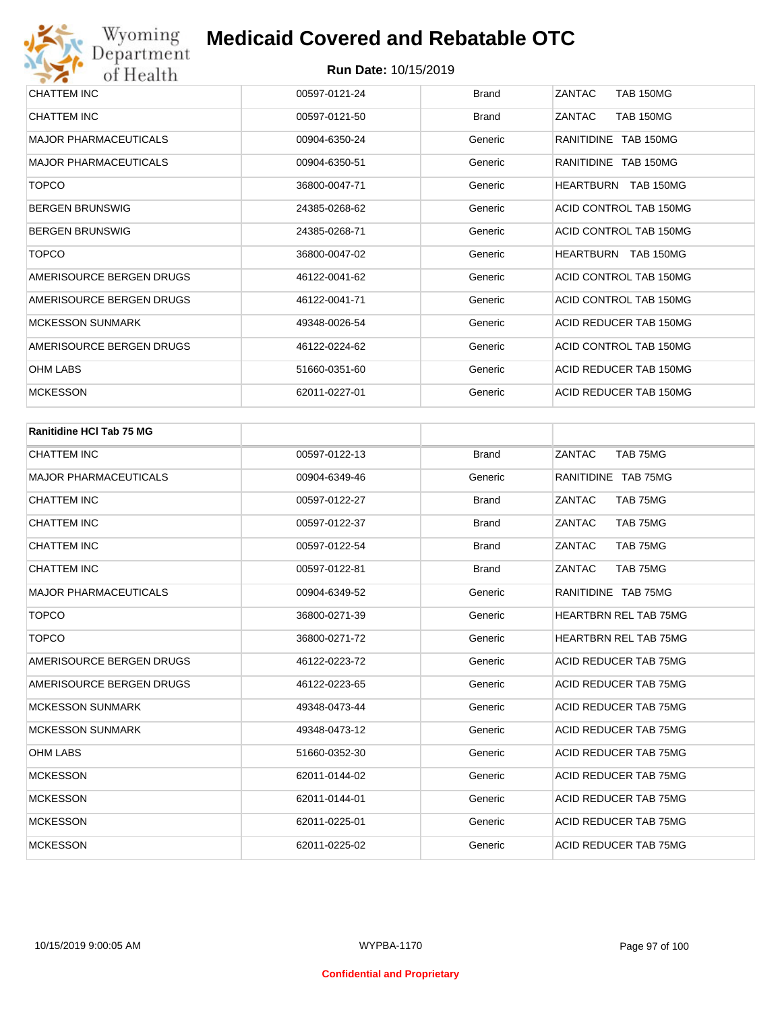| CHATTEM INC                  | 00597-0121-24 | <b>Brand</b> | ZANTAC<br><b>TAB 150MG</b> |
|------------------------------|---------------|--------------|----------------------------|
| CHATTEM INC                  | 00597-0121-50 | <b>Brand</b> | <b>TAB 150MG</b><br>ZANTAC |
| <b>MAJOR PHARMACEUTICALS</b> | 00904-6350-24 | Generic      | RANITIDINE TAB 150MG       |
| <b>MAJOR PHARMACEUTICALS</b> | 00904-6350-51 | Generic      | RANITIDINE TAB 150MG       |
| <b>TOPCO</b>                 | 36800-0047-71 | Generic      | HEARTBURN TAB 150MG        |
| <b>BERGEN BRUNSWIG</b>       | 24385-0268-62 | Generic      | ACID CONTROL TAB 150MG     |
| <b>BERGEN BRUNSWIG</b>       | 24385-0268-71 | Generic      | ACID CONTROL TAB 150MG     |
| <b>TOPCO</b>                 | 36800-0047-02 | Generic      | HEARTBURN TAB 150MG        |
| AMERISOURCE BERGEN DRUGS     | 46122-0041-62 | Generic      | ACID CONTROL TAB 150MG     |
| AMERISOURCE BERGEN DRUGS     | 46122-0041-71 | Generic      | ACID CONTROL TAB 150MG     |
| <b>MCKESSON SUNMARK</b>      | 49348-0026-54 | Generic      | ACID REDUCER TAB 150MG     |
| AMERISOURCE BERGEN DRUGS     | 46122-0224-62 | Generic      | ACID CONTROL TAB 150MG     |
| OHM LABS                     | 51660-0351-60 | Generic      | ACID REDUCER TAB 150MG     |
| <b>MCKESSON</b>              | 62011-0227-01 | Generic      | ACID REDUCER TAB 150MG     |

| <b>Ranitidine HCI Tab 75 MG</b> |               |              |                              |
|---------------------------------|---------------|--------------|------------------------------|
| <b>CHATTEM INC</b>              | 00597-0122-13 | <b>Brand</b> | TAB 75MG<br>ZANTAC           |
| <b>MAJOR PHARMACEUTICALS</b>    | 00904-6349-46 | Generic      | RANITIDINE TAB 75MG          |
| <b>CHATTEM INC</b>              | 00597-0122-27 | <b>Brand</b> | ZANTAC<br>TAB 75MG           |
| <b>CHATTEM INC</b>              | 00597-0122-37 | <b>Brand</b> | ZANTAC<br>TAB 75MG           |
| <b>CHATTEM INC</b>              | 00597-0122-54 | <b>Brand</b> | ZANTAC<br>TAB 75MG           |
| <b>CHATTEM INC</b>              | 00597-0122-81 | <b>Brand</b> | ZANTAC<br>TAB 75MG           |
| <b>MAJOR PHARMACEUTICALS</b>    | 00904-6349-52 | Generic      | RANITIDINE TAB 75MG          |
| <b>TOPCO</b>                    | 36800-0271-39 | Generic      | HEARTBRN REL TAB 75MG        |
| <b>TOPCO</b>                    | 36800-0271-72 | Generic      | <b>HEARTBRN REL TAB 75MG</b> |
| AMERISOURCE BERGEN DRUGS        | 46122-0223-72 | Generic      | ACID REDUCER TAB 75MG        |
| AMERISOURCE BERGEN DRUGS        | 46122-0223-65 | Generic      | ACID REDUCER TAB 75MG        |
| <b>MCKESSON SUNMARK</b>         | 49348-0473-44 | Generic      | ACID REDUCER TAB 75MG        |
| <b>MCKESSON SUNMARK</b>         | 49348-0473-12 | Generic      | ACID REDUCER TAB 75MG        |
| <b>OHM LABS</b>                 | 51660-0352-30 | Generic      | ACID REDUCER TAB 75MG        |
| <b>MCKESSON</b>                 | 62011-0144-02 | Generic      | ACID REDUCER TAB 75MG        |
| <b>MCKESSON</b>                 | 62011-0144-01 | Generic      | ACID REDUCER TAB 75MG        |
| <b>MCKESSON</b>                 | 62011-0225-01 | Generic      | ACID REDUCER TAB 75MG        |
| <b>MCKESSON</b>                 | 62011-0225-02 | Generic      | ACID REDUCER TAB 75MG        |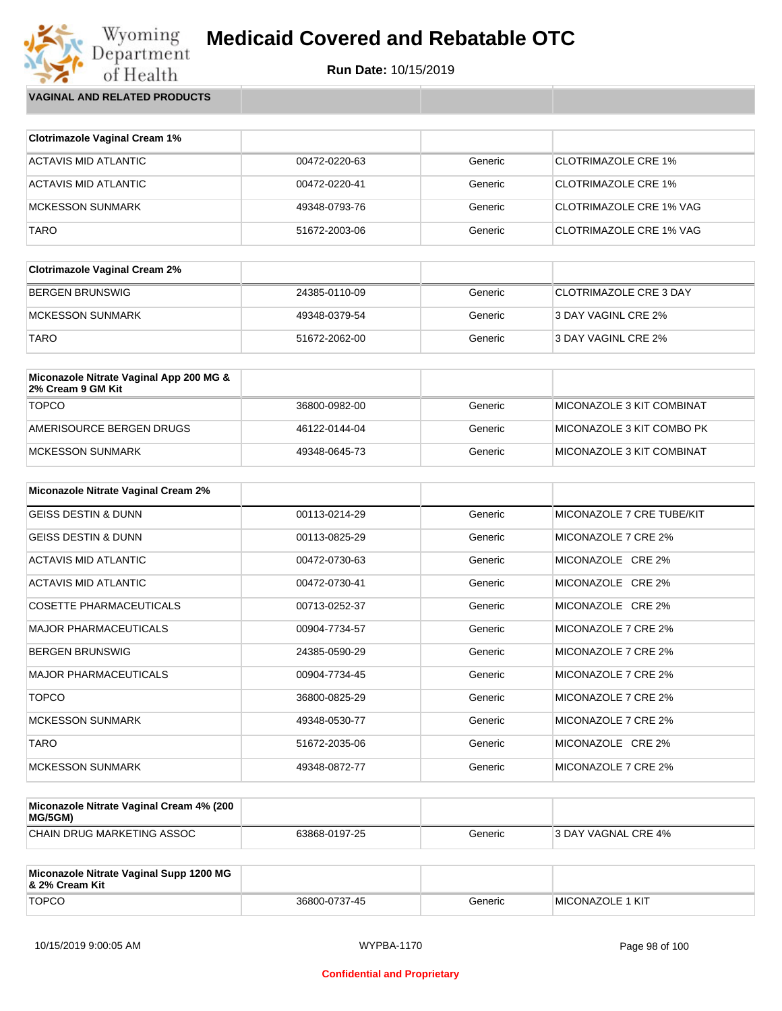## Wyoming<br>Department<br>of Health **Medicaid Covered and Rebatable OTC**



**VAGINAL AND RELATED PRODUCTS**

| <b>Clotrimazole Vaginal Cream 1%</b> |               |         |                                |
|--------------------------------------|---------------|---------|--------------------------------|
| ACTAVIS MID ATLANTIC                 | 00472-0220-63 | Generic | <b>CLOTRIMAZOLE CRE 1%</b>     |
| ACTAVIS MID ATLANTIC                 | 00472-0220-41 | Generic | <b>CLOTRIMAZOLE CRE 1%</b>     |
| <b>MCKESSON SUNMARK</b>              | 49348-0793-76 | Generic | <b>CLOTRIMAZOLE CRE 1% VAG</b> |
| TARO                                 | 51672-2003-06 | Generic | CLOTRIMAZOLE CRE 1% VAG        |

| <b>Clotrimazole Vaginal Cream 2%</b> |               |         |                               |
|--------------------------------------|---------------|---------|-------------------------------|
| BERGEN BRUNSWIG                      | 24385-0110-09 | Generic | <b>CLOTRIMAZOLE CRE 3 DAY</b> |
| IMCKESSON SUNMARK                    | 49348-0379-54 | Generic | 3 DAY VAGINL CRE 2%           |
| <b>TARO</b>                          | 51672-2062-00 | Generic | 3 DAY VAGINL CRE 2%           |

| Miconazole Nitrate Vaginal App 200 MG &<br>2% Cream 9 GM Kit |               |         |                           |
|--------------------------------------------------------------|---------------|---------|---------------------------|
| <b>TOPCO</b>                                                 | 36800-0982-00 | Generic | MICONAZOLE 3 KIT COMBINAT |
| AMERISOURCE BERGEN DRUGS                                     | 46122-0144-04 | Generic | MICONAZOLE 3 KIT COMBO PK |
| MCKESSON SUNMARK                                             | 49348-0645-73 | Generic | MICONAZOLE 3 KIT COMBINAT |

| <b>Miconazole Nitrate Vaginal Cream 2%</b> |               |         |                           |
|--------------------------------------------|---------------|---------|---------------------------|
| <b>GEISS DESTIN &amp; DUNN</b>             | 00113-0214-29 | Generic | MICONAZOLE 7 CRE TUBE/KIT |
| <b>GEISS DESTIN &amp; DUNN</b>             | 00113-0825-29 | Generic | MICONAZOLE 7 CRE 2%       |
| ACTAVIS MID ATLANTIC                       | 00472-0730-63 | Generic | MICONAZOLE CRE 2%         |
| <b>ACTAVIS MID ATLANTIC</b>                | 00472-0730-41 | Generic | MICONAZOLE CRE 2%         |
| <b>COSETTE PHARMACEUTICALS</b>             | 00713-0252-37 | Generic | MICONAZOLE CRE 2%         |
| <b>MAJOR PHARMACEUTICALS</b>               | 00904-7734-57 | Generic | MICONAZOLE 7 CRE 2%       |
| <b>BERGEN BRUNSWIG</b>                     | 24385-0590-29 | Generic | MICONAZOLE 7 CRE 2%       |
| <b>MAJOR PHARMACEUTICALS</b>               | 00904-7734-45 | Generic | MICONAZOLE 7 CRE 2%       |
| <b>TOPCO</b>                               | 36800-0825-29 | Generic | MICONAZOLE 7 CRE 2%       |
| <b>MCKESSON SUNMARK</b>                    | 49348-0530-77 | Generic | MICONAZOLE 7 CRE 2%       |
| <b>TARO</b>                                | 51672-2035-06 | Generic | MICONAZOLE CRE 2%         |
| <b>MCKESSON SUNMARK</b>                    | 49348-0872-77 | Generic | MICONAZOLE 7 CRE 2%       |

| Miconazole Nitrate Vaginal Cream 4% (200<br>MG/5GM) |               |         |                      |
|-----------------------------------------------------|---------------|---------|----------------------|
| CHAIN DRUG MARKETING ASSOC                          | 63868-0197-25 | Generic | 13 DAY VAGNAL CRE 4% |

| Miconazole Nitrate Vaginal Supp 1200 MG<br>8. 2% Cream Kit |               |         |                          |
|------------------------------------------------------------|---------------|---------|--------------------------|
| <b>TOPCO</b>                                               | 36800-0737-45 | Generic | <b>IMICONAZOLE 1 KIT</b> |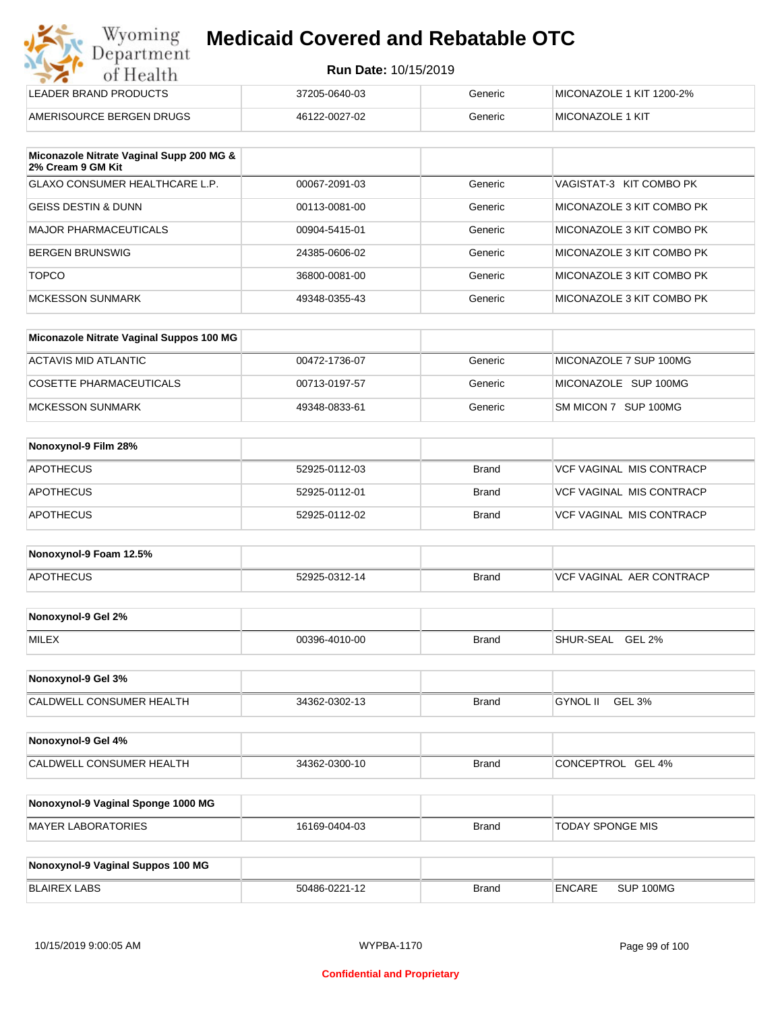| <b>Run Date: 10/15/2019</b> |  |  |
|-----------------------------|--|--|
|                             |  |  |

| ---                      |               |         |                          |
|--------------------------|---------------|---------|--------------------------|
| LEADER BRAND PRODUCTS    | 37205-0640-03 | Generic | MICONAZOLE 1 KIT 1200-2% |
| AMERISOURCE BERGEN DRUGS | 46122-0027-02 | Generic | <b>IMICONAZOLE 1 KIT</b> |

| Miconazole Nitrate Vaginal Supp 200 MG &<br>2% Cream 9 GM Kit |               |         |                           |
|---------------------------------------------------------------|---------------|---------|---------------------------|
| <b>GLAXO CONSUMER HEALTHCARE L.P.</b>                         | 00067-2091-03 | Generic | VAGISTAT-3 KIT COMBO PK   |
| <b>GEISS DESTIN &amp; DUNN</b>                                | 00113-0081-00 | Generic | MICONAZOLE 3 KIT COMBO PK |
| MAJOR PHARMACEUTICALS                                         | 00904-5415-01 | Generic | MICONAZOLE 3 KIT COMBO PK |
| BERGEN BRUNSWIG                                               | 24385-0606-02 | Generic | MICONAZOLE 3 KIT COMBO PK |
| <b>TOPCO</b>                                                  | 36800-0081-00 | Generic | MICONAZOLE 3 KIT COMBO PK |
| MCKESSON SUNMARK                                              | 49348-0355-43 | Generic | MICONAZOLE 3 KIT COMBO PK |

| Miconazole Nitrate Vaginal Suppos 100 MG |               |         |                        |
|------------------------------------------|---------------|---------|------------------------|
| ACTAVIS MID ATLANTIC                     | 00472-1736-07 | Generic | MICONAZOLE 7 SUP 100MG |
| COSETTE PHARMACEUTICALS                  | 00713-0197-57 | Generic | MICONAZOLE SUP 100MG   |
| MCKESSON SUNMARK                         | 49348-0833-61 | Generic | SM MICON 7 SUP 100MG   |

| Nonoxynol-9 Film 28% |               |              |                          |
|----------------------|---------------|--------------|--------------------------|
| <b>APOTHECUS</b>     | 52925-0112-03 | Brand        | VCF VAGINAL MIS CONTRACP |
| <b>APOTHECUS</b>     | 52925-0112-01 | <b>Brand</b> | VCF VAGINAL MIS CONTRACP |
| <b>APOTHECUS</b>     | 52925-0112-02 | Brand        | VCF VAGINAL MIS CONTRACP |

| Nonoxynol-9 Foam 12.5% |               |              |                               |
|------------------------|---------------|--------------|-------------------------------|
| <b>APOTHECUS</b>       | 52925-0312-14 | <b>Brand</b> | . AER CONTRACP<br>VCF VAGINAL |

| Nonoxynol-9 Gel 2% |               |       |                            |
|--------------------|---------------|-------|----------------------------|
| <b>MILEX</b>       | 00396-4010-00 | Brand | <b>GEL 2%</b><br>SHUR-SEAL |

| Nonoxynol-9 Gel 3%              |               |       |          |        |
|---------------------------------|---------------|-------|----------|--------|
| <b>CALDWELL CONSUMER HEALTH</b> | 34362-0302-13 | Brand | GYNOL II | GEL 3% |

| Nonoxynol-9 Gel 4%       |               |              |                   |
|--------------------------|---------------|--------------|-------------------|
| CALDWELL CONSUMER HEALTH | 34362-0300-10 | <b>Brand</b> | CONCEPTROL GEL 4% |

| Nonoxynol-9 Vaginal Sponge 1000 MG |               |       |                         |
|------------------------------------|---------------|-------|-------------------------|
| MAYER LABORATORIES                 | 16169-0404-03 | Brand | <b>TODAY SPONGE MIS</b> |

| Nonoxynol-9 Vaginal Suppos 100 MG |               |              |               |           |
|-----------------------------------|---------------|--------------|---------------|-----------|
| <b>BLAIREX LABS</b>               | 50486-0221-12 | <b>Brand</b> | <b>ENCARE</b> | SUP 100MG |